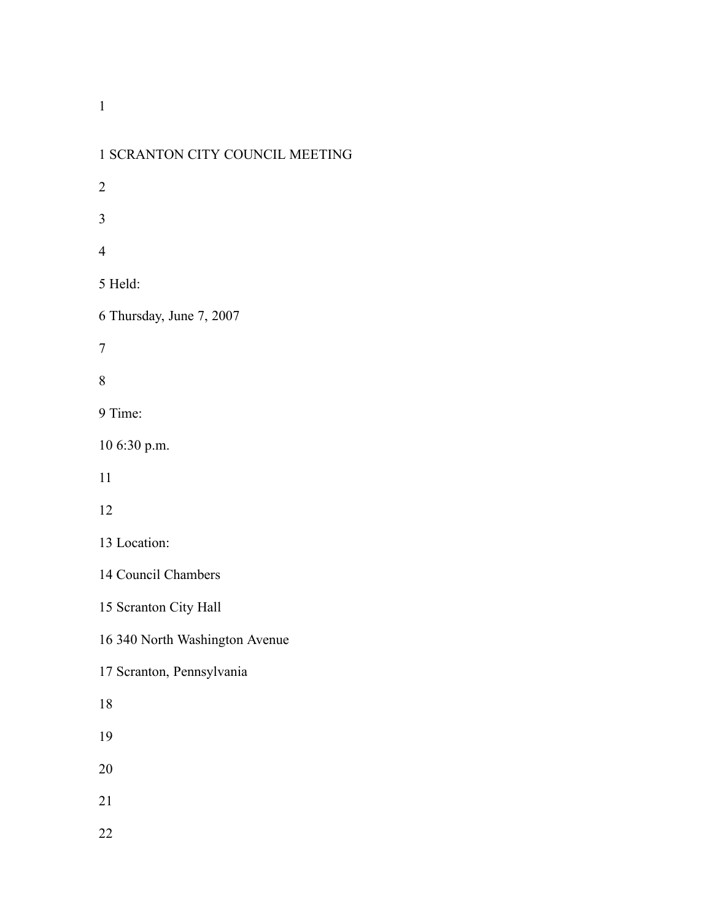| 1 SCRANTON CITY COUNCIL MEETING |
|---------------------------------|
| $\overline{c}$                  |
| 3                               |
| 4                               |
| 5 Held:                         |
| 6 Thursday, June 7, 2007        |
| 7                               |
| 8                               |
| 9 Time:                         |
| 10 6:30 p.m.                    |
| 11                              |
| 12                              |
| 13 Location:                    |
| 14 Council Chambers             |
| 15 Scranton City Hall           |
| 16 340 North Washington Avenue  |
| 17 Scranton, Pennsylvania       |
| 18                              |
| 19                              |
| 20                              |
| 21                              |
| 22                              |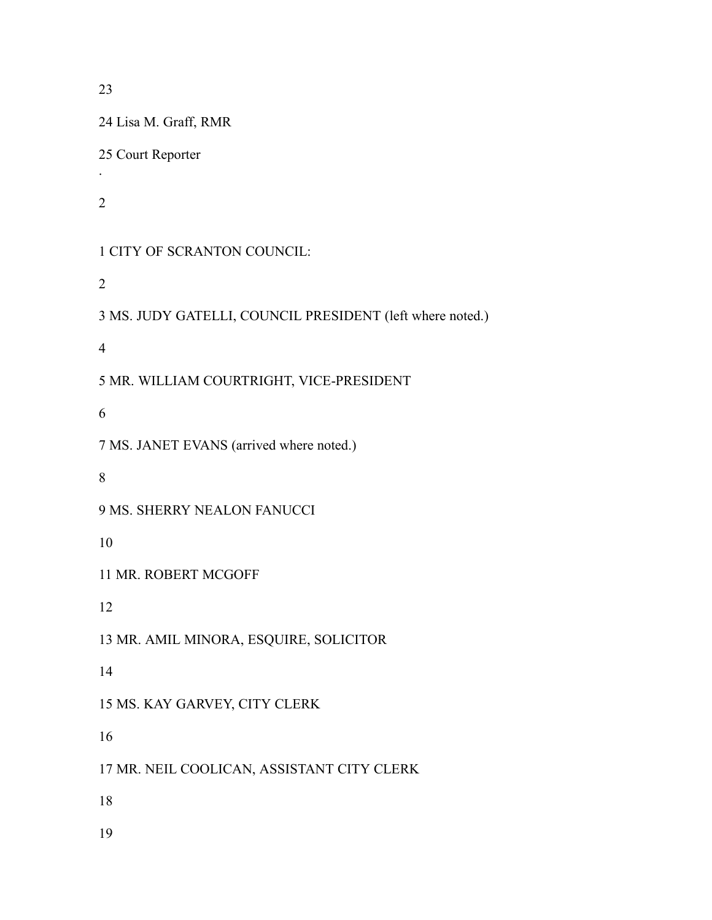Lisa M. Graff, RMR Court Reporter . CITY OF SCRANTON COUNCIL: MS. JUDY GATELLI, COUNCIL PRESIDENT (left where noted.) MR. WILLIAM COURTRIGHT, VICE-PRESIDENT MS. JANET EVANS (arrived where noted.) MS. SHERRY NEALON FANUCCI MR. ROBERT MCGOFF MR. AMIL MINORA, ESQUIRE, SOLICITOR MS. KAY GARVEY, CITY CLERK MR. NEIL COOLICAN, ASSISTANT CITY CLERK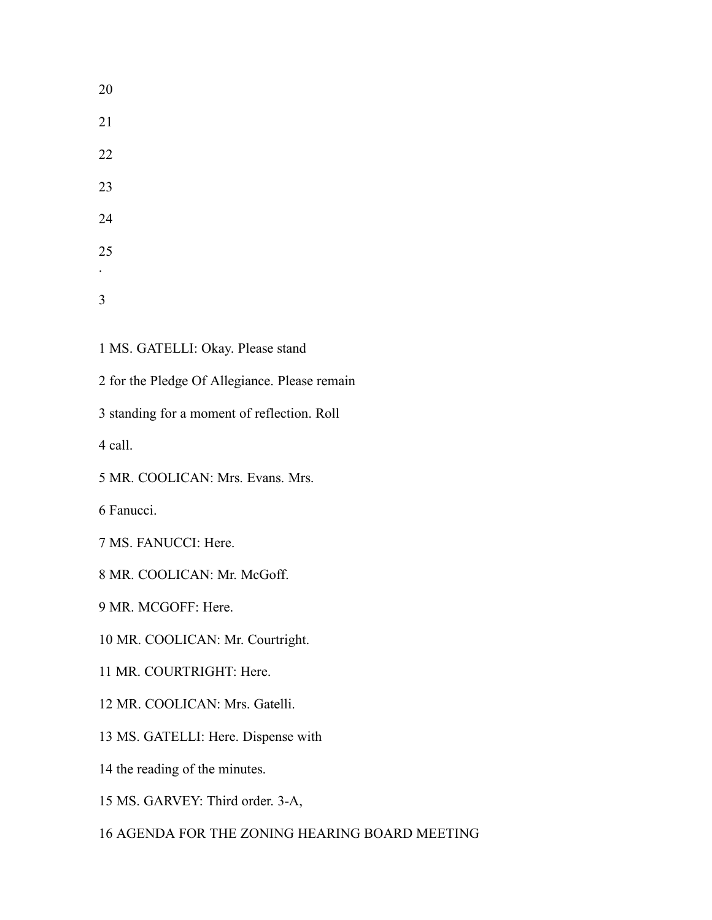MS. GATELLI: Okay. Please stand

for the Pledge Of Allegiance. Please remain

standing for a moment of reflection. Roll

call.

MR. COOLICAN: Mrs. Evans. Mrs.

Fanucci.

MS. FANUCCI: Here.

MR. COOLICAN: Mr. McGoff.

MR. MCGOFF: Here.

MR. COOLICAN: Mr. Courtright.

MR. COURTRIGHT: Here.

MR. COOLICAN: Mrs. Gatelli.

MS. GATELLI: Here. Dispense with

the reading of the minutes.

MS. GARVEY: Third order. 3-A,

AGENDA FOR THE ZONING HEARING BOARD MEETING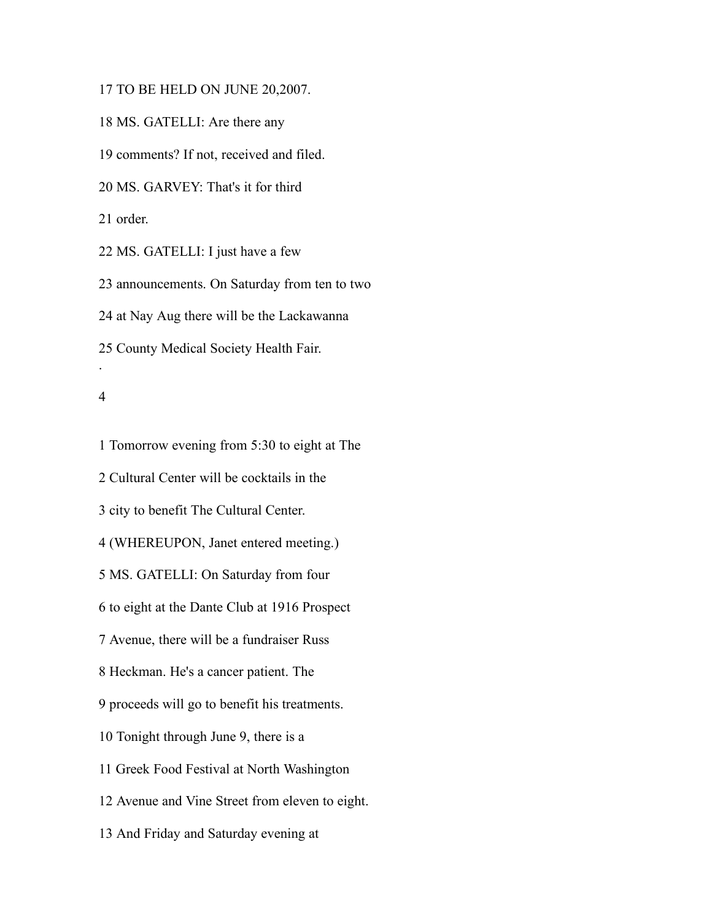TO BE HELD ON JUNE 20,2007.

MS. GATELLI: Are there any

comments? If not, received and filed.

MS. GARVEY: That's it for third

order.

MS. GATELLI: I just have a few

announcements. On Saturday from ten to two

at Nay Aug there will be the Lackawanna

County Medical Society Health Fair.

#### 

.

 Tomorrow evening from 5:30 to eight at The Cultural Center will be cocktails in the city to benefit The Cultural Center. (WHEREUPON, Janet entered meeting.) MS. GATELLI: On Saturday from four to eight at the Dante Club at 1916 Prospect Avenue, there will be a fundraiser Russ Heckman. He's a cancer patient. The proceeds will go to benefit his treatments. Tonight through June 9, there is a Greek Food Festival at North Washington Avenue and Vine Street from eleven to eight. And Friday and Saturday evening at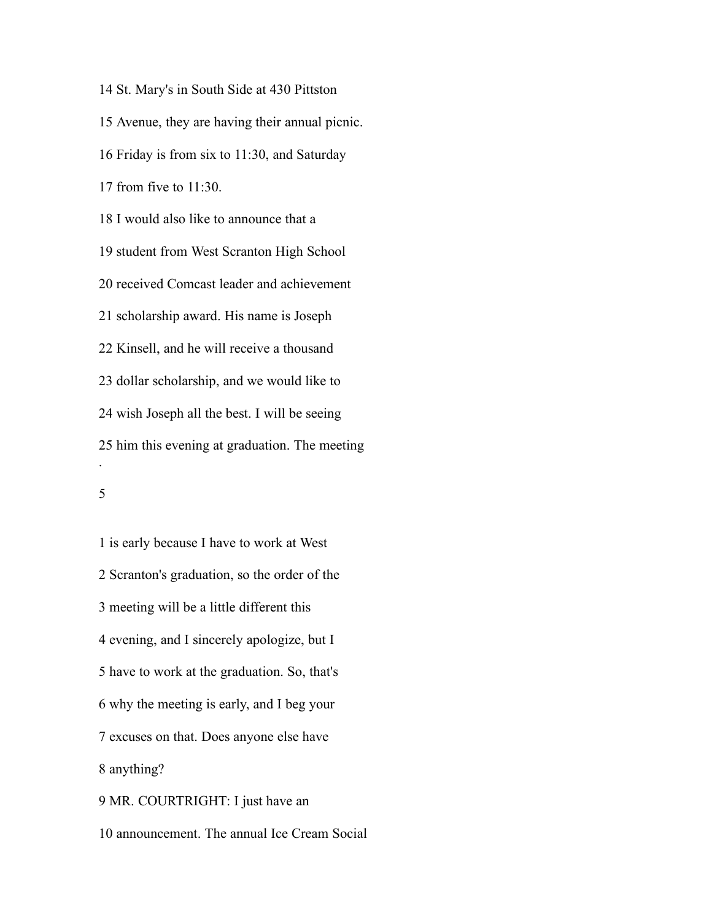St. Mary's in South Side at 430 Pittston Avenue, they are having their annual picnic. Friday is from six to 11:30, and Saturday from five to 11:30. I would also like to announce that a student from West Scranton High School received Comcast leader and achievement scholarship award. His name is Joseph Kinsell, and he will receive a thousand dollar scholarship, and we would like to wish Joseph all the best. I will be seeing him this evening at graduation. The meeting .

 is early because I have to work at West Scranton's graduation, so the order of the meeting will be a little different this evening, and I sincerely apologize, but I have to work at the graduation. So, that's why the meeting is early, and I beg your excuses on that. Does anyone else have anything? MR. COURTRIGHT: I just have an

announcement. The annual Ice Cream Social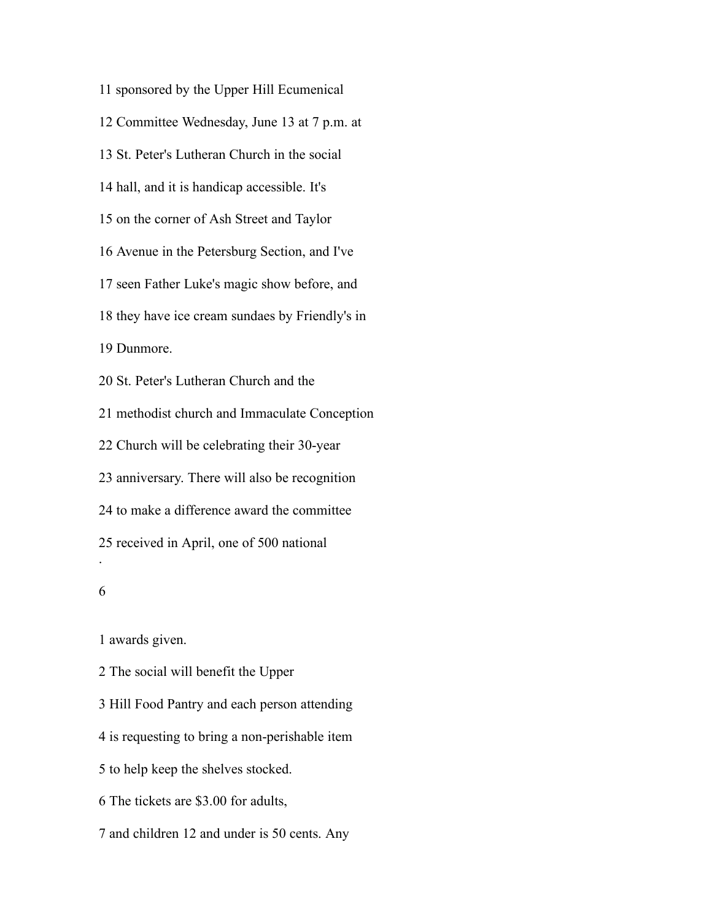sponsored by the Upper Hill Ecumenical Committee Wednesday, June 13 at 7 p.m. at St. Peter's Lutheran Church in the social hall, and it is handicap accessible. It's on the corner of Ash Street and Taylor Avenue in the Petersburg Section, and I've seen Father Luke's magic show before, and they have ice cream sundaes by Friendly's in Dunmore. St. Peter's Lutheran Church and the methodist church and Immaculate Conception Church will be celebrating their 30-year anniversary. There will also be recognition to make a difference award the committee received in April, one of 500 national . 

awards given.

The social will benefit the Upper

Hill Food Pantry and each person attending

is requesting to bring a non-perishable item

to help keep the shelves stocked.

The tickets are \$3.00 for adults,

and children 12 and under is 50 cents. Any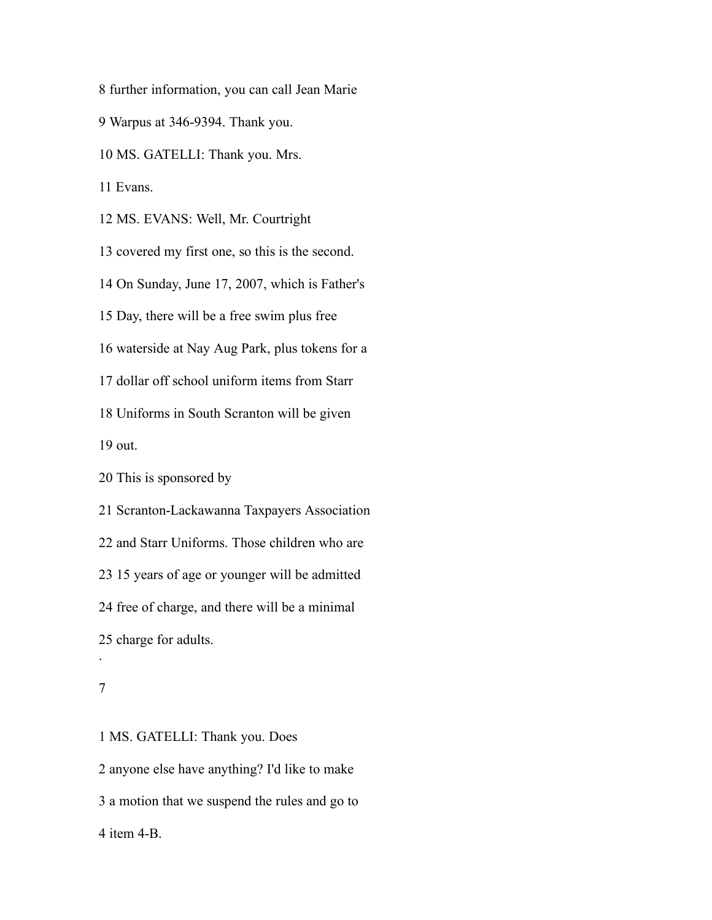further information, you can call Jean Marie

Warpus at 346-9394. Thank you.

MS. GATELLI: Thank you. Mrs.

Evans.

MS. EVANS: Well, Mr. Courtright

covered my first one, so this is the second.

On Sunday, June 17, 2007, which is Father's

Day, there will be a free swim plus free

waterside at Nay Aug Park, plus tokens for a

dollar off school uniform items from Starr

Uniforms in South Scranton will be given

out.

This is sponsored by

Scranton-Lackawanna Taxpayers Association

and Starr Uniforms. Those children who are

15 years of age or younger will be admitted

free of charge, and there will be a minimal

charge for adults.

.

 MS. GATELLI: Thank you. Does anyone else have anything? I'd like to make a motion that we suspend the rules and go to item 4-B.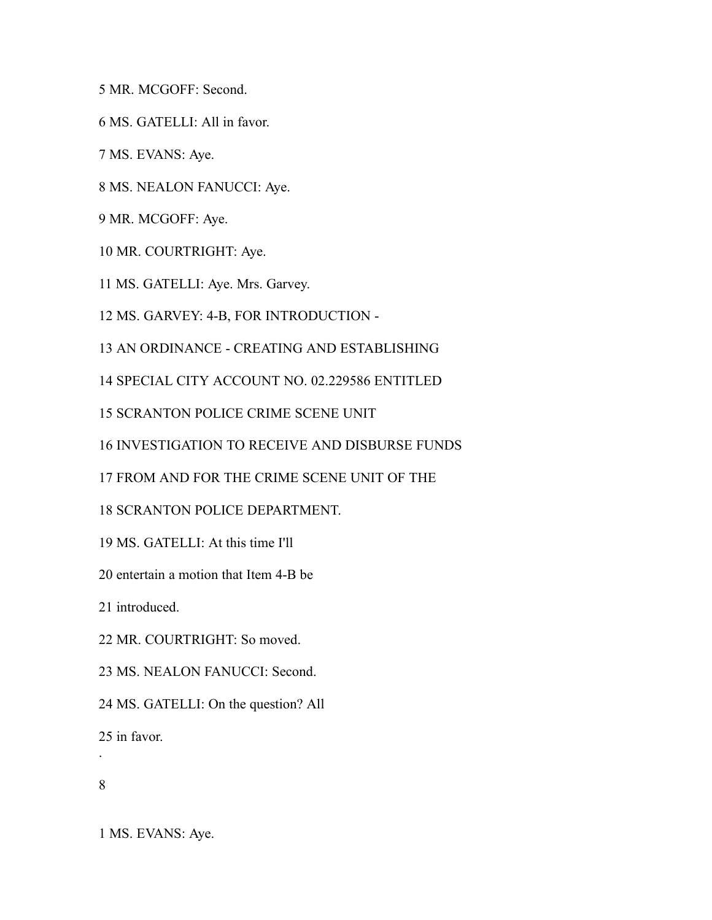MR. MCGOFF: Second.

MS. GATELLI: All in favor.

MS. EVANS: Aye.

MS. NEALON FANUCCI: Aye.

MR. MCGOFF: Aye.

MR. COURTRIGHT: Aye.

MS. GATELLI: Aye. Mrs. Garvey.

MS. GARVEY: 4-B, FOR INTRODUCTION -

AN ORDINANCE - CREATING AND ESTABLISHING

SPECIAL CITY ACCOUNT NO. 02.229586 ENTITLED

SCRANTON POLICE CRIME SCENE UNIT

INVESTIGATION TO RECEIVE AND DISBURSE FUNDS

FROM AND FOR THE CRIME SCENE UNIT OF THE

SCRANTON POLICE DEPARTMENT.

MS. GATELLI: At this time I'll

entertain a motion that Item 4-B be

introduced.

MR. COURTRIGHT: So moved.

MS. NEALON FANUCCI: Second.

MS. GATELLI: On the question? All

in favor.

.

MS. EVANS: Aye.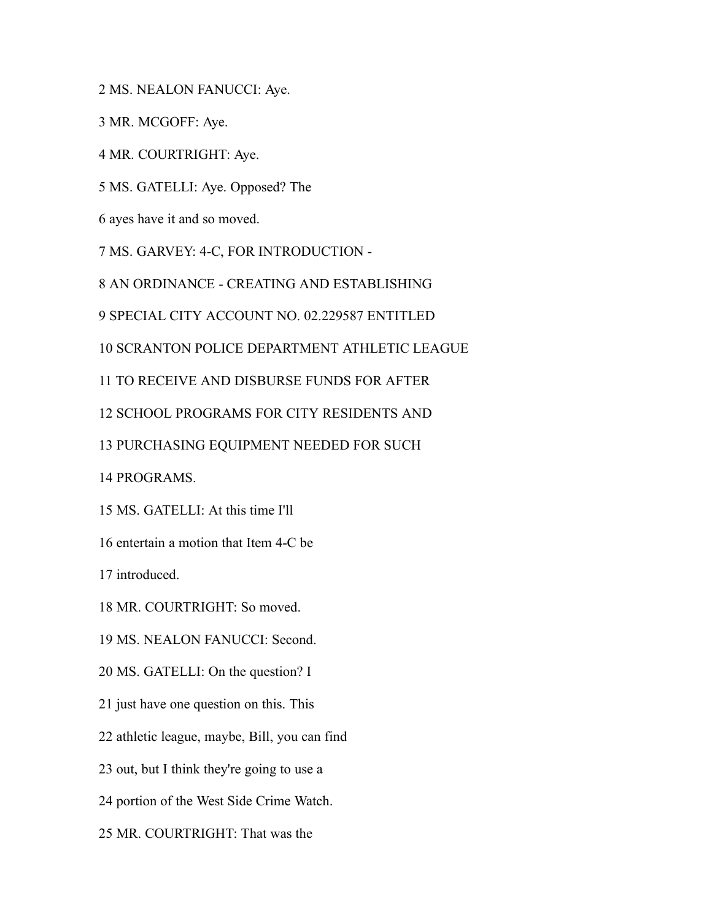MS. NEALON FANUCCI: Aye.

MR. MCGOFF: Aye.

MR. COURTRIGHT: Aye.

MS. GATELLI: Aye. Opposed? The

ayes have it and so moved.

MS. GARVEY: 4-C, FOR INTRODUCTION -

AN ORDINANCE - CREATING AND ESTABLISHING

SPECIAL CITY ACCOUNT NO. 02.229587 ENTITLED

SCRANTON POLICE DEPARTMENT ATHLETIC LEAGUE

TO RECEIVE AND DISBURSE FUNDS FOR AFTER

SCHOOL PROGRAMS FOR CITY RESIDENTS AND

PURCHASING EQUIPMENT NEEDED FOR SUCH

PROGRAMS.

MS. GATELLI: At this time I'll

entertain a motion that Item 4-C be

introduced.

MR. COURTRIGHT: So moved.

MS. NEALON FANUCCI: Second.

MS. GATELLI: On the question? I

just have one question on this. This

athletic league, maybe, Bill, you can find

out, but I think they're going to use a

portion of the West Side Crime Watch.

MR. COURTRIGHT: That was the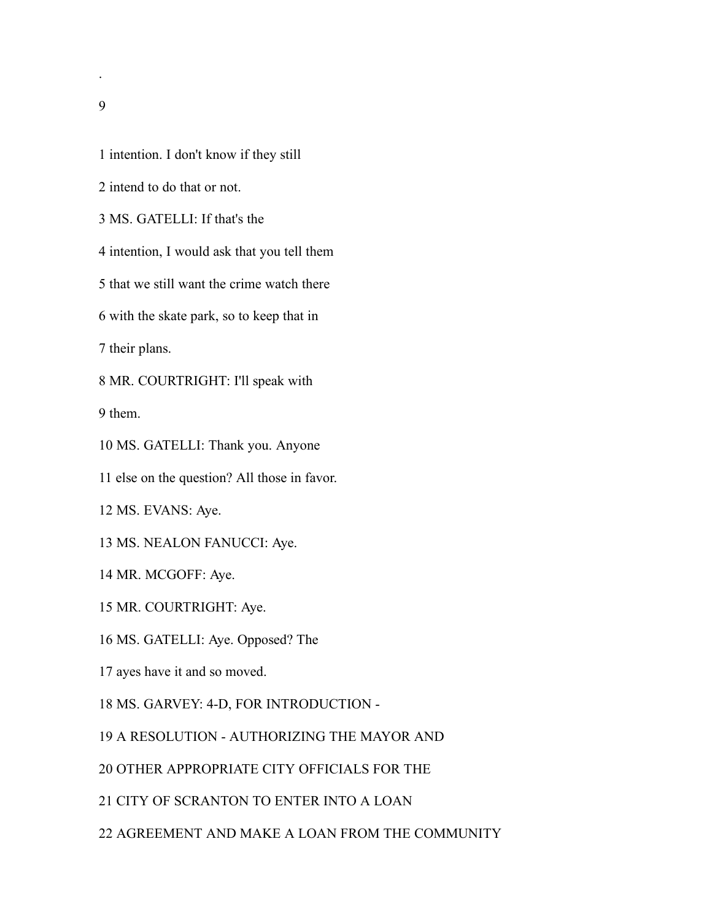- intention. I don't know if they still
- intend to do that or not.
- MS. GATELLI: If that's the

intention, I would ask that you tell them

that we still want the crime watch there

with the skate park, so to keep that in

their plans.

MR. COURTRIGHT: I'll speak with

them.

MS. GATELLI: Thank you. Anyone

else on the question? All those in favor.

MS. EVANS: Aye.

MS. NEALON FANUCCI: Aye.

MR. MCGOFF: Aye.

- MR. COURTRIGHT: Aye.
- MS. GATELLI: Aye. Opposed? The
- ayes have it and so moved.

MS. GARVEY: 4-D, FOR INTRODUCTION -

A RESOLUTION - AUTHORIZING THE MAYOR AND

OTHER APPROPRIATE CITY OFFICIALS FOR THE

CITY OF SCRANTON TO ENTER INTO A LOAN

AGREEMENT AND MAKE A LOAN FROM THE COMMUNITY

.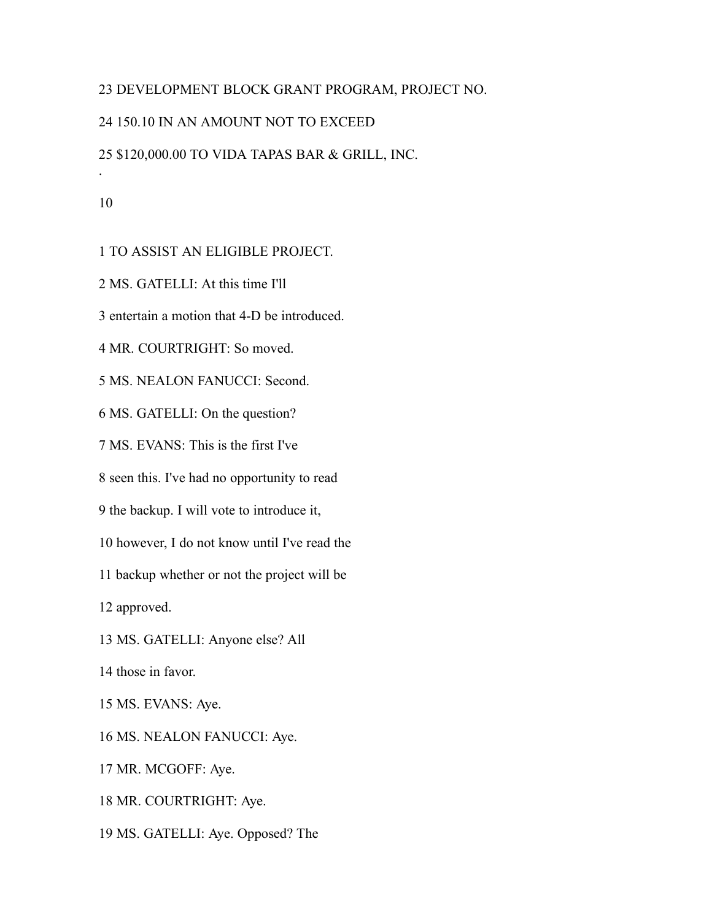# DEVELOPMENT BLOCK GRANT PROGRAM, PROJECT NO.

# 150.10 IN AN AMOUNT NOT TO EXCEED

# \$120,000.00 TO VIDA TAPAS BAR & GRILL, INC.

.

TO ASSIST AN ELIGIBLE PROJECT.

MS. GATELLI: At this time I'll

entertain a motion that 4-D be introduced.

MR. COURTRIGHT: So moved.

MS. NEALON FANUCCI: Second.

MS. GATELLI: On the question?

MS. EVANS: This is the first I've

seen this. I've had no opportunity to read

the backup. I will vote to introduce it,

however, I do not know until I've read the

backup whether or not the project will be

approved.

MS. GATELLI: Anyone else? All

those in favor.

MS. EVANS: Aye.

MS. NEALON FANUCCI: Aye.

MR. MCGOFF: Aye.

MR. COURTRIGHT: Aye.

MS. GATELLI: Aye. Opposed? The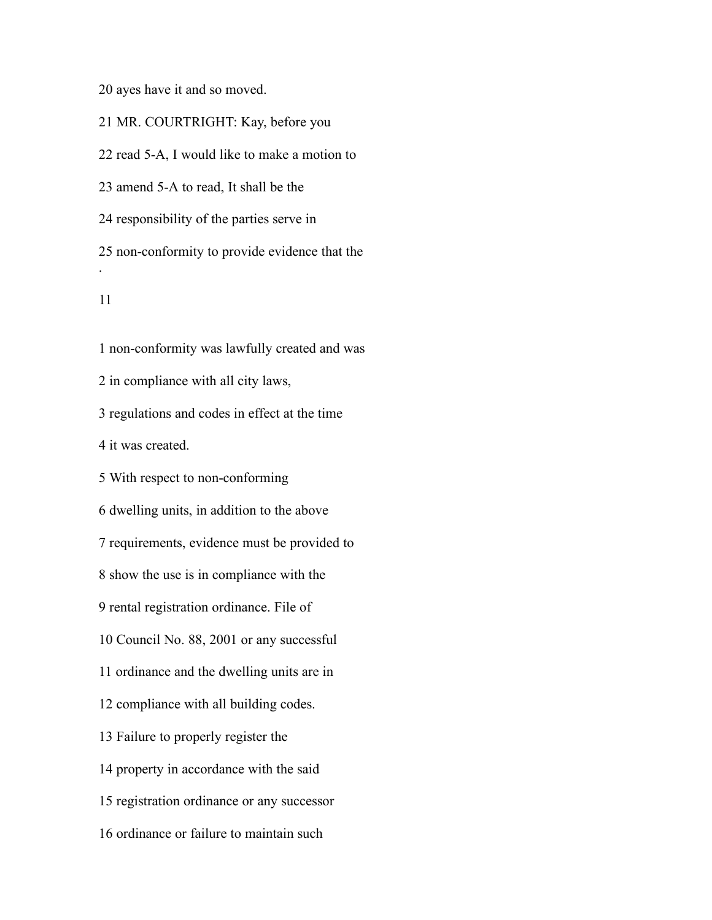ayes have it and so moved.

MR. COURTRIGHT: Kay, before you

read 5-A, I would like to make a motion to

amend 5-A to read, It shall be the

responsibility of the parties serve in

 non-conformity to provide evidence that the .

 non-conformity was lawfully created and was in compliance with all city laws, regulations and codes in effect at the time it was created. With respect to non-conforming dwelling units, in addition to the above requirements, evidence must be provided to show the use is in compliance with the rental registration ordinance. File of Council No. 88, 2001 or any successful ordinance and the dwelling units are in compliance with all building codes. Failure to properly register the property in accordance with the said registration ordinance or any successor ordinance or failure to maintain such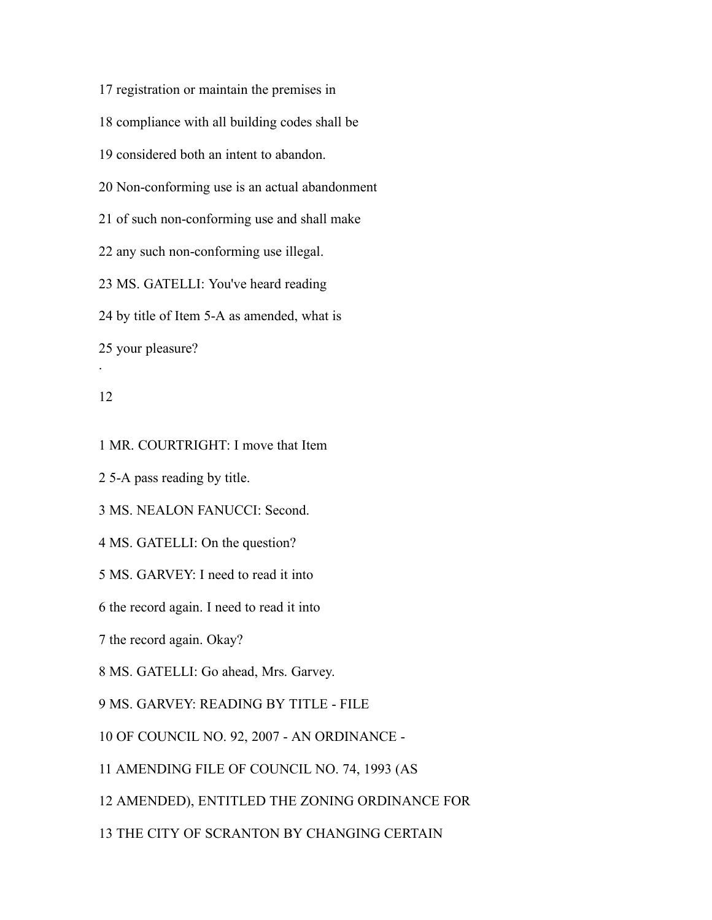registration or maintain the premises in compliance with all building codes shall be considered both an intent to abandon. Non-conforming use is an actual abandonment of such non-conforming use and shall make any such non-conforming use illegal. MS. GATELLI: You've heard reading by title of Item 5-A as amended, what is your pleasure? .

## 

MR. COURTRIGHT: I move that Item

5-A pass reading by title.

MS. NEALON FANUCCI: Second.

MS. GATELLI: On the question?

MS. GARVEY: I need to read it into

the record again. I need to read it into

the record again. Okay?

MS. GATELLI: Go ahead, Mrs. Garvey.

MS. GARVEY: READING BY TITLE - FILE

OF COUNCIL NO. 92, 2007 - AN ORDINANCE -

AMENDING FILE OF COUNCIL NO. 74, 1993 (AS

AMENDED), ENTITLED THE ZONING ORDINANCE FOR

THE CITY OF SCRANTON BY CHANGING CERTAIN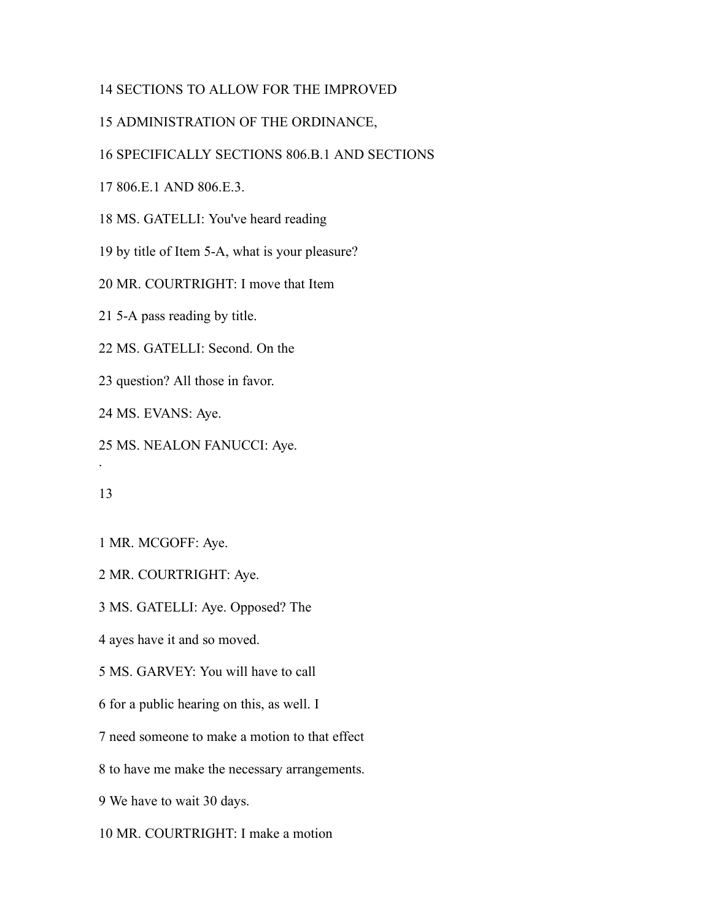# SECTIONS TO ALLOW FOR THE IMPROVED

# ADMINISTRATION OF THE ORDINANCE,

# SPECIFICALLY SECTIONS 806.B.1 AND SECTIONS

806.E.1 AND 806.E.3.

MS. GATELLI: You've heard reading

by title of Item 5-A, what is your pleasure?

MR. COURTRIGHT: I move that Item

5-A pass reading by title.

MS. GATELLI: Second. On the

question? All those in favor.

MS. EVANS: Aye.

MS. NEALON FANUCCI: Aye.

.

MR. MCGOFF: Aye.

MR. COURTRIGHT: Aye.

MS. GATELLI: Aye. Opposed? The

ayes have it and so moved.

MS. GARVEY: You will have to call

for a public hearing on this, as well. I

need someone to make a motion to that effect

to have me make the necessary arrangements.

We have to wait 30 days.

MR. COURTRIGHT: I make a motion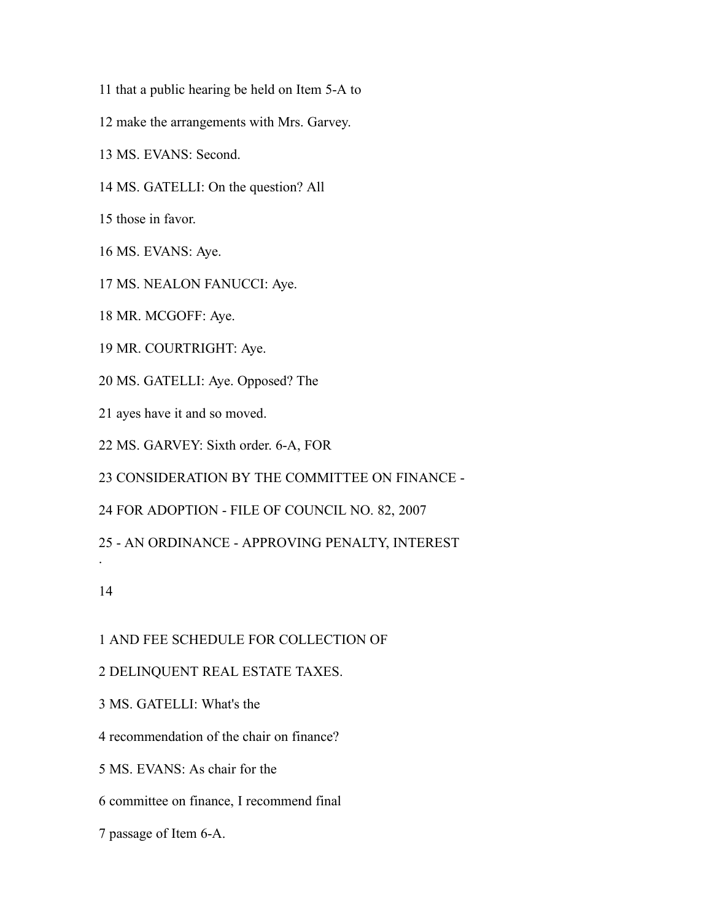- that a public hearing be held on Item 5-A to
- make the arrangements with Mrs. Garvey.
- MS. EVANS: Second.
- MS. GATELLI: On the question? All
- those in favor.
- MS. EVANS: Aye.
- MS. NEALON FANUCCI: Aye.
- MR. MCGOFF: Aye.
- MR. COURTRIGHT: Aye.
- MS. GATELLI: Aye. Opposed? The
- ayes have it and so moved.
- MS. GARVEY: Sixth order. 6-A, FOR
- CONSIDERATION BY THE COMMITTEE ON FINANCE -
- FOR ADOPTION FILE OF COUNCIL NO. 82, 2007
- AN ORDINANCE APPROVING PENALTY, INTEREST

.

- AND FEE SCHEDULE FOR COLLECTION OF
- DELINQUENT REAL ESTATE TAXES.
- MS. GATELLI: What's the
- recommendation of the chair on finance?
- MS. EVANS: As chair for the
- committee on finance, I recommend final
- passage of Item 6-A.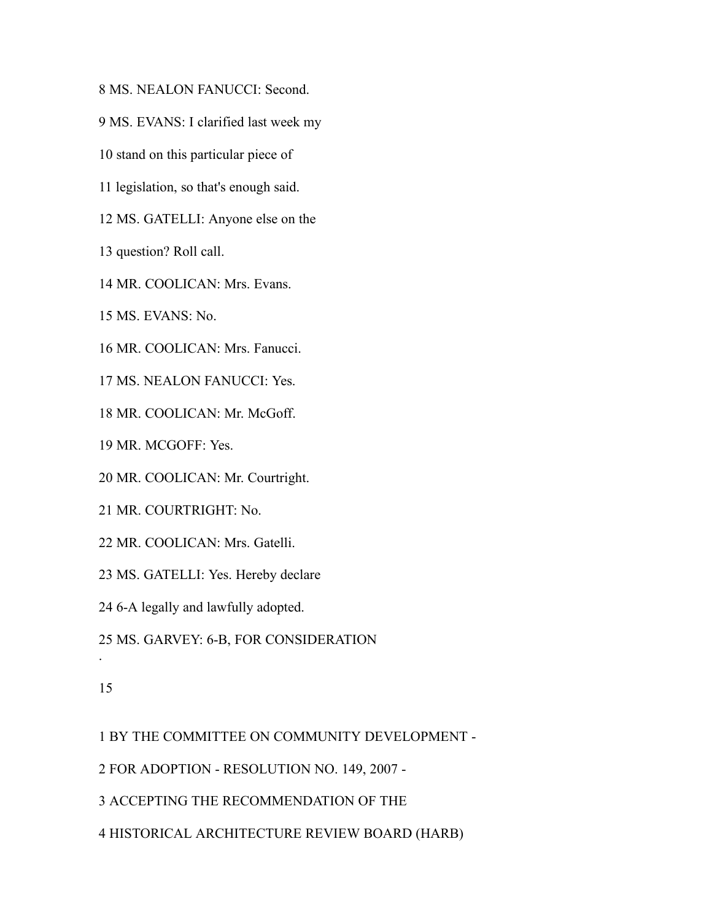MS. NEALON FANUCCI: Second.

MS. EVANS: I clarified last week my

stand on this particular piece of

legislation, so that's enough said.

MS. GATELLI: Anyone else on the

question? Roll call.

MR. COOLICAN: Mrs. Evans.

MS. EVANS: No.

MR. COOLICAN: Mrs. Fanucci.

MS. NEALON FANUCCI: Yes.

MR. COOLICAN: Mr. McGoff.

MR. MCGOFF: Yes.

MR. COOLICAN: Mr. Courtright.

MR. COURTRIGHT: No.

MR. COOLICAN: Mrs. Gatelli.

MS. GATELLI: Yes. Hereby declare

6-A legally and lawfully adopted.

MS. GARVEY: 6-B, FOR CONSIDERATION

#### 

.

BY THE COMMITTEE ON COMMUNITY DEVELOPMENT -

FOR ADOPTION - RESOLUTION NO. 149, 2007 -

ACCEPTING THE RECOMMENDATION OF THE

HISTORICAL ARCHITECTURE REVIEW BOARD (HARB)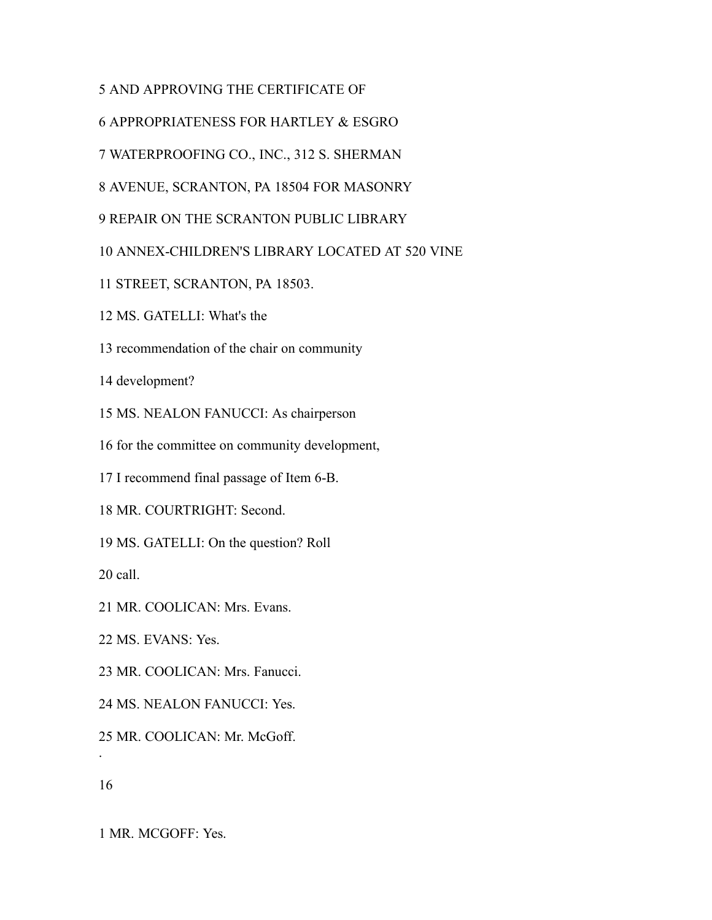- AND APPROVING THE CERTIFICATE OF
- APPROPRIATENESS FOR HARTLEY & ESGRO
- WATERPROOFING CO., INC., 312 S. SHERMAN
- AVENUE, SCRANTON, PA 18504 FOR MASONRY
- REPAIR ON THE SCRANTON PUBLIC LIBRARY
- ANNEX-CHILDREN'S LIBRARY LOCATED AT 520 VINE
- STREET, SCRANTON, PA 18503.
- MS. GATELLI: What's the
- recommendation of the chair on community

development?

MS. NEALON FANUCCI: As chairperson

for the committee on community development,

I recommend final passage of Item 6-B.

MR. COURTRIGHT: Second.

MS. GATELLI: On the question? Roll

call.

MR. COOLICAN: Mrs. Evans.

MS. EVANS: Yes.

MR. COOLICAN: Mrs. Fanucci.

MS. NEALON FANUCCI: Yes.

MR. COOLICAN: Mr. McGoff.

.

MR. MCGOFF: Yes.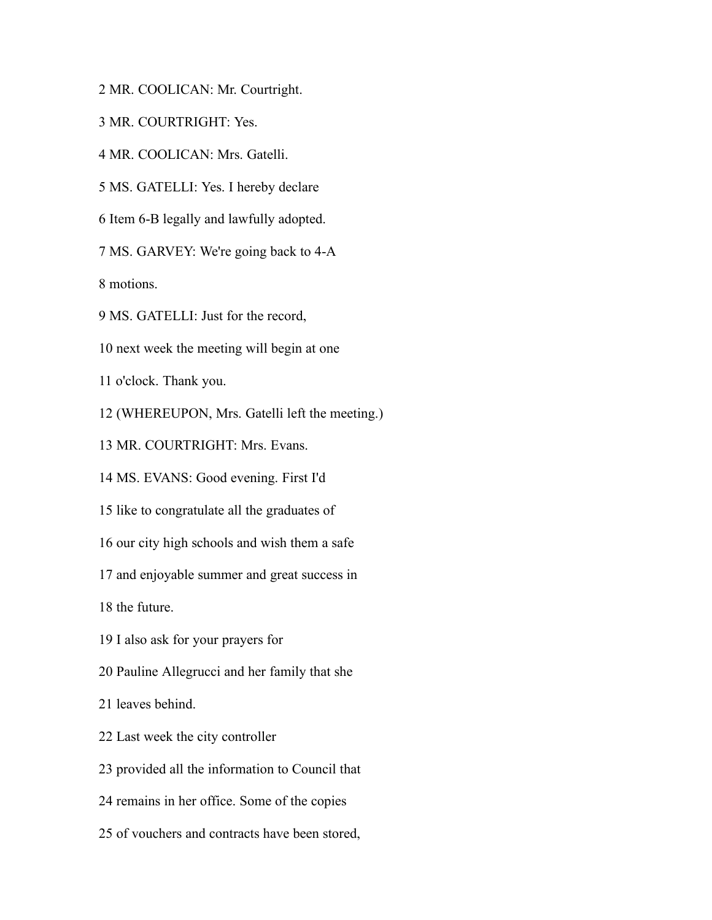MR. COOLICAN: Mr. Courtright.

MR. COURTRIGHT: Yes.

MR. COOLICAN: Mrs. Gatelli.

MS. GATELLI: Yes. I hereby declare

Item 6-B legally and lawfully adopted.

MS. GARVEY: We're going back to 4-A

motions.

MS. GATELLI: Just for the record,

next week the meeting will begin at one

o'clock. Thank you.

(WHEREUPON, Mrs. Gatelli left the meeting.)

MR. COURTRIGHT: Mrs. Evans.

MS. EVANS: Good evening. First I'd

like to congratulate all the graduates of

our city high schools and wish them a safe

and enjoyable summer and great success in

the future.

I also ask for your prayers for

Pauline Allegrucci and her family that she

leaves behind.

Last week the city controller

provided all the information to Council that

remains in her office. Some of the copies

of vouchers and contracts have been stored,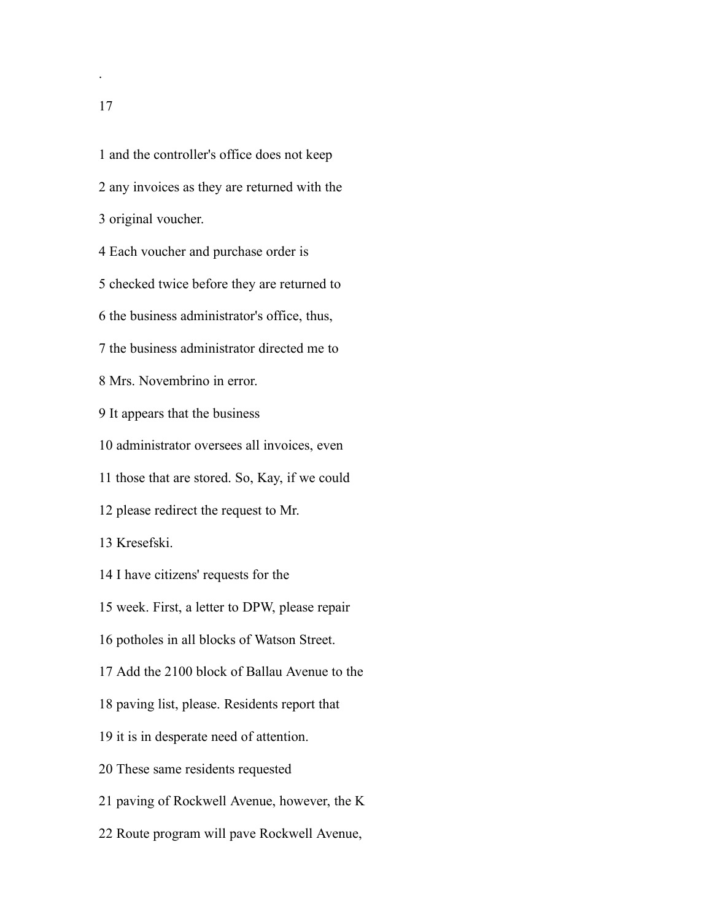and the controller's office does not keep any invoices as they are returned with the original voucher. Each voucher and purchase order is checked twice before they are returned to the business administrator's office, thus, the business administrator directed me to Mrs. Novembrino in error. It appears that the business administrator oversees all invoices, even those that are stored. So, Kay, if we could please redirect the request to Mr. Kresefski. I have citizens' requests for the week. First, a letter to DPW, please repair potholes in all blocks of Watson Street. Add the 2100 block of Ballau Avenue to the paving list, please. Residents report that it is in desperate need of attention. These same residents requested paving of Rockwell Avenue, however, the K Route program will pave Rockwell Avenue,

.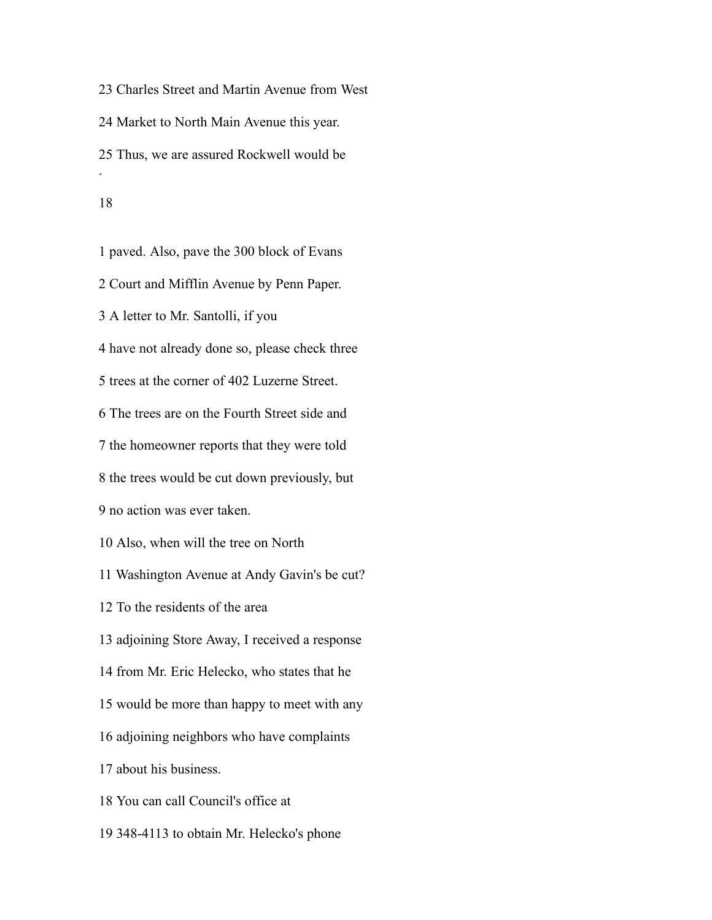Charles Street and Martin Avenue from West Market to North Main Avenue this year. Thus, we are assured Rockwell would be . 

 paved. Also, pave the 300 block of Evans Court and Mifflin Avenue by Penn Paper. A letter to Mr. Santolli, if you have not already done so, please check three trees at the corner of 402 Luzerne Street. The trees are on the Fourth Street side and the homeowner reports that they were told the trees would be cut down previously, but no action was ever taken. Also, when will the tree on North Washington Avenue at Andy Gavin's be cut? To the residents of the area adjoining Store Away, I received a response from Mr. Eric Helecko, who states that he would be more than happy to meet with any adjoining neighbors who have complaints about his business. You can call Council's office at 348-4113 to obtain Mr. Helecko's phone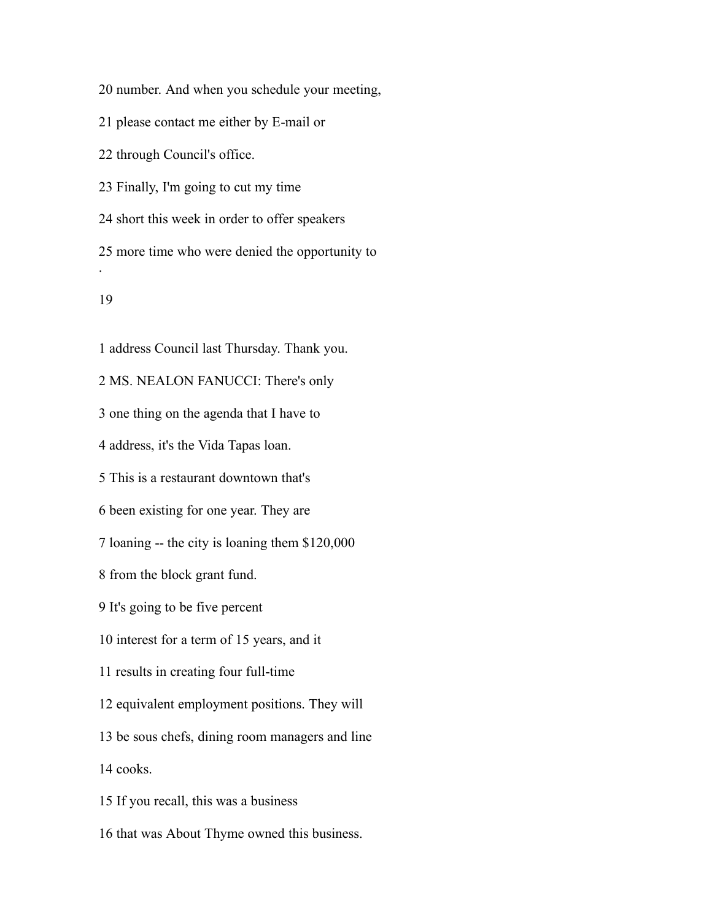number. And when you schedule your meeting,

please contact me either by E-mail or

through Council's office.

Finally, I'm going to cut my time

short this week in order to offer speakers

 more time who were denied the opportunity to .

#### 

 address Council last Thursday. Thank you. MS. NEALON FANUCCI: There's only one thing on the agenda that I have to address, it's the Vida Tapas loan. This is a restaurant downtown that's been existing for one year. They are loaning -- the city is loaning them \$120,000 from the block grant fund. It's going to be five percent interest for a term of 15 years, and it results in creating four full-time equivalent employment positions. They will be sous chefs, dining room managers and line cooks. If you recall, this was a business that was About Thyme owned this business.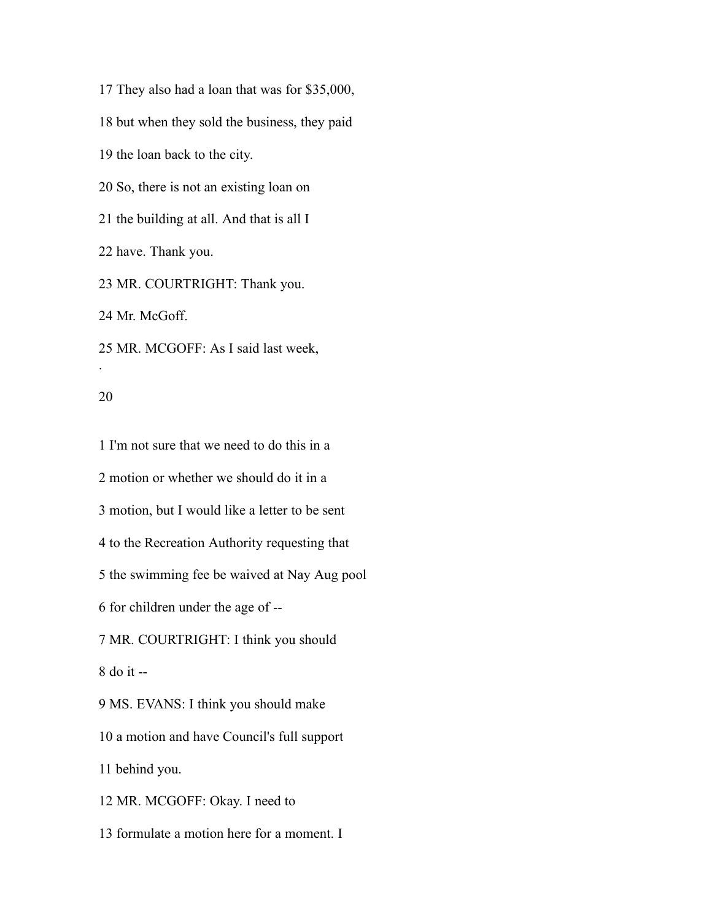They also had a loan that was for \$35,000, but when they sold the business, they paid the loan back to the city. So, there is not an existing loan on the building at all. And that is all I have. Thank you. MR. COURTRIGHT: Thank you. Mr. McGoff. MR. MCGOFF: As I said last week, .

#### 

 I'm not sure that we need to do this in a motion or whether we should do it in a motion, but I would like a letter to be sent to the Recreation Authority requesting that the swimming fee be waived at Nay Aug pool for children under the age of -- MR. COURTRIGHT: I think you should do it -- MS. EVANS: I think you should make a motion and have Council's full support behind you. MR. MCGOFF: Okay. I need to formulate a motion here for a moment. I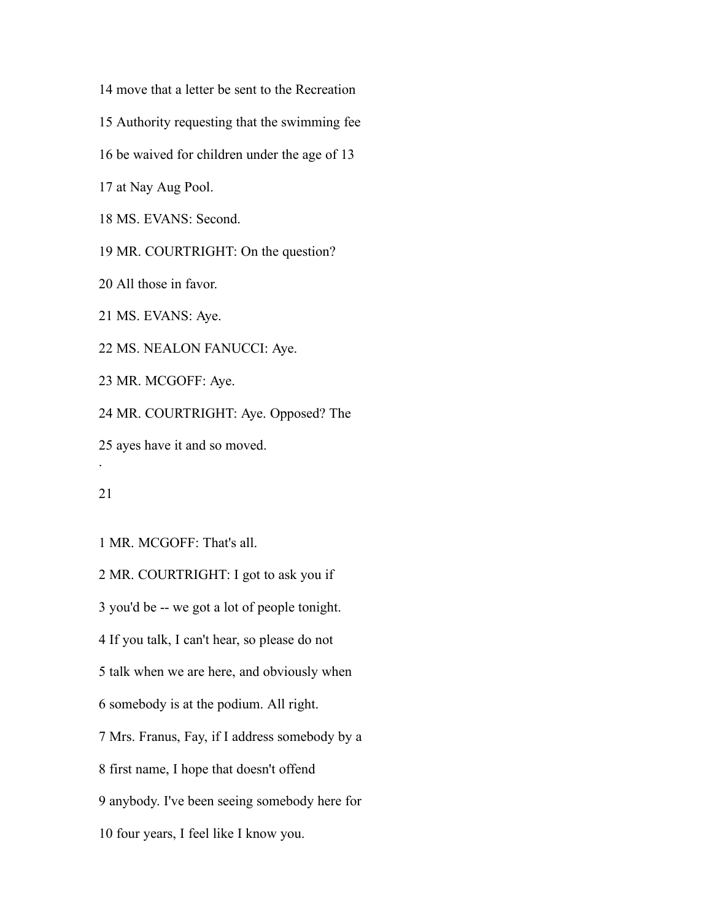move that a letter be sent to the Recreation

Authority requesting that the swimming fee

be waived for children under the age of 13

at Nay Aug Pool.

MS. EVANS: Second.

MR. COURTRIGHT: On the question?

All those in favor.

MS. EVANS: Aye.

MS. NEALON FANUCCI: Aye.

MR. MCGOFF: Aye.

MR. COURTRIGHT: Aye. Opposed? The

ayes have it and so moved.

#### 

.

MR. MCGOFF: That's all.

 MR. COURTRIGHT: I got to ask you if you'd be -- we got a lot of people tonight. If you talk, I can't hear, so please do not talk when we are here, and obviously when somebody is at the podium. All right. Mrs. Franus, Fay, if I address somebody by a first name, I hope that doesn't offend anybody. I've been seeing somebody here for four years, I feel like I know you.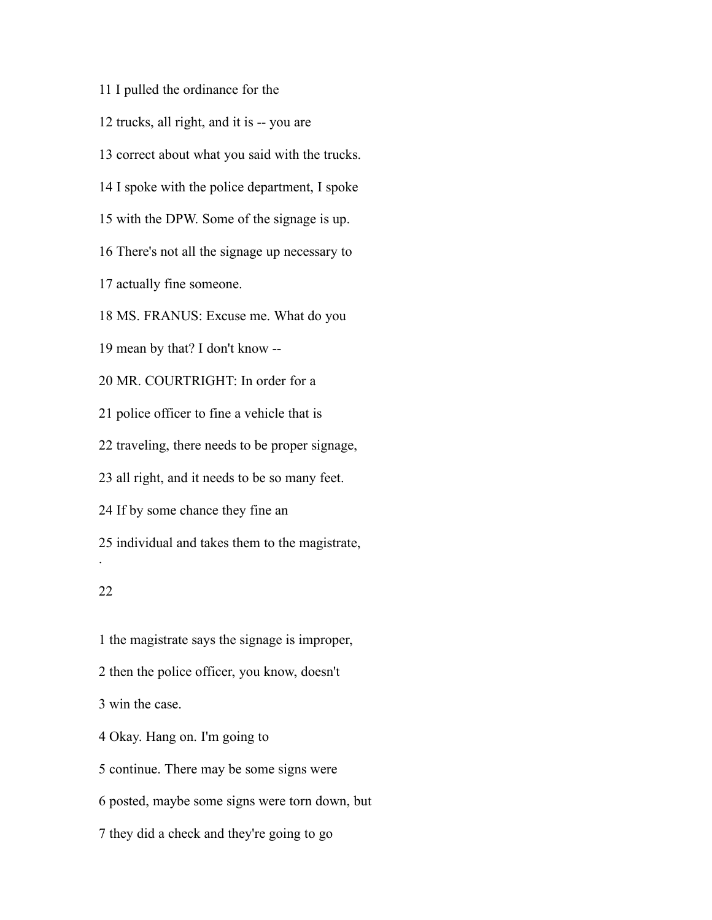I pulled the ordinance for the

trucks, all right, and it is -- you are

correct about what you said with the trucks.

I spoke with the police department, I spoke

with the DPW. Some of the signage is up.

There's not all the signage up necessary to

actually fine someone.

MS. FRANUS: Excuse me. What do you

mean by that? I don't know --

MR. COURTRIGHT: In order for a

police officer to fine a vehicle that is

traveling, there needs to be proper signage,

all right, and it needs to be so many feet.

If by some chance they fine an

individual and takes them to the magistrate,

### 

.

 the magistrate says the signage is improper, then the police officer, you know, doesn't win the case. Okay. Hang on. I'm going to continue. There may be some signs were posted, maybe some signs were torn down, but

they did a check and they're going to go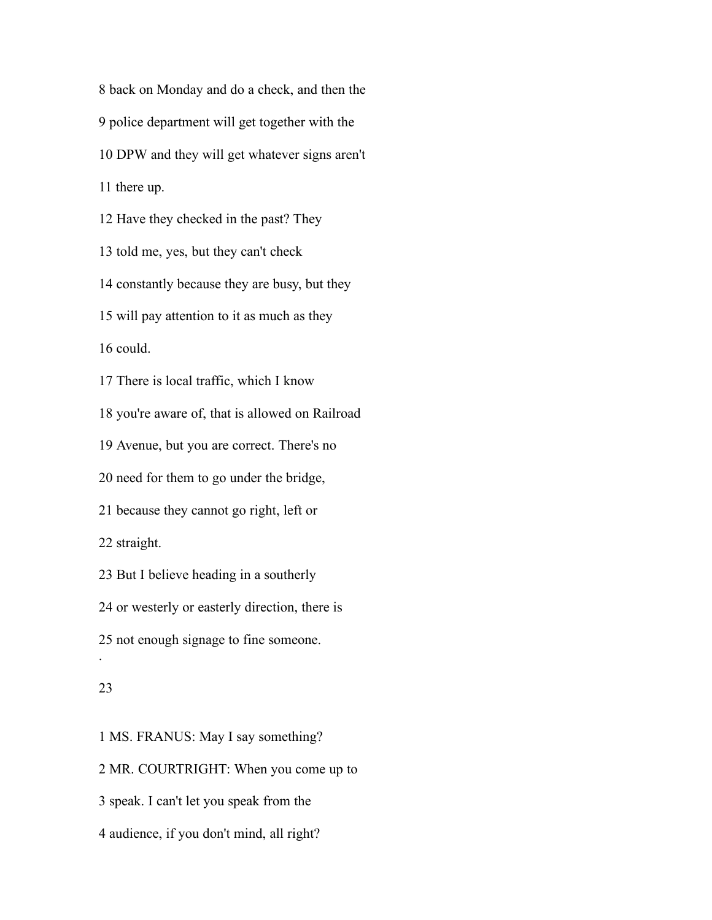back on Monday and do a check, and then the police department will get together with the DPW and they will get whatever signs aren't there up. Have they checked in the past? They told me, yes, but they can't check constantly because they are busy, but they will pay attention to it as much as they could. There is local traffic, which I know you're aware of, that is allowed on Railroad Avenue, but you are correct. There's no need for them to go under the bridge, because they cannot go right, left or straight. But I believe heading in a southerly or westerly or easterly direction, there is not enough signage to fine someone. . 

 MS. FRANUS: May I say something? MR. COURTRIGHT: When you come up to speak. I can't let you speak from the audience, if you don't mind, all right?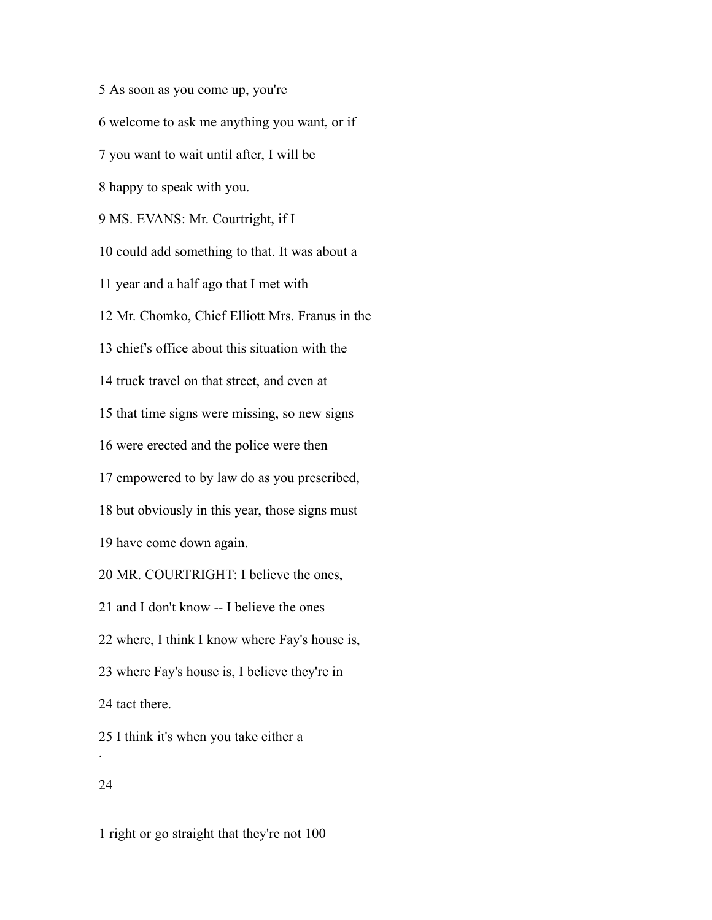As soon as you come up, you're welcome to ask me anything you want, or if you want to wait until after, I will be happy to speak with you. MS. EVANS: Mr. Courtright, if I could add something to that. It was about a year and a half ago that I met with Mr. Chomko, Chief Elliott Mrs. Franus in the chief's office about this situation with the truck travel on that street, and even at that time signs were missing, so new signs were erected and the police were then empowered to by law do as you prescribed, but obviously in this year, those signs must have come down again. MR. COURTRIGHT: I believe the ones, and I don't know -- I believe the ones where, I think I know where Fay's house is, where Fay's house is, I believe they're in tact there. I think it's when you take either a .

# 

right or go straight that they're not 100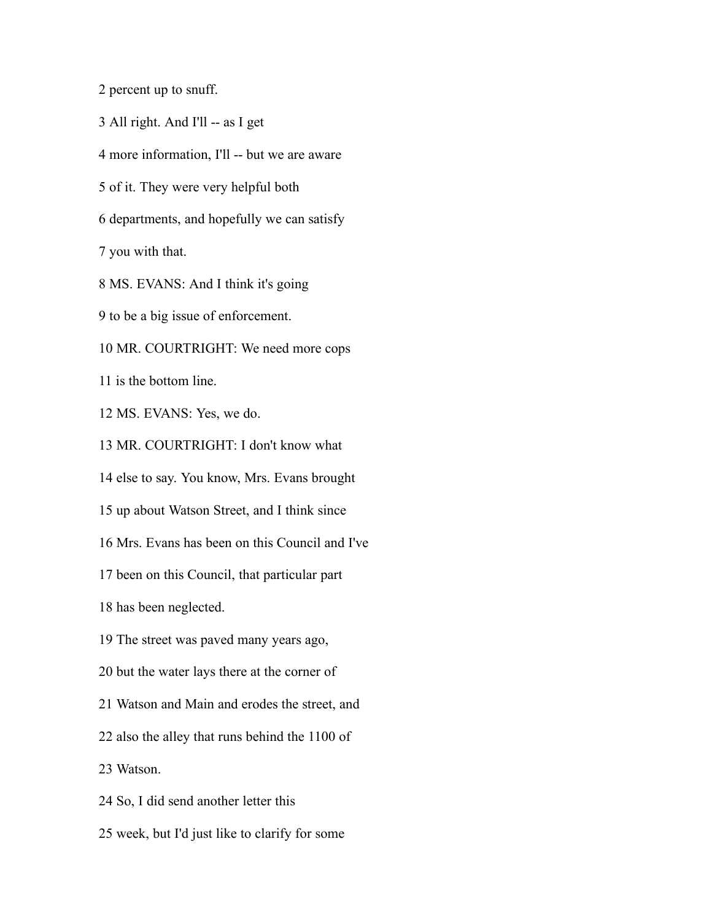percent up to snuff.

All right. And I'll -- as I get

more information, I'll -- but we are aware

of it. They were very helpful both

departments, and hopefully we can satisfy

you with that.

MS. EVANS: And I think it's going

to be a big issue of enforcement.

MR. COURTRIGHT: We need more cops

is the bottom line.

MS. EVANS: Yes, we do.

MR. COURTRIGHT: I don't know what

else to say. You know, Mrs. Evans brought

up about Watson Street, and I think since

Mrs. Evans has been on this Council and I've

been on this Council, that particular part

has been neglected.

The street was paved many years ago,

but the water lays there at the corner of

Watson and Main and erodes the street, and

also the alley that runs behind the 1100 of

Watson.

So, I did send another letter this

week, but I'd just like to clarify for some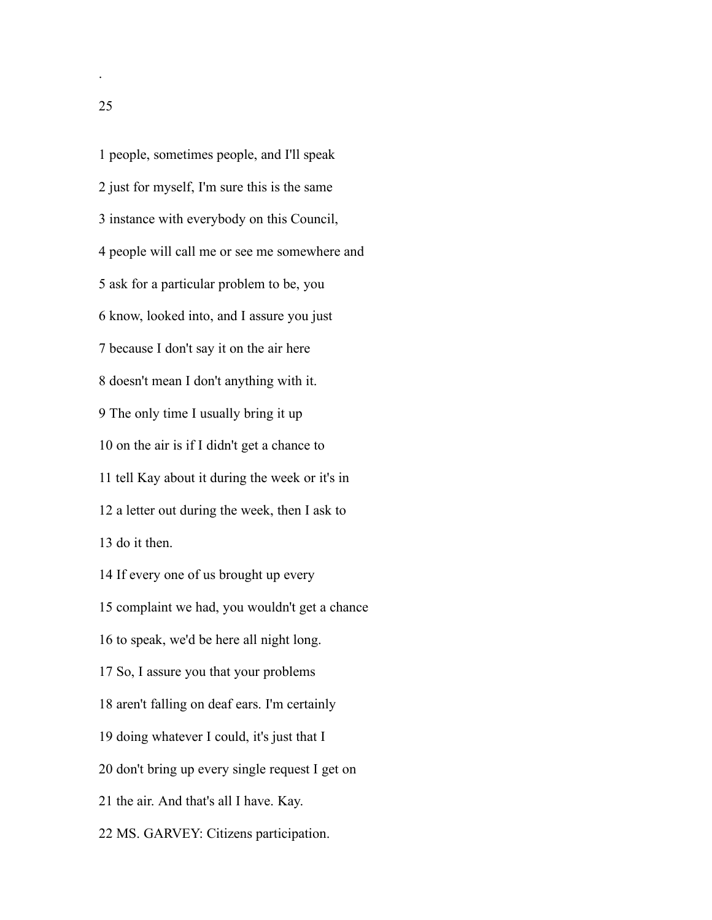people, sometimes people, and I'll speak just for myself, I'm sure this is the same instance with everybody on this Council, people will call me or see me somewhere and ask for a particular problem to be, you know, looked into, and I assure you just because I don't say it on the air here doesn't mean I don't anything with it. The only time I usually bring it up on the air is if I didn't get a chance to tell Kay about it during the week or it's in a letter out during the week, then I ask to do it then. If every one of us brought up every complaint we had, you wouldn't get a chance to speak, we'd be here all night long. So, I assure you that your problems aren't falling on deaf ears. I'm certainly doing whatever I could, it's just that I don't bring up every single request I get on the air. And that's all I have. Kay. MS. GARVEY: Citizens participation.

.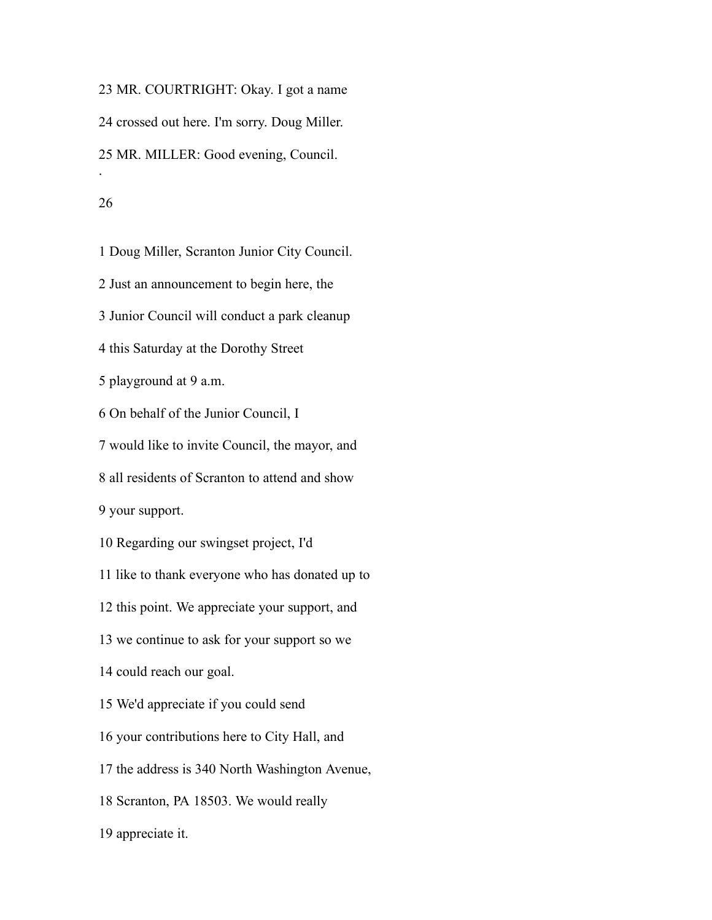MR. COURTRIGHT: Okay. I got a name crossed out here. I'm sorry. Doug Miller. MR. MILLER: Good evening, Council. . 

# Doug Miller, Scranton Junior City Council. Just an announcement to begin here, the Junior Council will conduct a park cleanup this Saturday at the Dorothy Street playground at 9 a.m. On behalf of the Junior Council, I would like to invite Council, the mayor, and all residents of Scranton to attend and show your support. Regarding our swingset project, I'd like to thank everyone who has donated up to this point. We appreciate your support, and we continue to ask for your support so we could reach our goal. We'd appreciate if you could send your contributions here to City Hall, and the address is 340 North Washington Avenue,

Scranton, PA 18503. We would really

appreciate it.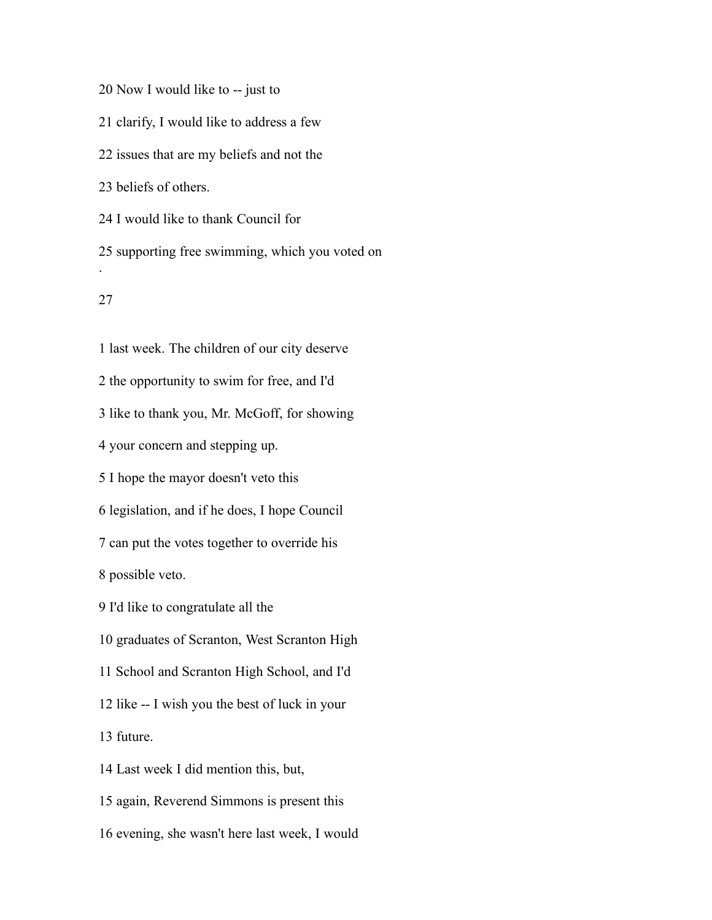Now I would like to -- just to

clarify, I would like to address a few

issues that are my beliefs and not the

beliefs of others.

I would like to thank Council for

 supporting free swimming, which you voted on .

# 

 last week. The children of our city deserve the opportunity to swim for free, and I'd like to thank you, Mr. McGoff, for showing your concern and stepping up. I hope the mayor doesn't veto this legislation, and if he does, I hope Council can put the votes together to override his possible veto. I'd like to congratulate all the graduates of Scranton, West Scranton High School and Scranton High School, and I'd like -- I wish you the best of luck in your future. Last week I did mention this, but, again, Reverend Simmons is present this evening, she wasn't here last week, I would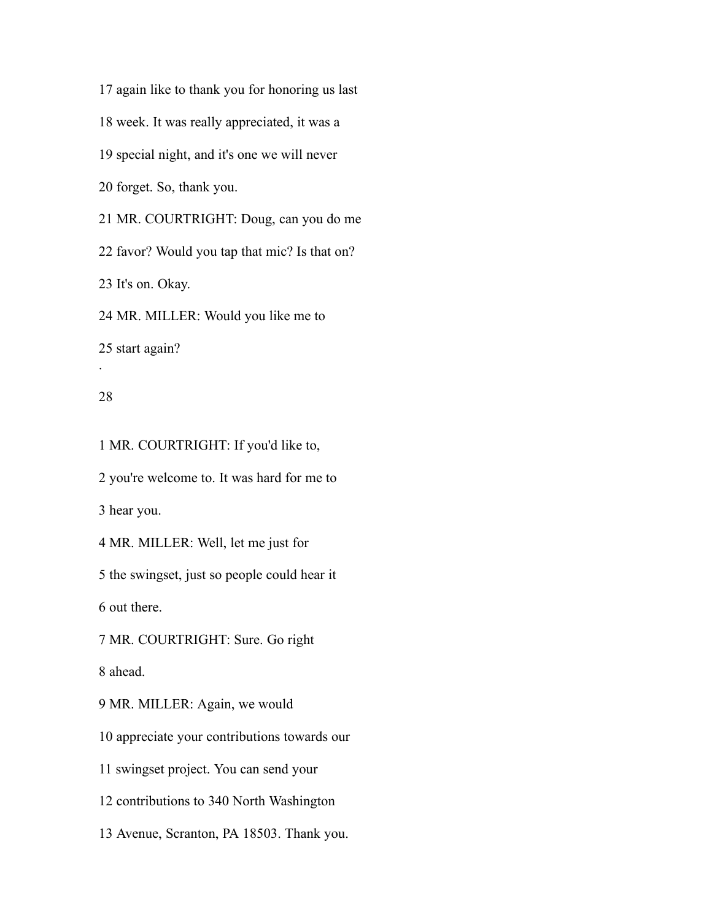again like to thank you for honoring us last week. It was really appreciated, it was a special night, and it's one we will never forget. So, thank you. MR. COURTRIGHT: Doug, can you do me favor? Would you tap that mic? Is that on? It's on. Okay. MR. MILLER: Would you like me to start again?

# 

.

MR. COURTRIGHT: If you'd like to,

you're welcome to. It was hard for me to

hear you.

MR. MILLER: Well, let me just for

the swingset, just so people could hear it

out there.

MR. COURTRIGHT: Sure. Go right

ahead.

MR. MILLER: Again, we would

appreciate your contributions towards our

swingset project. You can send your

contributions to 340 North Washington

Avenue, Scranton, PA 18503. Thank you.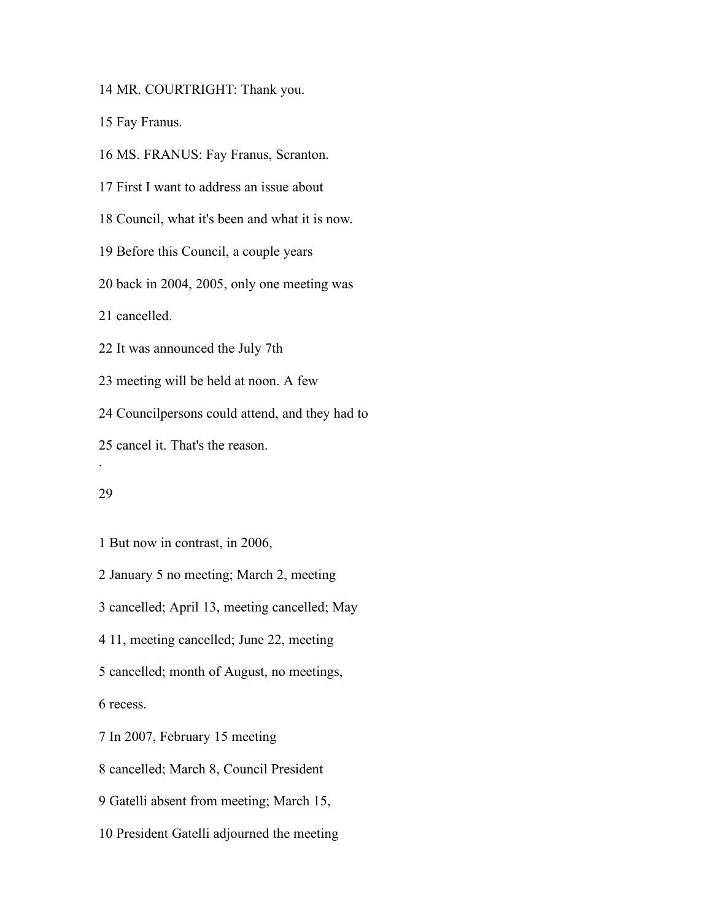MR. COURTRIGHT: Thank you.

Fay Franus.

MS. FRANUS: Fay Franus, Scranton.

First I want to address an issue about

Council, what it's been and what it is now.

Before this Council, a couple years

back in 2004, 2005, only one meeting was

cancelled.

It was announced the July 7th

meeting will be held at noon. A few

Councilpersons could attend, and they had to

cancel it. That's the reason.

#### 

.

But now in contrast, in 2006,

January 5 no meeting; March 2, meeting

cancelled; April 13, meeting cancelled; May

11, meeting cancelled; June 22, meeting

cancelled; month of August, no meetings,

recess.

In 2007, February 15 meeting

cancelled; March 8, Council President

Gatelli absent from meeting; March 15,

President Gatelli adjourned the meeting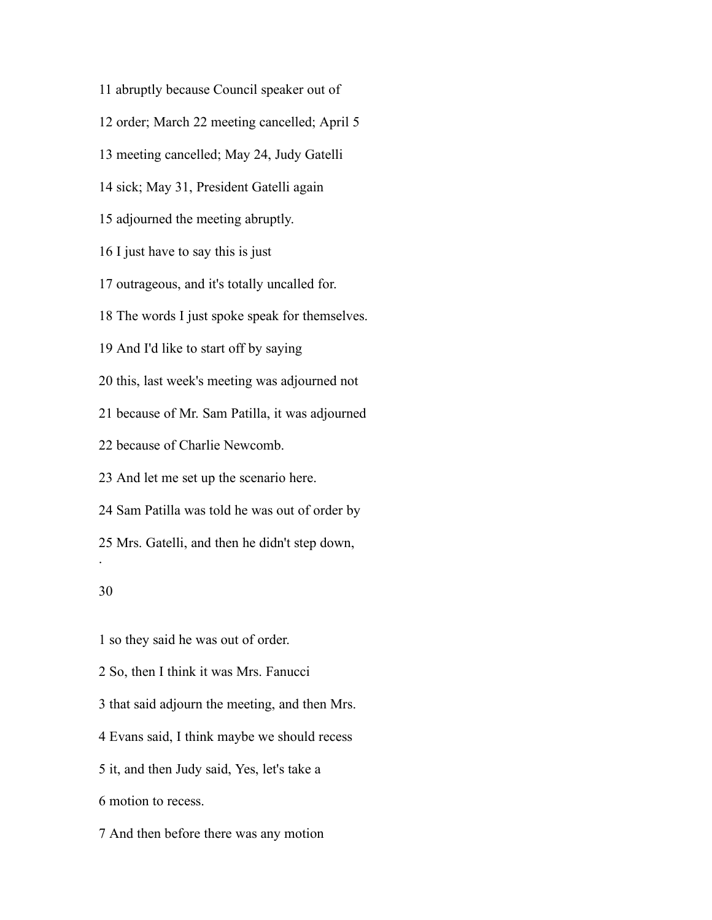abruptly because Council speaker out of

order; March 22 meeting cancelled; April 5

meeting cancelled; May 24, Judy Gatelli

sick; May 31, President Gatelli again

adjourned the meeting abruptly.

I just have to say this is just

outrageous, and it's totally uncalled for.

The words I just spoke speak for themselves.

And I'd like to start off by saying

this, last week's meeting was adjourned not

because of Mr. Sam Patilla, it was adjourned

because of Charlie Newcomb.

And let me set up the scenario here.

Sam Patilla was told he was out of order by

Mrs. Gatelli, and then he didn't step down,

# 

.

so they said he was out of order.

So, then I think it was Mrs. Fanucci

that said adjourn the meeting, and then Mrs.

Evans said, I think maybe we should recess

it, and then Judy said, Yes, let's take a

motion to recess.

And then before there was any motion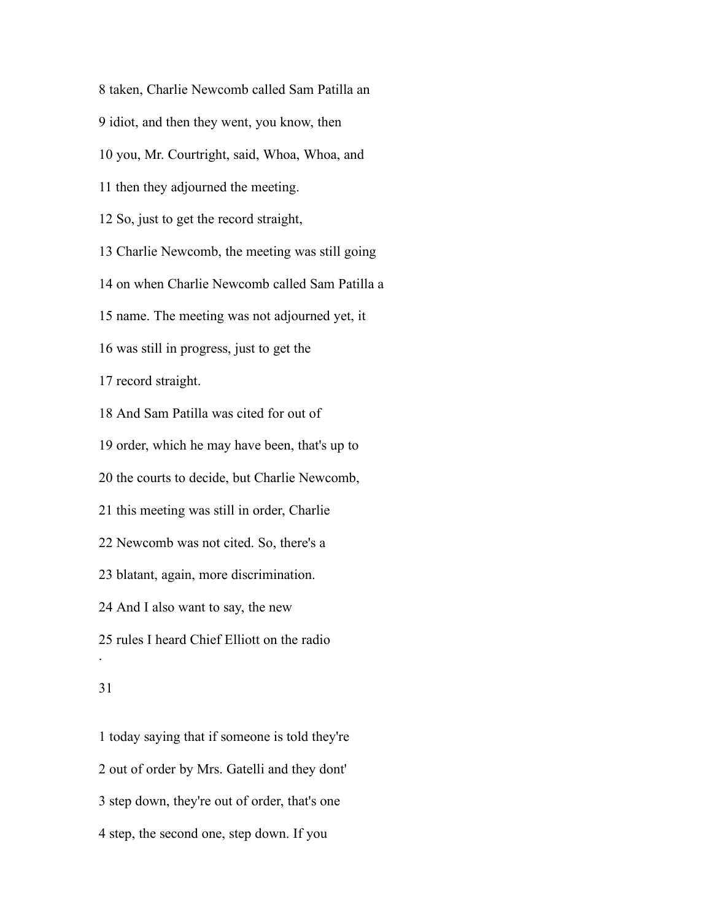taken, Charlie Newcomb called Sam Patilla an idiot, and then they went, you know, then you, Mr. Courtright, said, Whoa, Whoa, and then they adjourned the meeting. So, just to get the record straight, Charlie Newcomb, the meeting was still going on when Charlie Newcomb called Sam Patilla a name. The meeting was not adjourned yet, it was still in progress, just to get the record straight. And Sam Patilla was cited for out of order, which he may have been, that's up to the courts to decide, but Charlie Newcomb, this meeting was still in order, Charlie Newcomb was not cited. So, there's a blatant, again, more discrimination. And I also want to say, the new rules I heard Chief Elliott on the radio .

# 

 today saying that if someone is told they're out of order by Mrs. Gatelli and they dont' step down, they're out of order, that's one step, the second one, step down. If you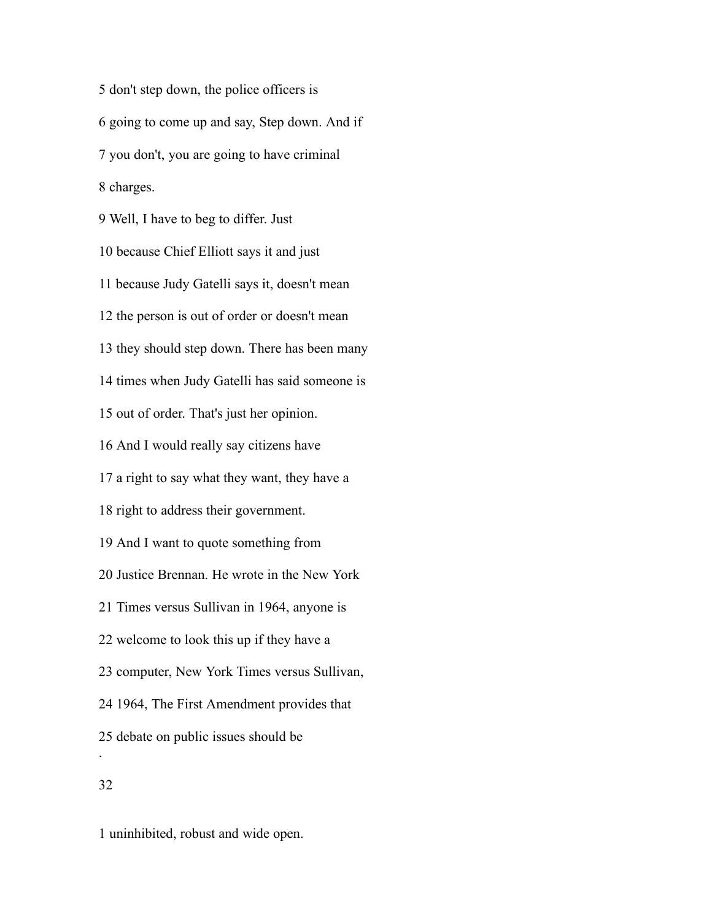don't step down, the police officers is going to come up and say, Step down. And if you don't, you are going to have criminal charges. Well, I have to beg to differ. Just because Chief Elliott says it and just because Judy Gatelli says it, doesn't mean the person is out of order or doesn't mean they should step down. There has been many times when Judy Gatelli has said someone is out of order. That's just her opinion. And I would really say citizens have a right to say what they want, they have a right to address their government. And I want to quote something from Justice Brennan. He wrote in the New York Times versus Sullivan in 1964, anyone is welcome to look this up if they have a computer, New York Times versus Sullivan, 1964, The First Amendment provides that debate on public issues should be .

uninhibited, robust and wide open.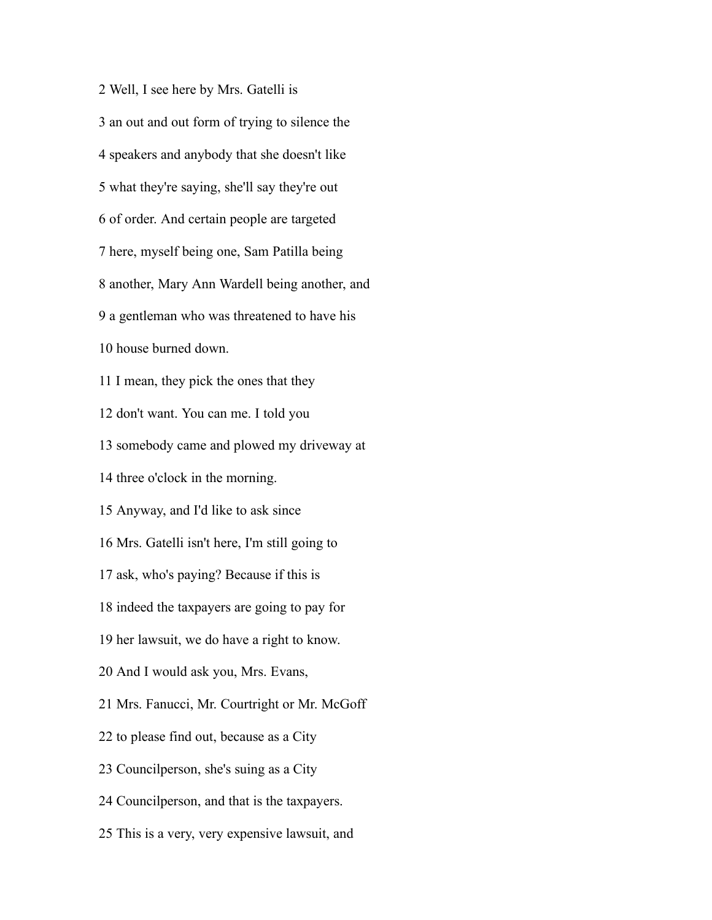Well, I see here by Mrs. Gatelli is an out and out form of trying to silence the speakers and anybody that she doesn't like what they're saying, she'll say they're out of order. And certain people are targeted here, myself being one, Sam Patilla being another, Mary Ann Wardell being another, and a gentleman who was threatened to have his house burned down. I mean, they pick the ones that they don't want. You can me. I told you somebody came and plowed my driveway at three o'clock in the morning. Anyway, and I'd like to ask since Mrs. Gatelli isn't here, I'm still going to ask, who's paying? Because if this is indeed the taxpayers are going to pay for her lawsuit, we do have a right to know. And I would ask you, Mrs. Evans, Mrs. Fanucci, Mr. Courtright or Mr. McGoff to please find out, because as a City Councilperson, she's suing as a City Councilperson, and that is the taxpayers. This is a very, very expensive lawsuit, and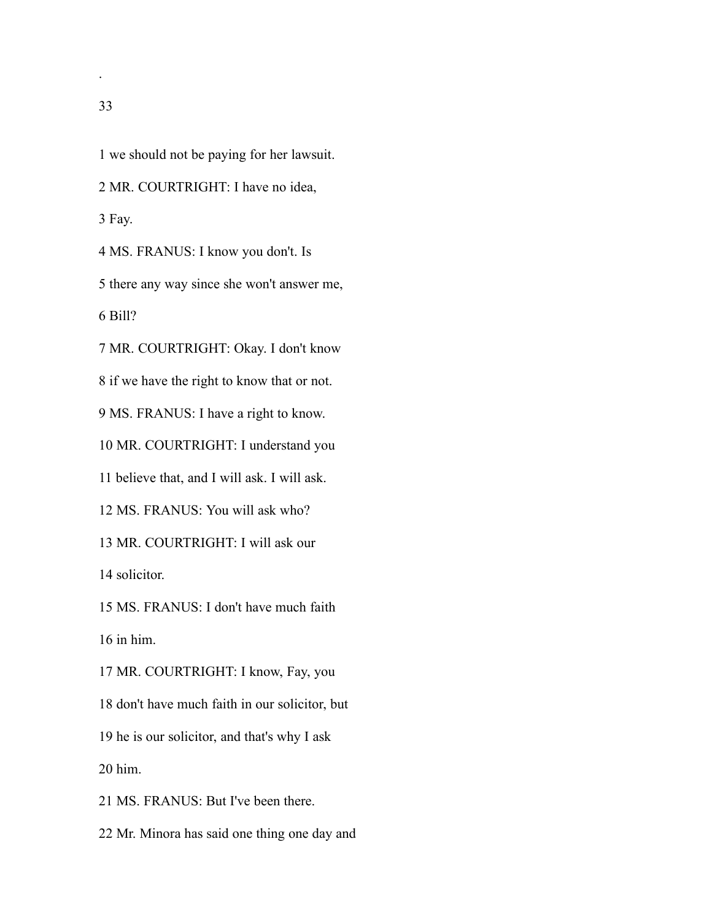we should not be paying for her lawsuit. MR. COURTRIGHT: I have no idea, Fay. MS. FRANUS: I know you don't. Is there any way since she won't answer me, Bill? MR. COURTRIGHT: Okay. I don't know if we have the right to know that or not. MS. FRANUS: I have a right to know. MR. COURTRIGHT: I understand you believe that, and I will ask. I will ask. MS. FRANUS: You will ask who? MR. COURTRIGHT: I will ask our solicitor. MS. FRANUS: I don't have much faith in him. MR. COURTRIGHT: I know, Fay, you don't have much faith in our solicitor, but

he is our solicitor, and that's why I ask

him.

MS. FRANUS: But I've been there.

Mr. Minora has said one thing one day and

.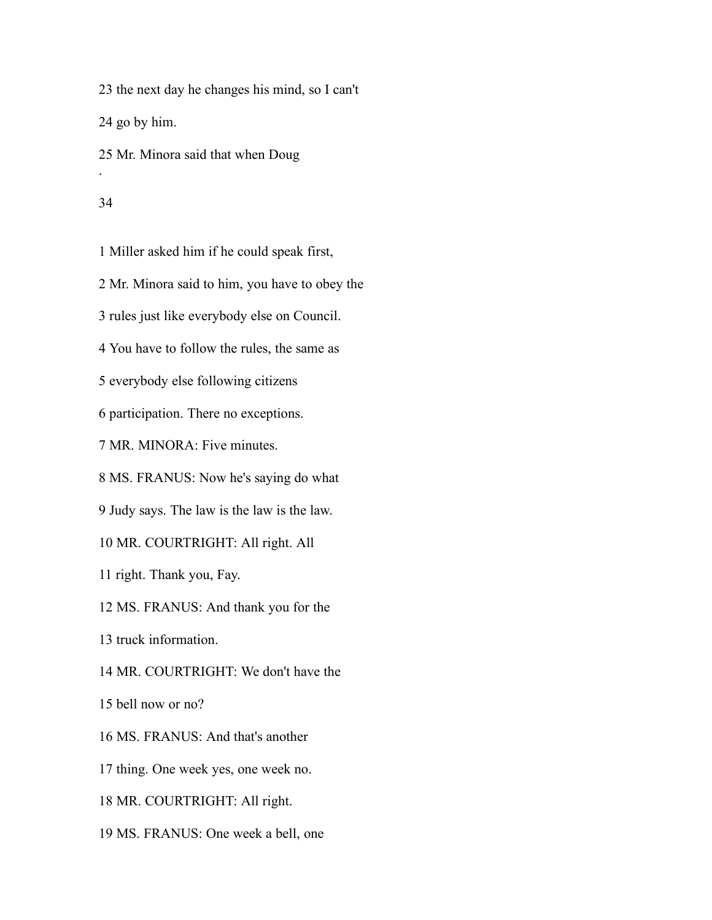the next day he changes his mind, so I can't go by him. Mr. Minora said that when Doug .

#### 

Miller asked him if he could speak first,

Mr. Minora said to him, you have to obey the

rules just like everybody else on Council.

You have to follow the rules, the same as

everybody else following citizens

participation. There no exceptions.

MR. MINORA: Five minutes.

MS. FRANUS: Now he's saying do what

Judy says. The law is the law is the law.

MR. COURTRIGHT: All right. All

right. Thank you, Fay.

MS. FRANUS: And thank you for the

truck information.

MR. COURTRIGHT: We don't have the

bell now or no?

MS. FRANUS: And that's another

thing. One week yes, one week no.

MR. COURTRIGHT: All right.

MS. FRANUS: One week a bell, one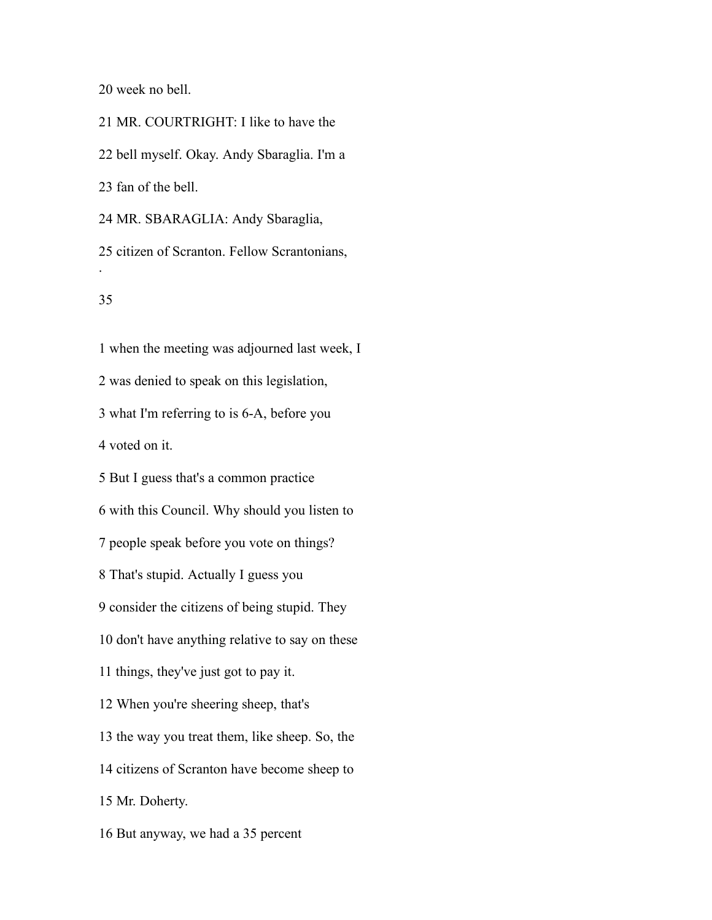week no bell.

 MR. COURTRIGHT: I like to have the bell myself. Okay. Andy Sbaraglia. I'm a fan of the bell. MR. SBARAGLIA: Andy Sbaraglia,

 citizen of Scranton. Fellow Scrantonians, .

# 

 when the meeting was adjourned last week, I was denied to speak on this legislation, what I'm referring to is 6-A, before you voted on it. But I guess that's a common practice with this Council. Why should you listen to people speak before you vote on things? That's stupid. Actually I guess you consider the citizens of being stupid. They don't have anything relative to say on these things, they've just got to pay it. When you're sheering sheep, that's the way you treat them, like sheep. So, the citizens of Scranton have become sheep to Mr. Doherty. But anyway, we had a 35 percent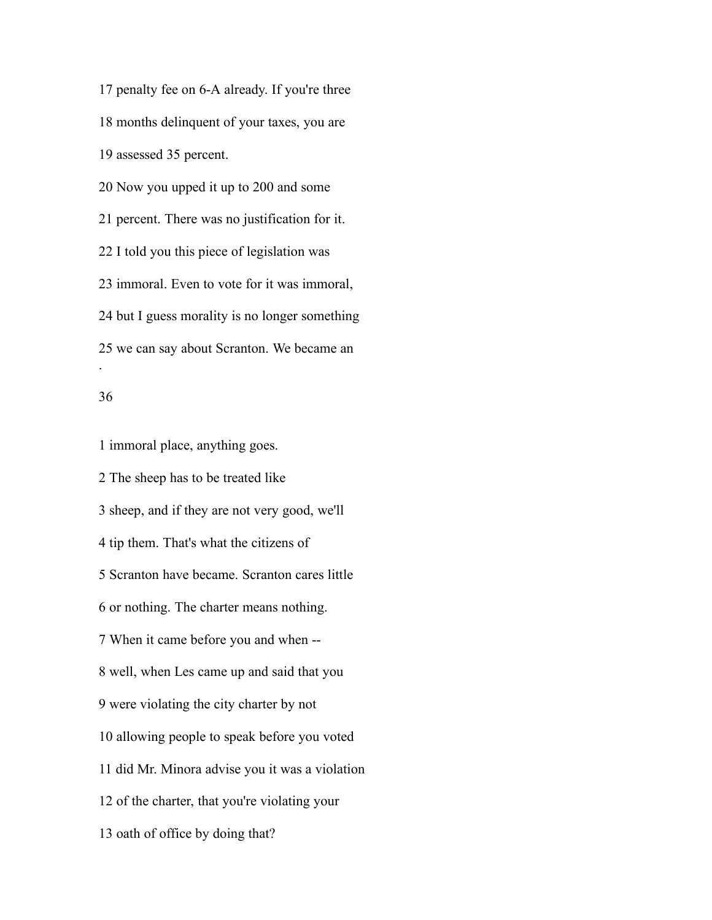penalty fee on 6-A already. If you're three months delinquent of your taxes, you are assessed 35 percent. Now you upped it up to 200 and some percent. There was no justification for it. I told you this piece of legislation was immoral. Even to vote for it was immoral, but I guess morality is no longer something we can say about Scranton. We became an .

#### 

 immoral place, anything goes. The sheep has to be treated like sheep, and if they are not very good, we'll tip them. That's what the citizens of Scranton have became. Scranton cares little or nothing. The charter means nothing. When it came before you and when -- well, when Les came up and said that you were violating the city charter by not allowing people to speak before you voted did Mr. Minora advise you it was a violation of the charter, that you're violating your oath of office by doing that?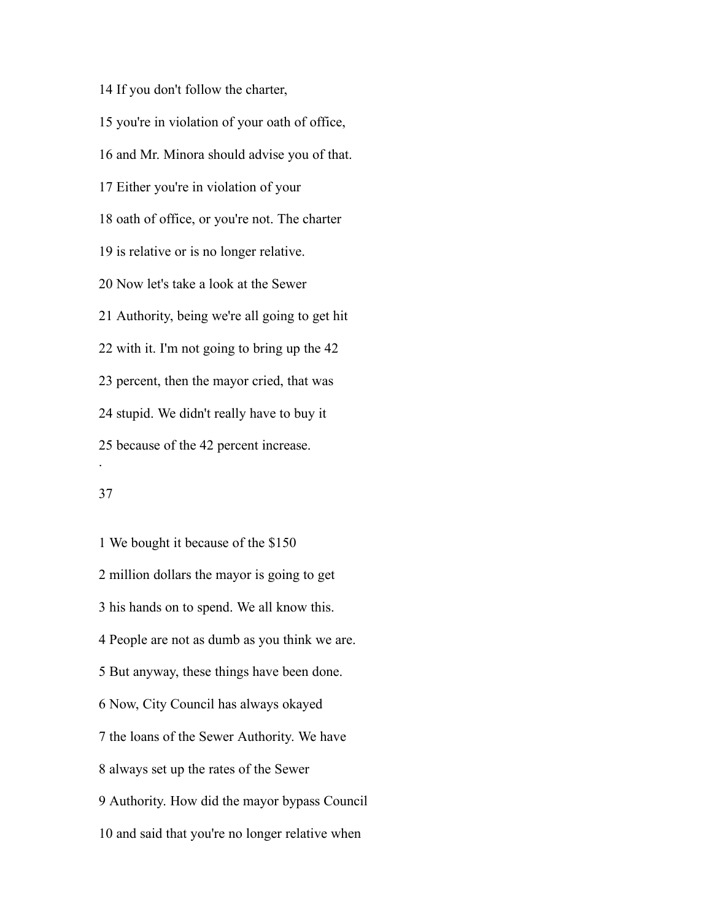If you don't follow the charter, you're in violation of your oath of office, and Mr. Minora should advise you of that. Either you're in violation of your oath of office, or you're not. The charter is relative or is no longer relative. Now let's take a look at the Sewer Authority, being we're all going to get hit with it. I'm not going to bring up the 42 percent, then the mayor cried, that was stupid. We didn't really have to buy it because of the 42 percent increase. .

# 

 We bought it because of the \$150 million dollars the mayor is going to get his hands on to spend. We all know this. People are not as dumb as you think we are. But anyway, these things have been done. Now, City Council has always okayed the loans of the Sewer Authority. We have always set up the rates of the Sewer Authority. How did the mayor bypass Council and said that you're no longer relative when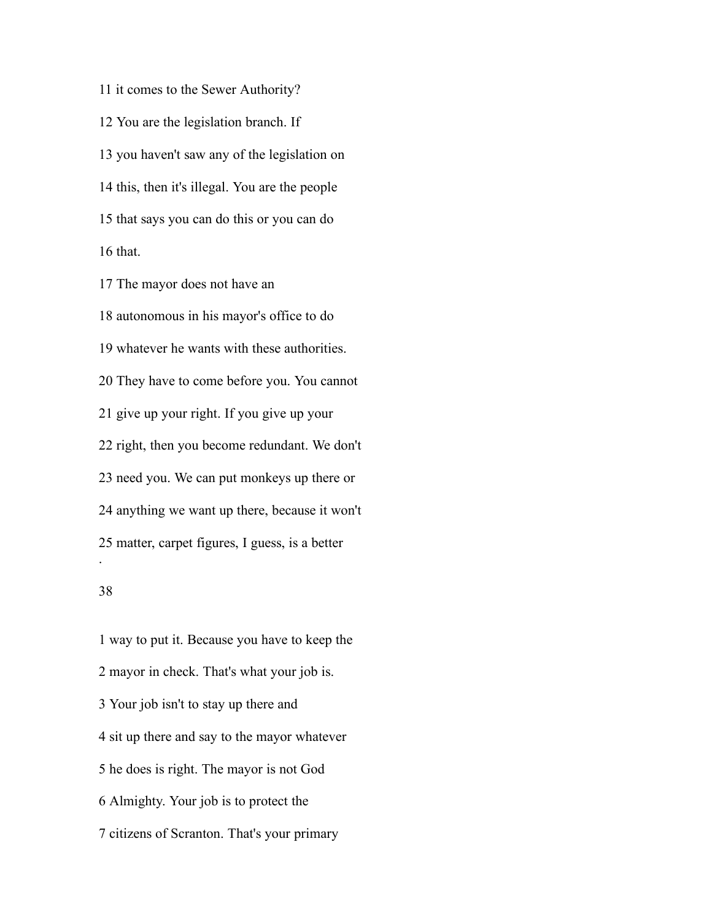it comes to the Sewer Authority? You are the legislation branch. If you haven't saw any of the legislation on this, then it's illegal. You are the people that says you can do this or you can do that.

 The mayor does not have an autonomous in his mayor's office to do whatever he wants with these authorities. They have to come before you. You cannot give up your right. If you give up your right, then you become redundant. We don't need you. We can put monkeys up there or anything we want up there, because it won't matter, carpet figures, I guess, is a better .

### 

 way to put it. Because you have to keep the mayor in check. That's what your job is. Your job isn't to stay up there and sit up there and say to the mayor whatever he does is right. The mayor is not God Almighty. Your job is to protect the citizens of Scranton. That's your primary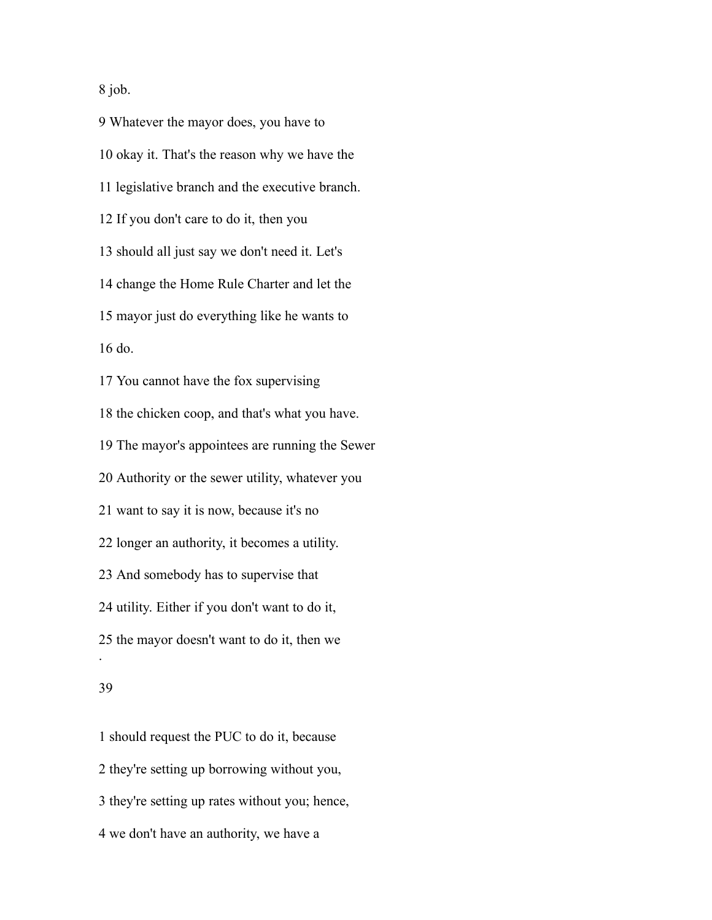job.

 Whatever the mayor does, you have to okay it. That's the reason why we have the legislative branch and the executive branch. If you don't care to do it, then you should all just say we don't need it. Let's change the Home Rule Charter and let the mayor just do everything like he wants to do. You cannot have the fox supervising the chicken coop, and that's what you have. The mayor's appointees are running the Sewer Authority or the sewer utility, whatever you want to say it is now, because it's no longer an authority, it becomes a utility. And somebody has to supervise that utility. Either if you don't want to do it, the mayor doesn't want to do it, then we .

#### 

 should request the PUC to do it, because they're setting up borrowing without you, they're setting up rates without you; hence, we don't have an authority, we have a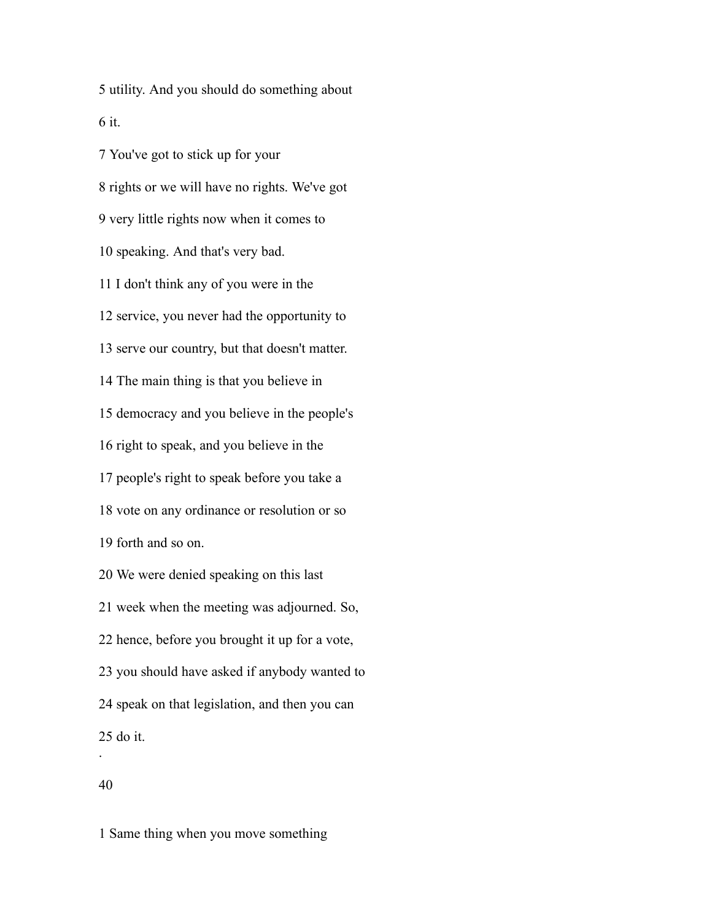utility. And you should do something about it.

 You've got to stick up for your rights or we will have no rights. We've got very little rights now when it comes to speaking. And that's very bad. I don't think any of you were in the service, you never had the opportunity to serve our country, but that doesn't matter. The main thing is that you believe in democracy and you believe in the people's right to speak, and you believe in the people's right to speak before you take a vote on any ordinance or resolution or so forth and so on. We were denied speaking on this last week when the meeting was adjourned. So, hence, before you brought it up for a vote, you should have asked if anybody wanted to speak on that legislation, and then you can do it.

.

Same thing when you move something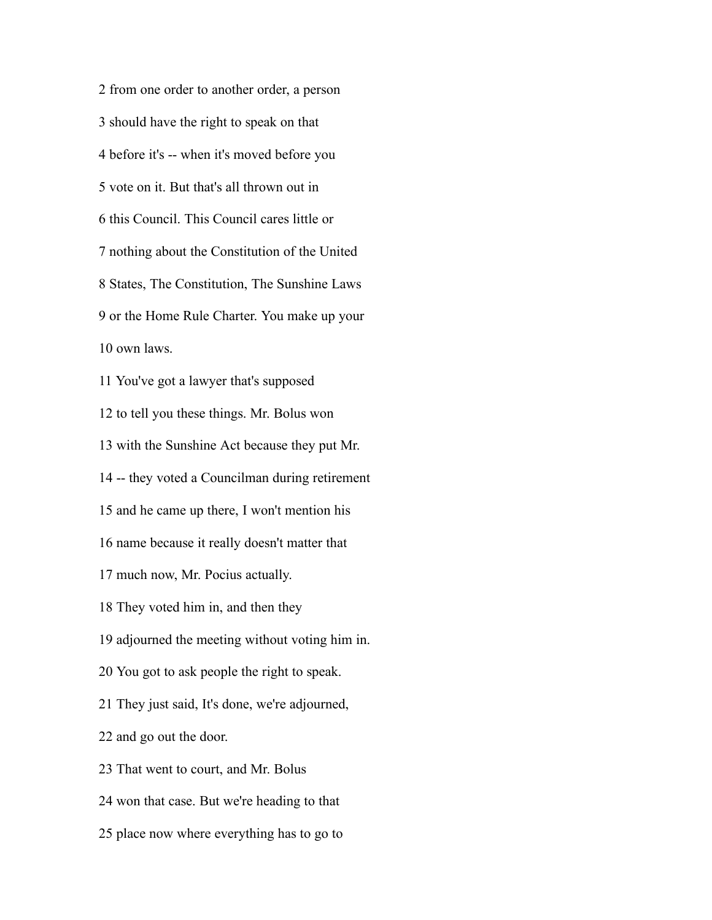from one order to another order, a person should have the right to speak on that before it's -- when it's moved before you vote on it. But that's all thrown out in this Council. This Council cares little or nothing about the Constitution of the United States, The Constitution, The Sunshine Laws or the Home Rule Charter. You make up your own laws. You've got a lawyer that's supposed to tell you these things. Mr. Bolus won with the Sunshine Act because they put Mr. -- they voted a Councilman during retirement and he came up there, I won't mention his name because it really doesn't matter that much now, Mr. Pocius actually. They voted him in, and then they adjourned the meeting without voting him in. You got to ask people the right to speak. They just said, It's done, we're adjourned,

and go out the door.

That went to court, and Mr. Bolus

won that case. But we're heading to that

place now where everything has to go to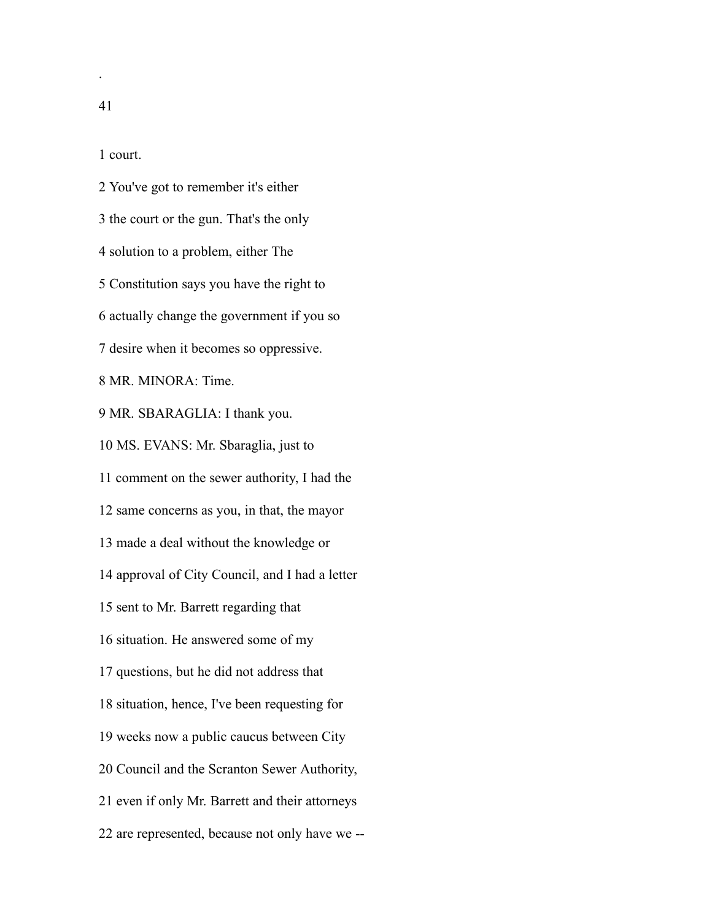court.

 You've got to remember it's either the court or the gun. That's the only solution to a problem, either The Constitution says you have the right to actually change the government if you so desire when it becomes so oppressive. MR. MINORA: Time. MR. SBARAGLIA: I thank you. MS. EVANS: Mr. Sbaraglia, just to comment on the sewer authority, I had the same concerns as you, in that, the mayor made a deal without the knowledge or approval of City Council, and I had a letter sent to Mr. Barrett regarding that situation. He answered some of my questions, but he did not address that situation, hence, I've been requesting for weeks now a public caucus between City Council and the Scranton Sewer Authority, even if only Mr. Barrett and their attorneys are represented, because not only have we --

.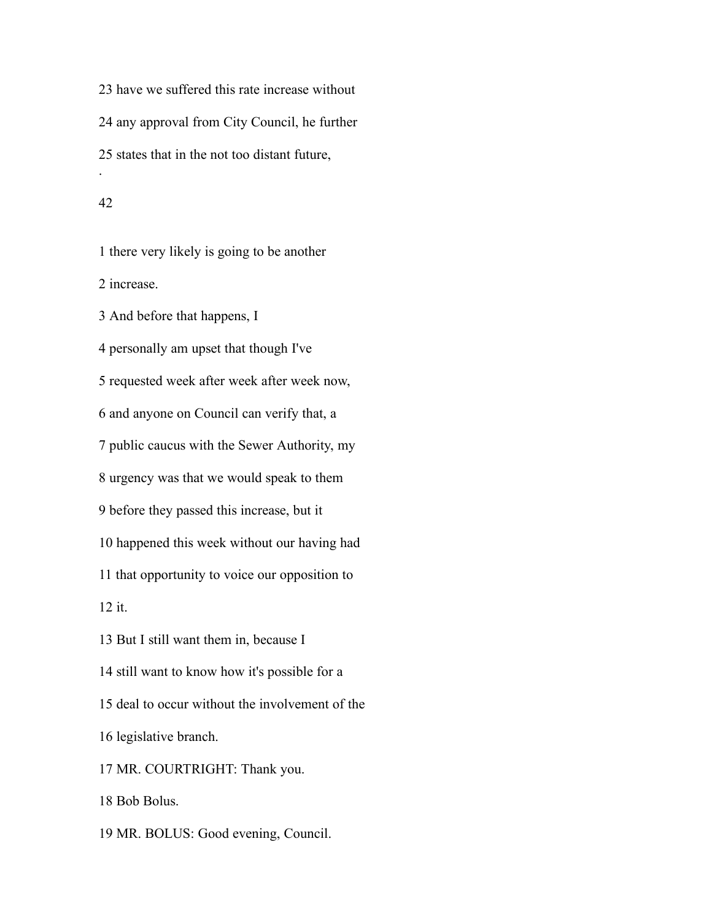have we suffered this rate increase without any approval from City Council, he further states that in the not too distant future, .

#### 

 there very likely is going to be another increase.

And before that happens, I

 personally am upset that though I've requested week after week after week now,

and anyone on Council can verify that, a

public caucus with the Sewer Authority, my

urgency was that we would speak to them

before they passed this increase, but it

happened this week without our having had

that opportunity to voice our opposition to

it.

But I still want them in, because I

still want to know how it's possible for a

deal to occur without the involvement of the

legislative branch.

MR. COURTRIGHT: Thank you.

Bob Bolus.

MR. BOLUS: Good evening, Council.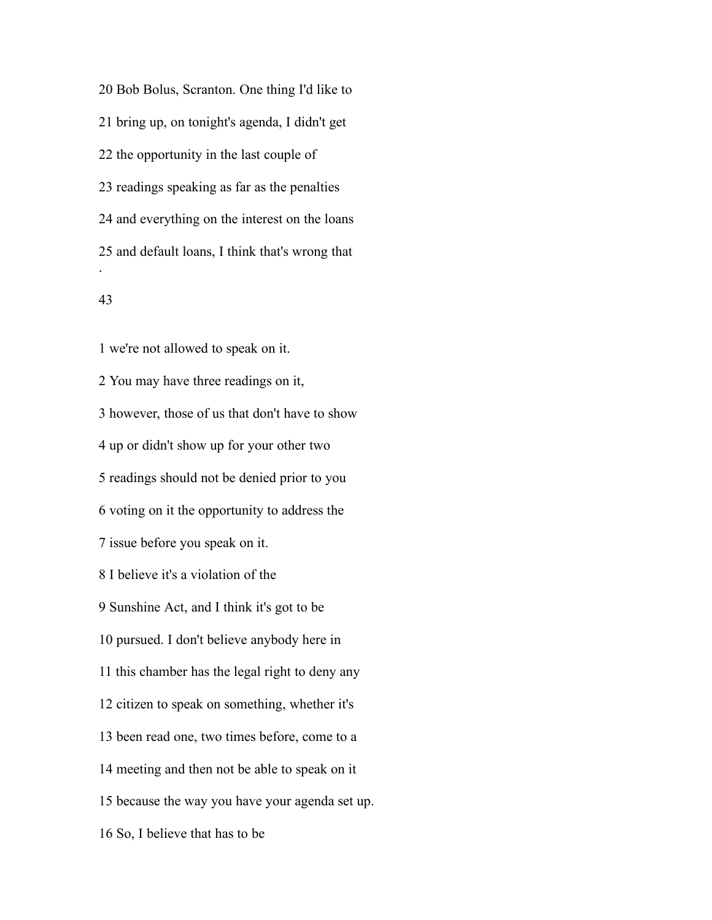Bob Bolus, Scranton. One thing I'd like to bring up, on tonight's agenda, I didn't get the opportunity in the last couple of readings speaking as far as the penalties and everything on the interest on the loans and default loans, I think that's wrong that .

### 

 we're not allowed to speak on it. You may have three readings on it, however, those of us that don't have to show up or didn't show up for your other two readings should not be denied prior to you voting on it the opportunity to address the issue before you speak on it. I believe it's a violation of the Sunshine Act, and I think it's got to be pursued. I don't believe anybody here in this chamber has the legal right to deny any citizen to speak on something, whether it's been read one, two times before, come to a meeting and then not be able to speak on it because the way you have your agenda set up. So, I believe that has to be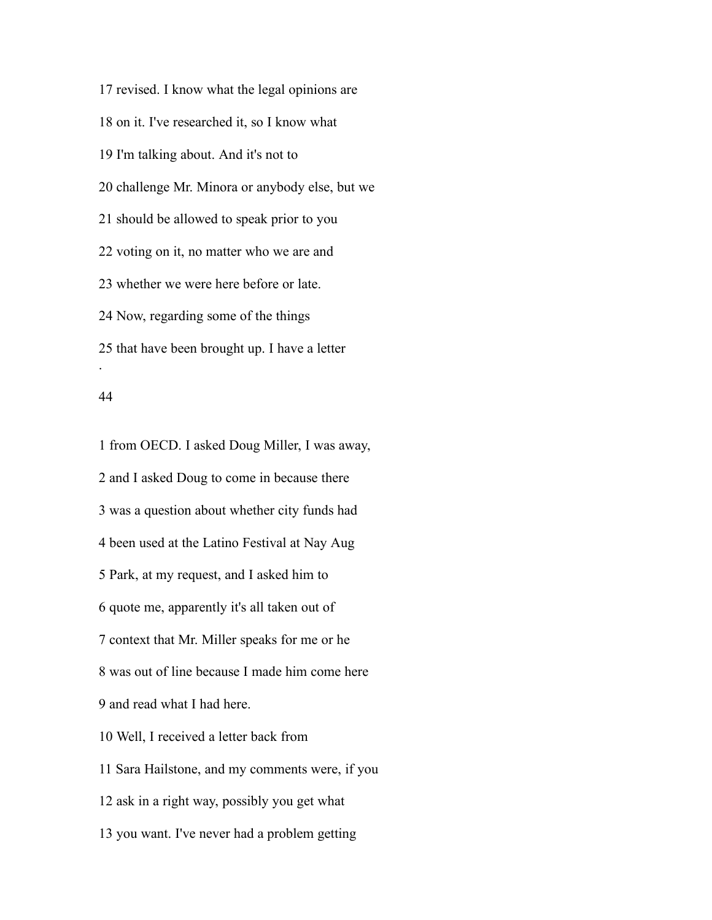revised. I know what the legal opinions are on it. I've researched it, so I know what I'm talking about. And it's not to challenge Mr. Minora or anybody else, but we should be allowed to speak prior to you voting on it, no matter who we are and whether we were here before or late. Now, regarding some of the things that have been brought up. I have a letter .

#### 

 from OECD. I asked Doug Miller, I was away, and I asked Doug to come in because there was a question about whether city funds had been used at the Latino Festival at Nay Aug Park, at my request, and I asked him to quote me, apparently it's all taken out of context that Mr. Miller speaks for me or he was out of line because I made him come here and read what I had here. Well, I received a letter back from Sara Hailstone, and my comments were, if you ask in a right way, possibly you get what you want. I've never had a problem getting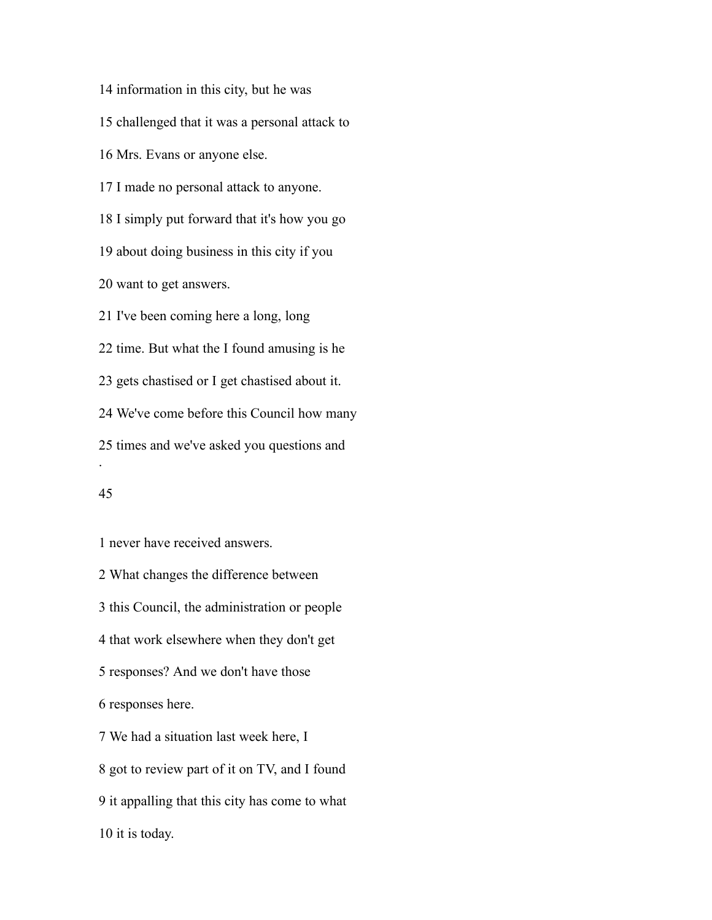information in this city, but he was challenged that it was a personal attack to Mrs. Evans or anyone else. I made no personal attack to anyone. I simply put forward that it's how you go about doing business in this city if you want to get answers. I've been coming here a long, long time. But what the I found amusing is he gets chastised or I get chastised about it. We've come before this Council how many times and we've asked you questions and .

# 

never have received answers.

 What changes the difference between this Council, the administration or people that work elsewhere when they don't get responses? And we don't have those responses here. We had a situation last week here, I got to review part of it on TV, and I found it appalling that this city has come to what it is today.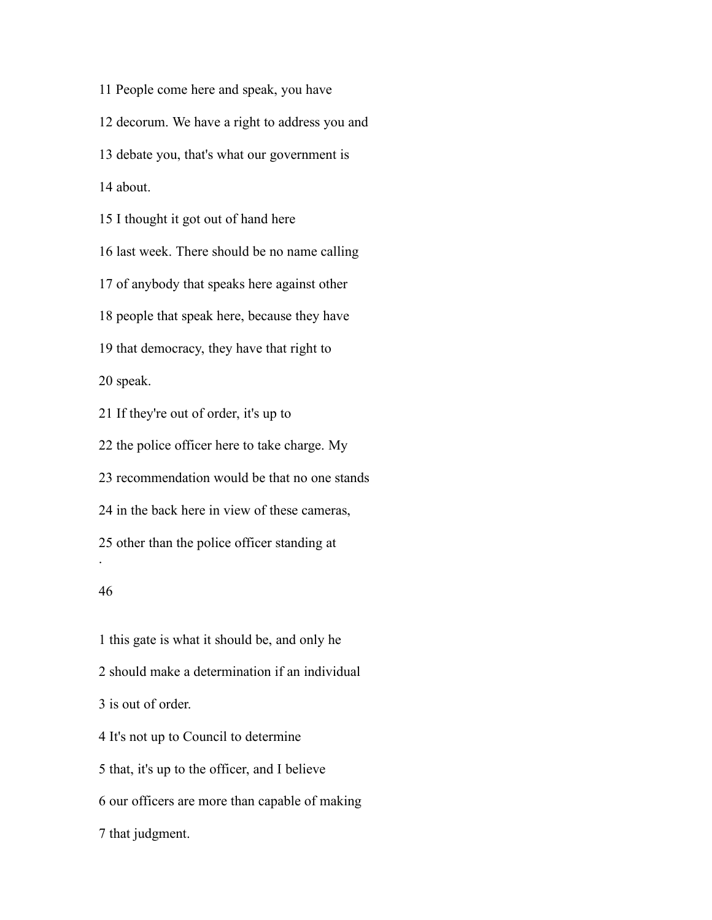People come here and speak, you have decorum. We have a right to address you and debate you, that's what our government is about. I thought it got out of hand here last week. There should be no name calling of anybody that speaks here against other people that speak here, because they have that democracy, they have that right to speak. If they're out of order, it's up to the police officer here to take charge. My recommendation would be that no one stands in the back here in view of these cameras, other than the police officer standing at . 

 this gate is what it should be, and only he should make a determination if an individual is out of order. It's not up to Council to determine that, it's up to the officer, and I believe our officers are more than capable of making that judgment.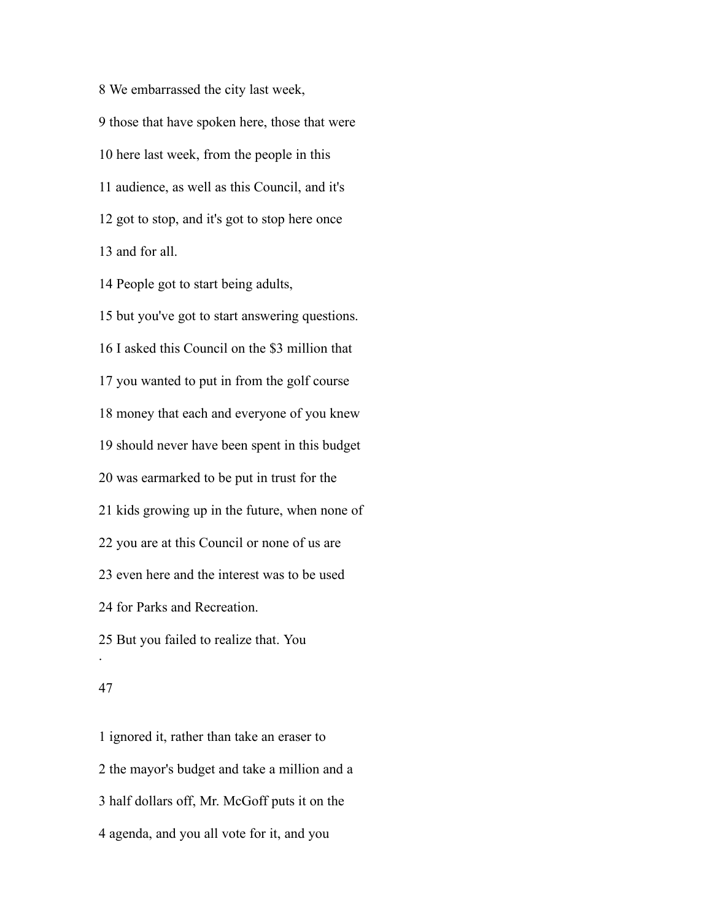We embarrassed the city last week, those that have spoken here, those that were here last week, from the people in this audience, as well as this Council, and it's got to stop, and it's got to stop here once and for all.

People got to start being adults,

 but you've got to start answering questions. I asked this Council on the \$3 million that you wanted to put in from the golf course money that each and everyone of you knew should never have been spent in this budget was earmarked to be put in trust for the kids growing up in the future, when none of you are at this Council or none of us are even here and the interest was to be used for Parks and Recreation. But you failed to realize that. You .

#### 

 ignored it, rather than take an eraser to the mayor's budget and take a million and a half dollars off, Mr. McGoff puts it on the agenda, and you all vote for it, and you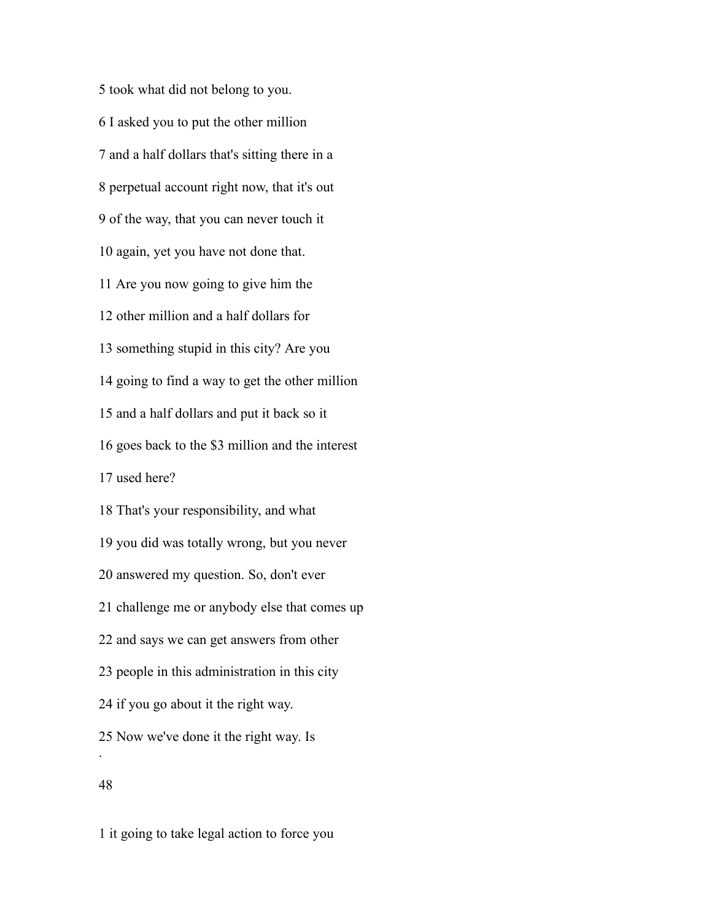took what did not belong to you. I asked you to put the other million and a half dollars that's sitting there in a perpetual account right now, that it's out of the way, that you can never touch it again, yet you have not done that. Are you now going to give him the other million and a half dollars for something stupid in this city? Are you going to find a way to get the other million and a half dollars and put it back so it goes back to the \$3 million and the interest used here? That's your responsibility, and what you did was totally wrong, but you never answered my question. So, don't ever challenge me or anybody else that comes up and says we can get answers from other people in this administration in this city if you go about it the right way. Now we've done it the right way. Is . 

it going to take legal action to force you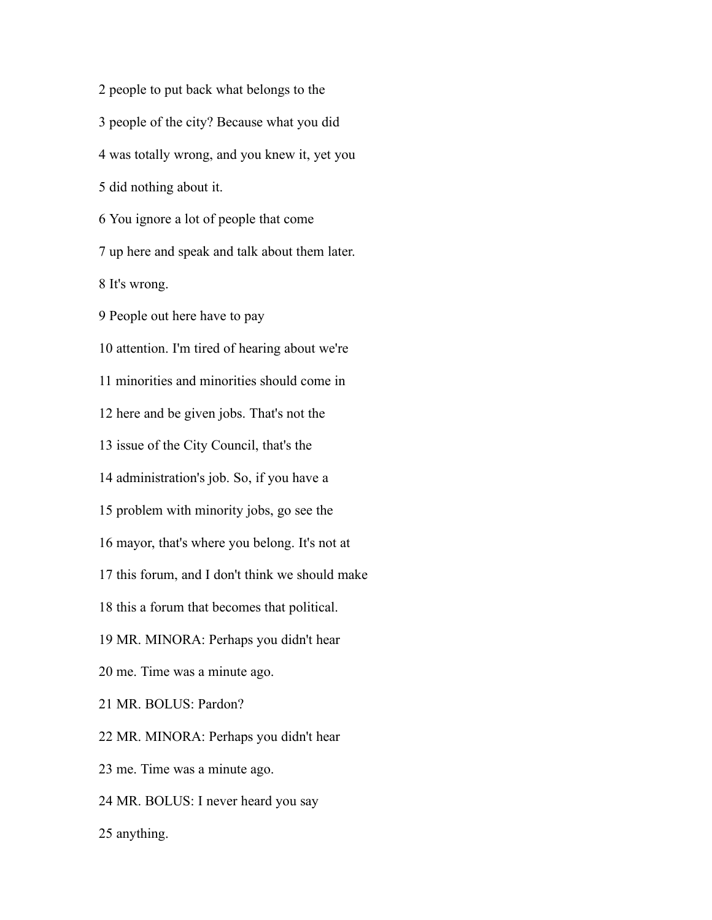people to put back what belongs to the people of the city? Because what you did was totally wrong, and you knew it, yet you did nothing about it. You ignore a lot of people that come up here and speak and talk about them later. It's wrong. People out here have to pay attention. I'm tired of hearing about we're minorities and minorities should come in here and be given jobs. That's not the issue of the City Council, that's the administration's job. So, if you have a problem with minority jobs, go see the mayor, that's where you belong. It's not at this forum, and I don't think we should make this a forum that becomes that political. MR. MINORA: Perhaps you didn't hear me. Time was a minute ago. MR. BOLUS: Pardon? MR. MINORA: Perhaps you didn't hear me. Time was a minute ago. MR. BOLUS: I never heard you say anything.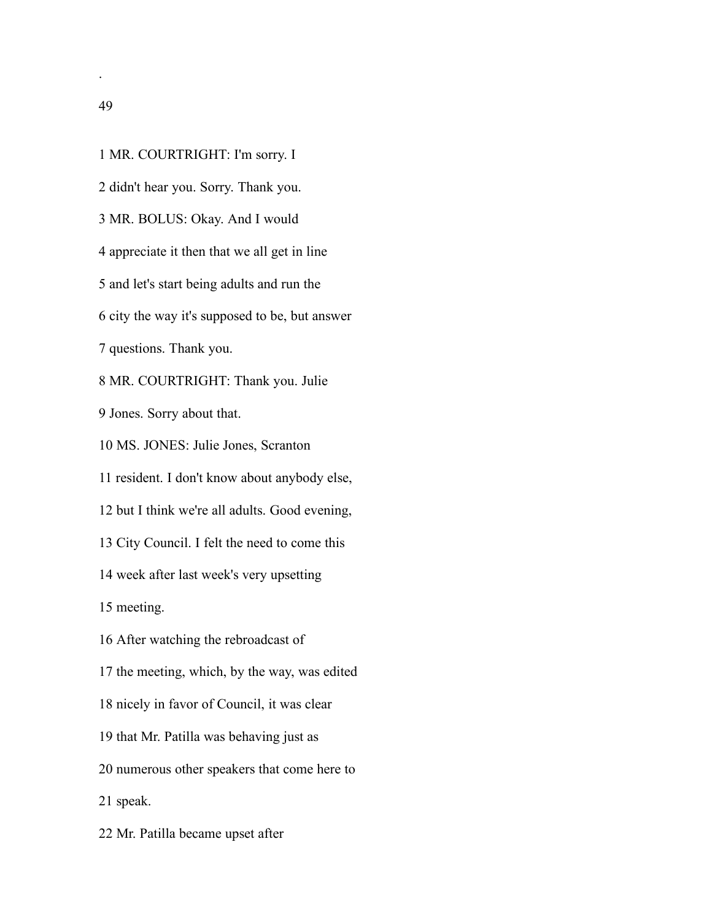MR. COURTRIGHT: I'm sorry. I didn't hear you. Sorry. Thank you. MR. BOLUS: Okay. And I would appreciate it then that we all get in line and let's start being adults and run the city the way it's supposed to be, but answer questions. Thank you. MR. COURTRIGHT: Thank you. Julie Jones. Sorry about that. MS. JONES: Julie Jones, Scranton resident. I don't know about anybody else, but I think we're all adults. Good evening, City Council. I felt the need to come this week after last week's very upsetting meeting. After watching the rebroadcast of the meeting, which, by the way, was edited nicely in favor of Council, it was clear that Mr. Patilla was behaving just as numerous other speakers that come here to speak. Mr. Patilla became upset after

.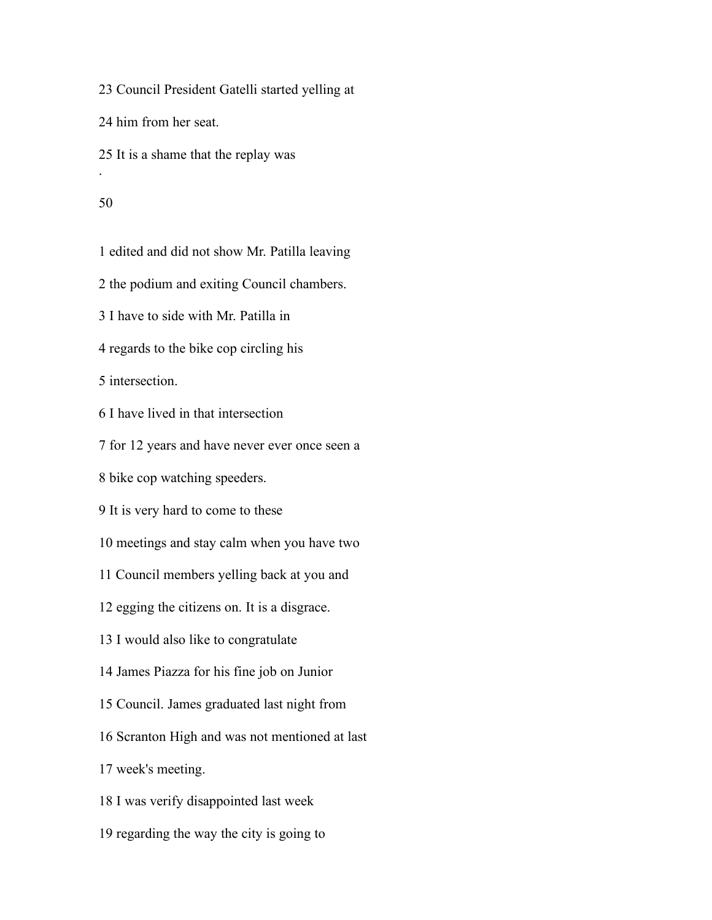Council President Gatelli started yelling at

him from her seat.

It is a shame that the replay was

### 

.

edited and did not show Mr. Patilla leaving

the podium and exiting Council chambers.

I have to side with Mr. Patilla in

regards to the bike cop circling his

intersection.

I have lived in that intersection

for 12 years and have never ever once seen a

bike cop watching speeders.

It is very hard to come to these

meetings and stay calm when you have two

Council members yelling back at you and

egging the citizens on. It is a disgrace.

I would also like to congratulate

James Piazza for his fine job on Junior

Council. James graduated last night from

Scranton High and was not mentioned at last

week's meeting.

I was verify disappointed last week

regarding the way the city is going to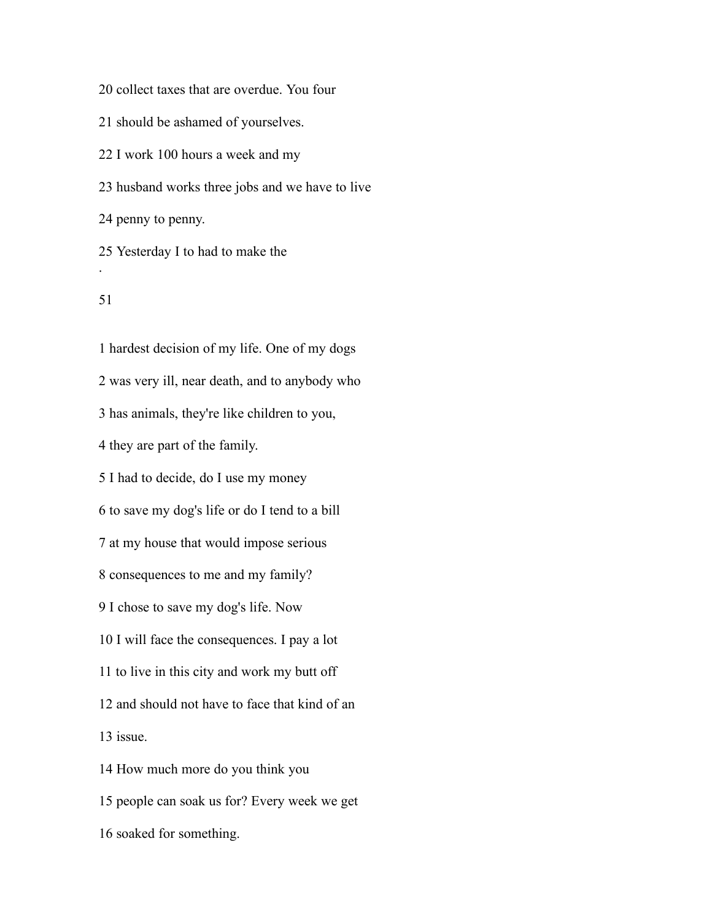collect taxes that are overdue. You four

should be ashamed of yourselves.

I work 100 hours a week and my

husband works three jobs and we have to live

penny to penny.

 Yesterday I to had to make the .

## 

 hardest decision of my life. One of my dogs was very ill, near death, and to anybody who has animals, they're like children to you, they are part of the family. I had to decide, do I use my money to save my dog's life or do I tend to a bill at my house that would impose serious consequences to me and my family? I chose to save my dog's life. Now I will face the consequences. I pay a lot to live in this city and work my butt off and should not have to face that kind of an issue. How much more do you think you people can soak us for? Every week we get soaked for something.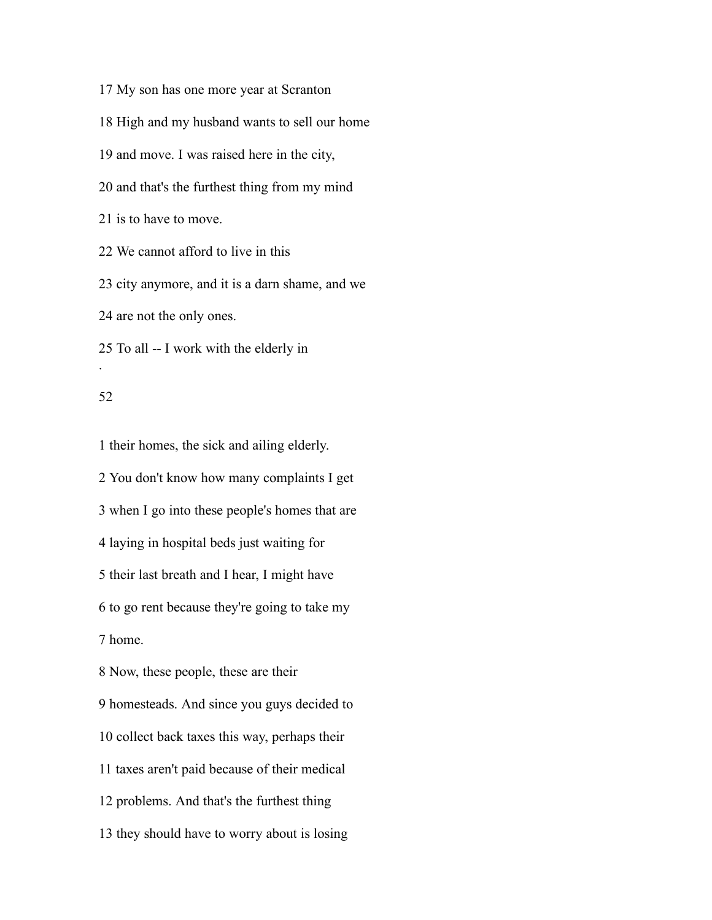My son has one more year at Scranton High and my husband wants to sell our home and move. I was raised here in the city, and that's the furthest thing from my mind is to have to move. We cannot afford to live in this city anymore, and it is a darn shame, and we are not the only ones. To all -- I work with the elderly in .

#### 

 their homes, the sick and ailing elderly. You don't know how many complaints I get when I go into these people's homes that are laying in hospital beds just waiting for their last breath and I hear, I might have to go rent because they're going to take my home. Now, these people, these are their homesteads. And since you guys decided to collect back taxes this way, perhaps their taxes aren't paid because of their medical problems. And that's the furthest thing they should have to worry about is losing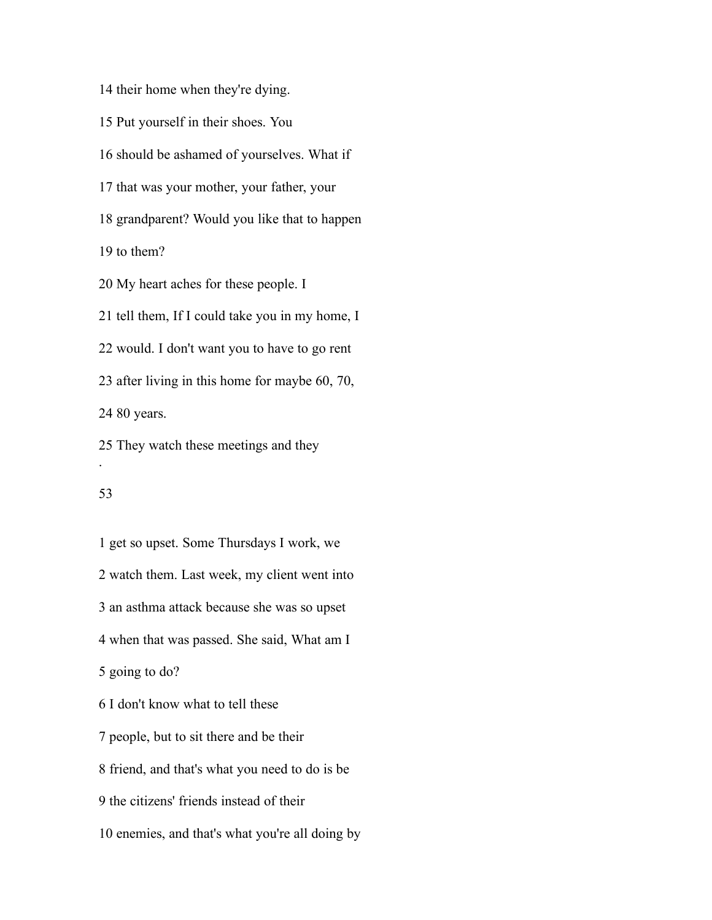their home when they're dying.

Put yourself in their shoes. You

should be ashamed of yourselves. What if

that was your mother, your father, your

grandparent? Would you like that to happen

to them?

My heart aches for these people. I

tell them, If I could take you in my home, I

would. I don't want you to have to go rent

after living in this home for maybe 60, 70,

80 years.

 They watch these meetings and they .

#### 

 get so upset. Some Thursdays I work, we watch them. Last week, my client went into an asthma attack because she was so upset when that was passed. She said, What am I going to do? I don't know what to tell these people, but to sit there and be their friend, and that's what you need to do is be the citizens' friends instead of their enemies, and that's what you're all doing by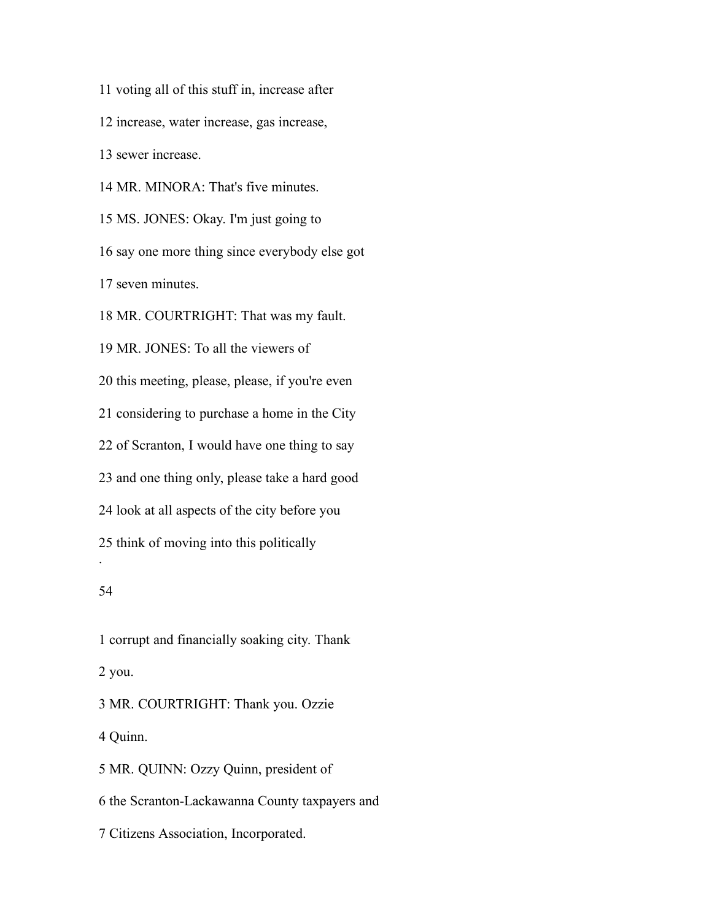voting all of this stuff in, increase after increase, water increase, gas increase, sewer increase. MR. MINORA: That's five minutes. MS. JONES: Okay. I'm just going to say one more thing since everybody else got seven minutes. MR. COURTRIGHT: That was my fault. MR. JONES: To all the viewers of this meeting, please, please, if you're even considering to purchase a home in the City of Scranton, I would have one thing to say and one thing only, please take a hard good look at all aspects of the city before you think of moving into this politically . 

 corrupt and financially soaking city. Thank you. MR. COURTRIGHT: Thank you. Ozzie Quinn.

 MR. QUINN: Ozzy Quinn, president of the Scranton-Lackawanna County taxpayers and Citizens Association, Incorporated.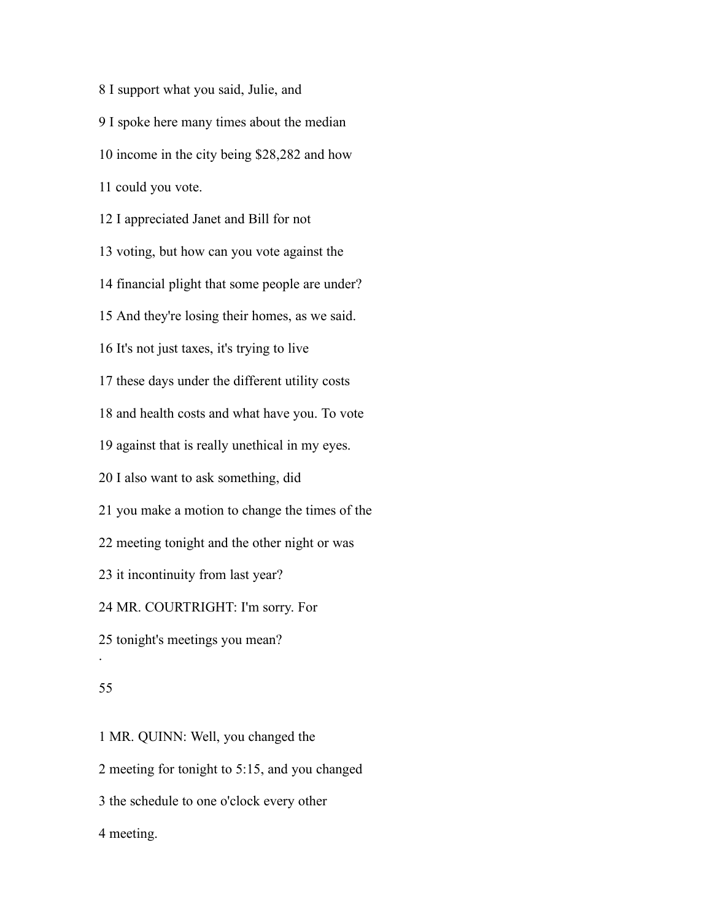I support what you said, Julie, and I spoke here many times about the median income in the city being \$28,282 and how could you vote. I appreciated Janet and Bill for not voting, but how can you vote against the financial plight that some people are under? And they're losing their homes, as we said. It's not just taxes, it's trying to live these days under the different utility costs and health costs and what have you. To vote against that is really unethical in my eyes. I also want to ask something, did you make a motion to change the times of the meeting tonight and the other night or was it incontinuity from last year? MR. COURTRIGHT: I'm sorry. For tonight's meetings you mean? .

### 

 MR. QUINN: Well, you changed the meeting for tonight to 5:15, and you changed the schedule to one o'clock every other meeting.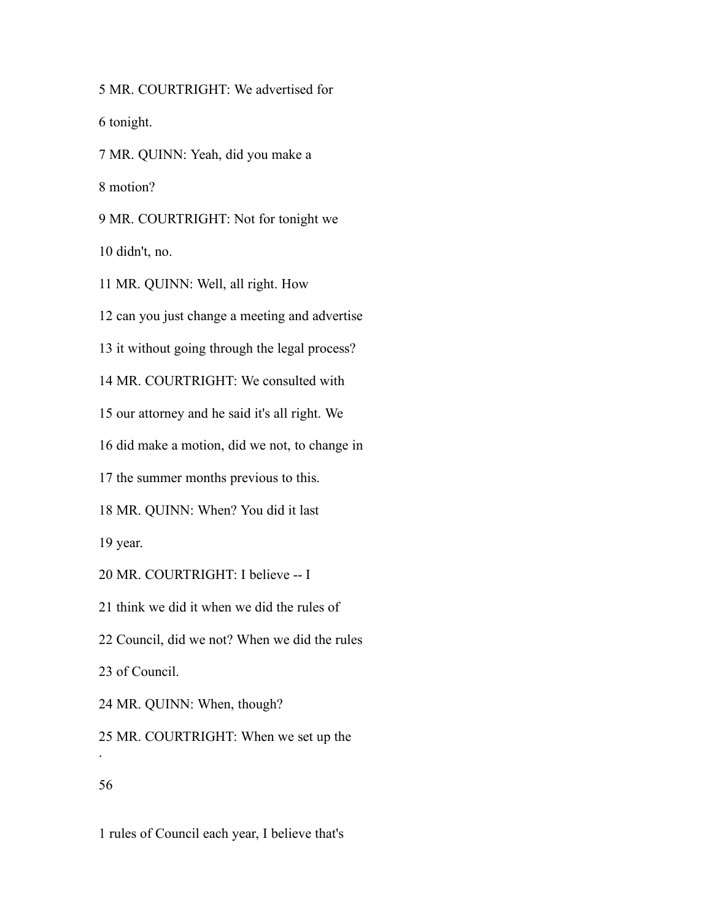MR. COURTRIGHT: We advertised for tonight. MR. QUINN: Yeah, did you make a motion? MR. COURTRIGHT: Not for tonight we

didn't, no.

MR. QUINN: Well, all right. How

can you just change a meeting and advertise

it without going through the legal process?

MR. COURTRIGHT: We consulted with

our attorney and he said it's all right. We

did make a motion, did we not, to change in

the summer months previous to this.

MR. QUINN: When? You did it last

year.

MR. COURTRIGHT: I believe -- I

think we did it when we did the rules of

Council, did we not? When we did the rules

of Council.

MR. QUINN: When, though?

 MR. COURTRIGHT: When we set up the .

# 

rules of Council each year, I believe that's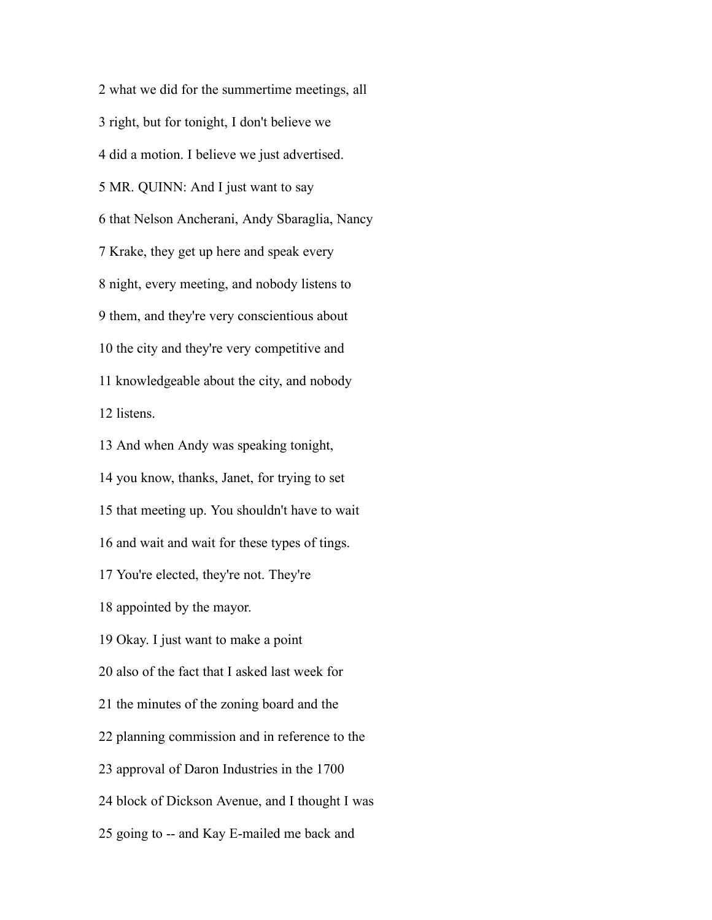what we did for the summertime meetings, all right, but for tonight, I don't believe we did a motion. I believe we just advertised. MR. QUINN: And I just want to say that Nelson Ancherani, Andy Sbaraglia, Nancy Krake, they get up here and speak every night, every meeting, and nobody listens to them, and they're very conscientious about the city and they're very competitive and knowledgeable about the city, and nobody listens.

 And when Andy was speaking tonight, you know, thanks, Janet, for trying to set that meeting up. You shouldn't have to wait and wait and wait for these types of tings. You're elected, they're not. They're appointed by the mayor. Okay. I just want to make a point also of the fact that I asked last week for the minutes of the zoning board and the planning commission and in reference to the approval of Daron Industries in the 1700 block of Dickson Avenue, and I thought I was going to -- and Kay E-mailed me back and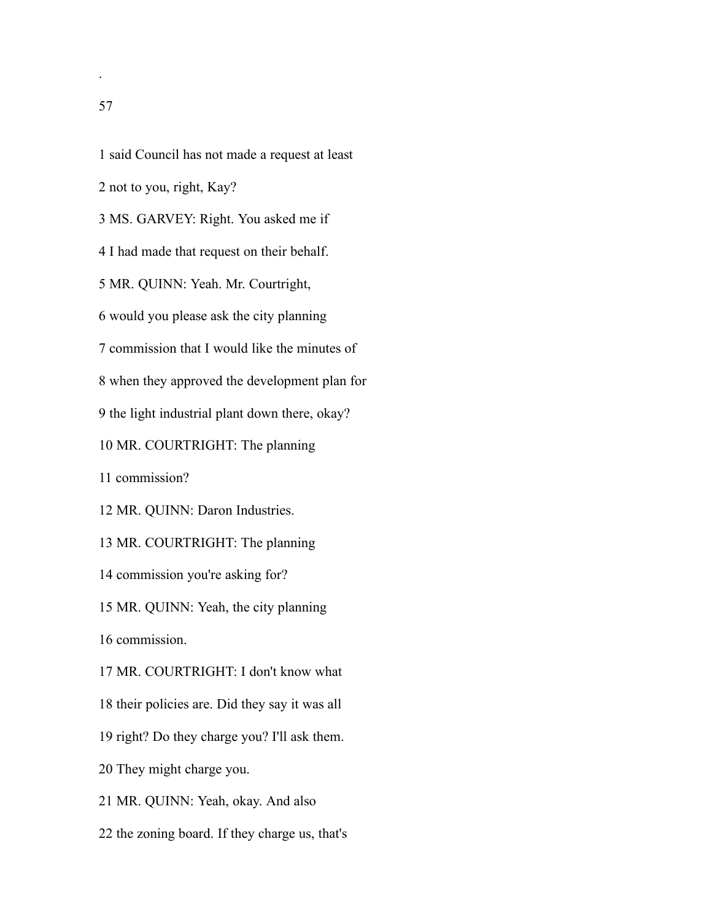said Council has not made a request at least

not to you, right, Kay?

MS. GARVEY: Right. You asked me if

I had made that request on their behalf.

MR. QUINN: Yeah. Mr. Courtright,

would you please ask the city planning

commission that I would like the minutes of

when they approved the development plan for

the light industrial plant down there, okay?

MR. COURTRIGHT: The planning

commission?

MR. QUINN: Daron Industries.

MR. COURTRIGHT: The planning

commission you're asking for?

MR. QUINN: Yeah, the city planning

commission.

MR. COURTRIGHT: I don't know what

their policies are. Did they say it was all

right? Do they charge you? I'll ask them.

They might charge you.

MR. QUINN: Yeah, okay. And also

the zoning board. If they charge us, that's

.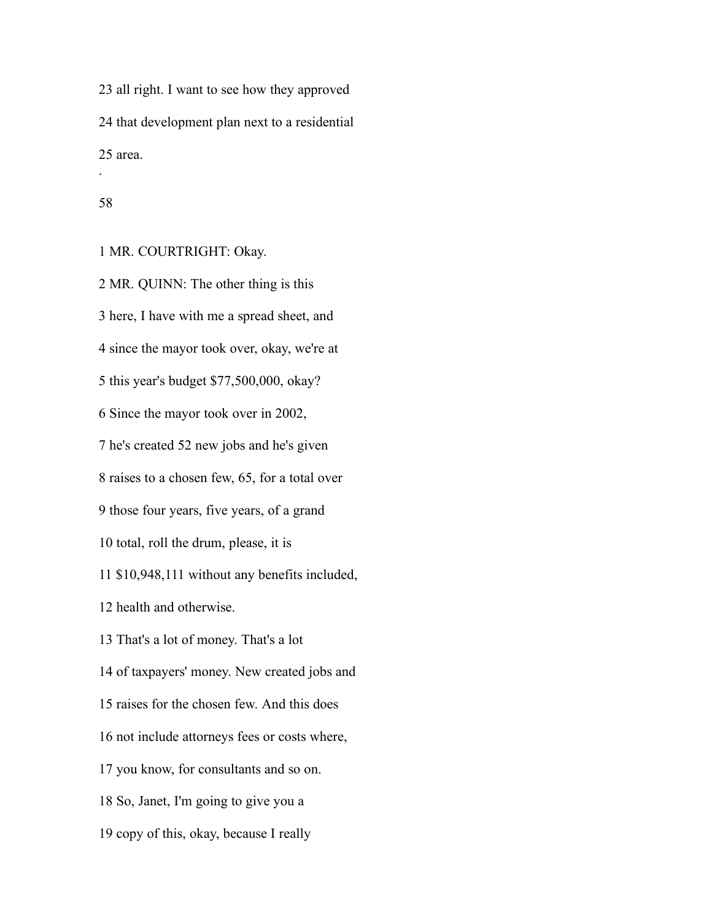all right. I want to see how they approved that development plan next to a residential area.

#### 

.

MR. COURTRIGHT: Okay.

 MR. QUINN: The other thing is this here, I have with me a spread sheet, and since the mayor took over, okay, we're at this year's budget \$77,500,000, okay? Since the mayor took over in 2002, he's created 52 new jobs and he's given raises to a chosen few, 65, for a total over those four years, five years, of a grand total, roll the drum, please, it is \$10,948,111 without any benefits included, health and otherwise. That's a lot of money. That's a lot of taxpayers' money. New created jobs and raises for the chosen few. And this does not include attorneys fees or costs where, you know, for consultants and so on. So, Janet, I'm going to give you a copy of this, okay, because I really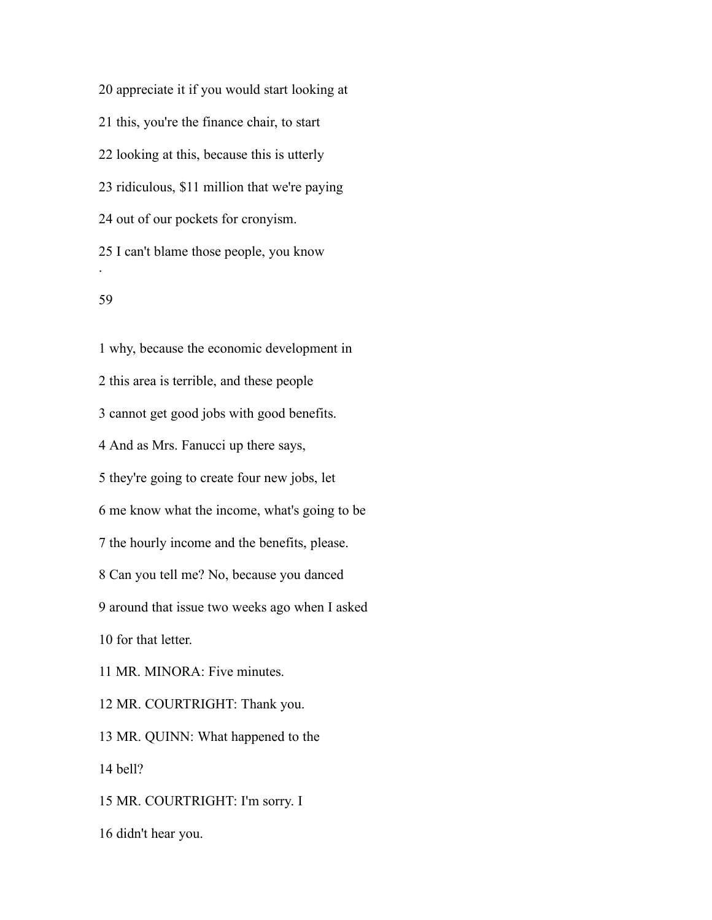appreciate it if you would start looking at this, you're the finance chair, to start looking at this, because this is utterly ridiculous, \$11 million that we're paying out of our pockets for cronyism. I can't blame those people, you know .

## 

 why, because the economic development in this area is terrible, and these people cannot get good jobs with good benefits. And as Mrs. Fanucci up there says, they're going to create four new jobs, let me know what the income, what's going to be the hourly income and the benefits, please. Can you tell me? No, because you danced around that issue two weeks ago when I asked for that letter. MR. MINORA: Five minutes. MR. COURTRIGHT: Thank you. MR. QUINN: What happened to the bell? MR. COURTRIGHT: I'm sorry. I

didn't hear you.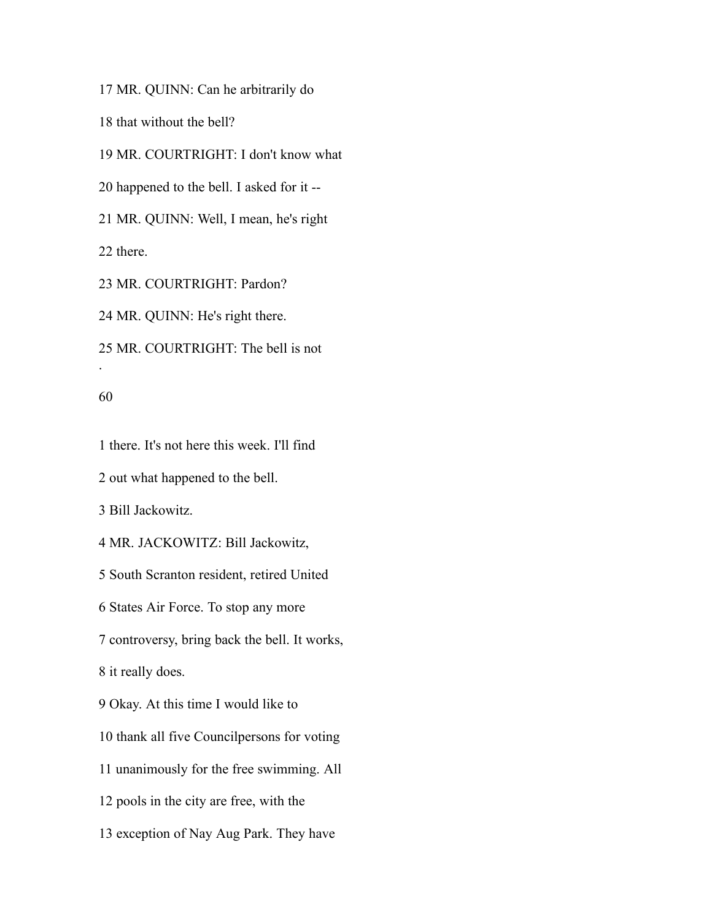MR. QUINN: Can he arbitrarily do

that without the bell?

MR. COURTRIGHT: I don't know what

happened to the bell. I asked for it --

MR. QUINN: Well, I mean, he's right

there.

MR. COURTRIGHT: Pardon?

MR. QUINN: He's right there.

MR. COURTRIGHT: The bell is not

#### 

.

there. It's not here this week. I'll find

out what happened to the bell.

Bill Jackowitz.

MR. JACKOWITZ: Bill Jackowitz,

South Scranton resident, retired United

States Air Force. To stop any more

controversy, bring back the bell. It works,

it really does.

Okay. At this time I would like to

thank all five Councilpersons for voting

unanimously for the free swimming. All

pools in the city are free, with the

exception of Nay Aug Park. They have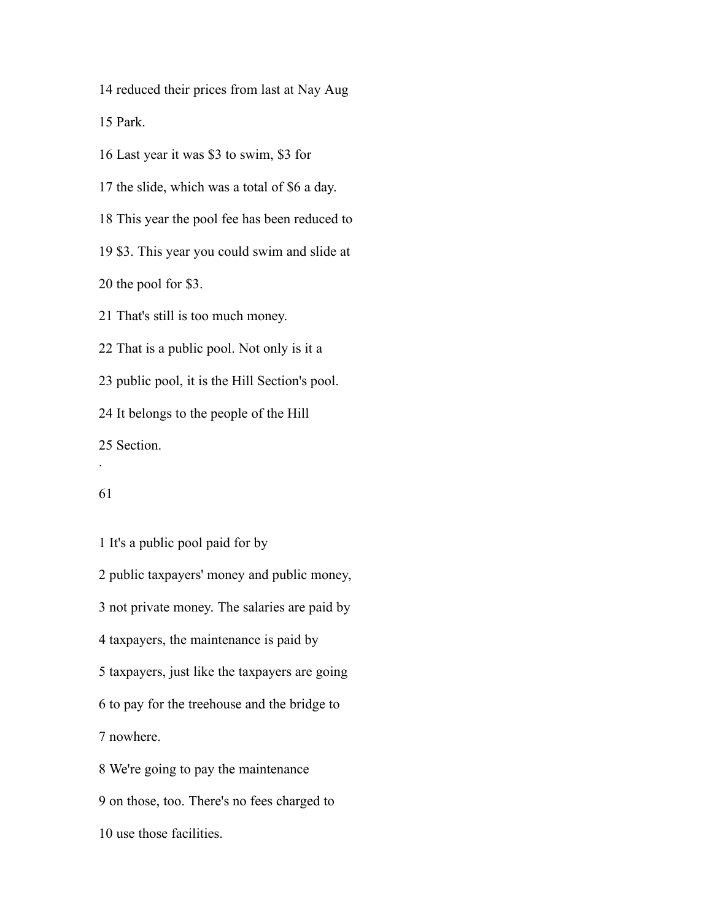reduced their prices from last at Nay Aug

Park.

Last year it was \$3 to swim, \$3 for

the slide, which was a total of \$6 a day.

This year the pool fee has been reduced to

\$3. This year you could swim and slide at

the pool for \$3.

That's still is too much money.

That is a public pool. Not only is it a

public pool, it is the Hill Section's pool.

It belongs to the people of the Hill

Section.

.

 It's a public pool paid for by public taxpayers' money and public money, not private money. The salaries are paid by taxpayers, the maintenance is paid by taxpayers, just like the taxpayers are going to pay for the treehouse and the bridge to nowhere. We're going to pay the maintenance on those, too. There's no fees charged to

use those facilities.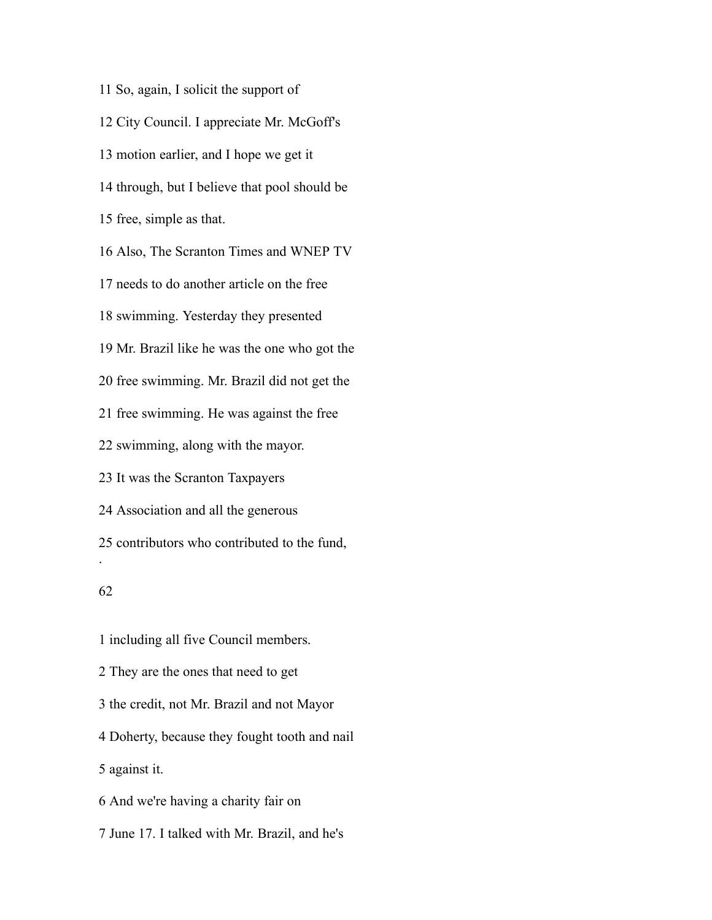So, again, I solicit the support of City Council. I appreciate Mr. McGoff's motion earlier, and I hope we get it through, but I believe that pool should be free, simple as that. Also, The Scranton Times and WNEP TV needs to do another article on the free swimming. Yesterday they presented Mr. Brazil like he was the one who got the free swimming. Mr. Brazil did not get the free swimming. He was against the free swimming, along with the mayor. It was the Scranton Taxpayers Association and all the generous contributors who contributed to the fund, . including all five Council members.

 They are the ones that need to get the credit, not Mr. Brazil and not Mayor Doherty, because they fought tooth and nail against it. And we're having a charity fair on June 17. I talked with Mr. Brazil, and he's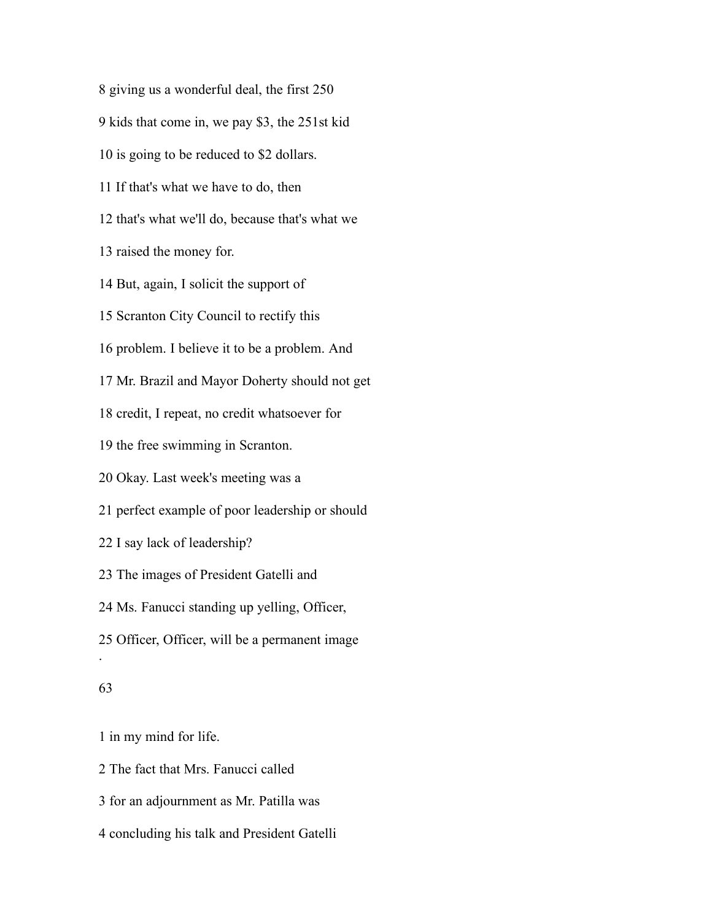giving us a wonderful deal, the first 250 kids that come in, we pay \$3, the 251st kid is going to be reduced to \$2 dollars. If that's what we have to do, then that's what we'll do, because that's what we raised the money for. But, again, I solicit the support of Scranton City Council to rectify this problem. I believe it to be a problem. And Mr. Brazil and Mayor Doherty should not get credit, I repeat, no credit whatsoever for the free swimming in Scranton. Okay. Last week's meeting was a perfect example of poor leadership or should I say lack of leadership? The images of President Gatelli and Ms. Fanucci standing up yelling, Officer, Officer, Officer, will be a permanent image . 

in my mind for life.

The fact that Mrs. Fanucci called

for an adjournment as Mr. Patilla was

concluding his talk and President Gatelli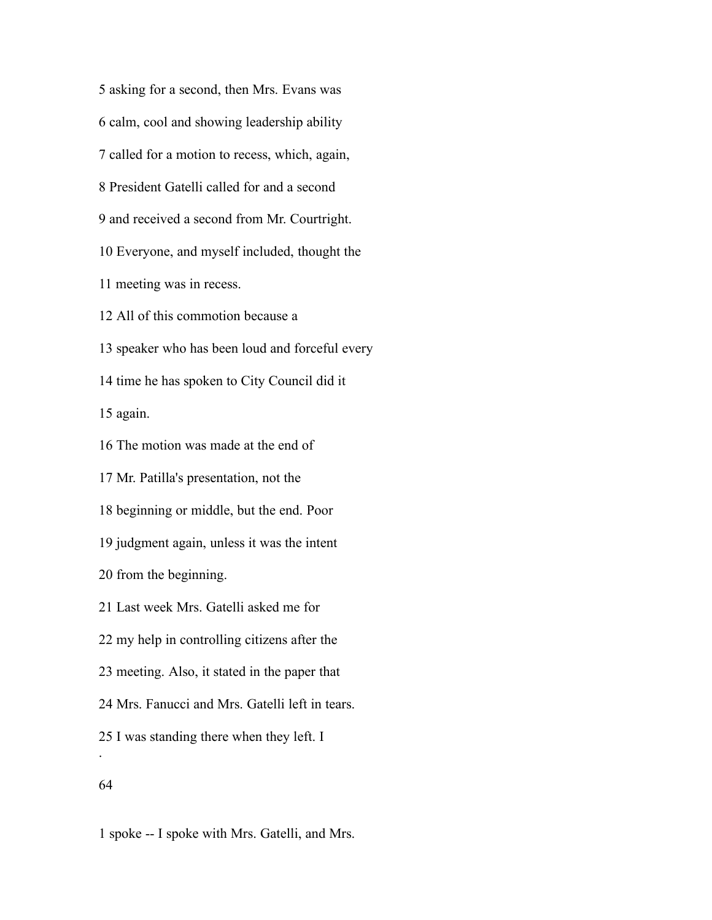asking for a second, then Mrs. Evans was calm, cool and showing leadership ability called for a motion to recess, which, again, President Gatelli called for and a second and received a second from Mr. Courtright. Everyone, and myself included, thought the meeting was in recess. All of this commotion because a speaker who has been loud and forceful every time he has spoken to City Council did it again. The motion was made at the end of Mr. Patilla's presentation, not the beginning or middle, but the end. Poor judgment again, unless it was the intent from the beginning. Last week Mrs. Gatelli asked me for my help in controlling citizens after the meeting. Also, it stated in the paper that Mrs. Fanucci and Mrs. Gatelli left in tears. I was standing there when they left. I .

spoke -- I spoke with Mrs. Gatelli, and Mrs.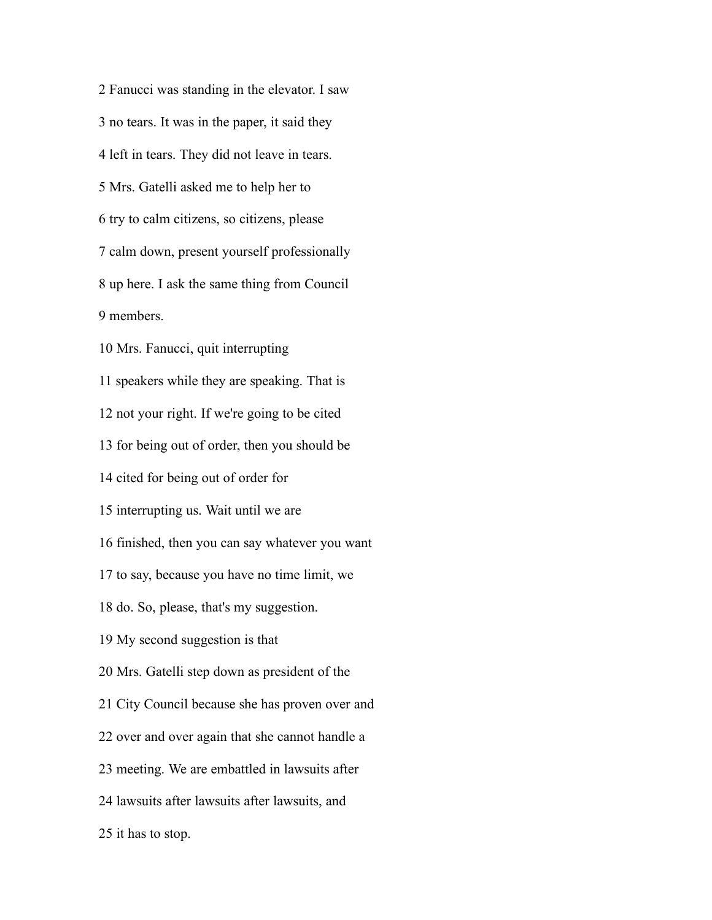Fanucci was standing in the elevator. I saw no tears. It was in the paper, it said they left in tears. They did not leave in tears. Mrs. Gatelli asked me to help her to try to calm citizens, so citizens, please calm down, present yourself professionally up here. I ask the same thing from Council members. Mrs. Fanucci, quit interrupting speakers while they are speaking. That is not your right. If we're going to be cited for being out of order, then you should be cited for being out of order for interrupting us. Wait until we are finished, then you can say whatever you want to say, because you have no time limit, we do. So, please, that's my suggestion. My second suggestion is that Mrs. Gatelli step down as president of the City Council because she has proven over and over and over again that she cannot handle a meeting. We are embattled in lawsuits after lawsuits after lawsuits after lawsuits, and it has to stop.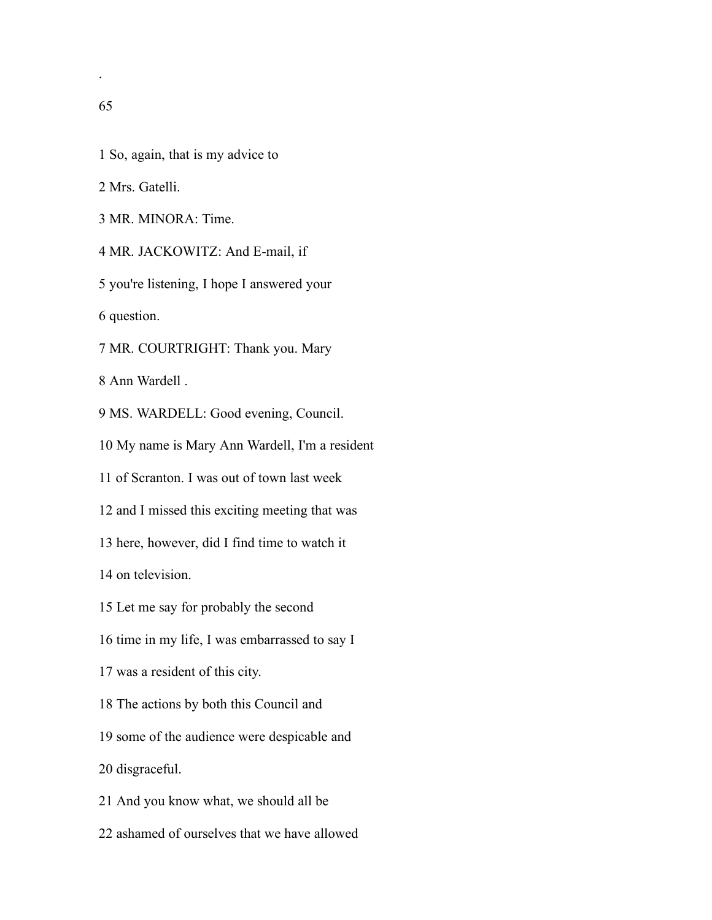- Mrs. Gatelli.
- MR. MINORA: Time.

MR. JACKOWITZ: And E-mail, if

you're listening, I hope I answered your

question.

MR. COURTRIGHT: Thank you. Mary

Ann Wardell .

MS. WARDELL: Good evening, Council.

My name is Mary Ann Wardell, I'm a resident

of Scranton. I was out of town last week

and I missed this exciting meeting that was

here, however, did I find time to watch it

on television.

- Let me say for probably the second
- time in my life, I was embarrassed to say I
- was a resident of this city.
- The actions by both this Council and

some of the audience were despicable and

disgraceful.

And you know what, we should all be

ashamed of ourselves that we have allowed

.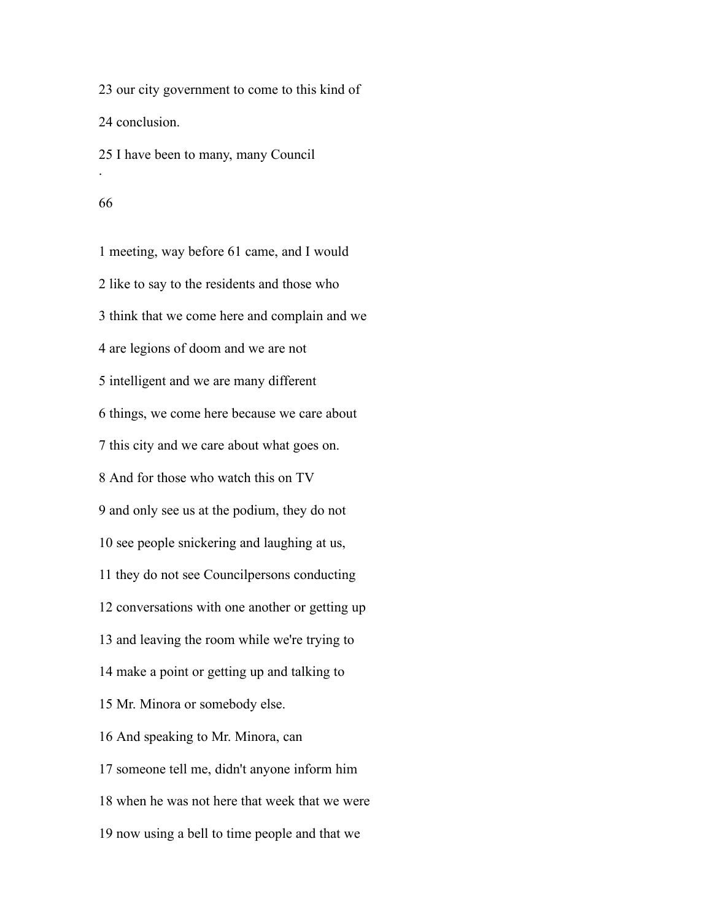our city government to come to this kind of conclusion. I have been to many, many Council .

#### 

 meeting, way before 61 came, and I would like to say to the residents and those who think that we come here and complain and we are legions of doom and we are not intelligent and we are many different things, we come here because we care about this city and we care about what goes on. And for those who watch this on TV and only see us at the podium, they do not see people snickering and laughing at us, they do not see Councilpersons conducting conversations with one another or getting up and leaving the room while we're trying to make a point or getting up and talking to Mr. Minora or somebody else. And speaking to Mr. Minora, can someone tell me, didn't anyone inform him when he was not here that week that we were now using a bell to time people and that we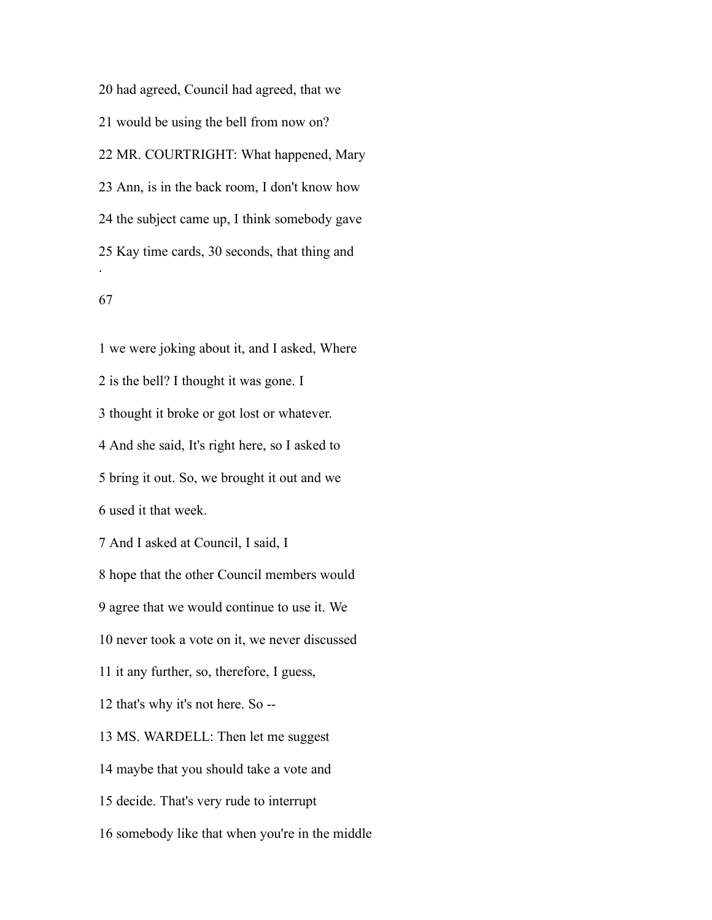had agreed, Council had agreed, that we would be using the bell from now on? MR. COURTRIGHT: What happened, Mary Ann, is in the back room, I don't know how the subject came up, I think somebody gave Kay time cards, 30 seconds, that thing and .

# 

 we were joking about it, and I asked, Where is the bell? I thought it was gone. I thought it broke or got lost or whatever. And she said, It's right here, so I asked to bring it out. So, we brought it out and we used it that week. And I asked at Council, I said, I hope that the other Council members would agree that we would continue to use it. We never took a vote on it, we never discussed it any further, so, therefore, I guess, that's why it's not here. So -- MS. WARDELL: Then let me suggest maybe that you should take a vote and decide. That's very rude to interrupt somebody like that when you're in the middle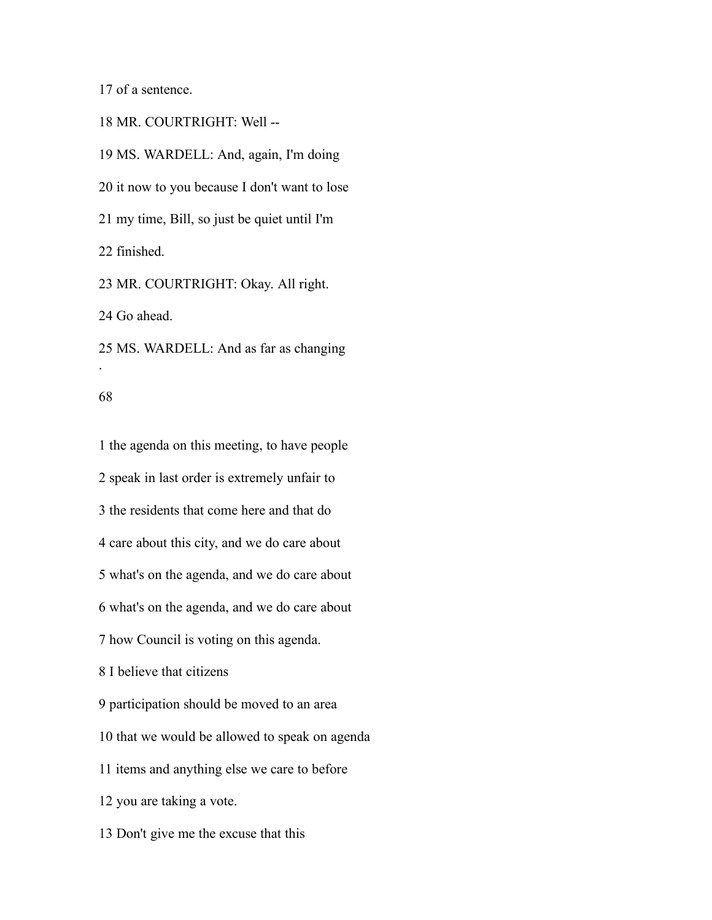of a sentence.

MR. COURTRIGHT: Well --

 MS. WARDELL: And, again, I'm doing it now to you because I don't want to lose my time, Bill, so just be quiet until I'm finished. MR. COURTRIGHT: Okay. All right.

Go ahead.

 MS. WARDELL: And as far as changing .

## 

 the agenda on this meeting, to have people speak in last order is extremely unfair to the residents that come here and that do care about this city, and we do care about what's on the agenda, and we do care about what's on the agenda, and we do care about how Council is voting on this agenda. I believe that citizens participation should be moved to an area that we would be allowed to speak on agenda items and anything else we care to before you are taking a vote.

Don't give me the excuse that this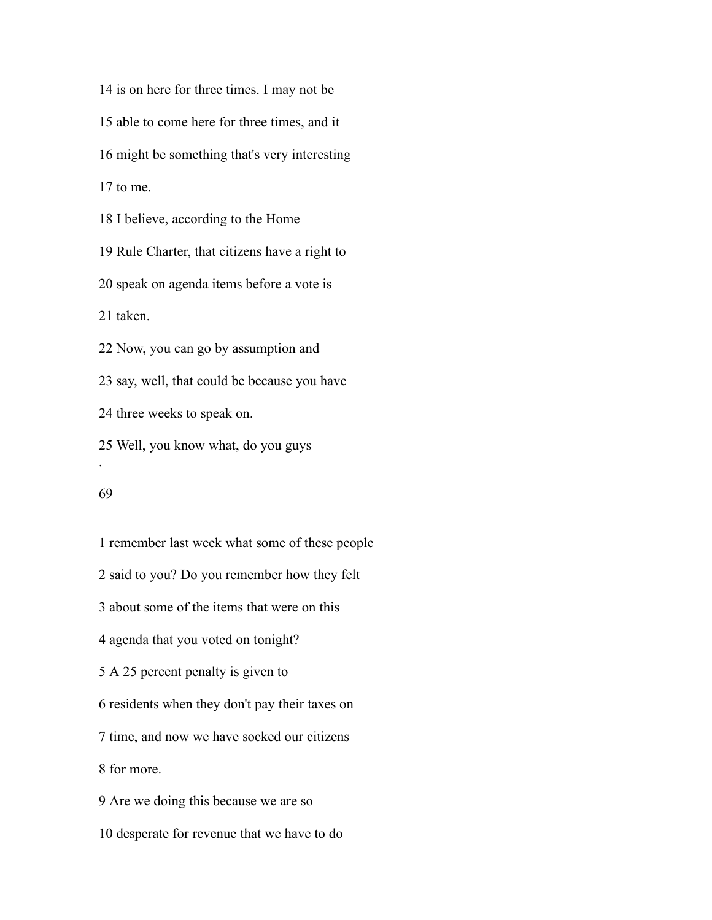is on here for three times. I may not be able to come here for three times, and it might be something that's very interesting to me. I believe, according to the Home Rule Charter, that citizens have a right to speak on agenda items before a vote is taken. Now, you can go by assumption and say, well, that could be because you have three weeks to speak on. Well, you know what, do you guys .

 remember last week what some of these people said to you? Do you remember how they felt about some of the items that were on this agenda that you voted on tonight? A 25 percent penalty is given to residents when they don't pay their taxes on time, and now we have socked our citizens for more. Are we doing this because we are so desperate for revenue that we have to do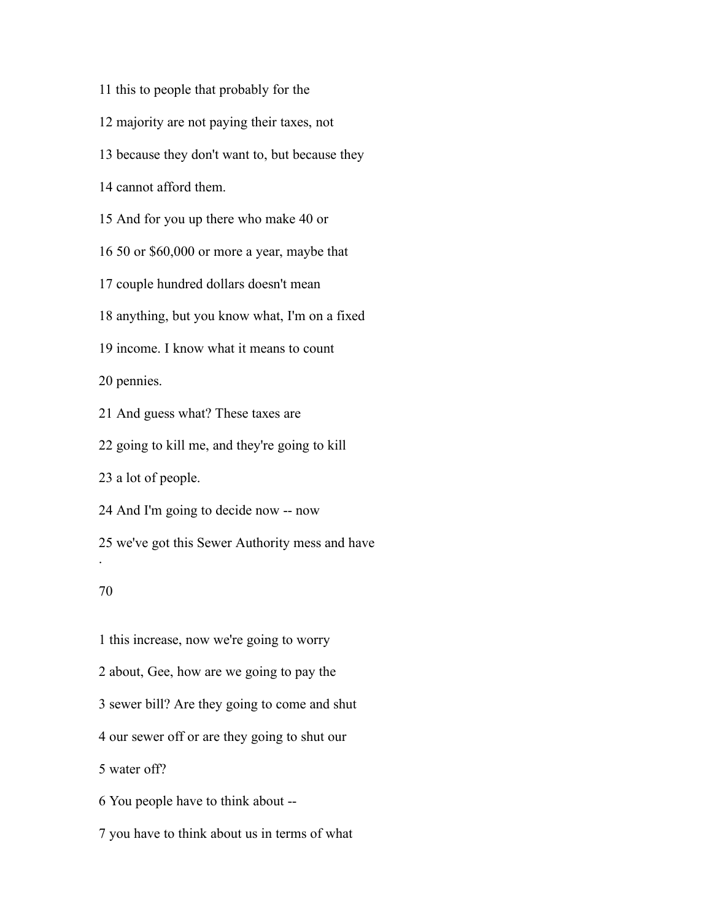- this to people that probably for the
- majority are not paying their taxes, not
- because they don't want to, but because they
- cannot afford them.
- And for you up there who make 40 or
- 50 or \$60,000 or more a year, maybe that
- couple hundred dollars doesn't mean
- anything, but you know what, I'm on a fixed
- income. I know what it means to count

pennies.

And guess what? These taxes are

going to kill me, and they're going to kill

a lot of people.

And I'm going to decide now -- now

we've got this Sewer Authority mess and have

# 

.

 this increase, now we're going to worry about, Gee, how are we going to pay the sewer bill? Are they going to come and shut our sewer off or are they going to shut our water off? You people have to think about --

you have to think about us in terms of what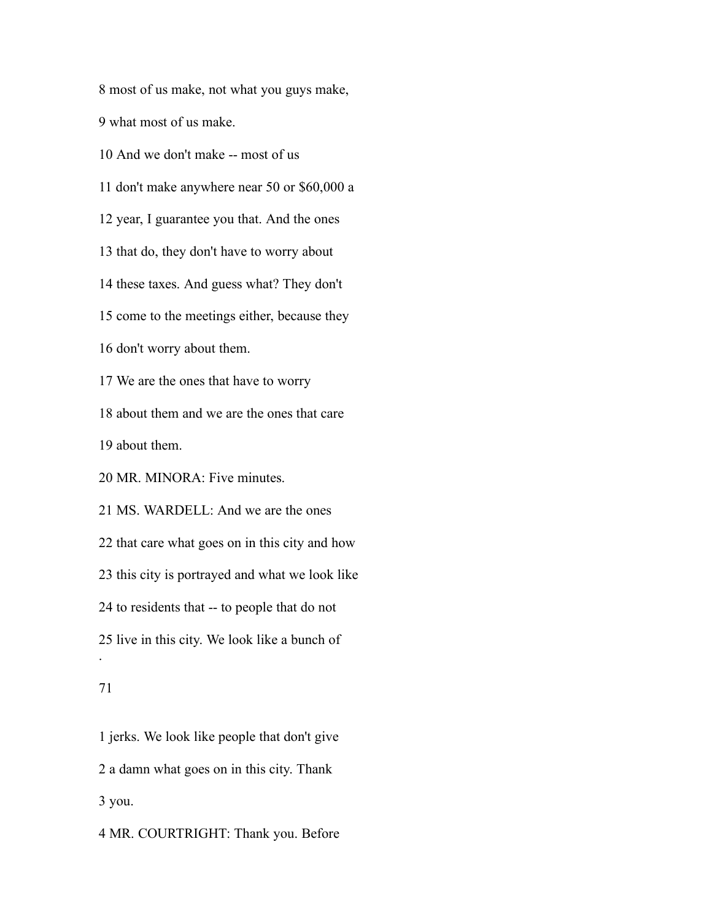most of us make, not what you guys make,

what most of us make.

And we don't make -- most of us

don't make anywhere near 50 or \$60,000 a

year, I guarantee you that. And the ones

that do, they don't have to worry about

these taxes. And guess what? They don't

come to the meetings either, because they

don't worry about them.

We are the ones that have to worry

about them and we are the ones that care

about them.

MR. MINORA: Five minutes.

 MS. WARDELL: And we are the ones that care what goes on in this city and how this city is portrayed and what we look like to residents that -- to people that do not live in this city. We look like a bunch of .

# 

 jerks. We look like people that don't give a damn what goes on in this city. Thank you.

MR. COURTRIGHT: Thank you. Before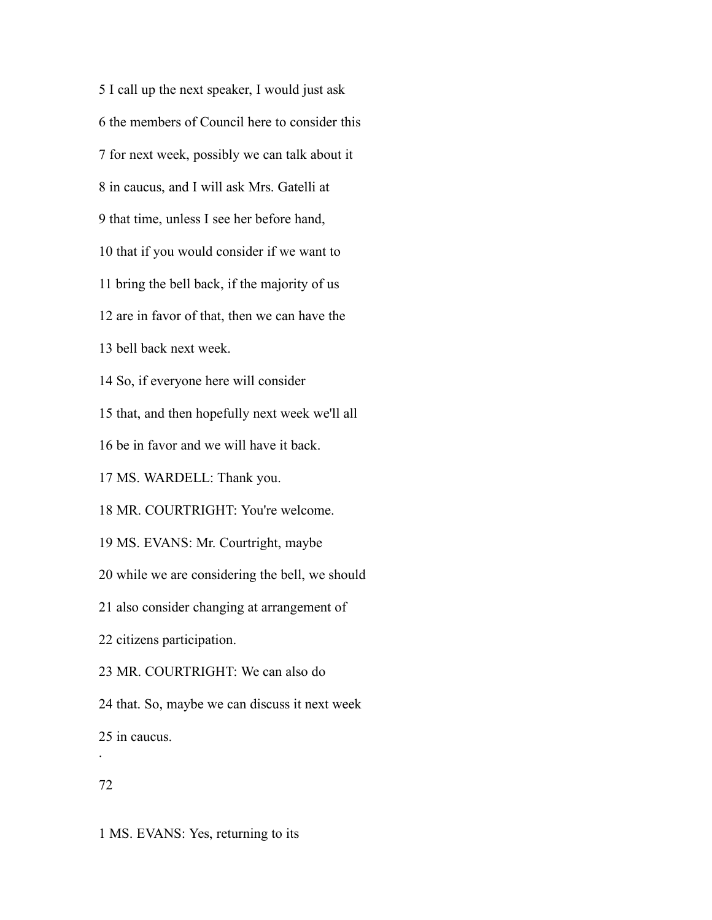I call up the next speaker, I would just ask the members of Council here to consider this for next week, possibly we can talk about it in caucus, and I will ask Mrs. Gatelli at that time, unless I see her before hand, that if you would consider if we want to bring the bell back, if the majority of us are in favor of that, then we can have the bell back next week. So, if everyone here will consider that, and then hopefully next week we'll all be in favor and we will have it back. MS. WARDELL: Thank you. MR. COURTRIGHT: You're welcome. MS. EVANS: Mr. Courtright, maybe while we are considering the bell, we should also consider changing at arrangement of citizens participation. MR. COURTRIGHT: We can also do that. So, maybe we can discuss it next week in caucus. .

# 

MS. EVANS: Yes, returning to its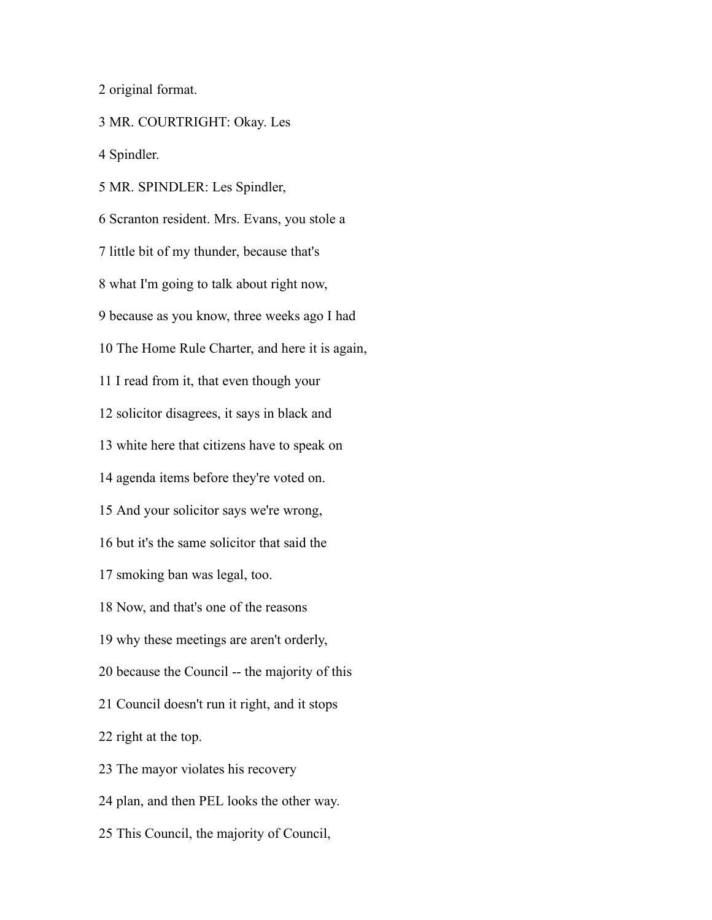original format.

MR. COURTRIGHT: Okay. Les

Spindler.

 MR. SPINDLER: Les Spindler, Scranton resident. Mrs. Evans, you stole a little bit of my thunder, because that's what I'm going to talk about right now, because as you know, three weeks ago I had The Home Rule Charter, and here it is again, I read from it, that even though your solicitor disagrees, it says in black and white here that citizens have to speak on agenda items before they're voted on. And your solicitor says we're wrong, but it's the same solicitor that said the smoking ban was legal, too. Now, and that's one of the reasons why these meetings are aren't orderly, because the Council -- the majority of this Council doesn't run it right, and it stops right at the top. The mayor violates his recovery plan, and then PEL looks the other way. This Council, the majority of Council,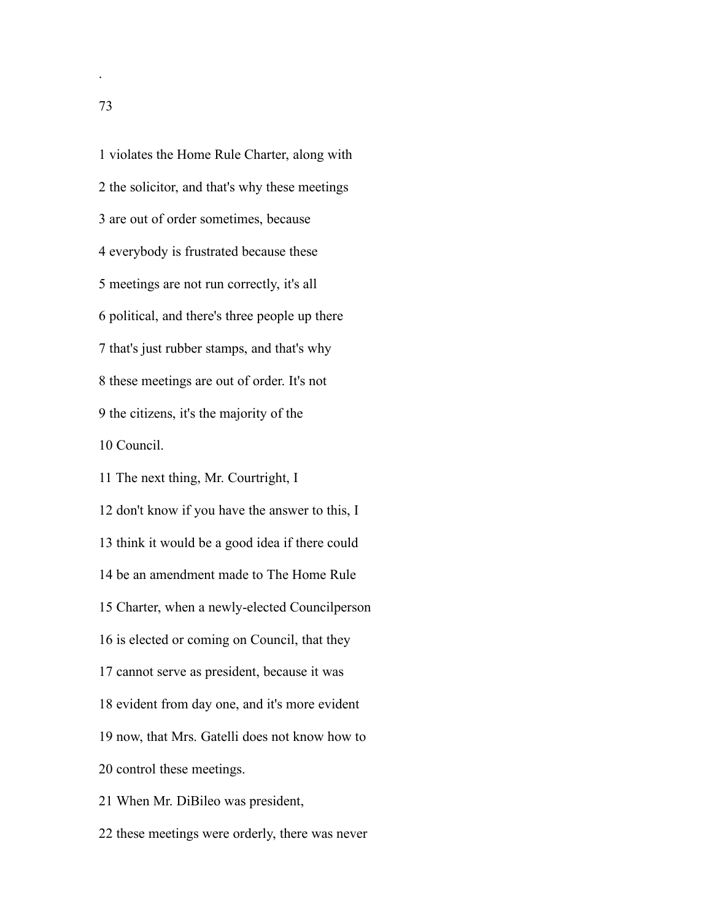violates the Home Rule Charter, along with the solicitor, and that's why these meetings are out of order sometimes, because everybody is frustrated because these meetings are not run correctly, it's all political, and there's three people up there that's just rubber stamps, and that's why these meetings are out of order. It's not the citizens, it's the majority of the Council.

The next thing, Mr. Courtright, I

 don't know if you have the answer to this, I think it would be a good idea if there could be an amendment made to The Home Rule Charter, when a newly-elected Councilperson is elected or coming on Council, that they cannot serve as president, because it was evident from day one, and it's more evident now, that Mrs. Gatelli does not know how to control these meetings. When Mr. DiBileo was president,

these meetings were orderly, there was never

.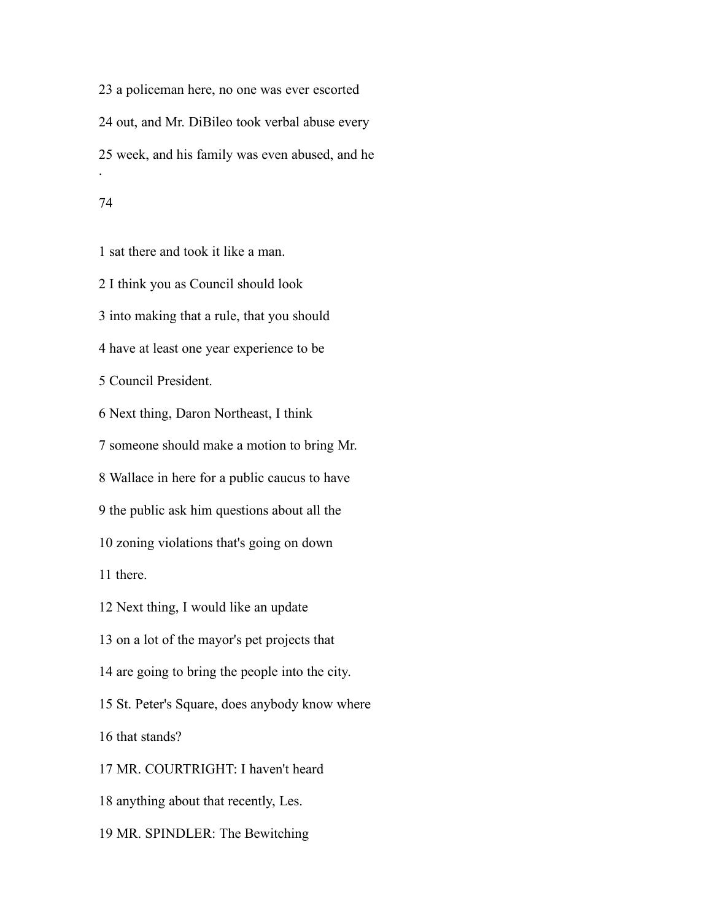a policeman here, no one was ever escorted out, and Mr. DiBileo took verbal abuse every week, and his family was even abused, and he .

## 

sat there and took it like a man.

 I think you as Council should look into making that a rule, that you should have at least one year experience to be Council President. Next thing, Daron Northeast, I think someone should make a motion to bring Mr. Wallace in here for a public caucus to have the public ask him questions about all the zoning violations that's going on down there. Next thing, I would like an update on a lot of the mayor's pet projects that are going to bring the people into the city. St. Peter's Square, does anybody know where that stands? MR. COURTRIGHT: I haven't heard

anything about that recently, Les.

MR. SPINDLER: The Bewitching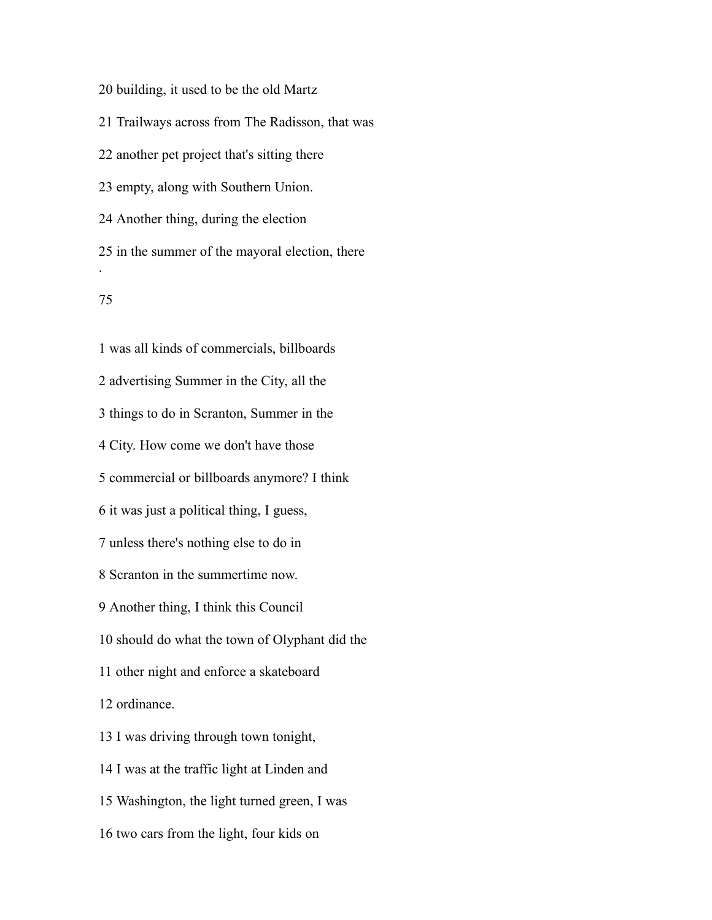building, it used to be the old Martz

Trailways across from The Radisson, that was

another pet project that's sitting there

empty, along with Southern Union.

Another thing, during the election

 in the summer of the mayoral election, there .

# 

 was all kinds of commercials, billboards advertising Summer in the City, all the things to do in Scranton, Summer in the City. How come we don't have those commercial or billboards anymore? I think it was just a political thing, I guess, unless there's nothing else to do in Scranton in the summertime now. Another thing, I think this Council should do what the town of Olyphant did the other night and enforce a skateboard ordinance. I was driving through town tonight, I was at the traffic light at Linden and Washington, the light turned green, I was two cars from the light, four kids on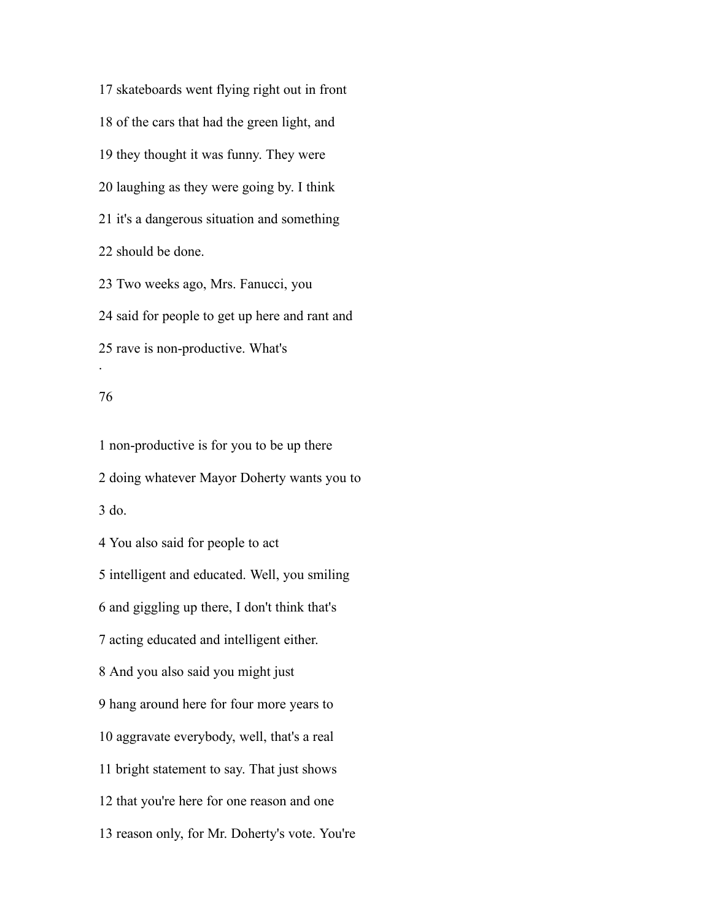skateboards went flying right out in front of the cars that had the green light, and they thought it was funny. They were laughing as they were going by. I think it's a dangerous situation and something should be done. Two weeks ago, Mrs. Fanucci, you

 said for people to get up here and rant and rave is non-productive. What's

## 

.

 non-productive is for you to be up there doing whatever Mayor Doherty wants you to do. You also said for people to act intelligent and educated. Well, you smiling and giggling up there, I don't think that's acting educated and intelligent either. And you also said you might just hang around here for four more years to aggravate everybody, well, that's a real bright statement to say. That just shows that you're here for one reason and one reason only, for Mr. Doherty's vote. You're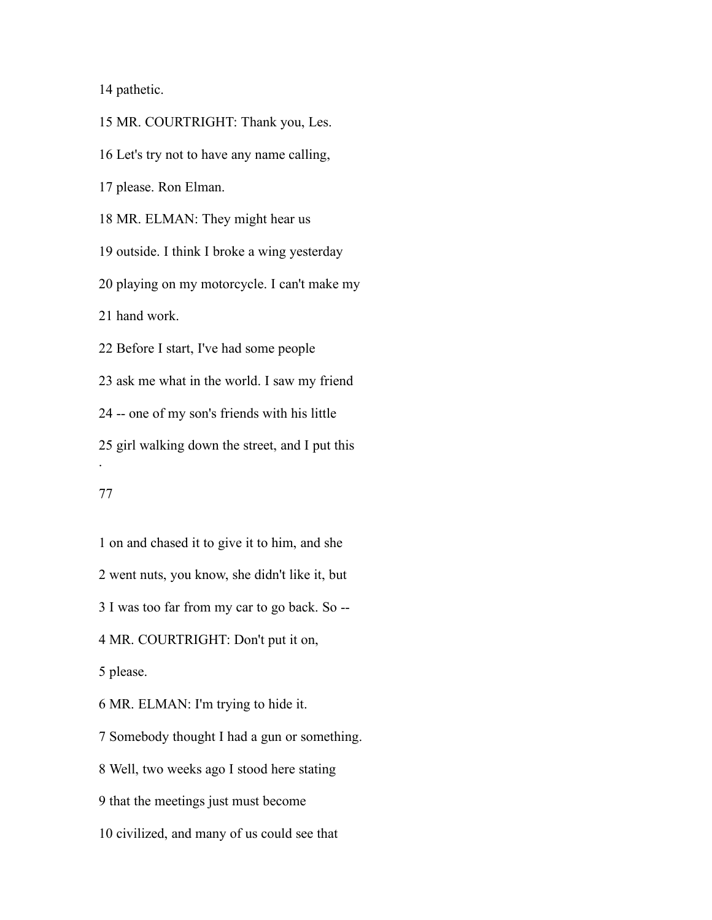pathetic.

 MR. COURTRIGHT: Thank you, Les. Let's try not to have any name calling, please. Ron Elman. MR. ELMAN: They might hear us outside. I think I broke a wing yesterday playing on my motorcycle. I can't make my hand work. Before I start, I've had some people ask me what in the world. I saw my friend -- one of my son's friends with his little girl walking down the street, and I put this . 

 on and chased it to give it to him, and she went nuts, you know, she didn't like it, but I was too far from my car to go back. So -- MR. COURTRIGHT: Don't put it on, please. MR. ELMAN: I'm trying to hide it. Somebody thought I had a gun or something. Well, two weeks ago I stood here stating that the meetings just must become civilized, and many of us could see that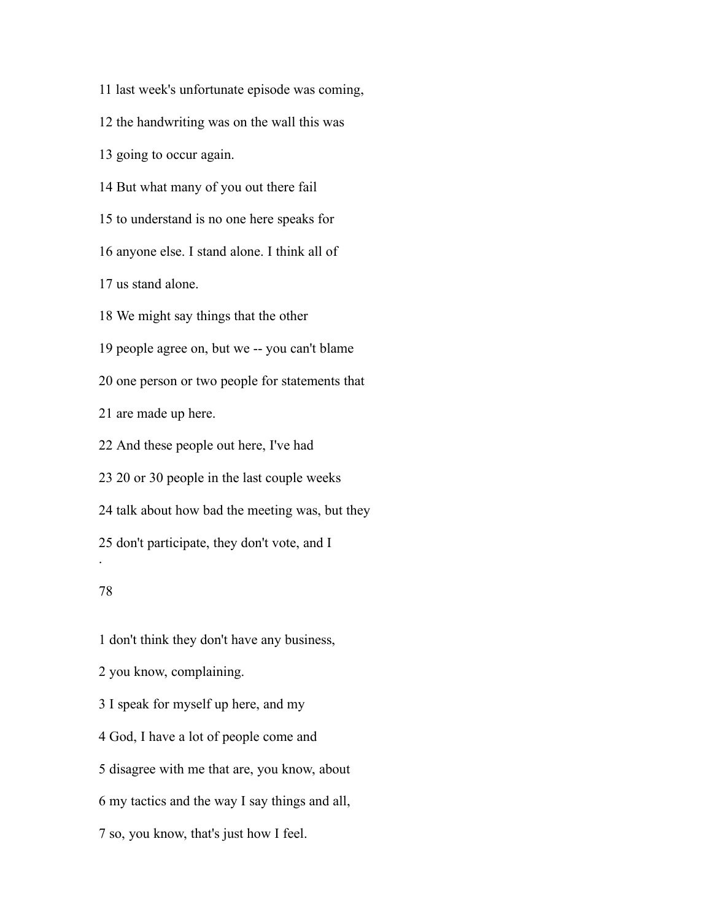last week's unfortunate episode was coming,

the handwriting was on the wall this was

going to occur again.

But what many of you out there fail

to understand is no one here speaks for

anyone else. I stand alone. I think all of

us stand alone.

We might say things that the other

people agree on, but we -- you can't blame

one person or two people for statements that

are made up here.

And these people out here, I've had

20 or 30 people in the last couple weeks

talk about how bad the meeting was, but they

don't participate, they don't vote, and I

# 

.

don't think they don't have any business,

you know, complaining.

I speak for myself up here, and my

God, I have a lot of people come and

disagree with me that are, you know, about

my tactics and the way I say things and all,

so, you know, that's just how I feel.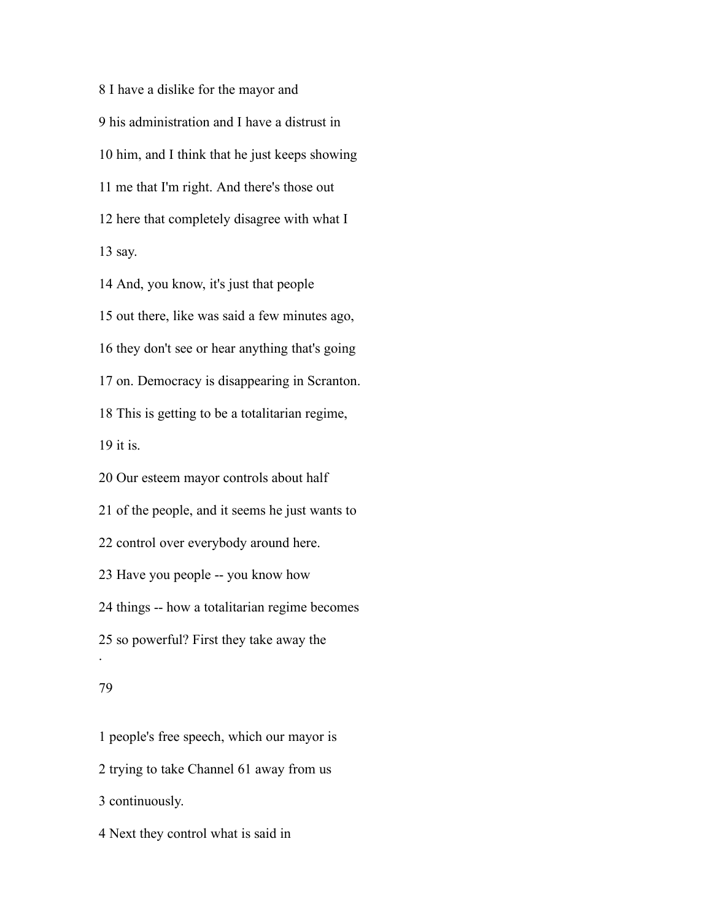I have a dislike for the mayor and his administration and I have a distrust in him, and I think that he just keeps showing me that I'm right. And there's those out here that completely disagree with what I say.

 And, you know, it's just that people out there, like was said a few minutes ago, they don't see or hear anything that's going on. Democracy is disappearing in Scranton. This is getting to be a totalitarian regime, it is. Our esteem mayor controls about half

 of the people, and it seems he just wants to control over everybody around here. Have you people -- you know how things -- how a totalitarian regime becomes so powerful? First they take away the

#### 

.

 people's free speech, which our mayor is trying to take Channel 61 away from us continuously. Next they control what is said in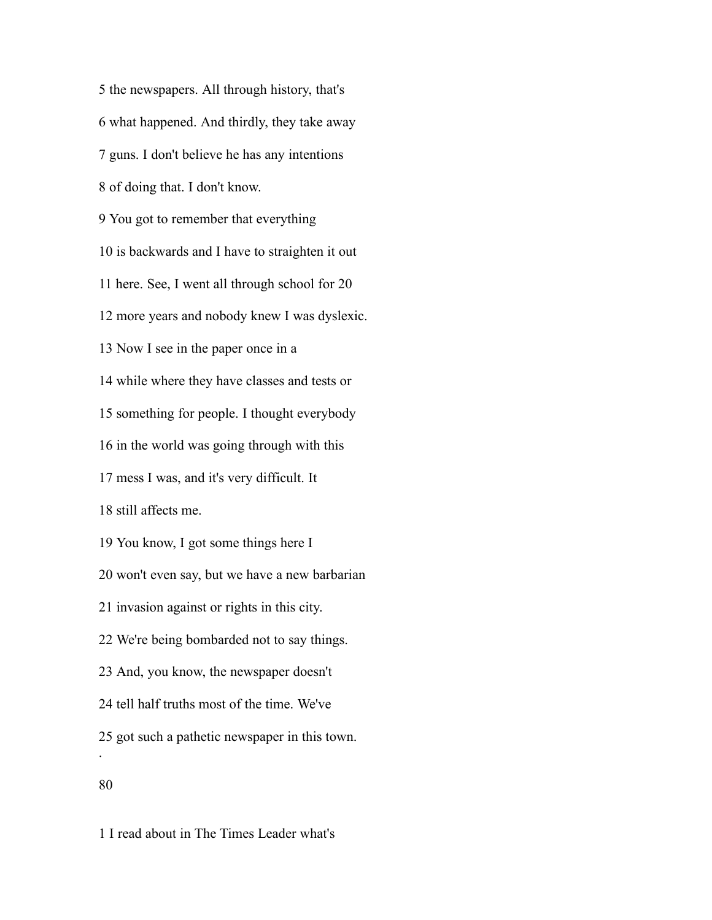the newspapers. All through history, that's what happened. And thirdly, they take away guns. I don't believe he has any intentions of doing that. I don't know. You got to remember that everything is backwards and I have to straighten it out here. See, I went all through school for 20 more years and nobody knew I was dyslexic. Now I see in the paper once in a while where they have classes and tests or something for people. I thought everybody in the world was going through with this mess I was, and it's very difficult. It still affects me. You know, I got some things here I won't even say, but we have a new barbarian invasion against or rights in this city. We're being bombarded not to say things. And, you know, the newspaper doesn't tell half truths most of the time. We've got such a pathetic newspaper in this town. . 

I read about in The Times Leader what's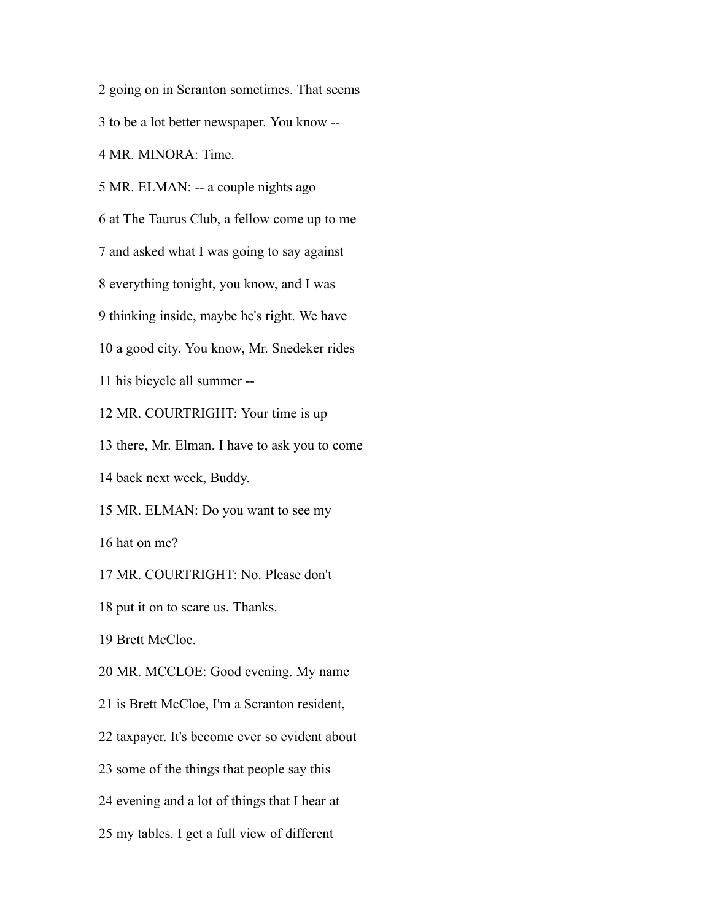going on in Scranton sometimes. That seems to be a lot better newspaper. You know -- MR. MINORA: Time. MR. ELMAN: -- a couple nights ago at The Taurus Club, a fellow come up to me and asked what I was going to say against everything tonight, you know, and I was thinking inside, maybe he's right. We have a good city. You know, Mr. Snedeker rides his bicycle all summer -- MR. COURTRIGHT: Your time is up there, Mr. Elman. I have to ask you to come back next week, Buddy. MR. ELMAN: Do you want to see my hat on me? MR. COURTRIGHT: No. Please don't put it on to scare us. Thanks. Brett McCloe. MR. MCCLOE: Good evening. My name is Brett McCloe, I'm a Scranton resident, taxpayer. It's become ever so evident about some of the things that people say this evening and a lot of things that I hear at my tables. I get a full view of different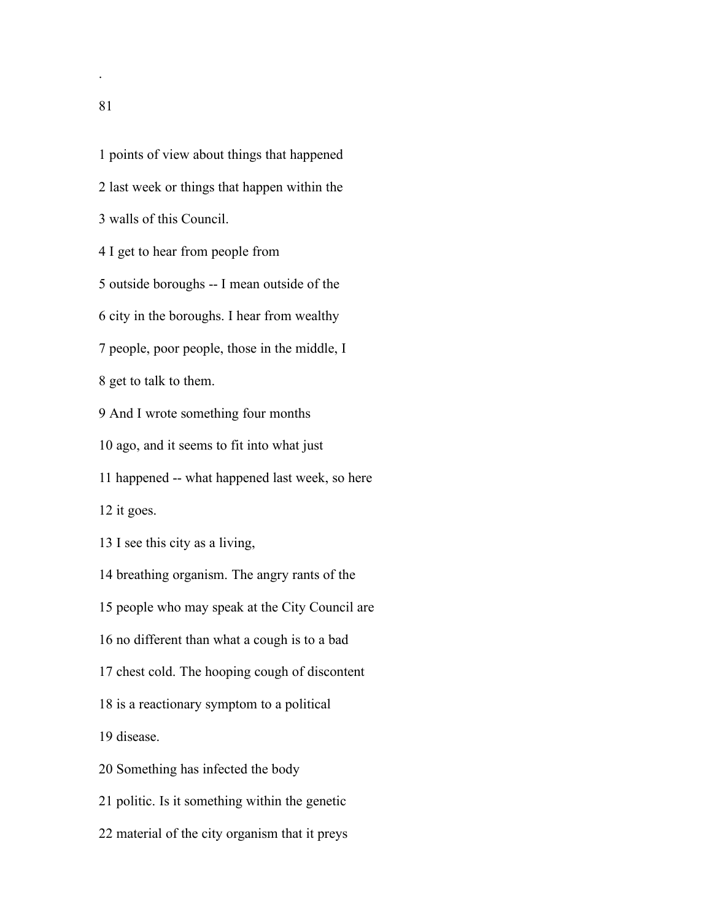points of view about things that happened last week or things that happen within the walls of this Council. I get to hear from people from outside boroughs -- I mean outside of the city in the boroughs. I hear from wealthy people, poor people, those in the middle, I get to talk to them. And I wrote something four months ago, and it seems to fit into what just happened -- what happened last week, so here it goes. I see this city as a living, breathing organism. The angry rants of the people who may speak at the City Council are no different than what a cough is to a bad chest cold. The hooping cough of discontent is a reactionary symptom to a political disease. Something has infected the body politic. Is it something within the genetic material of the city organism that it preys

.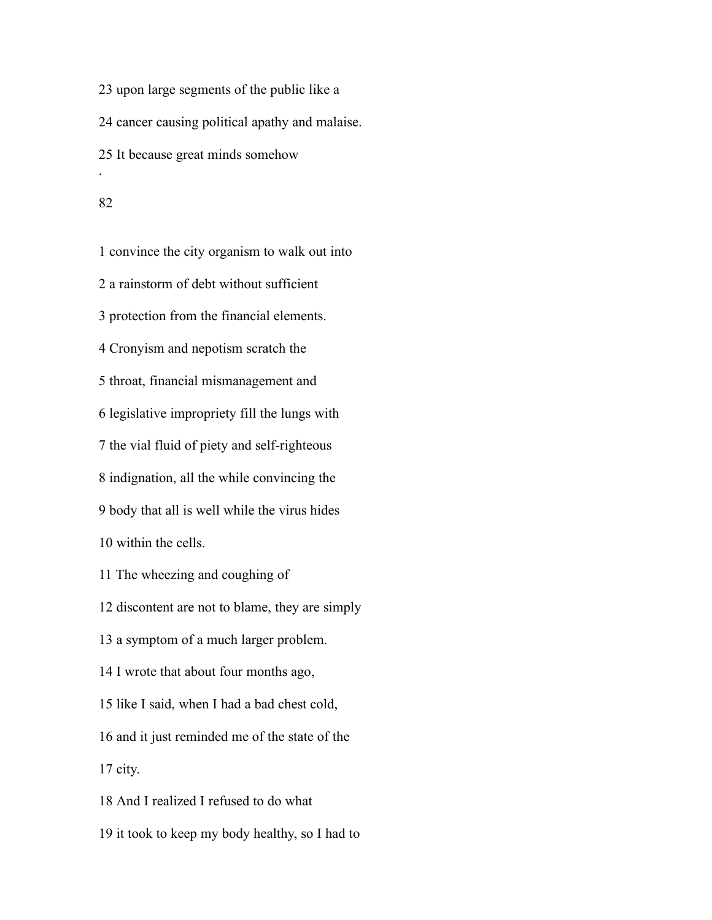upon large segments of the public like a cancer causing political apathy and malaise. It because great minds somehow .

 convince the city organism to walk out into a rainstorm of debt without sufficient protection from the financial elements. Cronyism and nepotism scratch the throat, financial mismanagement and legislative impropriety fill the lungs with the vial fluid of piety and self-righteous indignation, all the while convincing the body that all is well while the virus hides within the cells. The wheezing and coughing of discontent are not to blame, they are simply a symptom of a much larger problem. I wrote that about four months ago, like I said, when I had a bad chest cold, and it just reminded me of the state of the city.

And I realized I refused to do what

it took to keep my body healthy, so I had to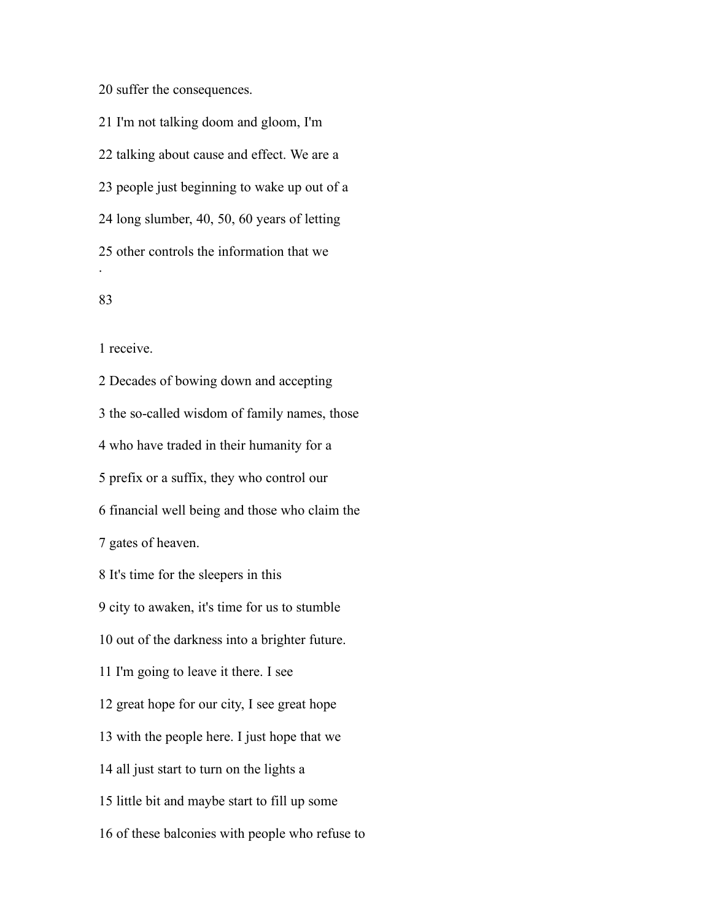suffer the consequences.

 I'm not talking doom and gloom, I'm talking about cause and effect. We are a people just beginning to wake up out of a long slumber, 40, 50, 60 years of letting other controls the information that we .

# 

receive.

 Decades of bowing down and accepting the so-called wisdom of family names, those who have traded in their humanity for a prefix or a suffix, they who control our financial well being and those who claim the gates of heaven. It's time for the sleepers in this city to awaken, it's time for us to stumble out of the darkness into a brighter future. I'm going to leave it there. I see great hope for our city, I see great hope with the people here. I just hope that we all just start to turn on the lights a little bit and maybe start to fill up some of these balconies with people who refuse to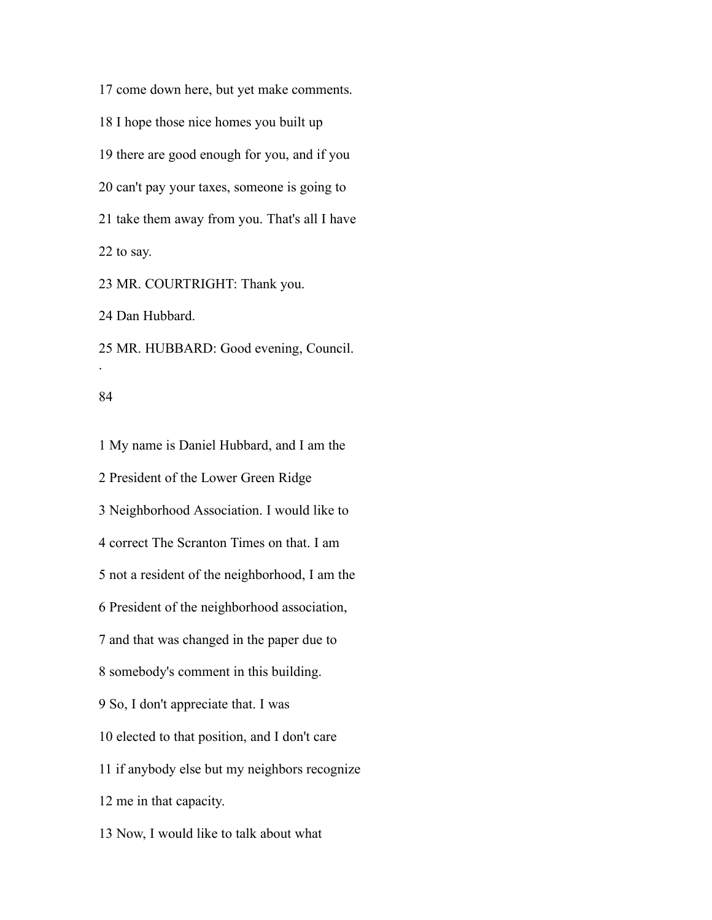come down here, but yet make comments. I hope those nice homes you built up there are good enough for you, and if you can't pay your taxes, someone is going to take them away from you. That's all I have to say. MR. COURTRIGHT: Thank you.

Dan Hubbard.

MR. HUBBARD: Good evening, Council.

#### 

.

 My name is Daniel Hubbard, and I am the President of the Lower Green Ridge Neighborhood Association. I would like to correct The Scranton Times on that. I am not a resident of the neighborhood, I am the President of the neighborhood association, and that was changed in the paper due to somebody's comment in this building. So, I don't appreciate that. I was elected to that position, and I don't care if anybody else but my neighbors recognize me in that capacity. Now, I would like to talk about what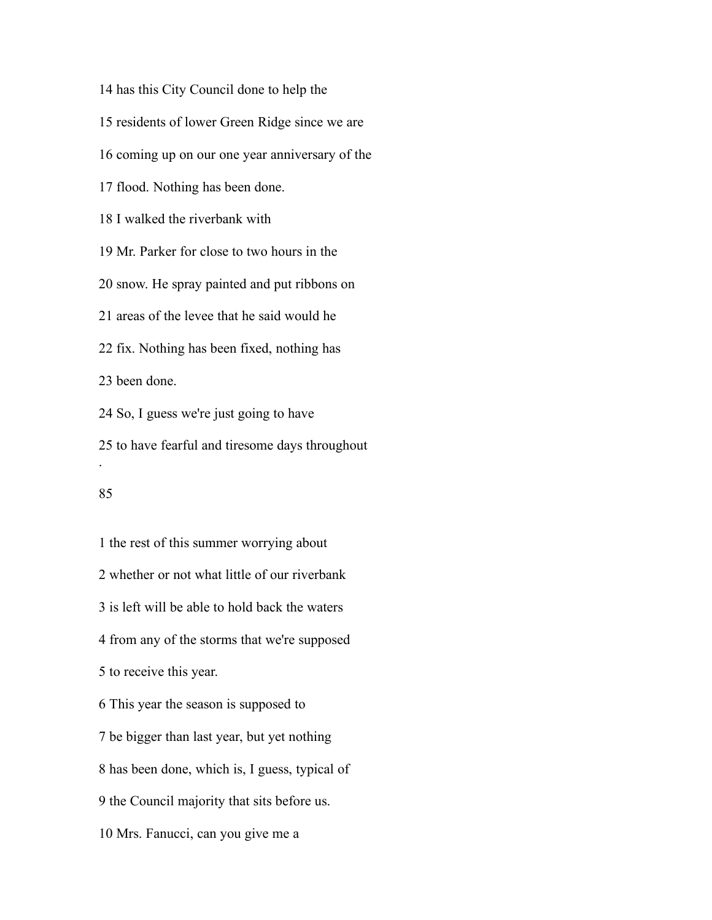has this City Council done to help the residents of lower Green Ridge since we are coming up on our one year anniversary of the flood. Nothing has been done. I walked the riverbank with Mr. Parker for close to two hours in the snow. He spray painted and put ribbons on areas of the levee that he said would he fix. Nothing has been fixed, nothing has been done. So, I guess we're just going to have to have fearful and tiresome days throughout .

 the rest of this summer worrying about whether or not what little of our riverbank is left will be able to hold back the waters from any of the storms that we're supposed to receive this year. This year the season is supposed to be bigger than last year, but yet nothing has been done, which is, I guess, typical of the Council majority that sits before us. Mrs. Fanucci, can you give me a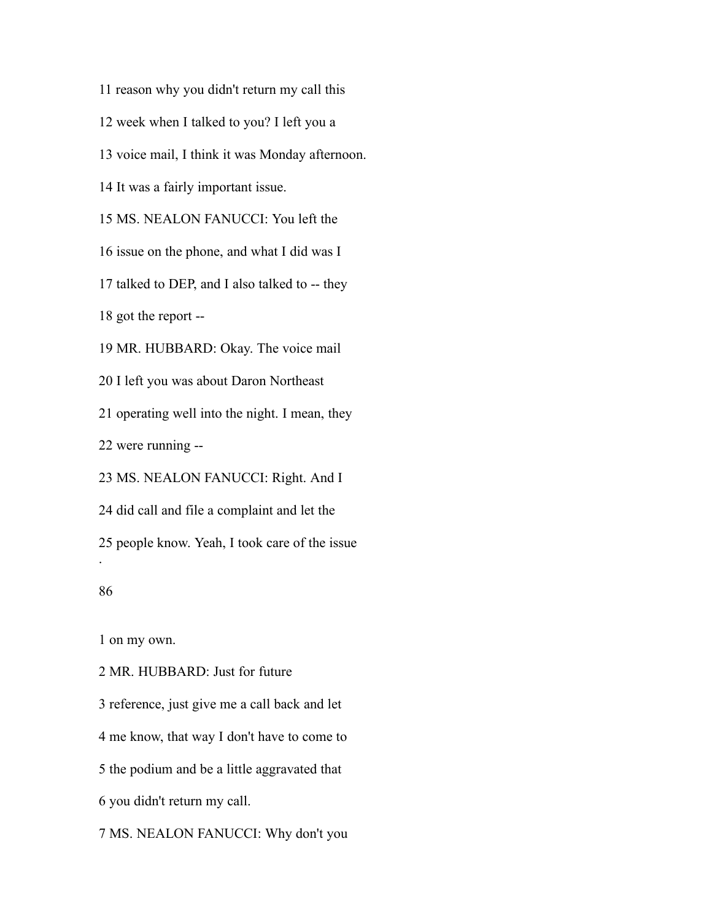reason why you didn't return my call this

week when I talked to you? I left you a

voice mail, I think it was Monday afternoon.

It was a fairly important issue.

MS. NEALON FANUCCI: You left the

issue on the phone, and what I did was I

talked to DEP, and I also talked to -- they

got the report --

MR. HUBBARD: Okay. The voice mail

I left you was about Daron Northeast

operating well into the night. I mean, they

were running --

MS. NEALON FANUCCI: Right. And I

did call and file a complaint and let the

people know. Yeah, I took care of the issue

#### 

.

on my own.

MR. HUBBARD: Just for future

reference, just give me a call back and let

me know, that way I don't have to come to

the podium and be a little aggravated that

you didn't return my call.

MS. NEALON FANUCCI: Why don't you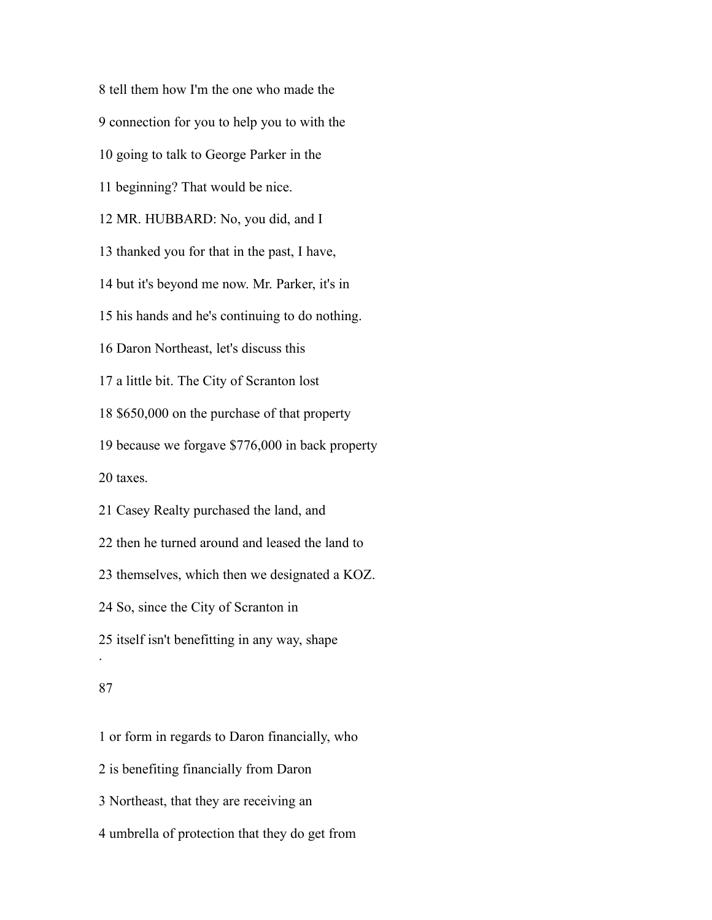tell them how I'm the one who made the connection for you to help you to with the going to talk to George Parker in the beginning? That would be nice. MR. HUBBARD: No, you did, and I thanked you for that in the past, I have, but it's beyond me now. Mr. Parker, it's in his hands and he's continuing to do nothing. Daron Northeast, let's discuss this a little bit. The City of Scranton lost \$650,000 on the purchase of that property because we forgave \$776,000 in back property taxes. Casey Realty purchased the land, and then he turned around and leased the land to themselves, which then we designated a KOZ. So, since the City of Scranton in itself isn't benefitting in any way, shape . 

 or form in regards to Daron financially, who is benefiting financially from Daron Northeast, that they are receiving an umbrella of protection that they do get from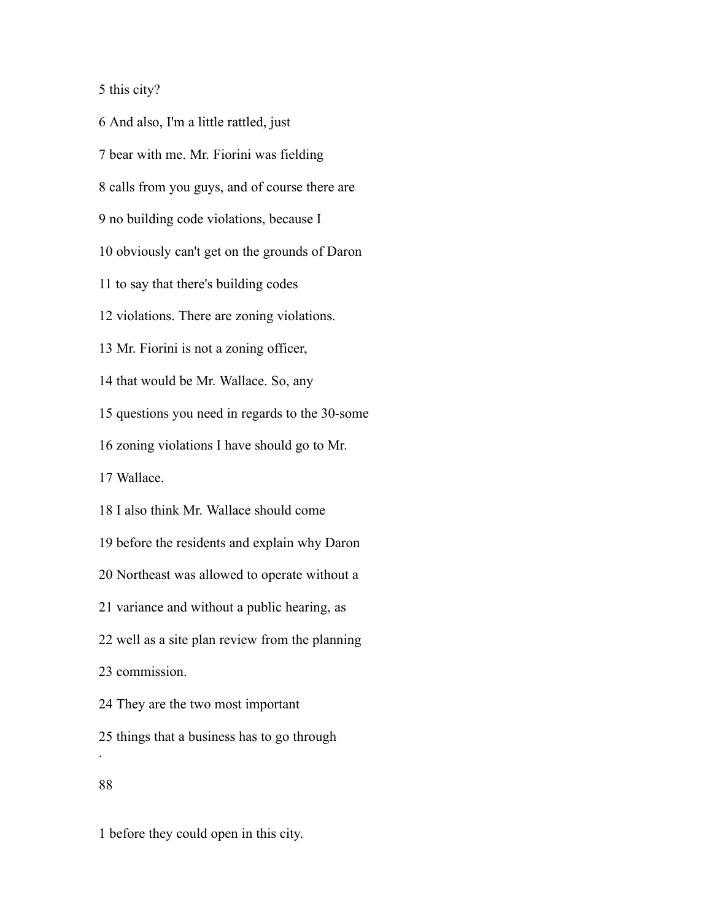this city?

 And also, I'm a little rattled, just bear with me. Mr. Fiorini was fielding calls from you guys, and of course there are no building code violations, because I obviously can't get on the grounds of Daron to say that there's building codes violations. There are zoning violations. Mr. Fiorini is not a zoning officer, that would be Mr. Wallace. So, any questions you need in regards to the 30-some zoning violations I have should go to Mr. Wallace. I also think Mr. Wallace should come before the residents and explain why Daron Northeast was allowed to operate without a variance and without a public hearing, as well as a site plan review from the planning commission. They are the two most important things that a business has to go through .

before they could open in this city.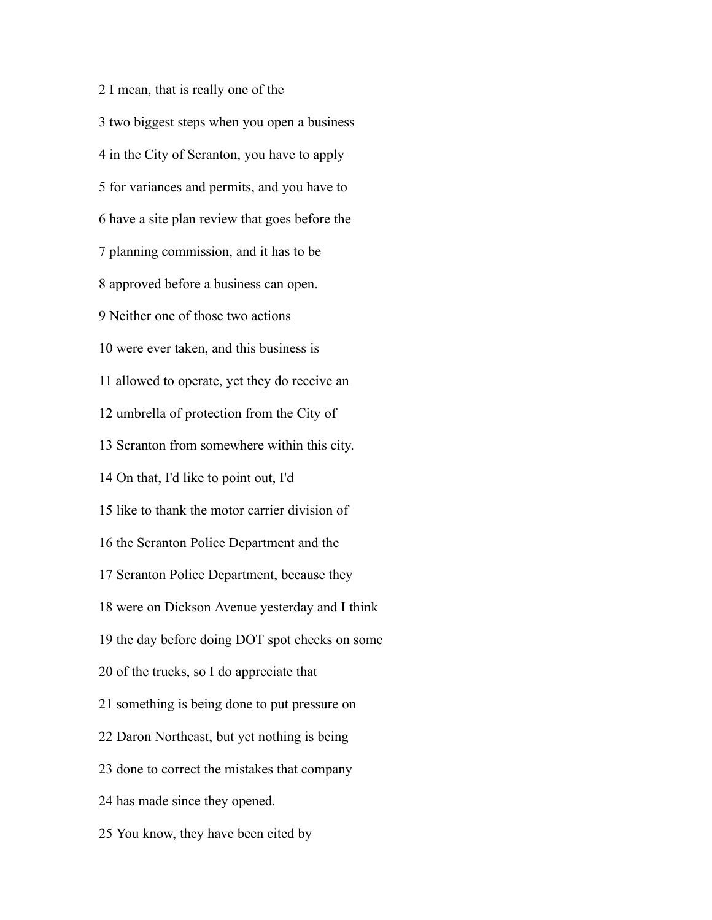I mean, that is really one of the two biggest steps when you open a business in the City of Scranton, you have to apply for variances and permits, and you have to have a site plan review that goes before the planning commission, and it has to be approved before a business can open. Neither one of those two actions were ever taken, and this business is allowed to operate, yet they do receive an umbrella of protection from the City of Scranton from somewhere within this city. On that, I'd like to point out, I'd like to thank the motor carrier division of the Scranton Police Department and the Scranton Police Department, because they were on Dickson Avenue yesterday and I think the day before doing DOT spot checks on some of the trucks, so I do appreciate that something is being done to put pressure on Daron Northeast, but yet nothing is being done to correct the mistakes that company has made since they opened. You know, they have been cited by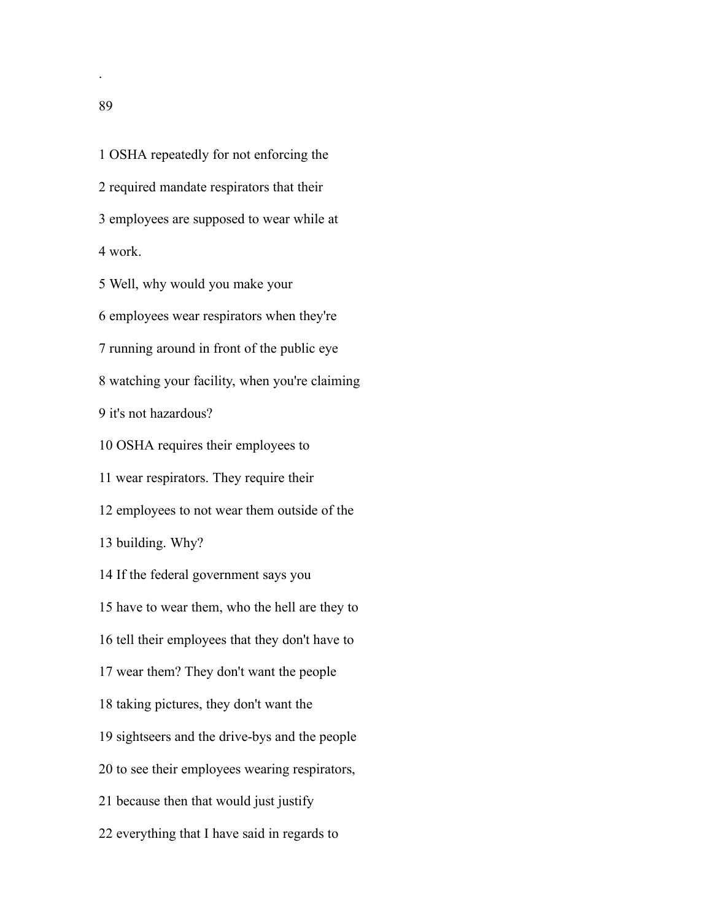OSHA repeatedly for not enforcing the required mandate respirators that their employees are supposed to wear while at work.

Well, why would you make your

employees wear respirators when they're

running around in front of the public eye

watching your facility, when you're claiming

it's not hazardous?

OSHA requires their employees to

wear respirators. They require their

employees to not wear them outside of the

building. Why?

If the federal government says you

have to wear them, who the hell are they to

tell their employees that they don't have to

wear them? They don't want the people

taking pictures, they don't want the

sightseers and the drive-bys and the people

to see their employees wearing respirators,

because then that would just justify

everything that I have said in regards to

.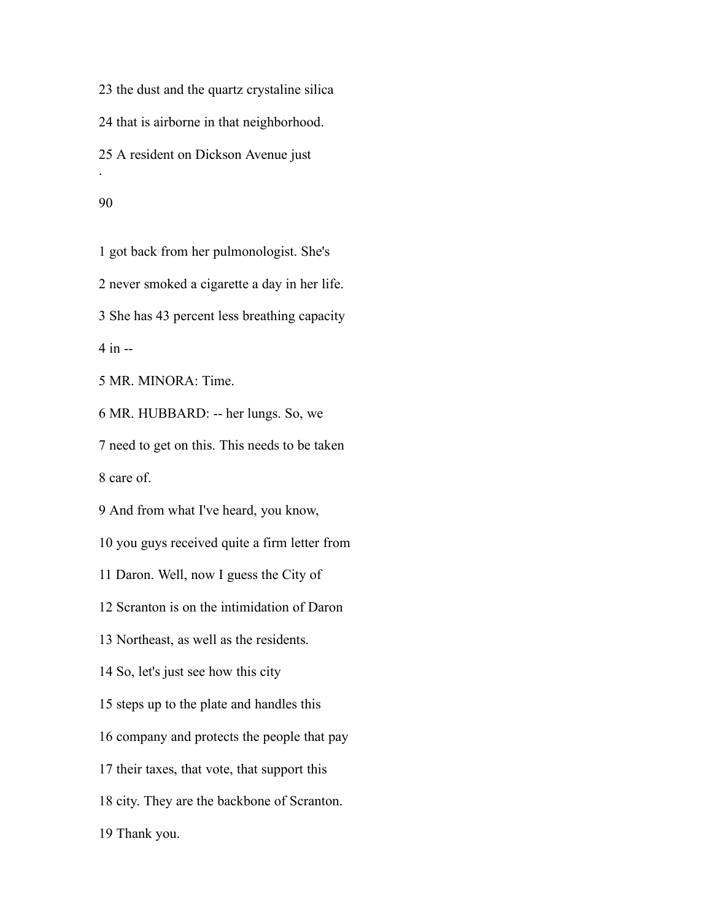the dust and the quartz crystaline silica that is airborne in that neighborhood. A resident on Dickson Avenue just . 

 got back from her pulmonologist. She's never smoked a cigarette a day in her life. She has 43 percent less breathing capacity in -- MR. MINORA: Time. MR. HUBBARD: -- her lungs. So, we need to get on this. This needs to be taken care of. And from what I've heard, you know, you guys received quite a firm letter from Daron. Well, now I guess the City of Scranton is on the intimidation of Daron Northeast, as well as the residents. So, let's just see how this city steps up to the plate and handles this company and protects the people that pay their taxes, that vote, that support this city. They are the backbone of Scranton.

Thank you.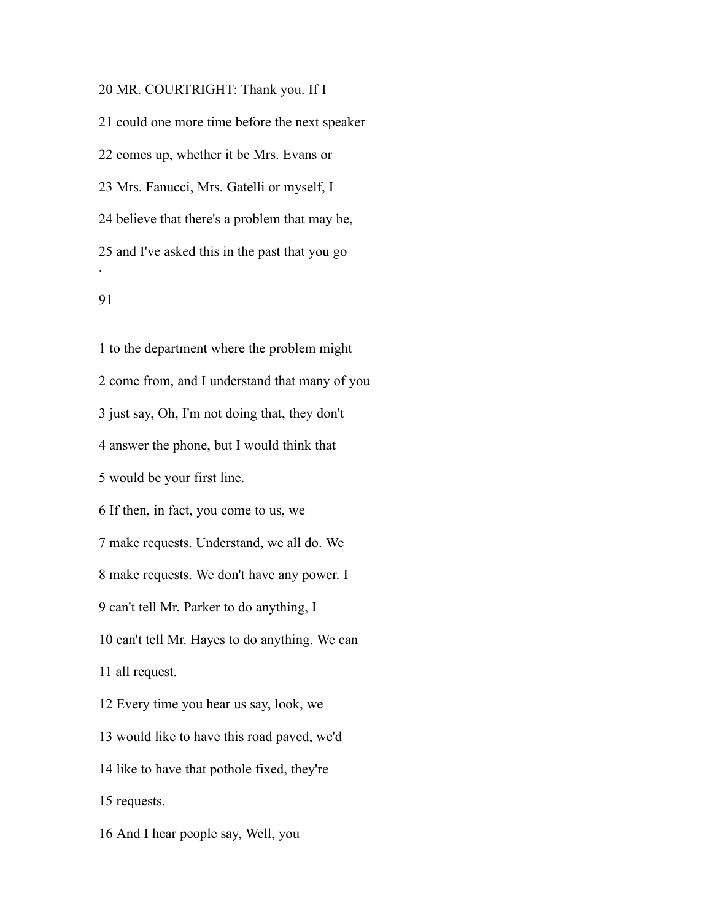MR. COURTRIGHT: Thank you. If I could one more time before the next speaker comes up, whether it be Mrs. Evans or Mrs. Fanucci, Mrs. Gatelli or myself, I believe that there's a problem that may be, and I've asked this in the past that you go .

### 

 to the department where the problem might come from, and I understand that many of you just say, Oh, I'm not doing that, they don't answer the phone, but I would think that would be your first line. If then, in fact, you come to us, we make requests. Understand, we all do. We make requests. We don't have any power. I can't tell Mr. Parker to do anything, I can't tell Mr. Hayes to do anything. We can all request. Every time you hear us say, look, we would like to have this road paved, we'd like to have that pothole fixed, they're requests. And I hear people say, Well, you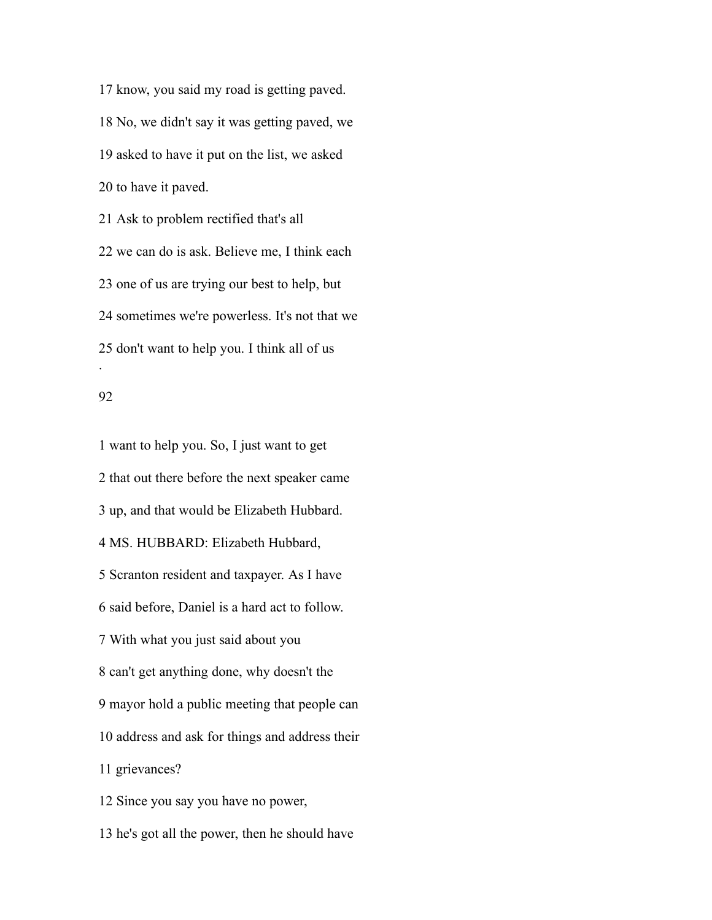know, you said my road is getting paved. No, we didn't say it was getting paved, we asked to have it put on the list, we asked to have it paved.

 Ask to problem rectified that's all we can do is ask. Believe me, I think each one of us are trying our best to help, but sometimes we're powerless. It's not that we don't want to help you. I think all of us .

## 

 want to help you. So, I just want to get that out there before the next speaker came up, and that would be Elizabeth Hubbard. MS. HUBBARD: Elizabeth Hubbard, Scranton resident and taxpayer. As I have said before, Daniel is a hard act to follow. With what you just said about you can't get anything done, why doesn't the mayor hold a public meeting that people can address and ask for things and address their grievances? Since you say you have no power,

he's got all the power, then he should have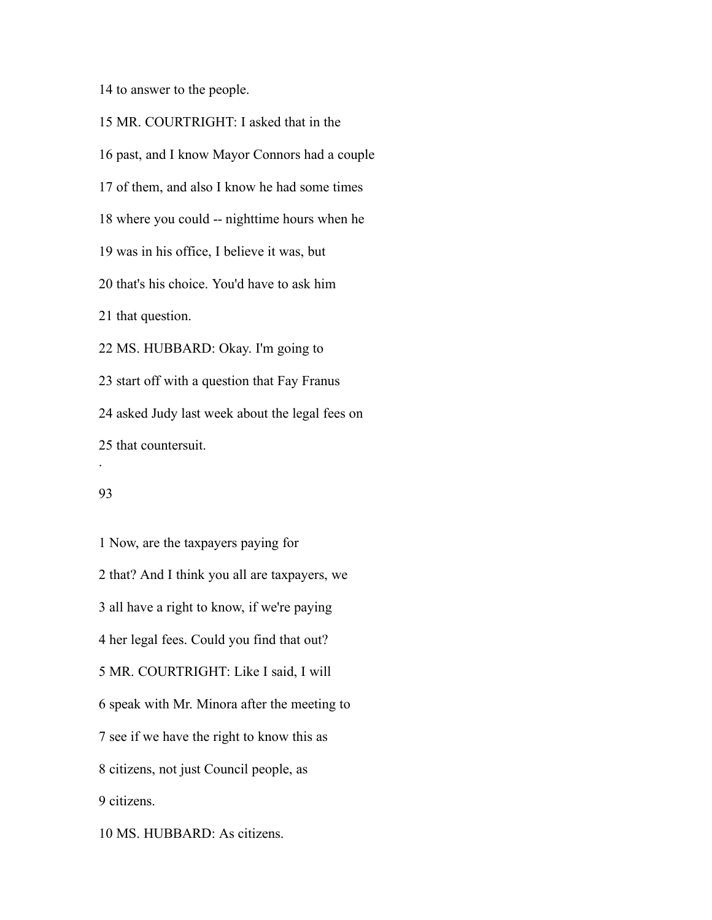to answer to the people.

 MR. COURTRIGHT: I asked that in the past, and I know Mayor Connors had a couple of them, and also I know he had some times where you could -- nighttime hours when he was in his office, I believe it was, but that's his choice. You'd have to ask him that question. MS. HUBBARD: Okay. I'm going to start off with a question that Fay Franus asked Judy last week about the legal fees on that countersuit.

#### 

.

 Now, are the taxpayers paying for that? And I think you all are taxpayers, we all have a right to know, if we're paying her legal fees. Could you find that out? MR. COURTRIGHT: Like I said, I will speak with Mr. Minora after the meeting to see if we have the right to know this as citizens, not just Council people, as citizens.

MS. HUBBARD: As citizens.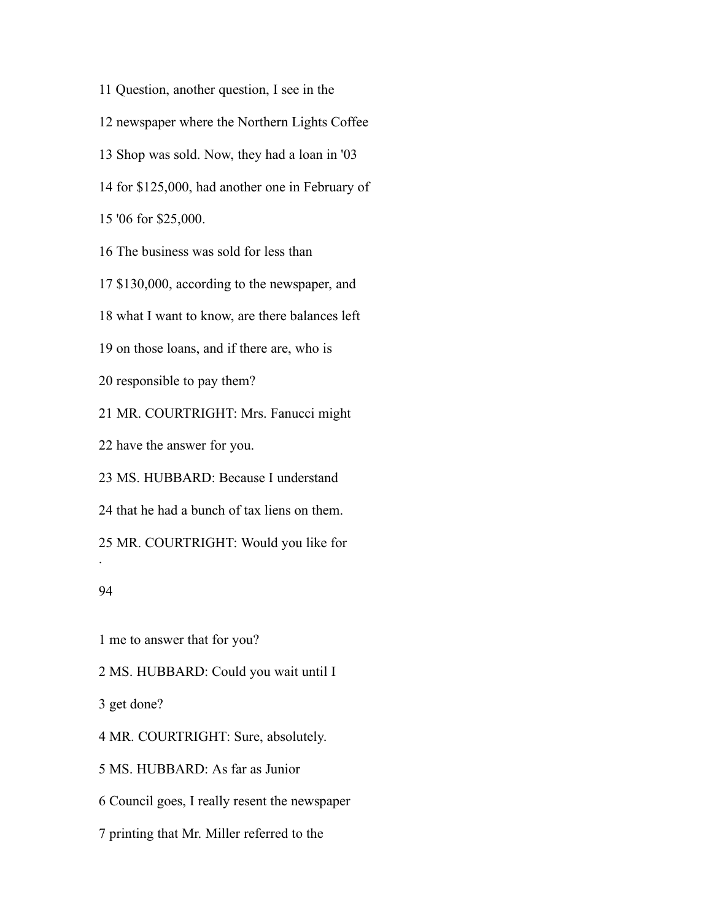Question, another question, I see in the newspaper where the Northern Lights Coffee Shop was sold. Now, they had a loan in '03 for \$125,000, had another one in February of '06 for \$25,000. The business was sold for less than \$130,000, according to the newspaper, and what I want to know, are there balances left on those loans, and if there are, who is responsible to pay them? MR. COURTRIGHT: Mrs. Fanucci might have the answer for you. MS. HUBBARD: Because I understand that he had a bunch of tax liens on them. MR. COURTRIGHT: Would you like for .

# 

me to answer that for you?

MS. HUBBARD: Could you wait until I

get done?

MR. COURTRIGHT: Sure, absolutely.

MS. HUBBARD: As far as Junior

Council goes, I really resent the newspaper

printing that Mr. Miller referred to the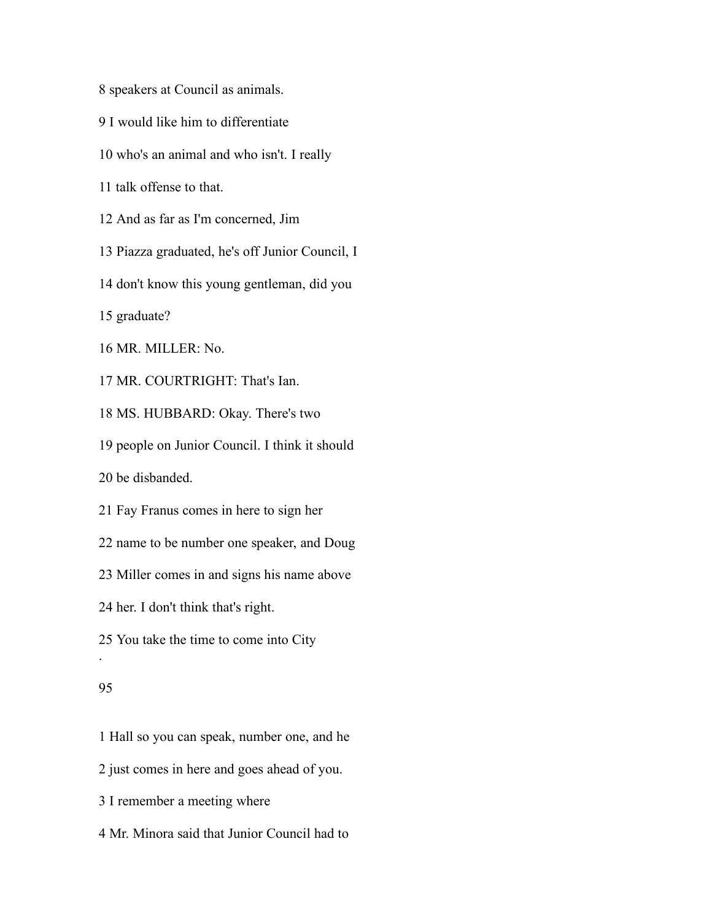speakers at Council as animals.

- I would like him to differentiate
- who's an animal and who isn't. I really
- talk offense to that.
- And as far as I'm concerned, Jim
- Piazza graduated, he's off Junior Council, I
- don't know this young gentleman, did you

graduate?

MR. MILLER: No.

MR. COURTRIGHT: That's Ian.

MS. HUBBARD: Okay. There's two

people on Junior Council. I think it should

be disbanded.

Fay Franus comes in here to sign her

name to be number one speaker, and Doug

Miller comes in and signs his name above

her. I don't think that's right.

You take the time to come into City

#### 

.

Hall so you can speak, number one, and he

just comes in here and goes ahead of you.

I remember a meeting where

Mr. Minora said that Junior Council had to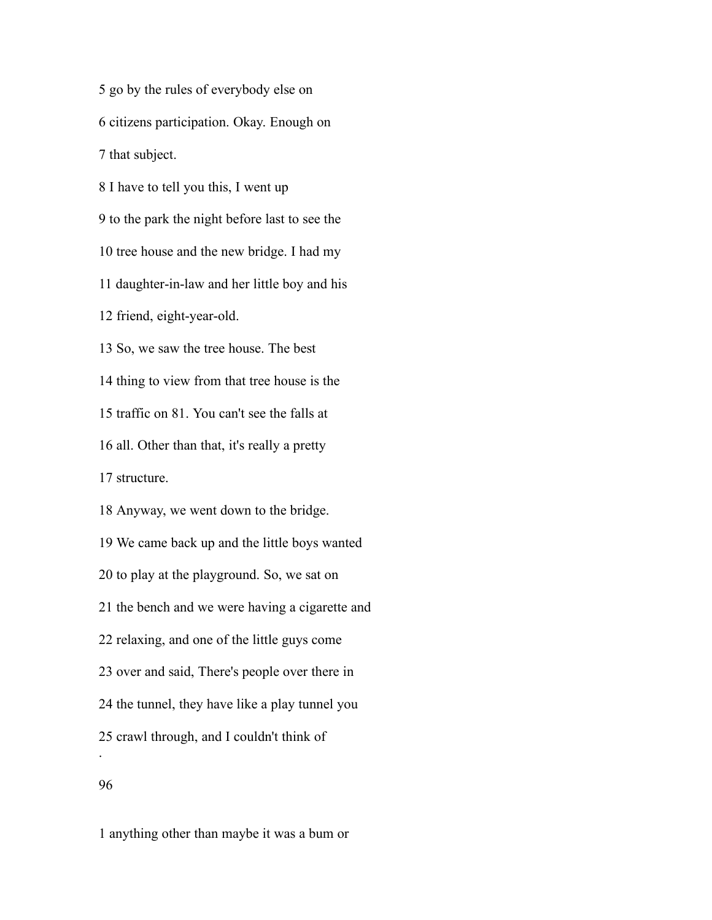go by the rules of everybody else on citizens participation. Okay. Enough on that subject.

 I have to tell you this, I went up to the park the night before last to see the tree house and the new bridge. I had my daughter-in-law and her little boy and his friend, eight-year-old. So, we saw the tree house. The best thing to view from that tree house is the traffic on 81. You can't see the falls at all. Other than that, it's really a pretty structure. Anyway, we went down to the bridge. We came back up and the little boys wanted to play at the playground. So, we sat on the bench and we were having a cigarette and relaxing, and one of the little guys come over and said, There's people over there in the tunnel, they have like a play tunnel you crawl through, and I couldn't think of .

anything other than maybe it was a bum or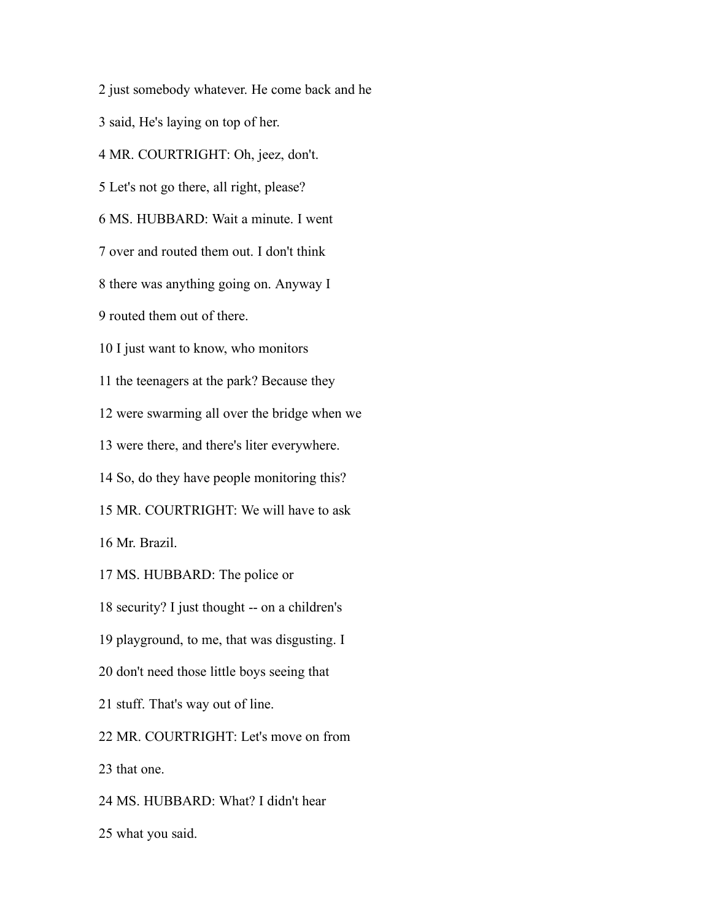just somebody whatever. He come back and he said, He's laying on top of her. MR. COURTRIGHT: Oh, jeez, don't. Let's not go there, all right, please? MS. HUBBARD: Wait a minute. I went over and routed them out. I don't think there was anything going on. Anyway I routed them out of there. I just want to know, who monitors the teenagers at the park? Because they were swarming all over the bridge when we were there, and there's liter everywhere. So, do they have people monitoring this? MR. COURTRIGHT: We will have to ask Mr. Brazil. MS. HUBBARD: The police or security? I just thought -- on a children's playground, to me, that was disgusting. I don't need those little boys seeing that stuff. That's way out of line. MR. COURTRIGHT: Let's move on from that one. MS. HUBBARD: What? I didn't hear what you said.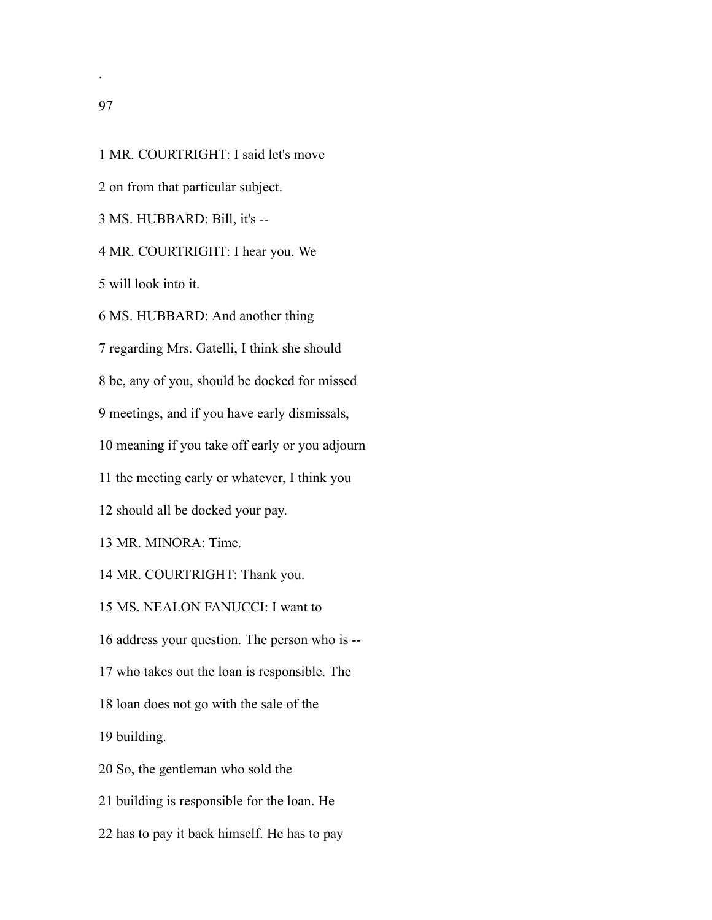on from that particular subject. MS. HUBBARD: Bill, it's -- MR. COURTRIGHT: I hear you. We will look into it. MS. HUBBARD: And another thing regarding Mrs. Gatelli, I think she should be, any of you, should be docked for missed meetings, and if you have early dismissals, meaning if you take off early or you adjourn the meeting early or whatever, I think you should all be docked your pay. MR. MINORA: Time. MR. COURTRIGHT: Thank you. MS. NEALON FANUCCI: I want to address your question. The person who is -- who takes out the loan is responsible. The loan does not go with the sale of the building. So, the gentleman who sold the building is responsible for the loan. He has to pay it back himself. He has to pay

MR. COURTRIGHT: I said let's move

.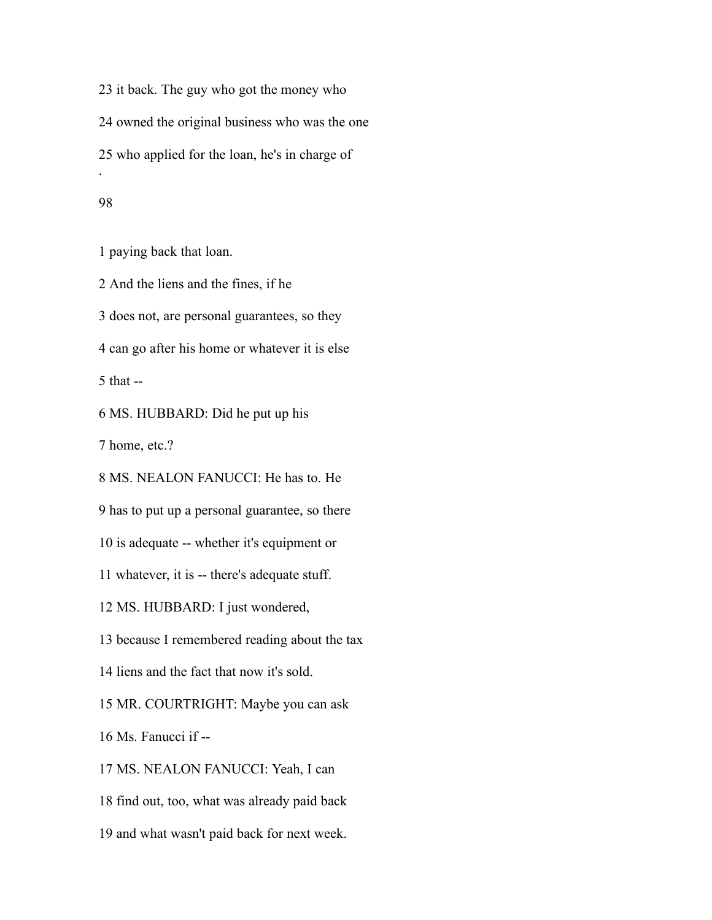it back. The guy who got the money who owned the original business who was the one who applied for the loan, he's in charge of .

## 

paying back that loan.

And the liens and the fines, if he

does not, are personal guarantees, so they

can go after his home or whatever it is else

that --

MS. HUBBARD: Did he put up his

home, etc.?

MS. NEALON FANUCCI: He has to. He

has to put up a personal guarantee, so there

is adequate -- whether it's equipment or

whatever, it is -- there's adequate stuff.

MS. HUBBARD: I just wondered,

because I remembered reading about the tax

liens and the fact that now it's sold.

MR. COURTRIGHT: Maybe you can ask

Ms. Fanucci if --

MS. NEALON FANUCCI: Yeah, I can

find out, too, what was already paid back

and what wasn't paid back for next week.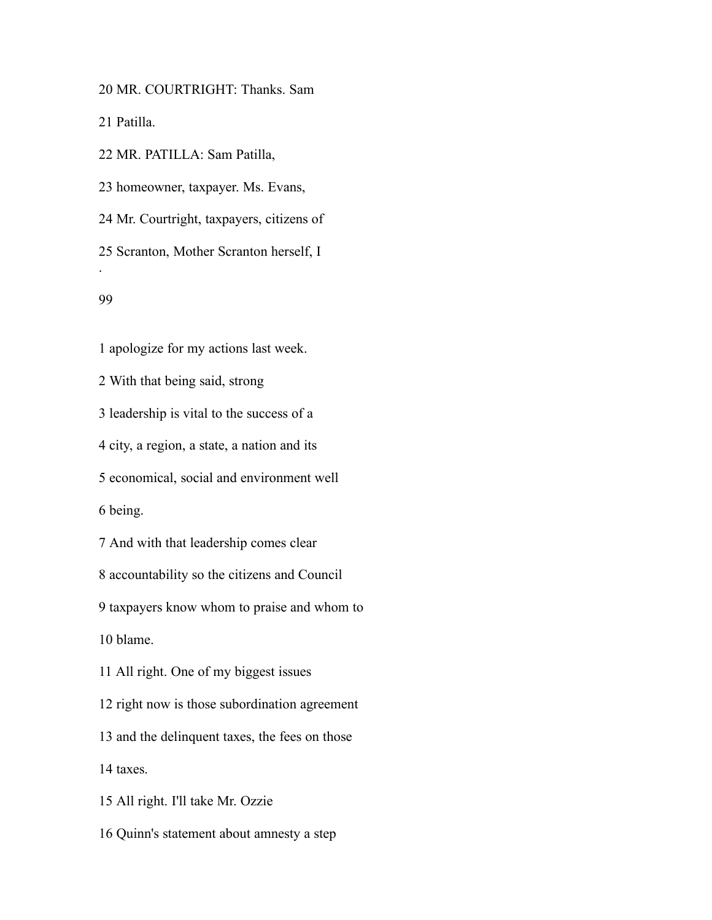MR. COURTRIGHT: Thanks. Sam

Patilla.

MR. PATILLA: Sam Patilla,

homeowner, taxpayer. Ms. Evans,

Mr. Courtright, taxpayers, citizens of

Scranton, Mother Scranton herself, I

#### 

.

apologize for my actions last week.

With that being said, strong

leadership is vital to the success of a

city, a region, a state, a nation and its

economical, social and environment well

being.

And with that leadership comes clear

accountability so the citizens and Council

taxpayers know whom to praise and whom to

blame.

All right. One of my biggest issues

right now is those subordination agreement

and the delinquent taxes, the fees on those

taxes.

All right. I'll take Mr. Ozzie

Quinn's statement about amnesty a step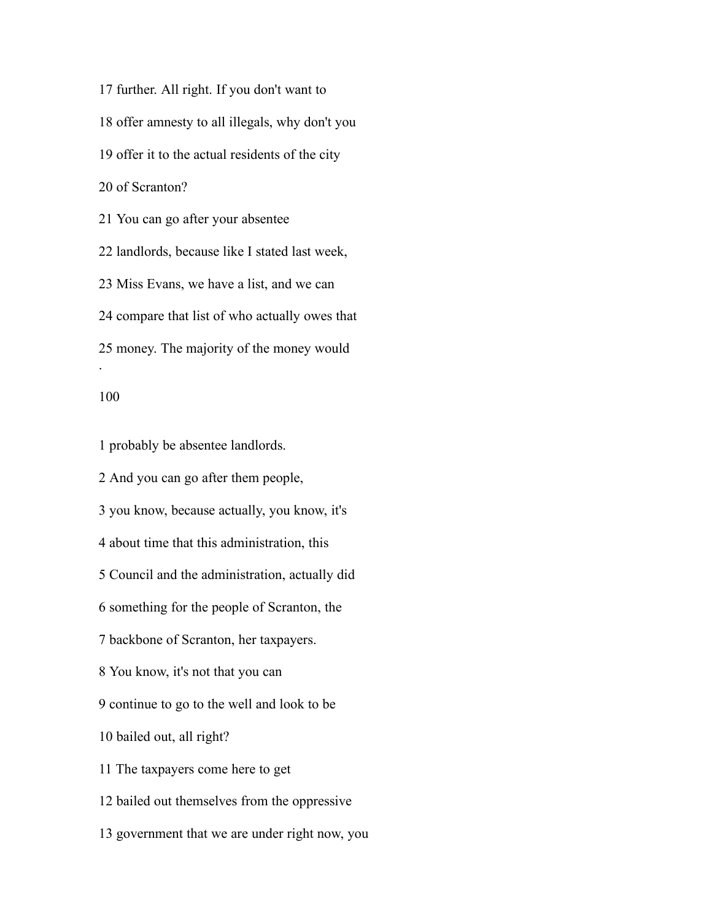further. All right. If you don't want to offer amnesty to all illegals, why don't you offer it to the actual residents of the city of Scranton? You can go after your absentee landlords, because like I stated last week, Miss Evans, we have a list, and we can compare that list of who actually owes that money. The majority of the money would

#### 

.

probably be absentee landlords.

And you can go after them people,

you know, because actually, you know, it's

about time that this administration, this

Council and the administration, actually did

something for the people of Scranton, the

backbone of Scranton, her taxpayers.

You know, it's not that you can

continue to go to the well and look to be

bailed out, all right?

The taxpayers come here to get

bailed out themselves from the oppressive

government that we are under right now, you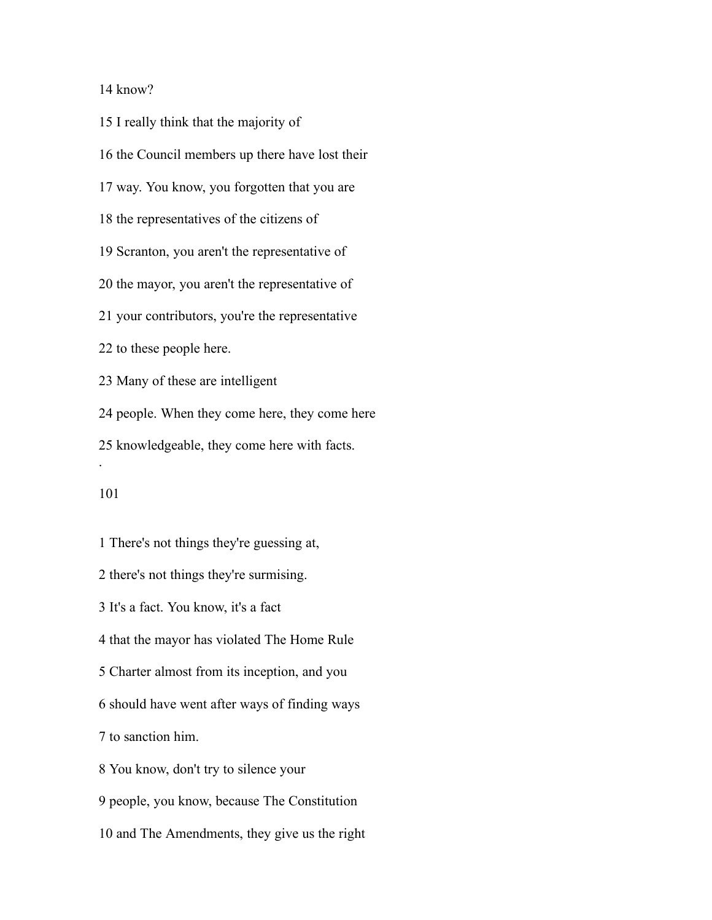## know?

 I really think that the majority of the Council members up there have lost their way. You know, you forgotten that you are the representatives of the citizens of Scranton, you aren't the representative of the mayor, you aren't the representative of your contributors, you're the representative to these people here. Many of these are intelligent people. When they come here, they come here knowledgeable, they come here with facts. .

 There's not things they're guessing at, there's not things they're surmising. It's a fact. You know, it's a fact that the mayor has violated The Home Rule Charter almost from its inception, and you should have went after ways of finding ways to sanction him. You know, don't try to silence your people, you know, because The Constitution

and The Amendments, they give us the right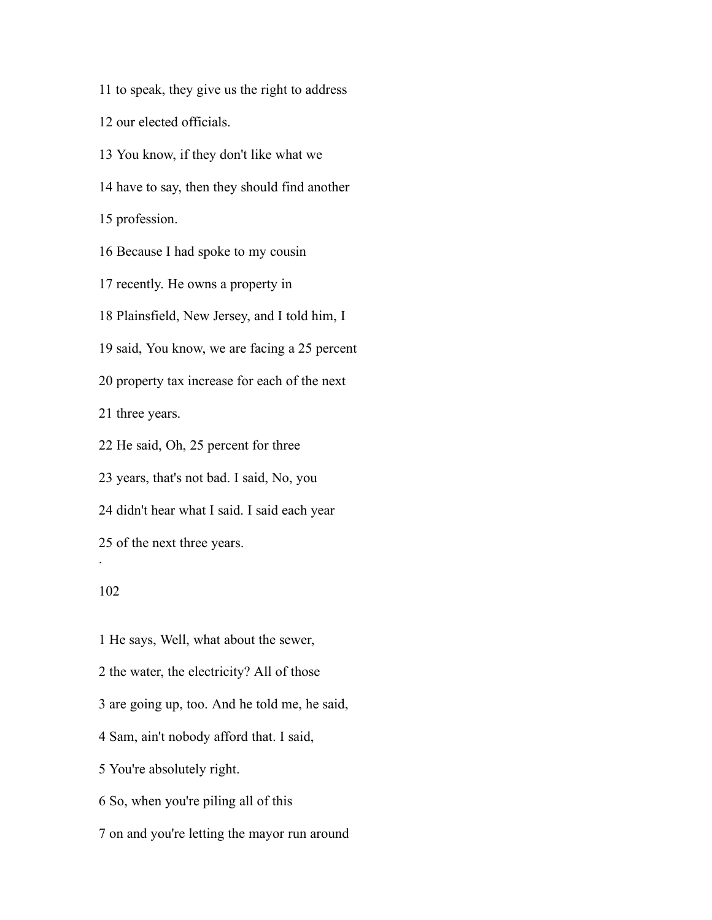to speak, they give us the right to address

our elected officials.

You know, if they don't like what we

have to say, then they should find another

profession.

Because I had spoke to my cousin

recently. He owns a property in

Plainsfield, New Jersey, and I told him, I

said, You know, we are facing a 25 percent

property tax increase for each of the next

three years.

He said, Oh, 25 percent for three

years, that's not bad. I said, No, you

didn't hear what I said. I said each year

of the next three years.

# 

.

 He says, Well, what about the sewer, the water, the electricity? All of those are going up, too. And he told me, he said, Sam, ain't nobody afford that. I said, You're absolutely right. So, when you're piling all of this on and you're letting the mayor run around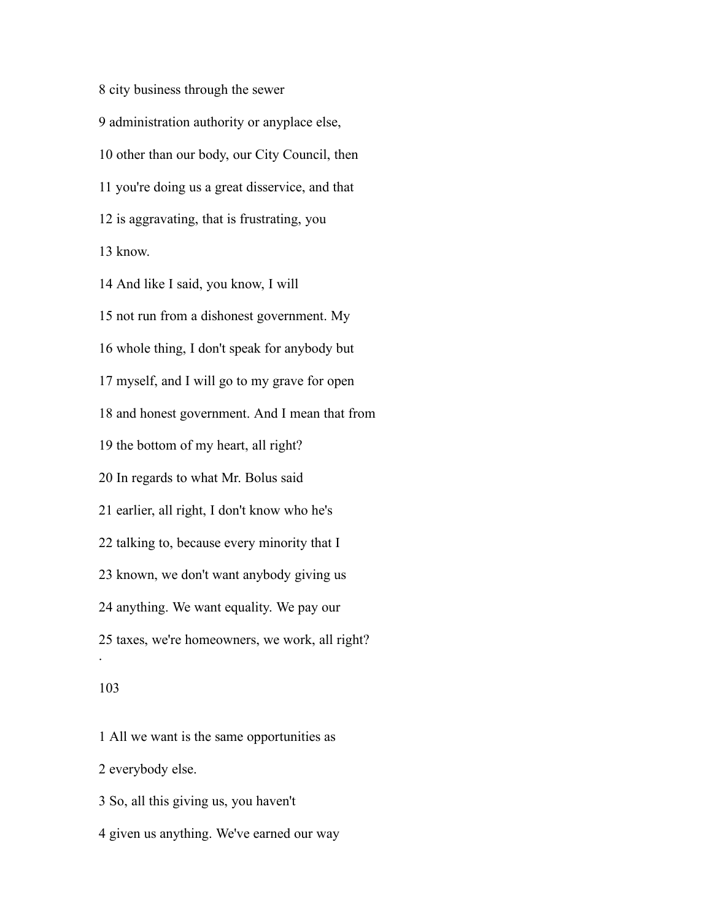city business through the sewer administration authority or anyplace else, other than our body, our City Council, then you're doing us a great disservice, and that is aggravating, that is frustrating, you know.

 And like I said, you know, I will not run from a dishonest government. My whole thing, I don't speak for anybody but myself, and I will go to my grave for open and honest government. And I mean that from the bottom of my heart, all right? In regards to what Mr. Bolus said earlier, all right, I don't know who he's talking to, because every minority that I known, we don't want anybody giving us anything. We want equality. We pay our taxes, we're homeowners, we work, all right? .

# 

All we want is the same opportunities as

everybody else.

So, all this giving us, you haven't

given us anything. We've earned our way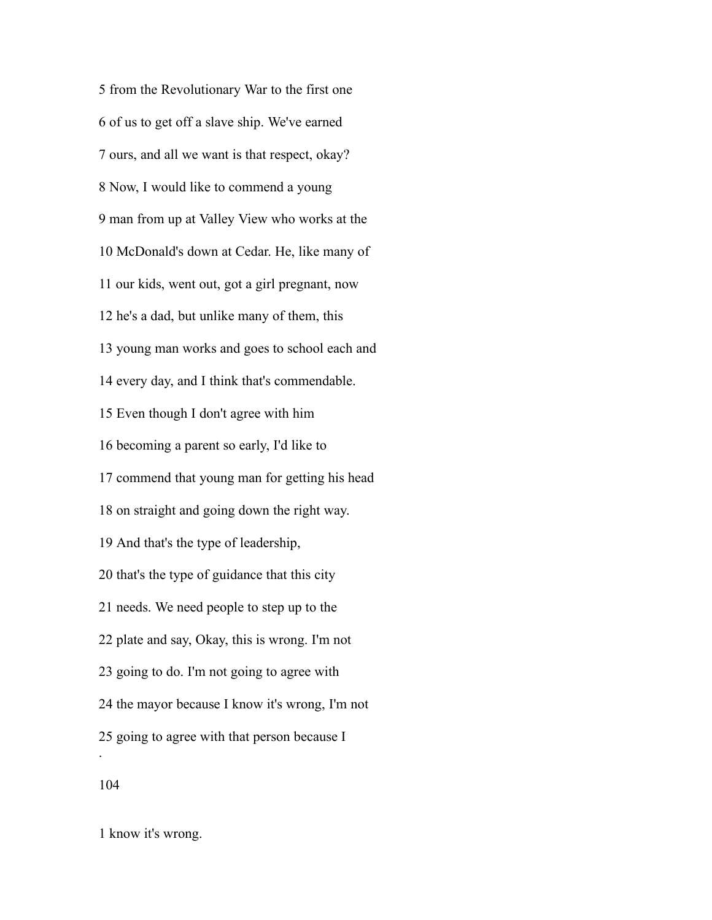from the Revolutionary War to the first one of us to get off a slave ship. We've earned ours, and all we want is that respect, okay? Now, I would like to commend a young man from up at Valley View who works at the McDonald's down at Cedar. He, like many of our kids, went out, got a girl pregnant, now he's a dad, but unlike many of them, this young man works and goes to school each and every day, and I think that's commendable. Even though I don't agree with him becoming a parent so early, I'd like to commend that young man for getting his head on straight and going down the right way. And that's the type of leadership, that's the type of guidance that this city needs. We need people to step up to the plate and say, Okay, this is wrong. I'm not going to do. I'm not going to agree with the mayor because I know it's wrong, I'm not going to agree with that person because I . 

know it's wrong.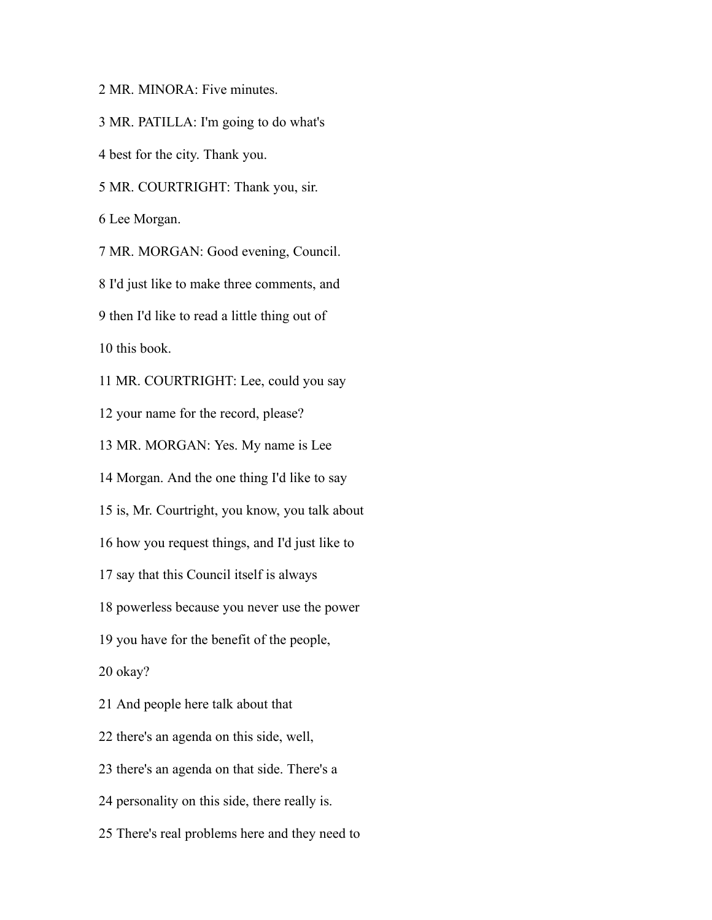MR. MINORA: Five minutes.

MR. PATILLA: I'm going to do what's

best for the city. Thank you.

MR. COURTRIGHT: Thank you, sir.

Lee Morgan.

MR. MORGAN: Good evening, Council.

I'd just like to make three comments, and

then I'd like to read a little thing out of

this book.

MR. COURTRIGHT: Lee, could you say

your name for the record, please?

MR. MORGAN: Yes. My name is Lee

Morgan. And the one thing I'd like to say

is, Mr. Courtright, you know, you talk about

how you request things, and I'd just like to

say that this Council itself is always

powerless because you never use the power

you have for the benefit of the people,

okay?

And people here talk about that

there's an agenda on this side, well,

there's an agenda on that side. There's a

personality on this side, there really is.

There's real problems here and they need to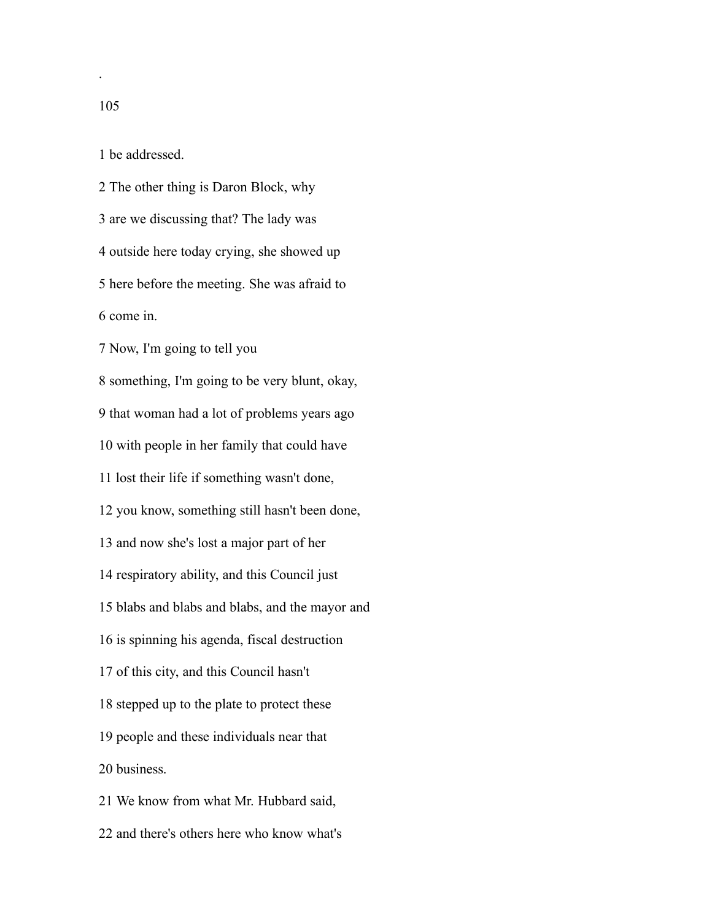.

be addressed.

 The other thing is Daron Block, why are we discussing that? The lady was outside here today crying, she showed up here before the meeting. She was afraid to come in. Now, I'm going to tell you something, I'm going to be very blunt, okay, that woman had a lot of problems years ago with people in her family that could have lost their life if something wasn't done, you know, something still hasn't been done, and now she's lost a major part of her respiratory ability, and this Council just blabs and blabs and blabs, and the mayor and is spinning his agenda, fiscal destruction of this city, and this Council hasn't stepped up to the plate to protect these people and these individuals near that business. We know from what Mr. Hubbard said,

and there's others here who know what's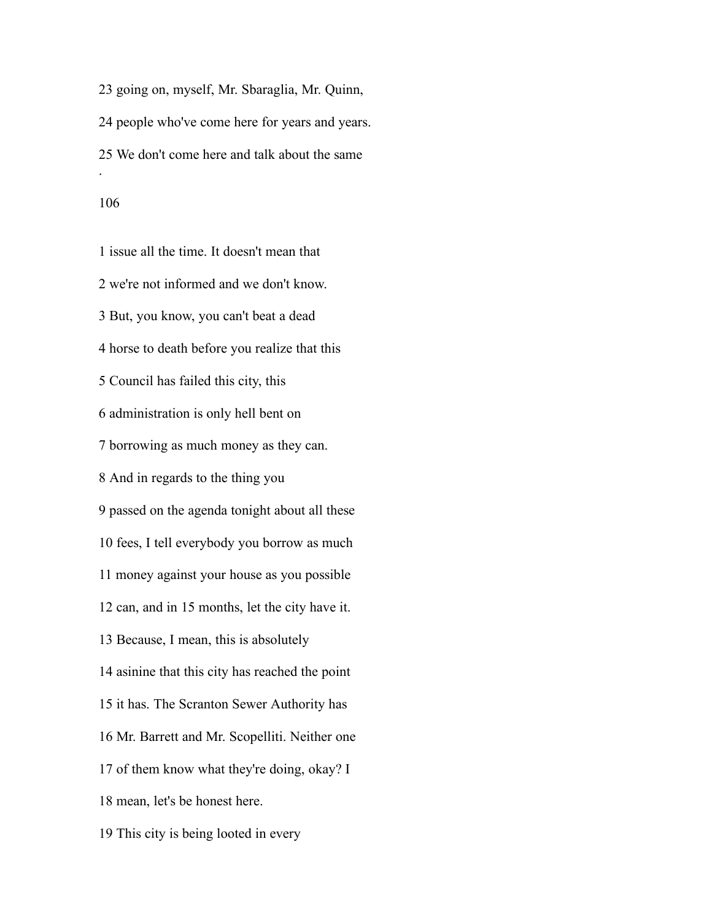going on, myself, Mr. Sbaraglia, Mr. Quinn, people who've come here for years and years. We don't come here and talk about the same .

 issue all the time. It doesn't mean that we're not informed and we don't know. But, you know, you can't beat a dead horse to death before you realize that this Council has failed this city, this administration is only hell bent on borrowing as much money as they can. And in regards to the thing you passed on the agenda tonight about all these fees, I tell everybody you borrow as much money against your house as you possible can, and in 15 months, let the city have it. Because, I mean, this is absolutely asinine that this city has reached the point it has. The Scranton Sewer Authority has Mr. Barrett and Mr. Scopelliti. Neither one of them know what they're doing, okay? I mean, let's be honest here. This city is being looted in every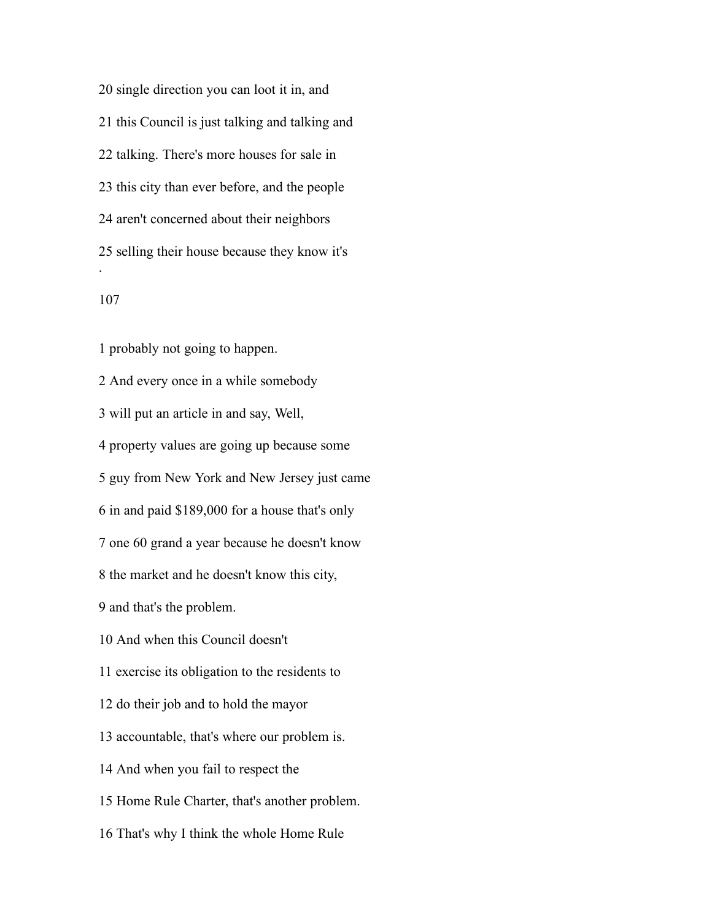single direction you can loot it in, and this Council is just talking and talking and talking. There's more houses for sale in this city than ever before, and the people aren't concerned about their neighbors selling their house because they know it's .

 probably not going to happen. And every once in a while somebody will put an article in and say, Well, property values are going up because some guy from New York and New Jersey just came in and paid \$189,000 for a house that's only one 60 grand a year because he doesn't know the market and he doesn't know this city, and that's the problem. And when this Council doesn't exercise its obligation to the residents to do their job and to hold the mayor accountable, that's where our problem is. And when you fail to respect the Home Rule Charter, that's another problem. That's why I think the whole Home Rule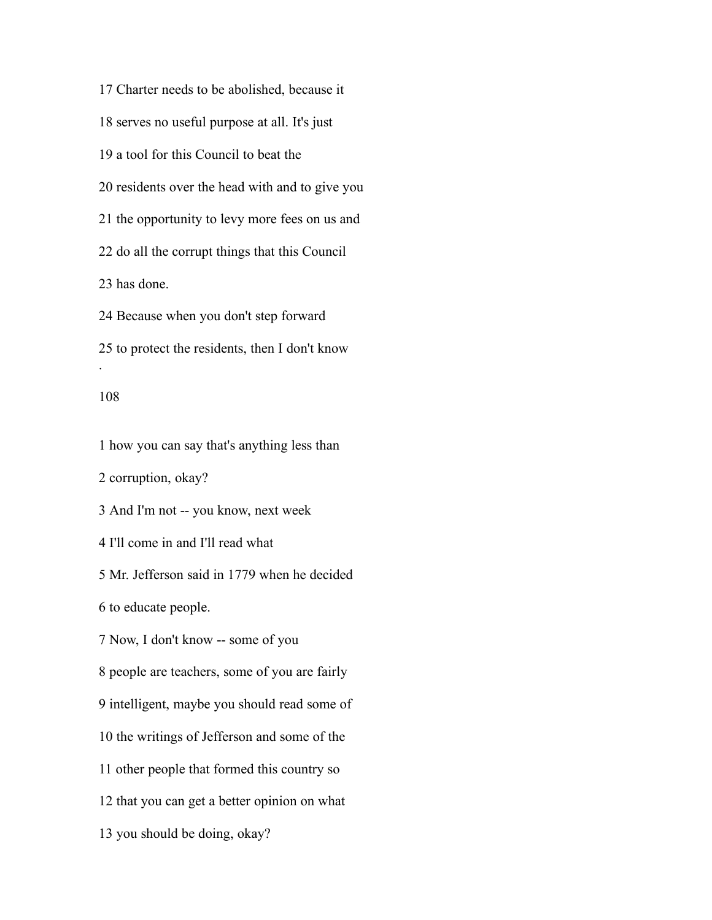Charter needs to be abolished, because it serves no useful purpose at all. It's just a tool for this Council to beat the residents over the head with and to give you the opportunity to levy more fees on us and do all the corrupt things that this Council has done. Because when you don't step forward to protect the residents, then I don't know .

### 

how you can say that's anything less than

corruption, okay?

And I'm not -- you know, next week

I'll come in and I'll read what

Mr. Jefferson said in 1779 when he decided

to educate people.

Now, I don't know -- some of you

people are teachers, some of you are fairly

intelligent, maybe you should read some of

the writings of Jefferson and some of the

other people that formed this country so

that you can get a better opinion on what

you should be doing, okay?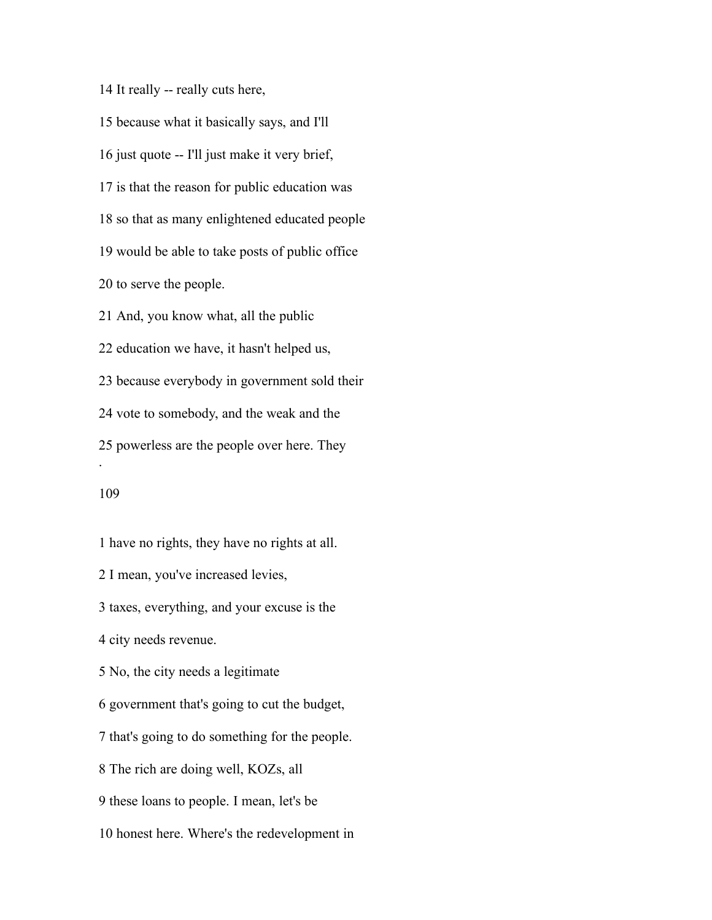It really -- really cuts here,

 because what it basically says, and I'll just quote -- I'll just make it very brief, is that the reason for public education was so that as many enlightened educated people would be able to take posts of public office to serve the people. And, you know what, all the public education we have, it hasn't helped us, because everybody in government sold their vote to somebody, and the weak and the powerless are the people over here. They .

 have no rights, they have no rights at all. I mean, you've increased levies, taxes, everything, and your excuse is the city needs revenue. No, the city needs a legitimate government that's going to cut the budget, that's going to do something for the people. The rich are doing well, KOZs, all these loans to people. I mean, let's be honest here. Where's the redevelopment in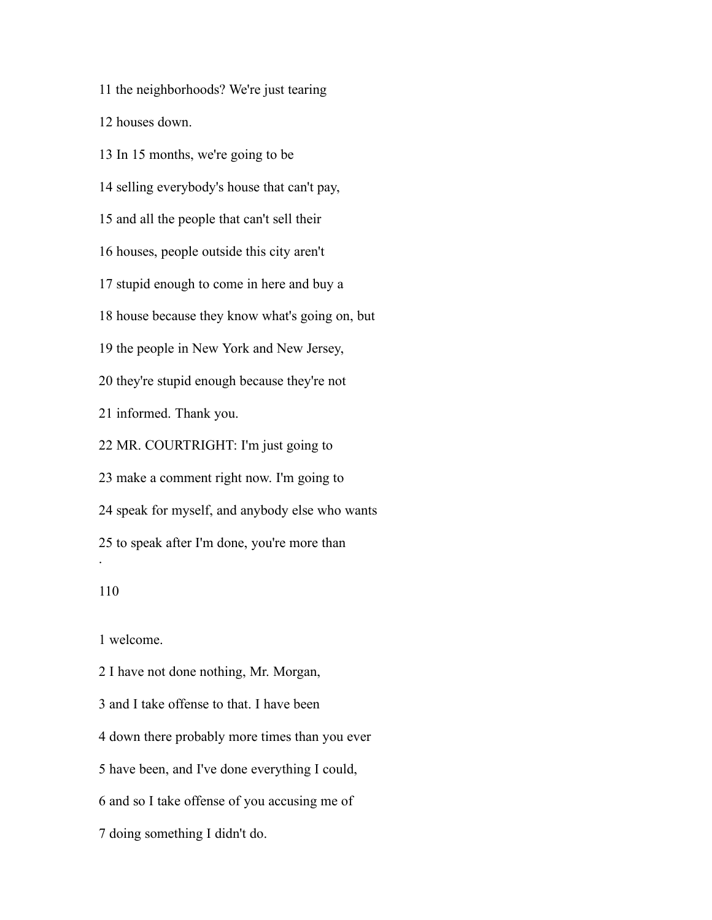the neighborhoods? We're just tearing

houses down.

 In 15 months, we're going to be selling everybody's house that can't pay, and all the people that can't sell their houses, people outside this city aren't stupid enough to come in here and buy a house because they know what's going on, but the people in New York and New Jersey, they're stupid enough because they're not informed. Thank you. MR. COURTRIGHT: I'm just going to make a comment right now. I'm going to speak for myself, and anybody else who wants to speak after I'm done, you're more than .

welcome.

 I have not done nothing, Mr. Morgan, and I take offense to that. I have been down there probably more times than you ever have been, and I've done everything I could, and so I take offense of you accusing me of doing something I didn't do.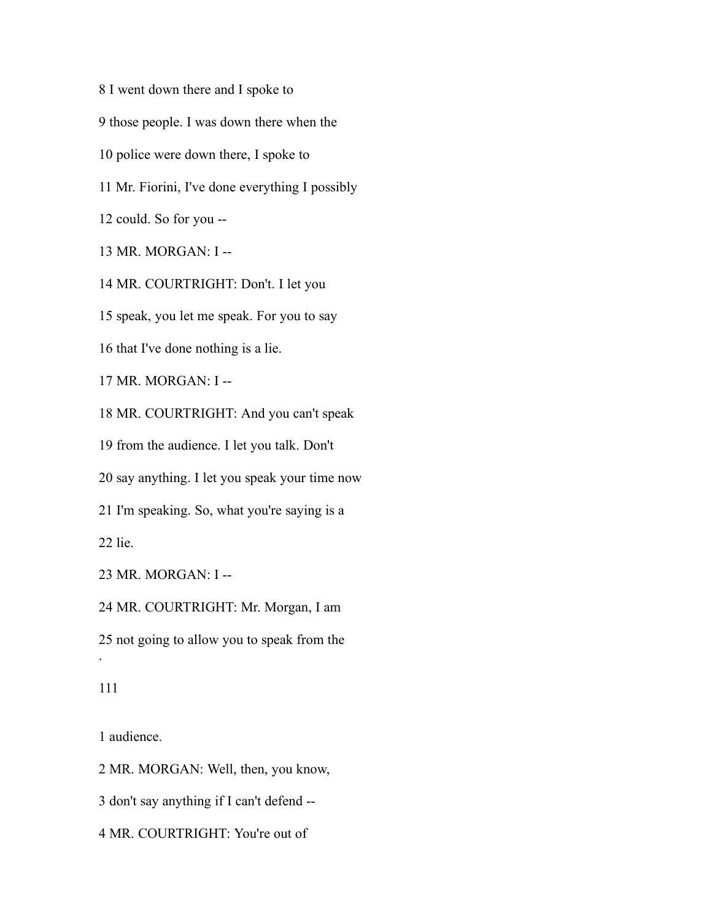I went down there and I spoke to those people. I was down there when the police were down there, I spoke to Mr. Fiorini, I've done everything I possibly could. So for you -- MR. MORGAN: I -- MR. COURTRIGHT: Don't. I let you speak, you let me speak. For you to say that I've done nothing is a lie. MR. MORGAN: I -- MR. COURTRIGHT: And you can't speak from the audience. I let you talk. Don't say anything. I let you speak your time now I'm speaking. So, what you're saying is a lie. MR. MORGAN: I -- MR. COURTRIGHT: Mr. Morgan, I am not going to allow you to speak from the

.

audience.

MR. MORGAN: Well, then, you know,

don't say anything if I can't defend --

MR. COURTRIGHT: You're out of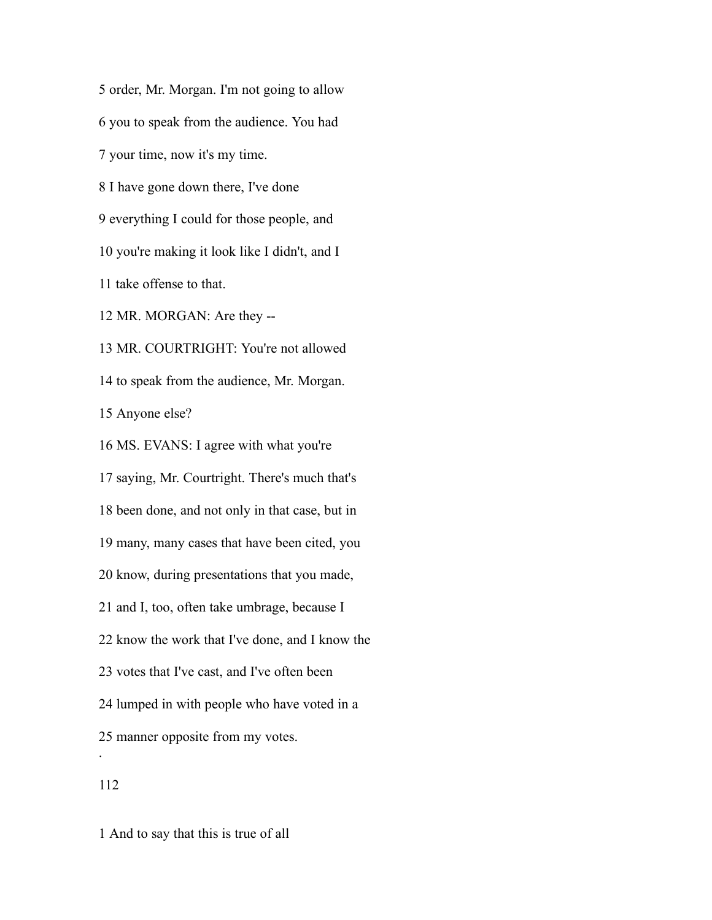order, Mr. Morgan. I'm not going to allow

you to speak from the audience. You had

your time, now it's my time.

I have gone down there, I've done

everything I could for those people, and

you're making it look like I didn't, and I

take offense to that.

MR. MORGAN: Are they --

MR. COURTRIGHT: You're not allowed

to speak from the audience, Mr. Morgan.

Anyone else?

MS. EVANS: I agree with what you're

 saying, Mr. Courtright. There's much that's been done, and not only in that case, but in many, many cases that have been cited, you know, during presentations that you made, and I, too, often take umbrage, because I know the work that I've done, and I know the votes that I've cast, and I've often been lumped in with people who have voted in a manner opposite from my votes. .

And to say that this is true of all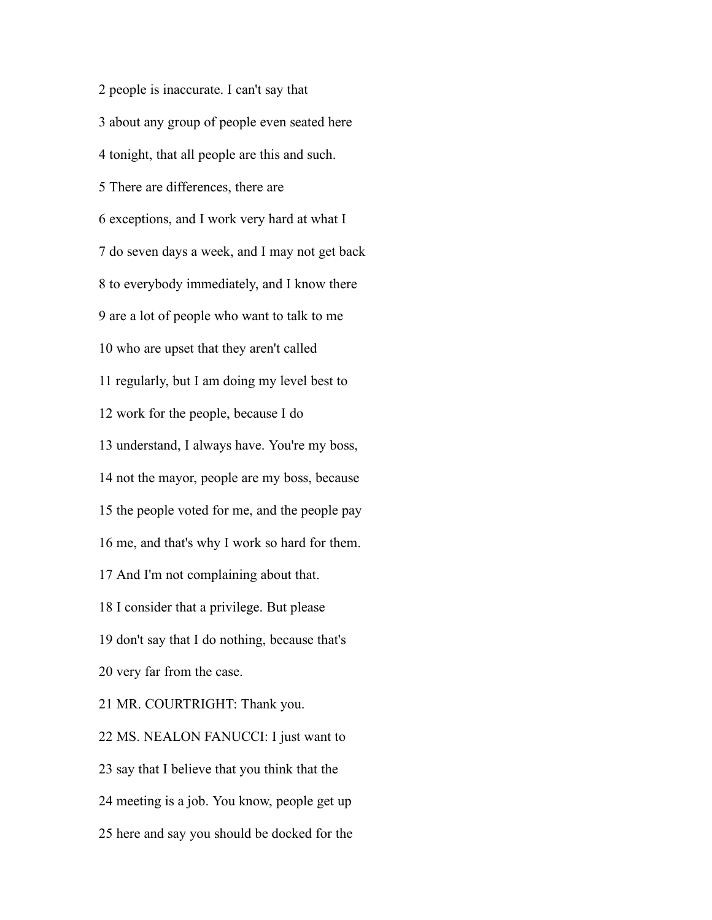people is inaccurate. I can't say that about any group of people even seated here tonight, that all people are this and such. There are differences, there are exceptions, and I work very hard at what I do seven days a week, and I may not get back to everybody immediately, and I know there are a lot of people who want to talk to me who are upset that they aren't called regularly, but I am doing my level best to work for the people, because I do understand, I always have. You're my boss, not the mayor, people are my boss, because the people voted for me, and the people pay me, and that's why I work so hard for them. And I'm not complaining about that. I consider that a privilege. But please don't say that I do nothing, because that's very far from the case. MR. COURTRIGHT: Thank you. MS. NEALON FANUCCI: I just want to say that I believe that you think that the

meeting is a job. You know, people get up

here and say you should be docked for the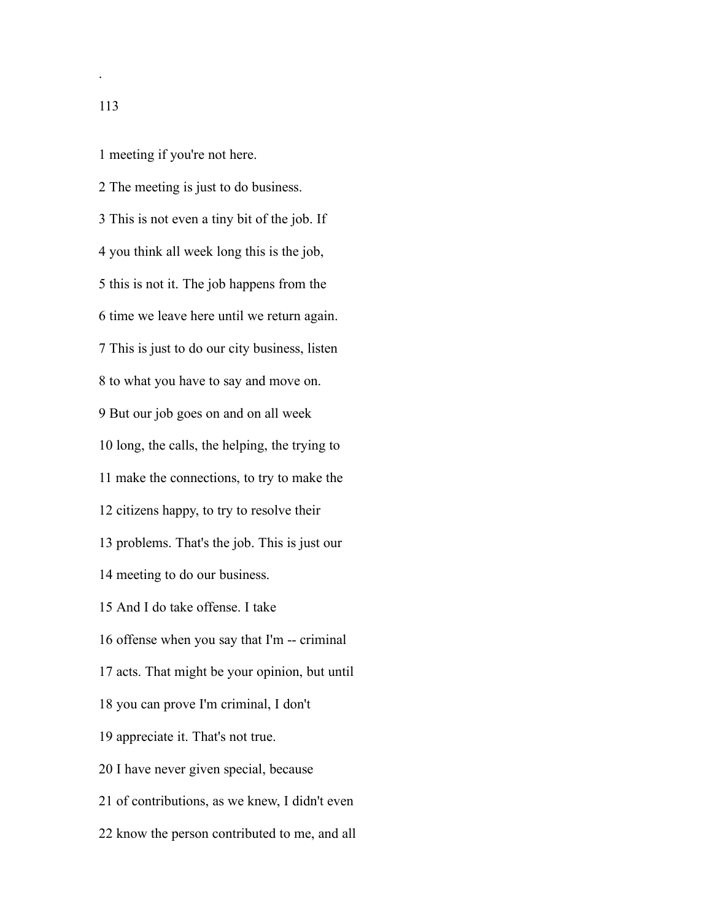meeting if you're not here.

 The meeting is just to do business. This is not even a tiny bit of the job. If you think all week long this is the job, this is not it. The job happens from the time we leave here until we return again. This is just to do our city business, listen to what you have to say and move on. But our job goes on and on all week long, the calls, the helping, the trying to make the connections, to try to make the citizens happy, to try to resolve their problems. That's the job. This is just our meeting to do our business. And I do take offense. I take offense when you say that I'm -- criminal acts. That might be your opinion, but until you can prove I'm criminal, I don't appreciate it. That's not true. I have never given special, because of contributions, as we knew, I didn't even know the person contributed to me, and all

.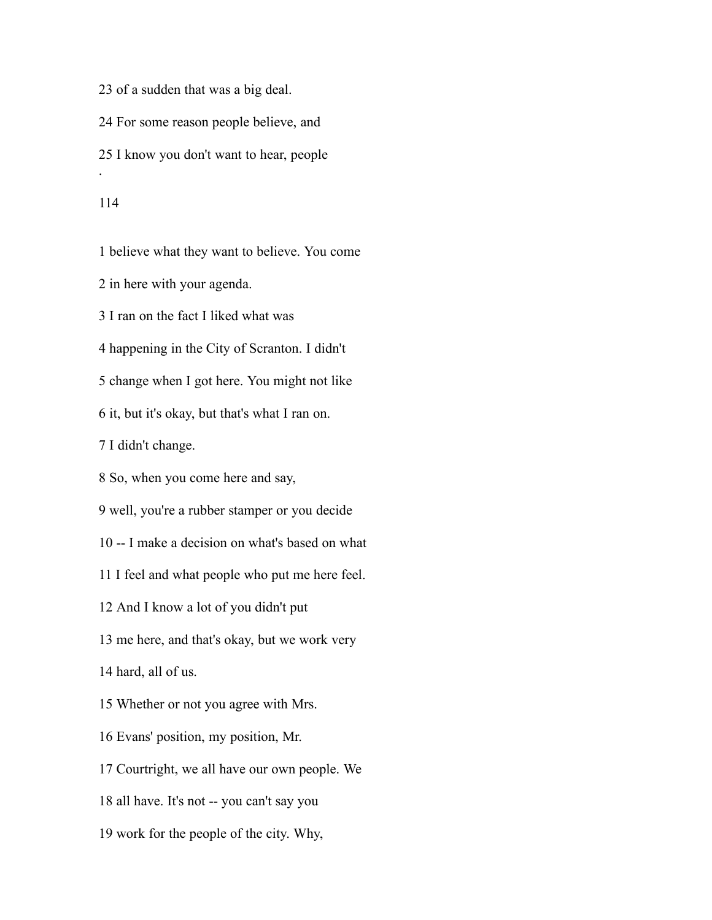of a sudden that was a big deal. For some reason people believe, and I know you don't want to hear, people .

believe what they want to believe. You come

in here with your agenda.

I ran on the fact I liked what was

happening in the City of Scranton. I didn't

change when I got here. You might not like

it, but it's okay, but that's what I ran on.

I didn't change.

So, when you come here and say,

well, you're a rubber stamper or you decide

-- I make a decision on what's based on what

I feel and what people who put me here feel.

And I know a lot of you didn't put

me here, and that's okay, but we work very

hard, all of us.

Whether or not you agree with Mrs.

Evans' position, my position, Mr.

Courtright, we all have our own people. We

all have. It's not -- you can't say you

work for the people of the city. Why,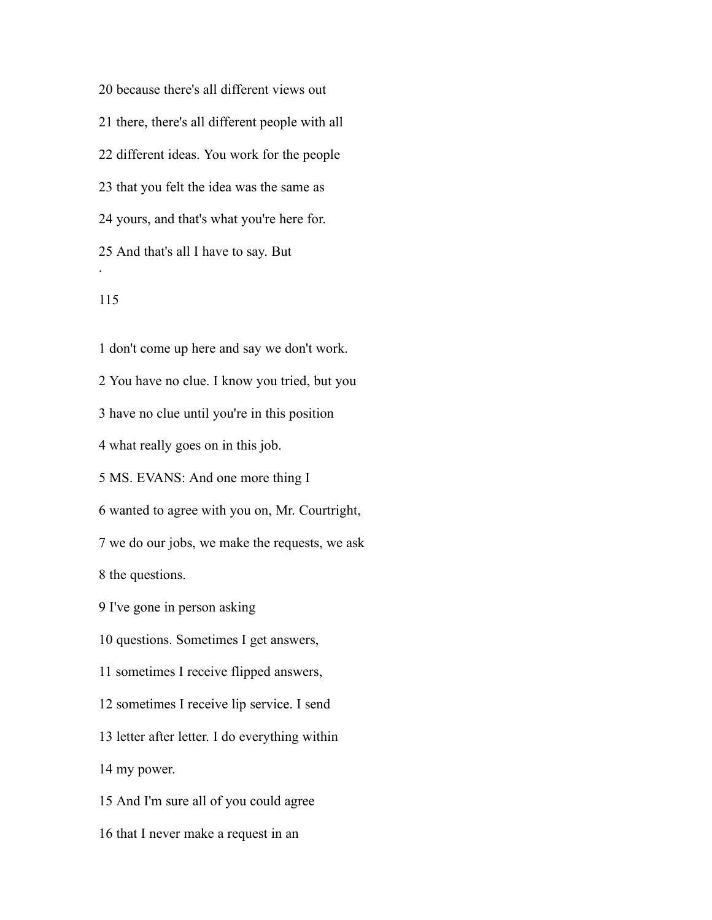because there's all different views out there, there's all different people with all different ideas. You work for the people that you felt the idea was the same as yours, and that's what you're here for. And that's all I have to say. But .

## 

 don't come up here and say we don't work. You have no clue. I know you tried, but you have no clue until you're in this position what really goes on in this job. MS. EVANS: And one more thing I wanted to agree with you on, Mr. Courtright, we do our jobs, we make the requests, we ask the questions. I've gone in person asking questions. Sometimes I get answers, sometimes I receive flipped answers, sometimes I receive lip service. I send letter after letter. I do everything within my power. And I'm sure all of you could agree that I never make a request in an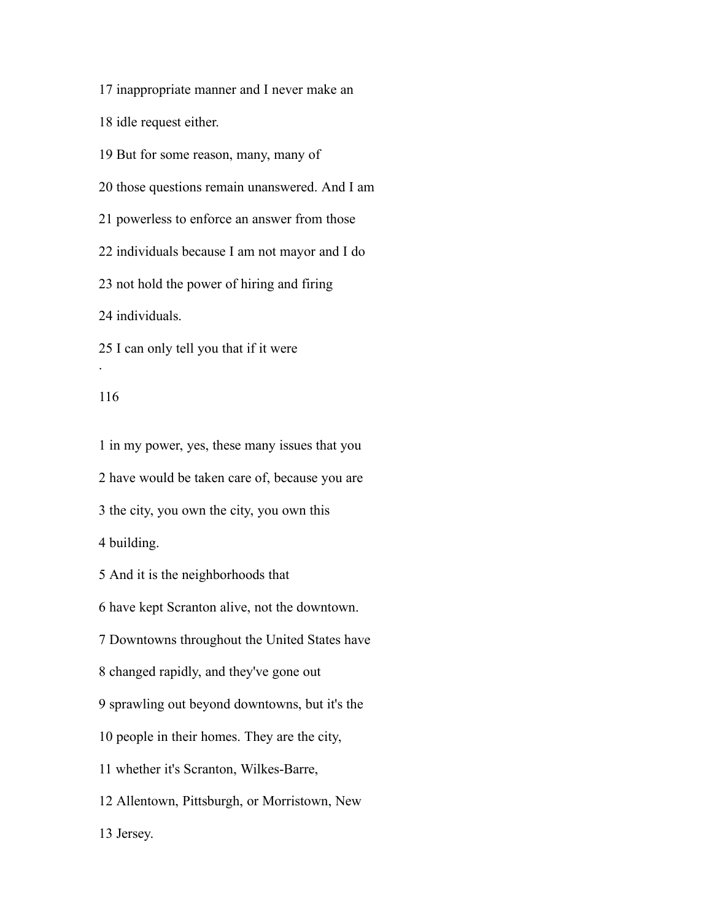inappropriate manner and I never make an

idle request either.

But for some reason, many, many of

those questions remain unanswered. And I am

powerless to enforce an answer from those

individuals because I am not mayor and I do

not hold the power of hiring and firing

individuals.

I can only tell you that if it were

### 

.

 in my power, yes, these many issues that you have would be taken care of, because you are the city, you own the city, you own this building. And it is the neighborhoods that have kept Scranton alive, not the downtown. Downtowns throughout the United States have changed rapidly, and they've gone out sprawling out beyond downtowns, but it's the people in their homes. They are the city, whether it's Scranton, Wilkes-Barre, Allentown, Pittsburgh, or Morristown, New Jersey.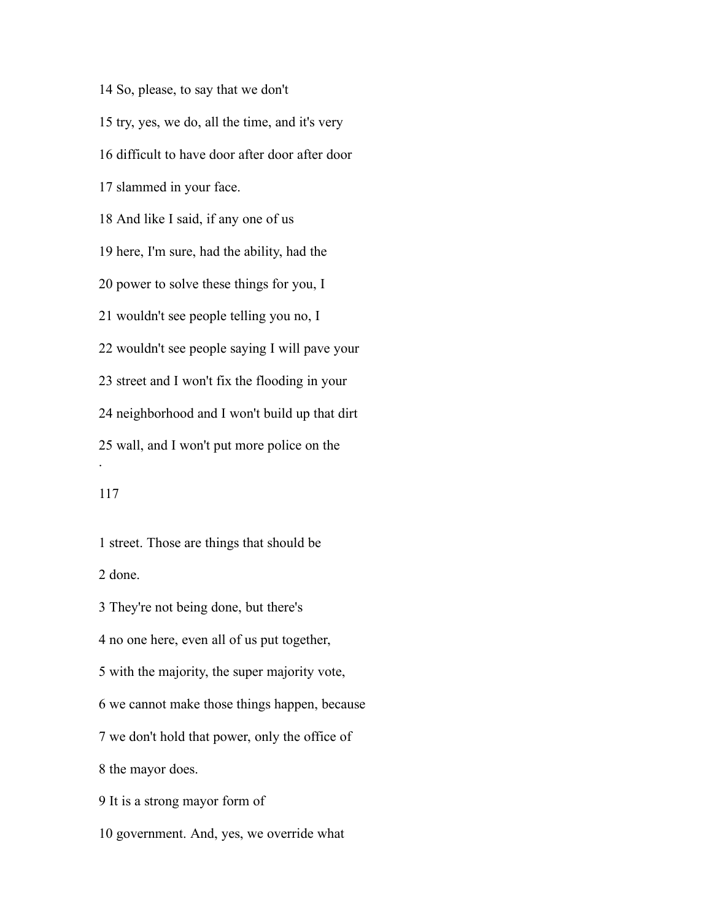So, please, to say that we don't try, yes, we do, all the time, and it's very difficult to have door after door after door slammed in your face. And like I said, if any one of us here, I'm sure, had the ability, had the power to solve these things for you, I wouldn't see people telling you no, I wouldn't see people saying I will pave your street and I won't fix the flooding in your neighborhood and I won't build up that dirt wall, and I won't put more police on the . 

 street. Those are things that should be done.

They're not being done, but there's

no one here, even all of us put together,

with the majority, the super majority vote,

we cannot make those things happen, because

we don't hold that power, only the office of

the mayor does.

It is a strong mayor form of

government. And, yes, we override what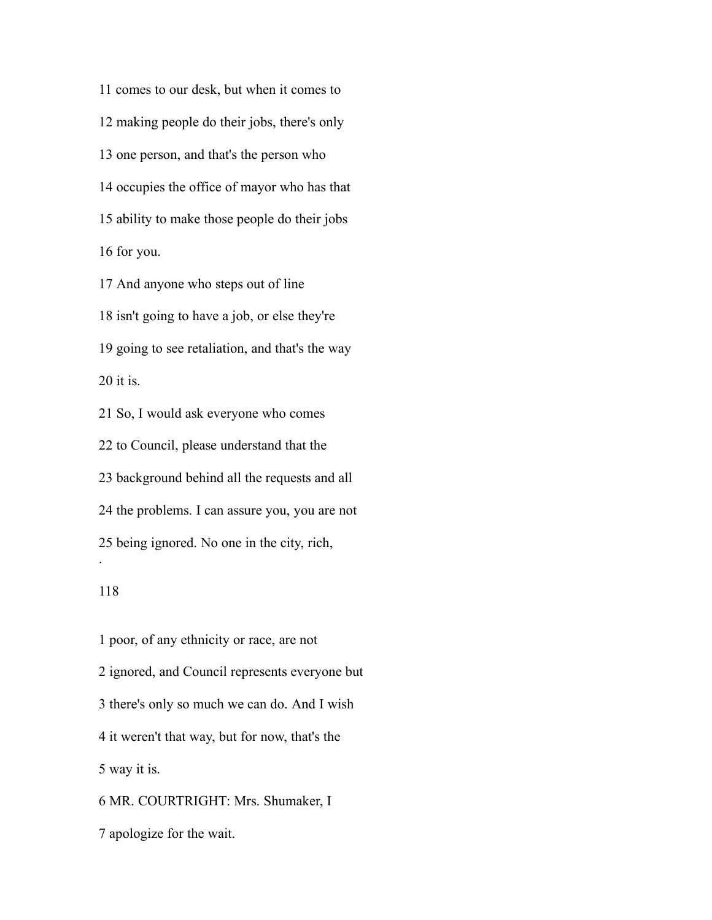comes to our desk, but when it comes to making people do their jobs, there's only one person, and that's the person who occupies the office of mayor who has that ability to make those people do their jobs for you.

 And anyone who steps out of line isn't going to have a job, or else they're going to see retaliation, and that's the way it is.

So, I would ask everyone who comes

to Council, please understand that the

background behind all the requests and all

the problems. I can assure you, you are not

being ignored. No one in the city, rich,

### 

.

 poor, of any ethnicity or race, are not ignored, and Council represents everyone but there's only so much we can do. And I wish it weren't that way, but for now, that's the way it is. MR. COURTRIGHT: Mrs. Shumaker, I apologize for the wait.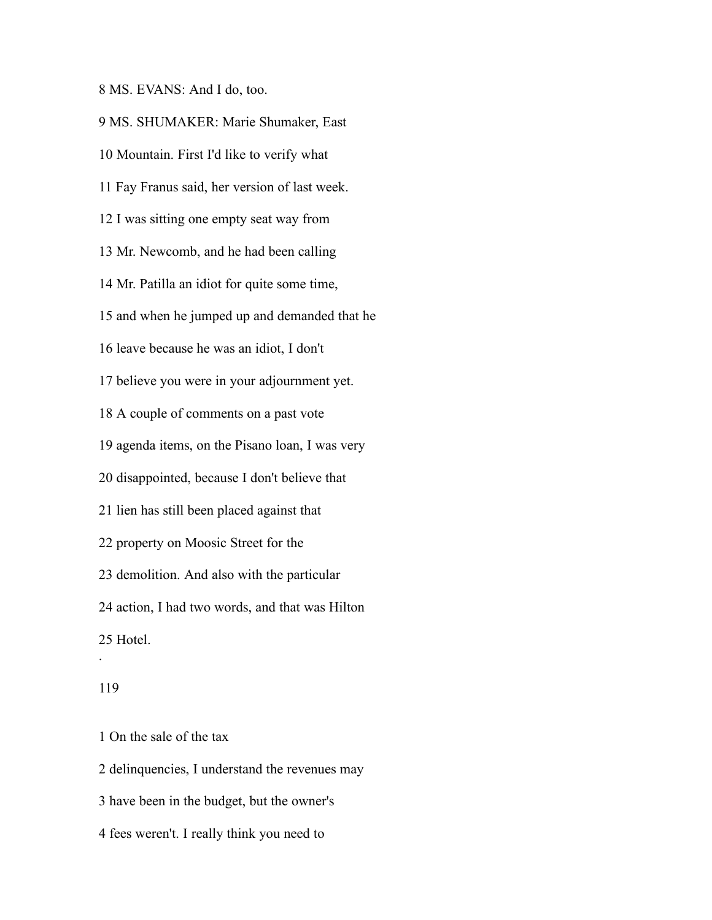MS. EVANS: And I do, too.

 MS. SHUMAKER: Marie Shumaker, East Mountain. First I'd like to verify what Fay Franus said, her version of last week. I was sitting one empty seat way from Mr. Newcomb, and he had been calling Mr. Patilla an idiot for quite some time, and when he jumped up and demanded that he leave because he was an idiot, I don't believe you were in your adjournment yet. A couple of comments on a past vote agenda items, on the Pisano loan, I was very disappointed, because I don't believe that lien has still been placed against that property on Moosic Street for the demolition. And also with the particular action, I had two words, and that was Hilton Hotel. .

### 

On the sale of the tax

delinquencies, I understand the revenues may

have been in the budget, but the owner's

fees weren't. I really think you need to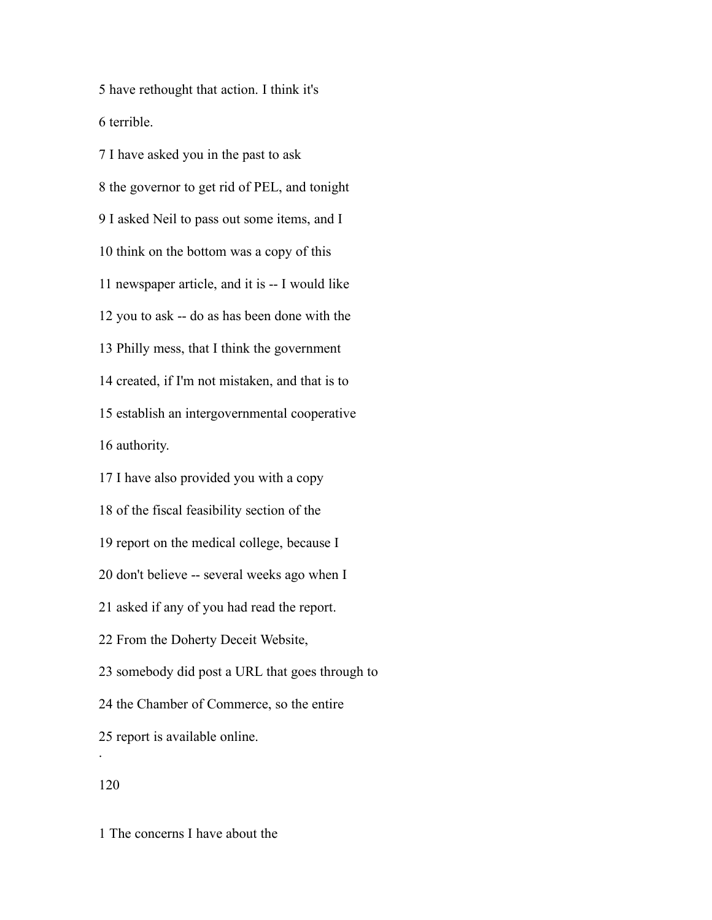have rethought that action. I think it's terrible.

 I have asked you in the past to ask the governor to get rid of PEL, and tonight I asked Neil to pass out some items, and I think on the bottom was a copy of this newspaper article, and it is -- I would like you to ask -- do as has been done with the Philly mess, that I think the government created, if I'm not mistaken, and that is to establish an intergovernmental cooperative authority.

 I have also provided you with a copy of the fiscal feasibility section of the report on the medical college, because I don't believe -- several weeks ago when I asked if any of you had read the report. From the Doherty Deceit Website, somebody did post a URL that goes through to the Chamber of Commerce, so the entire report is available online. .

The concerns I have about the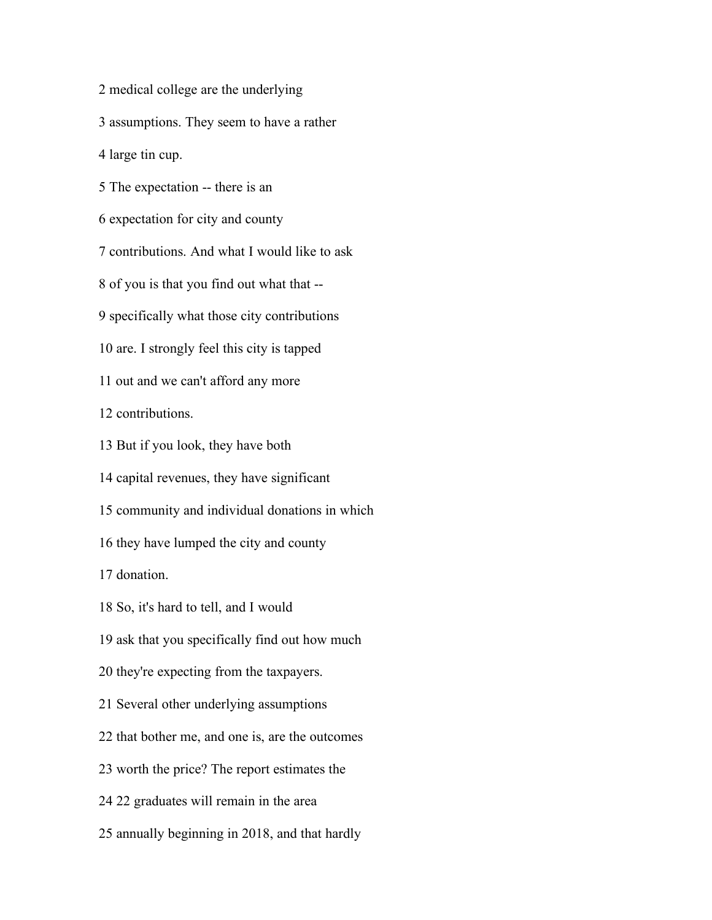medical college are the underlying

assumptions. They seem to have a rather

large tin cup.

The expectation -- there is an

expectation for city and county

contributions. And what I would like to ask

of you is that you find out what that --

specifically what those city contributions

are. I strongly feel this city is tapped

out and we can't afford any more

contributions.

But if you look, they have both

capital revenues, they have significant

community and individual donations in which

they have lumped the city and county

donation.

So, it's hard to tell, and I would

ask that you specifically find out how much

they're expecting from the taxpayers.

Several other underlying assumptions

that bother me, and one is, are the outcomes

worth the price? The report estimates the

22 graduates will remain in the area

annually beginning in 2018, and that hardly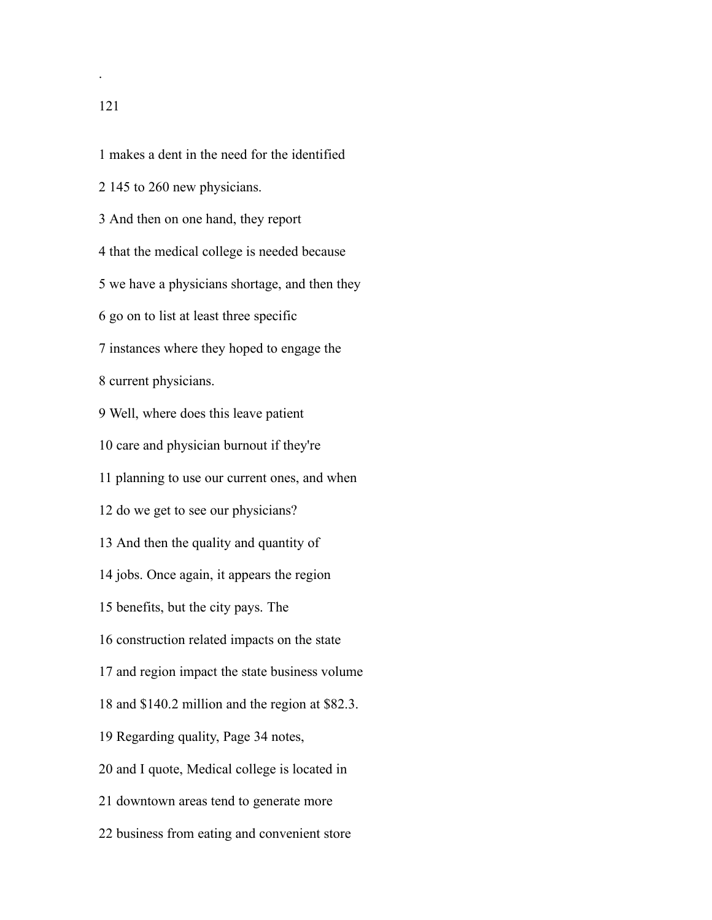makes a dent in the need for the identified 145 to 260 new physicians. And then on one hand, they report that the medical college is needed because we have a physicians shortage, and then they go on to list at least three specific instances where they hoped to engage the current physicians. Well, where does this leave patient care and physician burnout if they're planning to use our current ones, and when do we get to see our physicians? And then the quality and quantity of jobs. Once again, it appears the region benefits, but the city pays. The construction related impacts on the state and region impact the state business volume and \$140.2 million and the region at \$82.3. Regarding quality, Page 34 notes, and I quote, Medical college is located in downtown areas tend to generate more business from eating and convenient store

.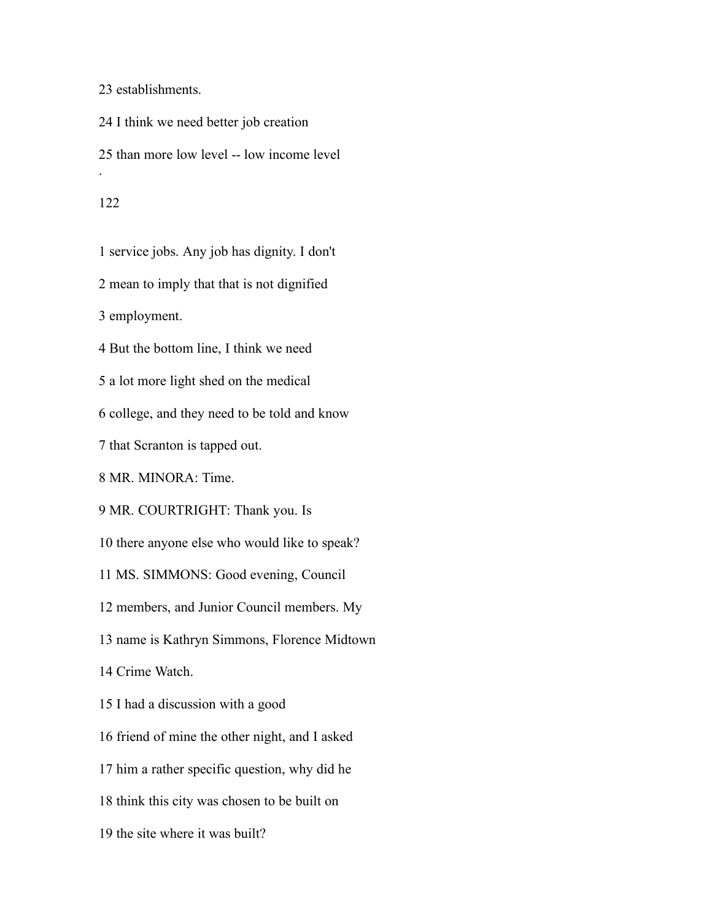establishments.

 I think we need better job creation than more low level -- low income level . 

service jobs. Any job has dignity. I don't

mean to imply that that is not dignified

employment.

But the bottom line, I think we need

a lot more light shed on the medical

college, and they need to be told and know

that Scranton is tapped out.

MR. MINORA: Time.

MR. COURTRIGHT: Thank you. Is

there anyone else who would like to speak?

MS. SIMMONS: Good evening, Council

members, and Junior Council members. My

name is Kathryn Simmons, Florence Midtown

Crime Watch.

I had a discussion with a good

friend of mine the other night, and I asked

him a rather specific question, why did he

think this city was chosen to be built on

the site where it was built?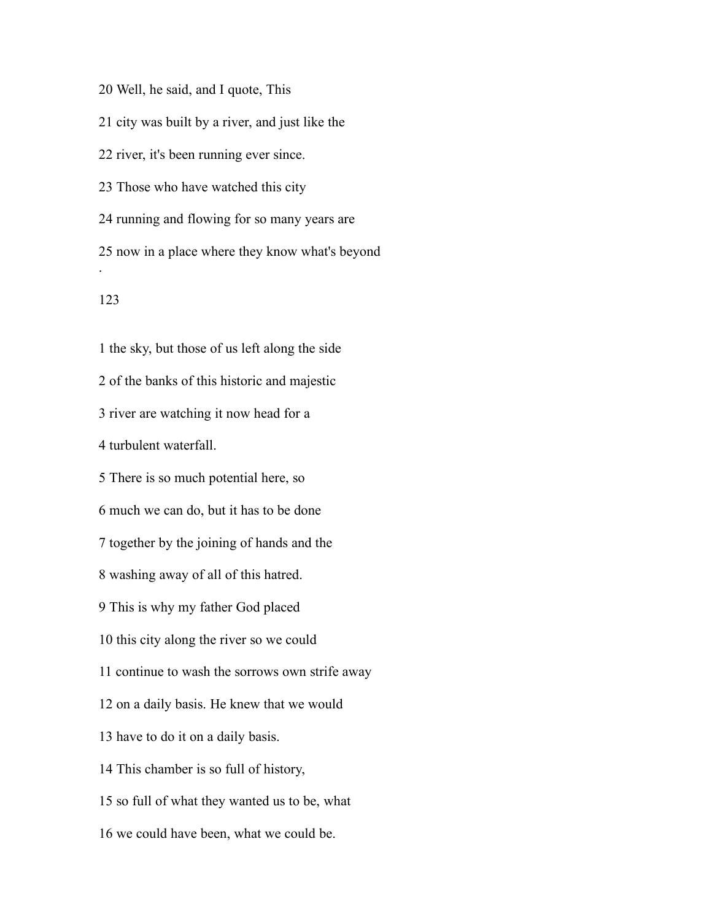Well, he said, and I quote, This city was built by a river, and just like the river, it's been running ever since. Those who have watched this city running and flowing for so many years are now in a place where they know what's beyond . 

 the sky, but those of us left along the side of the banks of this historic and majestic river are watching it now head for a turbulent waterfall. There is so much potential here, so much we can do, but it has to be done together by the joining of hands and the washing away of all of this hatred. This is why my father God placed this city along the river so we could continue to wash the sorrows own strife away on a daily basis. He knew that we would have to do it on a daily basis. This chamber is so full of history, so full of what they wanted us to be, what we could have been, what we could be.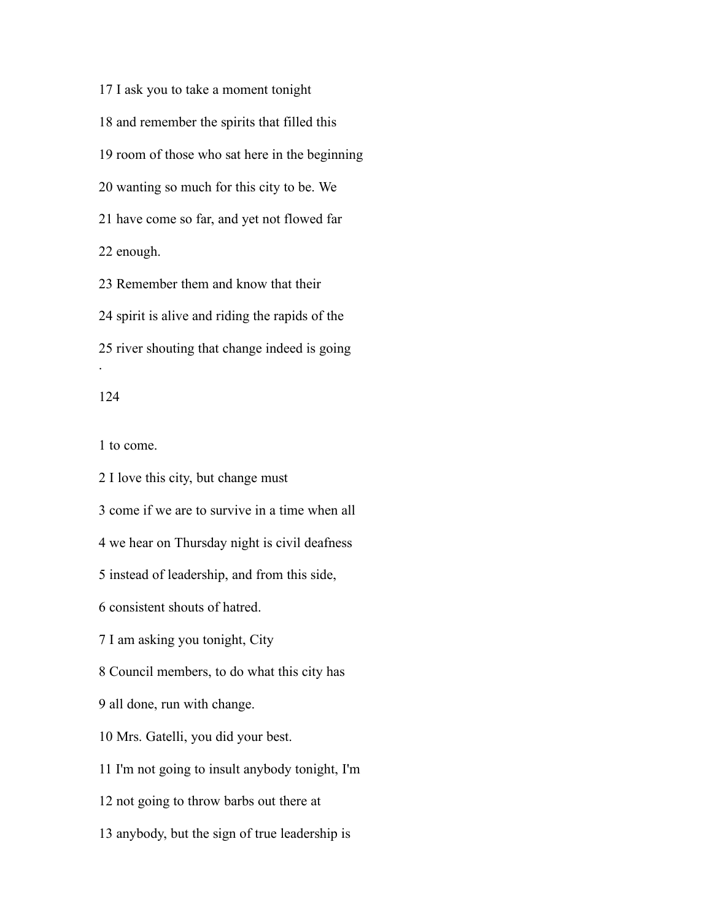I ask you to take a moment tonight and remember the spirits that filled this room of those who sat here in the beginning wanting so much for this city to be. We have come so far, and yet not flowed far enough.

 Remember them and know that their spirit is alive and riding the rapids of the river shouting that change indeed is going .

## 

to come.

 I love this city, but change must come if we are to survive in a time when all we hear on Thursday night is civil deafness instead of leadership, and from this side, consistent shouts of hatred. I am asking you tonight, City Council members, to do what this city has all done, run with change. Mrs. Gatelli, you did your best. I'm not going to insult anybody tonight, I'm not going to throw barbs out there at anybody, but the sign of true leadership is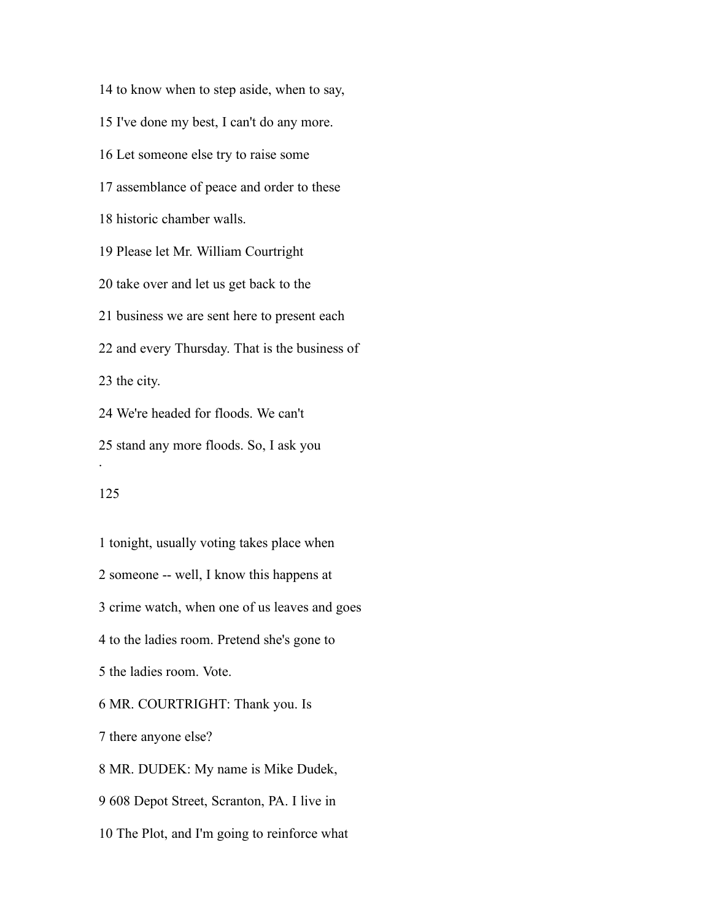to know when to step aside, when to say, I've done my best, I can't do any more. Let someone else try to raise some assemblance of peace and order to these historic chamber walls. Please let Mr. William Courtright take over and let us get back to the business we are sent here to present each and every Thursday. That is the business of the city. We're headed for floods. We can't stand any more floods. So, I ask you .

# 

 tonight, usually voting takes place when someone -- well, I know this happens at crime watch, when one of us leaves and goes to the ladies room. Pretend she's gone to the ladies room. Vote. MR. COURTRIGHT: Thank you. Is there anyone else? MR. DUDEK: My name is Mike Dudek, 608 Depot Street, Scranton, PA. I live in The Plot, and I'm going to reinforce what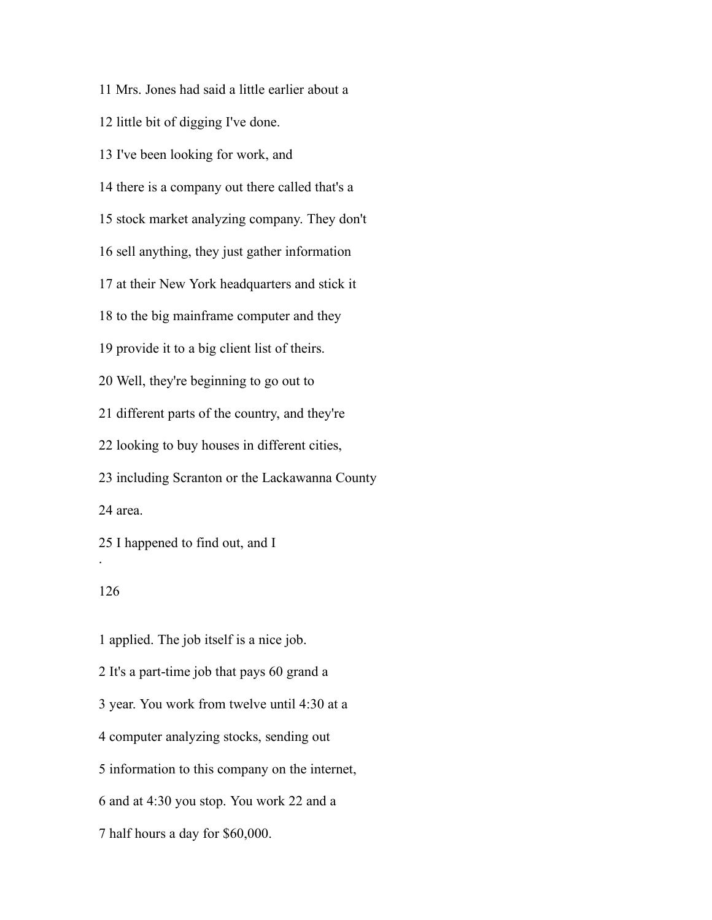Mrs. Jones had said a little earlier about a

little bit of digging I've done.

I've been looking for work, and

there is a company out there called that's a

stock market analyzing company. They don't

sell anything, they just gather information

at their New York headquarters and stick it

to the big mainframe computer and they

provide it to a big client list of theirs.

Well, they're beginning to go out to

different parts of the country, and they're

looking to buy houses in different cities,

 including Scranton or the Lackawanna County area.

I happened to find out, and I

# 

.

 applied. The job itself is a nice job. It's a part-time job that pays 60 grand a year. You work from twelve until 4:30 at a computer analyzing stocks, sending out information to this company on the internet, and at 4:30 you stop. You work 22 and a half hours a day for \$60,000.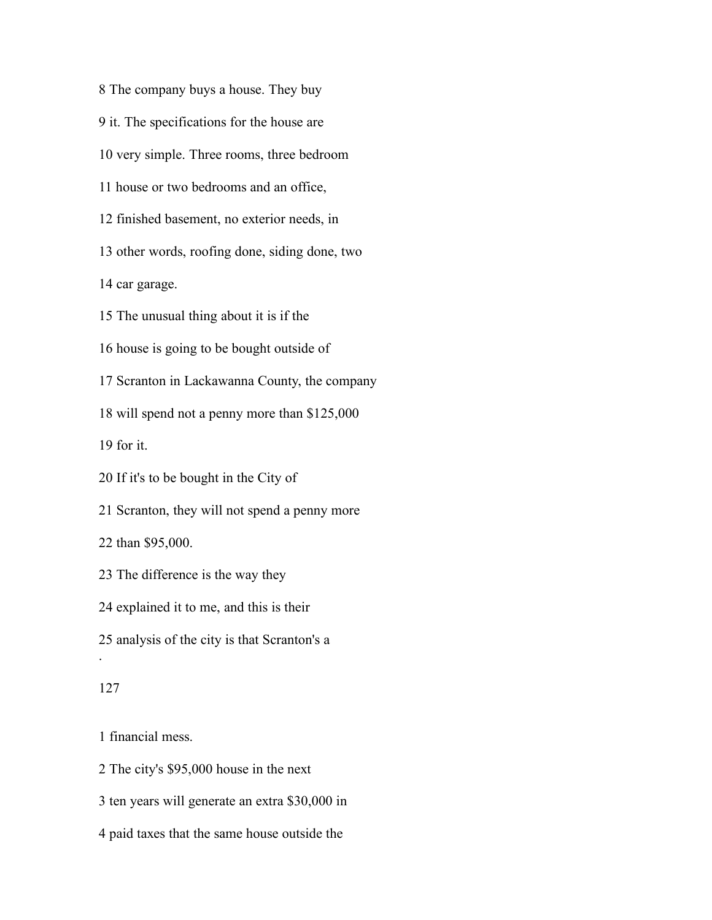The company buys a house. They buy

it. The specifications for the house are

very simple. Three rooms, three bedroom

house or two bedrooms and an office,

finished basement, no exterior needs, in

other words, roofing done, siding done, two

car garage.

The unusual thing about it is if the

house is going to be bought outside of

Scranton in Lackawanna County, the company

will spend not a penny more than \$125,000

for it.

If it's to be bought in the City of

Scranton, they will not spend a penny more

than \$95,000.

The difference is the way they

explained it to me, and this is their

analysis of the city is that Scranton's a

#### 

.

financial mess.

The city's \$95,000 house in the next

ten years will generate an extra \$30,000 in

paid taxes that the same house outside the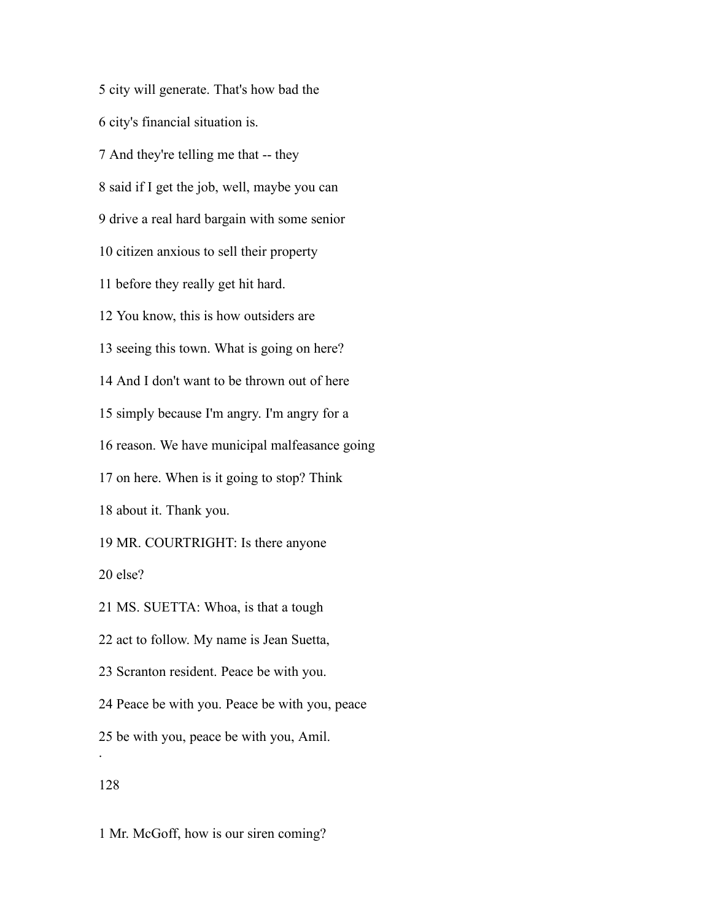city will generate. That's how bad the city's financial situation is. And they're telling me that -- they said if I get the job, well, maybe you can drive a real hard bargain with some senior citizen anxious to sell their property before they really get hit hard. You know, this is how outsiders are seeing this town. What is going on here? And I don't want to be thrown out of here simply because I'm angry. I'm angry for a reason. We have municipal malfeasance going on here. When is it going to stop? Think about it. Thank you. MR. COURTRIGHT: Is there anyone else? MS. SUETTA: Whoa, is that a tough act to follow. My name is Jean Suetta, Scranton resident. Peace be with you. Peace be with you. Peace be with you, peace be with you, peace be with you, Amil. . 

Mr. McGoff, how is our siren coming?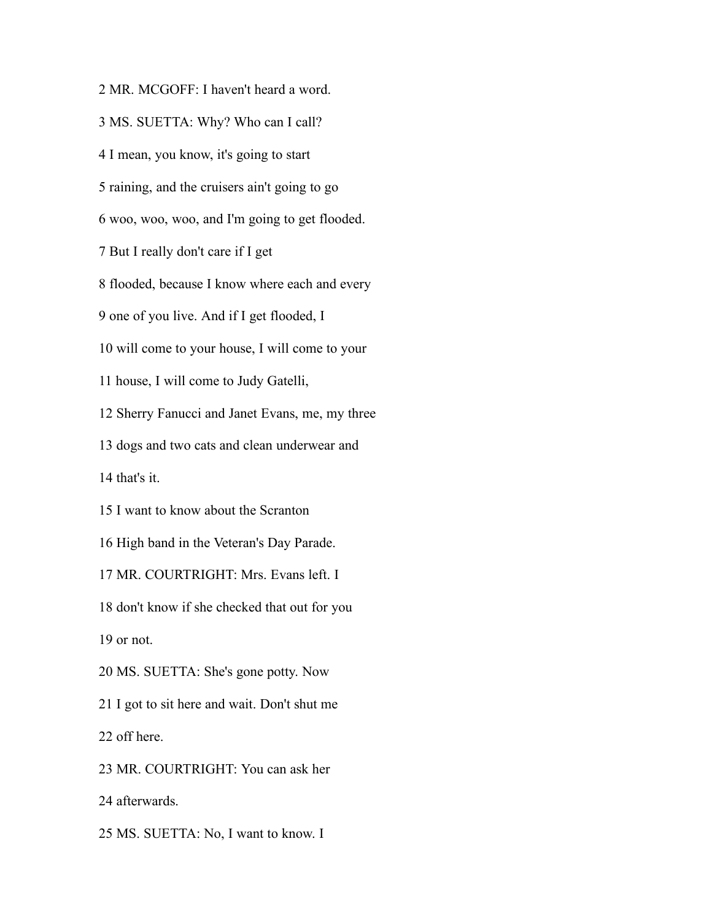MR. MCGOFF: I haven't heard a word. MS. SUETTA: Why? Who can I call? I mean, you know, it's going to start raining, and the cruisers ain't going to go woo, woo, woo, and I'm going to get flooded. But I really don't care if I get flooded, because I know where each and every one of you live. And if I get flooded, I will come to your house, I will come to your house, I will come to Judy Gatelli, Sherry Fanucci and Janet Evans, me, my three dogs and two cats and clean underwear and that's it. I want to know about the Scranton High band in the Veteran's Day Parade. MR. COURTRIGHT: Mrs. Evans left. I don't know if she checked that out for you or not. MS. SUETTA: She's gone potty. Now I got to sit here and wait. Don't shut me off here. MR. COURTRIGHT: You can ask her afterwards. MS. SUETTA: No, I want to know. I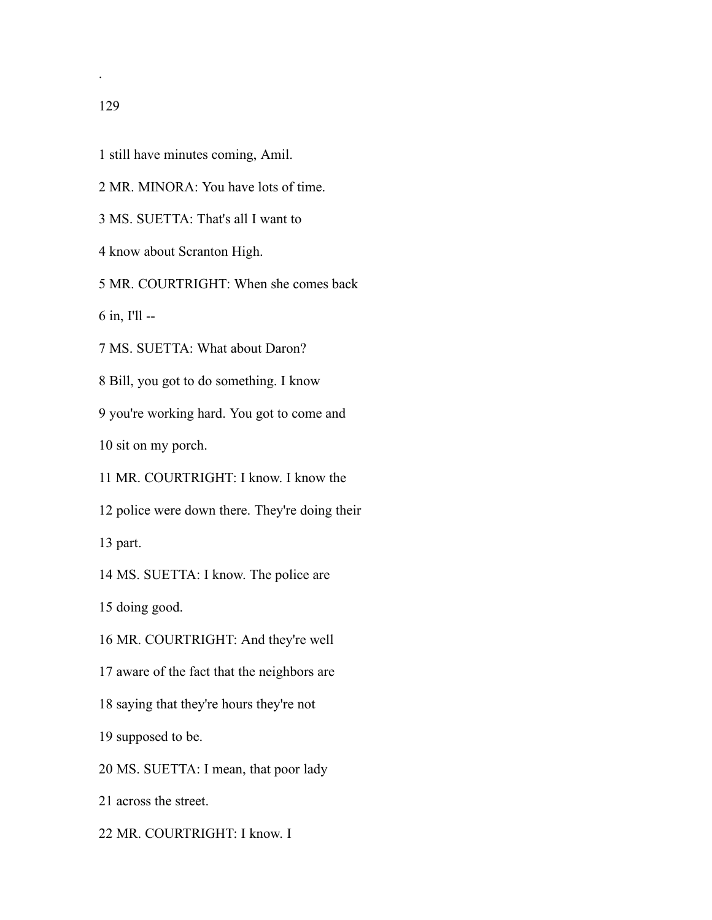- still have minutes coming, Amil.
- MR. MINORA: You have lots of time.
- MS. SUETTA: That's all I want to
- know about Scranton High.

MR. COURTRIGHT: When she comes back

in, I'll --

MS. SUETTA: What about Daron?

Bill, you got to do something. I know

you're working hard. You got to come and

sit on my porch.

MR. COURTRIGHT: I know. I know the

police were down there. They're doing their

part.

MS. SUETTA: I know. The police are

doing good.

MR. COURTRIGHT: And they're well

aware of the fact that the neighbors are

saying that they're hours they're not

supposed to be.

MS. SUETTA: I mean, that poor lady

across the street.

MR. COURTRIGHT: I know. I

.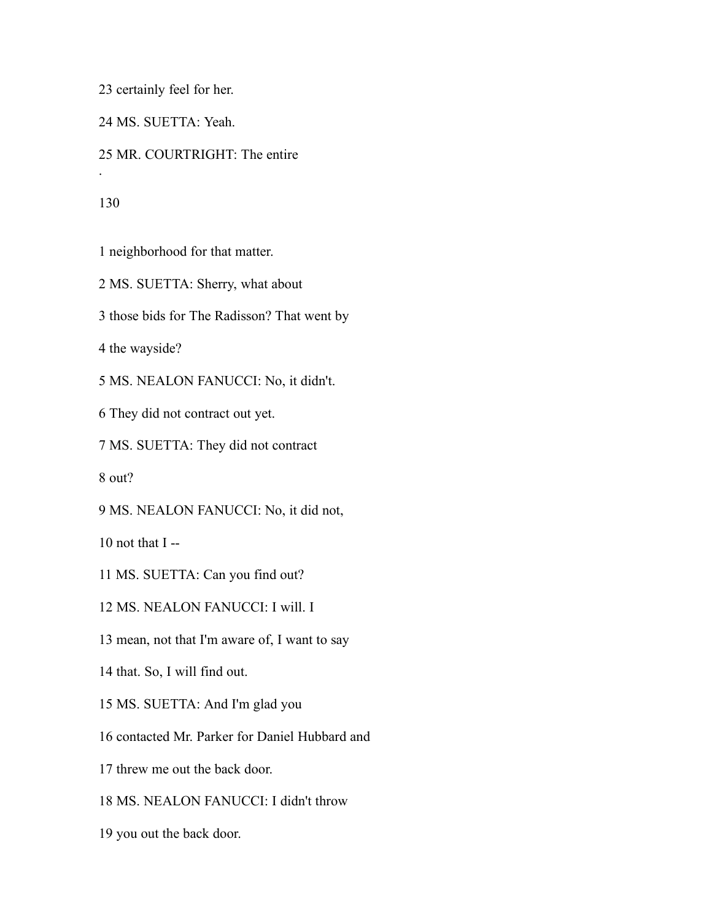certainly feel for her.

MS. SUETTA: Yeah.

MR. COURTRIGHT: The entire

.

neighborhood for that matter.

MS. SUETTA: Sherry, what about

those bids for The Radisson? That went by

the wayside?

MS. NEALON FANUCCI: No, it didn't.

They did not contract out yet.

MS. SUETTA: They did not contract

out?

MS. NEALON FANUCCI: No, it did not,

10 not that  $I -$ 

MS. SUETTA: Can you find out?

MS. NEALON FANUCCI: I will. I

mean, not that I'm aware of, I want to say

that. So, I will find out.

MS. SUETTA: And I'm glad you

contacted Mr. Parker for Daniel Hubbard and

threw me out the back door.

MS. NEALON FANUCCI: I didn't throw

you out the back door.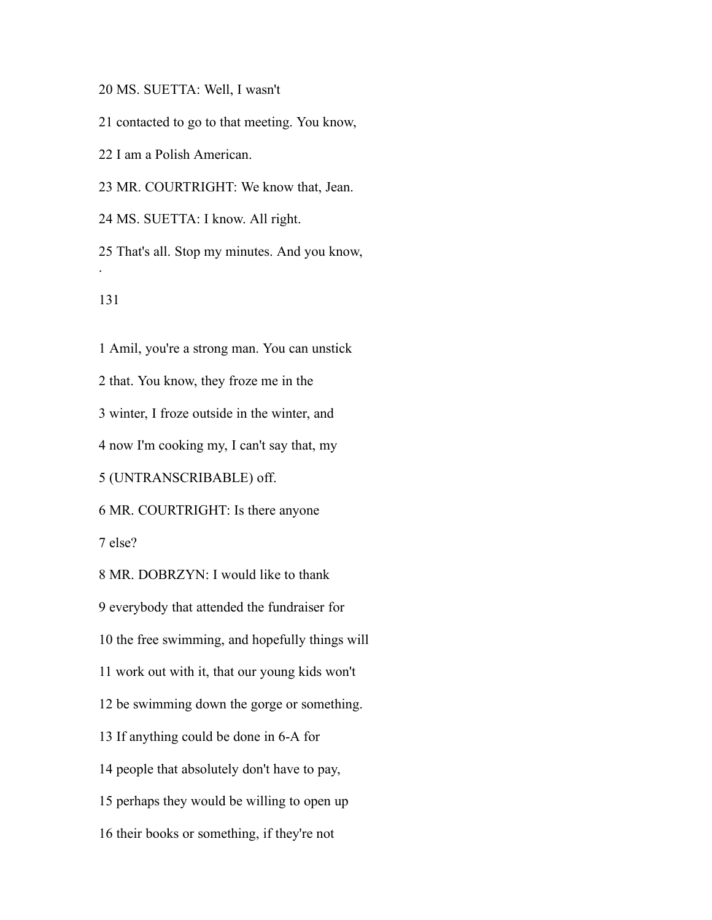MS. SUETTA: Well, I wasn't

contacted to go to that meeting. You know,

I am a Polish American.

MR. COURTRIGHT: We know that, Jean.

MS. SUETTA: I know. All right.

 That's all. Stop my minutes. And you know, .

 Amil, you're a strong man. You can unstick that. You know, they froze me in the winter, I froze outside in the winter, and now I'm cooking my, I can't say that, my (UNTRANSCRIBABLE) off. MR. COURTRIGHT: Is there anyone

else?

 MR. DOBRZYN: I would like to thank everybody that attended the fundraiser for the free swimming, and hopefully things will work out with it, that our young kids won't be swimming down the gorge or something. If anything could be done in 6-A for people that absolutely don't have to pay, perhaps they would be willing to open up their books or something, if they're not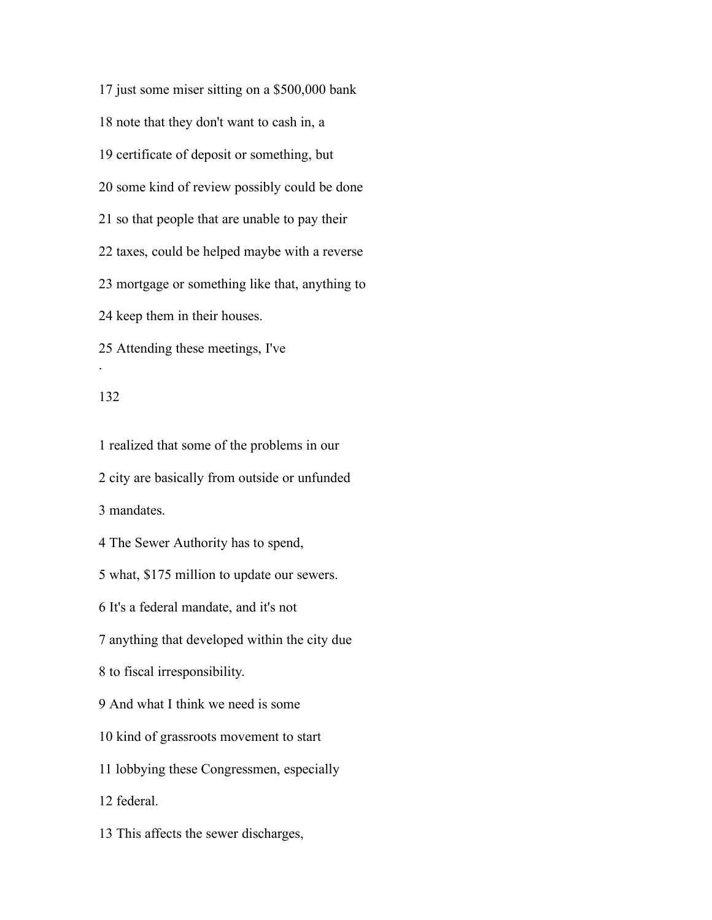just some miser sitting on a \$500,000 bank note that they don't want to cash in, a certificate of deposit or something, but some kind of review possibly could be done so that people that are unable to pay their taxes, could be helped maybe with a reverse mortgage or something like that, anything to keep them in their houses. Attending these meetings, I've .

#### 

 realized that some of the problems in our city are basically from outside or unfunded mandates. The Sewer Authority has to spend, what, \$175 million to update our sewers. It's a federal mandate, and it's not anything that developed within the city due to fiscal irresponsibility. And what I think we need is some kind of grassroots movement to start lobbying these Congressmen, especially federal.

This affects the sewer discharges,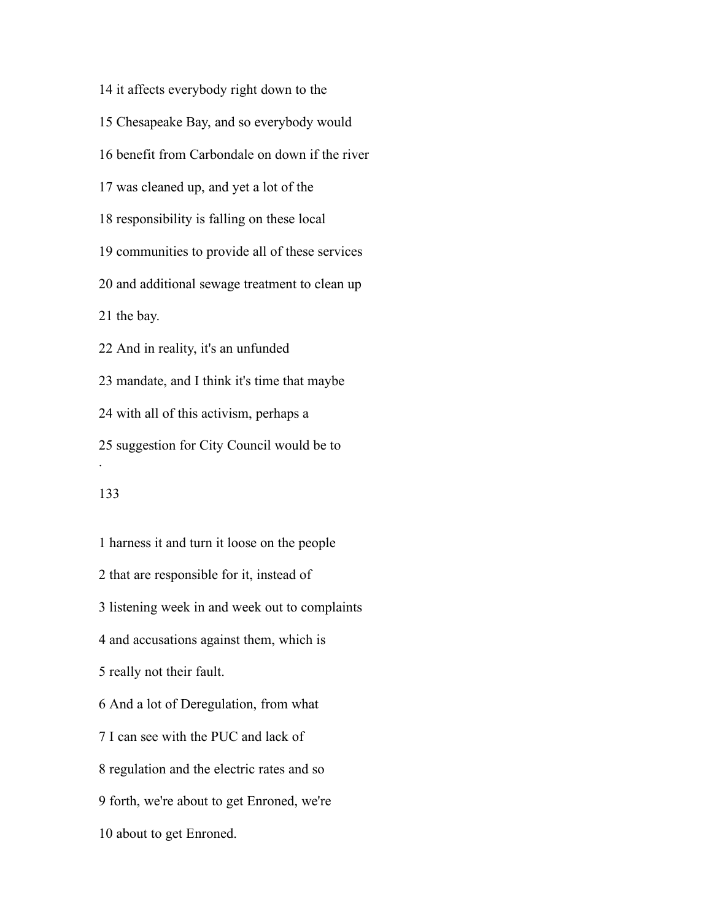it affects everybody right down to the Chesapeake Bay, and so everybody would benefit from Carbondale on down if the river was cleaned up, and yet a lot of the responsibility is falling on these local communities to provide all of these services and additional sewage treatment to clean up the bay. And in reality, it's an unfunded mandate, and I think it's time that maybe with all of this activism, perhaps a suggestion for City Council would be to . 

 harness it and turn it loose on the people that are responsible for it, instead of listening week in and week out to complaints and accusations against them, which is really not their fault. And a lot of Deregulation, from what I can see with the PUC and lack of regulation and the electric rates and so forth, we're about to get Enroned, we're about to get Enroned.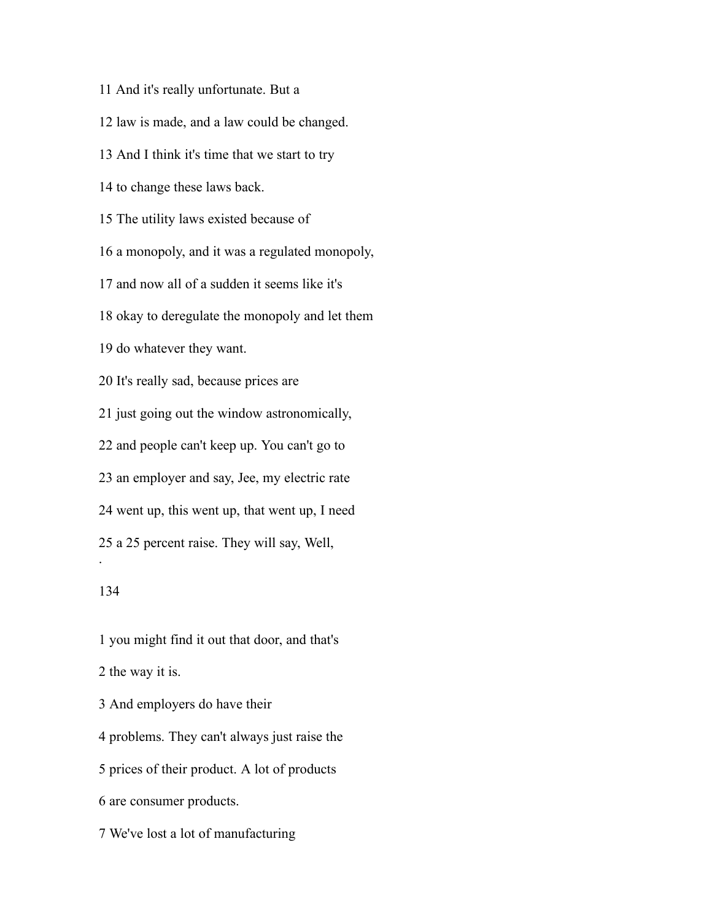And it's really unfortunate. But a law is made, and a law could be changed. And I think it's time that we start to try to change these laws back. The utility laws existed because of a monopoly, and it was a regulated monopoly, and now all of a sudden it seems like it's okay to deregulate the monopoly and let them do whatever they want. It's really sad, because prices are just going out the window astronomically, and people can't keep up. You can't go to an employer and say, Jee, my electric rate went up, this went up, that went up, I need a 25 percent raise. They will say, Well, .

## 

 you might find it out that door, and that's the way it is.

And employers do have their

problems. They can't always just raise the

prices of their product. A lot of products

are consumer products.

We've lost a lot of manufacturing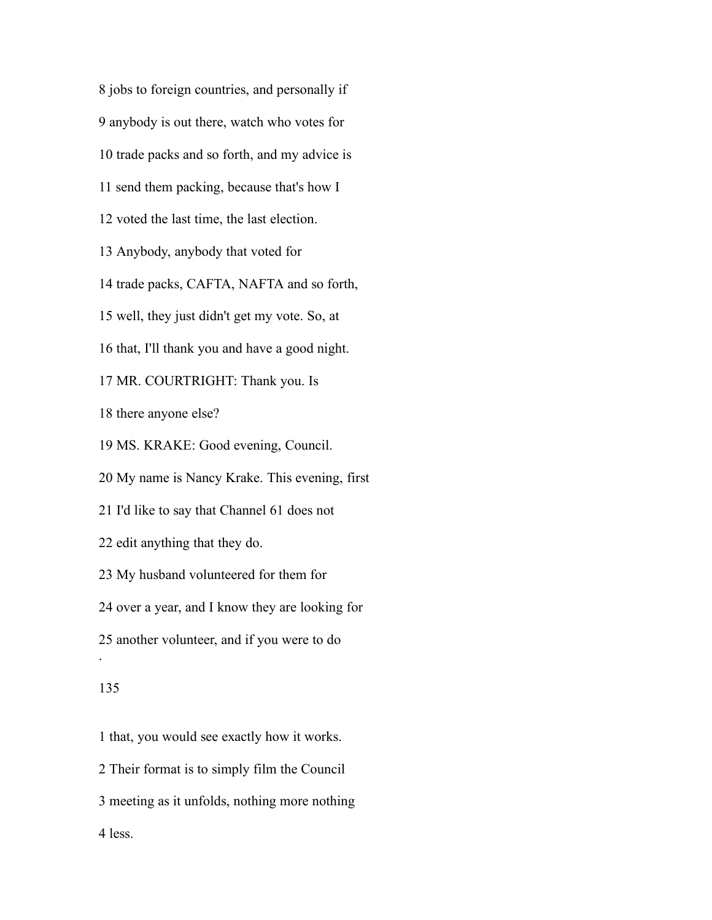jobs to foreign countries, and personally if anybody is out there, watch who votes for trade packs and so forth, and my advice is send them packing, because that's how I voted the last time, the last election. Anybody, anybody that voted for trade packs, CAFTA, NAFTA and so forth, well, they just didn't get my vote. So, at that, I'll thank you and have a good night. MR. COURTRIGHT: Thank you. Is there anyone else? MS. KRAKE: Good evening, Council. My name is Nancy Krake. This evening, first I'd like to say that Channel 61 does not edit anything that they do. My husband volunteered for them for over a year, and I know they are looking for another volunteer, and if you were to do . 

 that, you would see exactly how it works. Their format is to simply film the Council meeting as it unfolds, nothing more nothing less.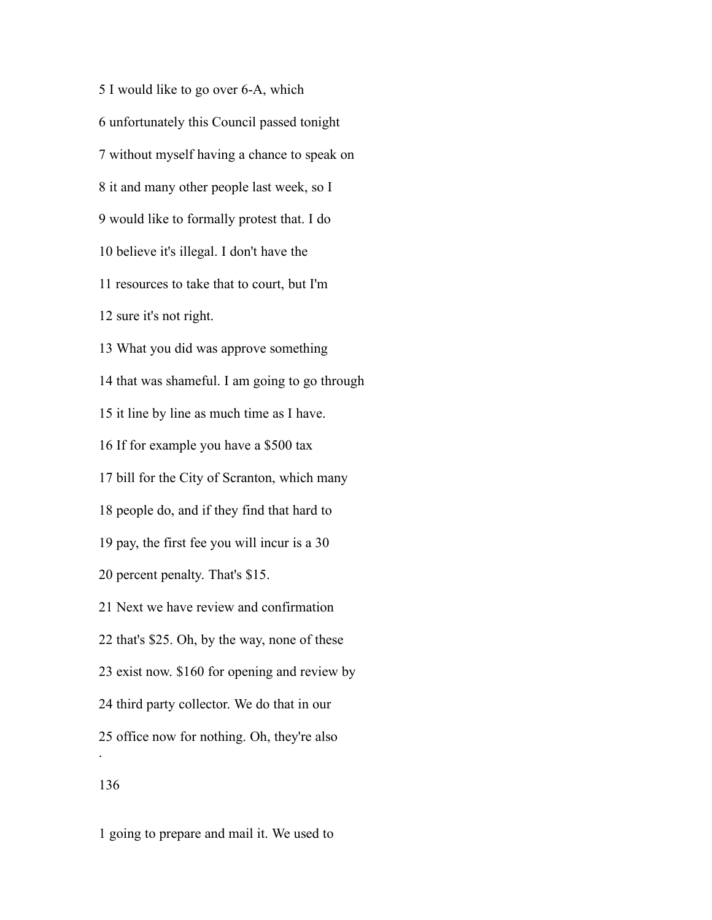I would like to go over 6-A, which unfortunately this Council passed tonight without myself having a chance to speak on it and many other people last week, so I would like to formally protest that. I do believe it's illegal. I don't have the resources to take that to court, but I'm sure it's not right. What you did was approve something that was shameful. I am going to go through it line by line as much time as I have. If for example you have a \$500 tax bill for the City of Scranton, which many people do, and if they find that hard to pay, the first fee you will incur is a 30 percent penalty. That's \$15. Next we have review and confirmation that's \$25. Oh, by the way, none of these exist now. \$160 for opening and review by third party collector. We do that in our office now for nothing. Oh, they're also . 

going to prepare and mail it. We used to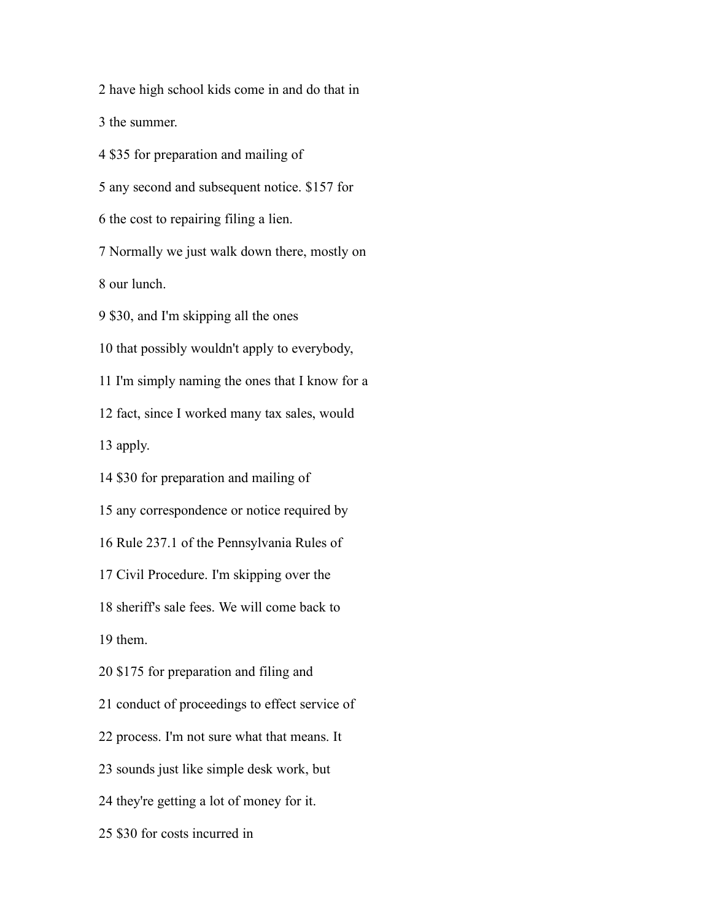have high school kids come in and do that in

the summer.

\$35 for preparation and mailing of

any second and subsequent notice. \$157 for

the cost to repairing filing a lien.

Normally we just walk down there, mostly on

our lunch.

\$30, and I'm skipping all the ones

that possibly wouldn't apply to everybody,

I'm simply naming the ones that I know for a

fact, since I worked many tax sales, would

apply.

\$30 for preparation and mailing of

any correspondence or notice required by

Rule 237.1 of the Pennsylvania Rules of

Civil Procedure. I'm skipping over the

sheriff's sale fees. We will come back to

them.

\$175 for preparation and filing and

conduct of proceedings to effect service of

process. I'm not sure what that means. It

sounds just like simple desk work, but

they're getting a lot of money for it.

\$30 for costs incurred in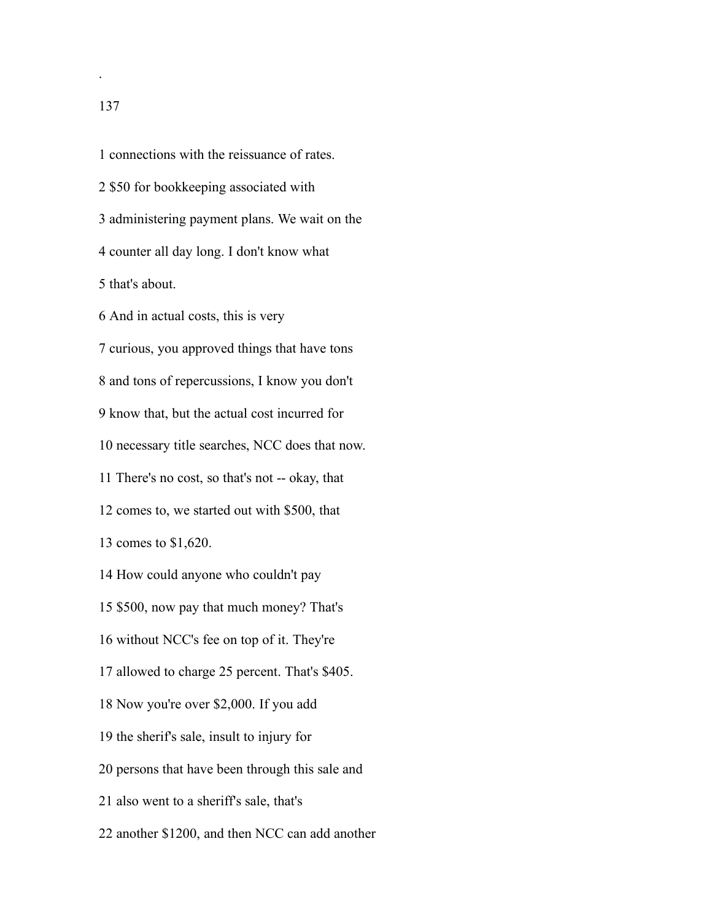connections with the reissuance of rates. \$50 for bookkeeping associated with administering payment plans. We wait on the counter all day long. I don't know what that's about. And in actual costs, this is very curious, you approved things that have tons and tons of repercussions, I know you don't know that, but the actual cost incurred for necessary title searches, NCC does that now. There's no cost, so that's not -- okay, that comes to, we started out with \$500, that comes to \$1,620. How could anyone who couldn't pay \$500, now pay that much money? That's without NCC's fee on top of it. They're allowed to charge 25 percent. That's \$405. Now you're over \$2,000. If you add the sherif's sale, insult to injury for persons that have been through this sale and also went to a sheriff's sale, that's

another \$1200, and then NCC can add another

.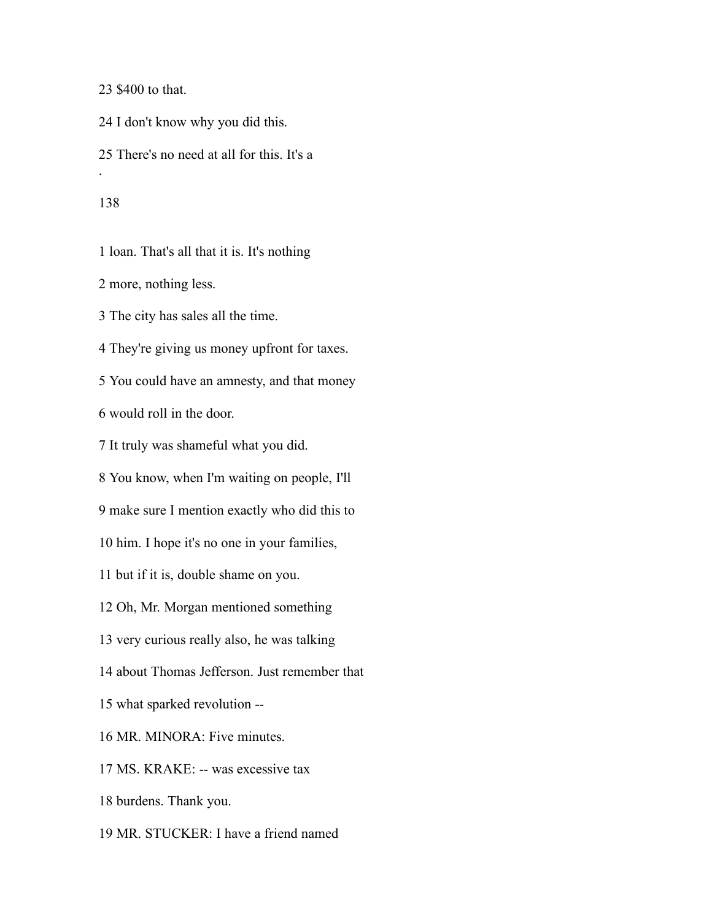\$400 to that.

I don't know why you did this.

There's no need at all for this. It's a

.

loan. That's all that it is. It's nothing

more, nothing less.

The city has sales all the time.

They're giving us money upfront for taxes.

You could have an amnesty, and that money

would roll in the door.

It truly was shameful what you did.

You know, when I'm waiting on people, I'll

make sure I mention exactly who did this to

him. I hope it's no one in your families,

but if it is, double shame on you.

Oh, Mr. Morgan mentioned something

very curious really also, he was talking

about Thomas Jefferson. Just remember that

what sparked revolution --

MR. MINORA: Five minutes.

MS. KRAKE: -- was excessive tax

burdens. Thank you.

MR. STUCKER: I have a friend named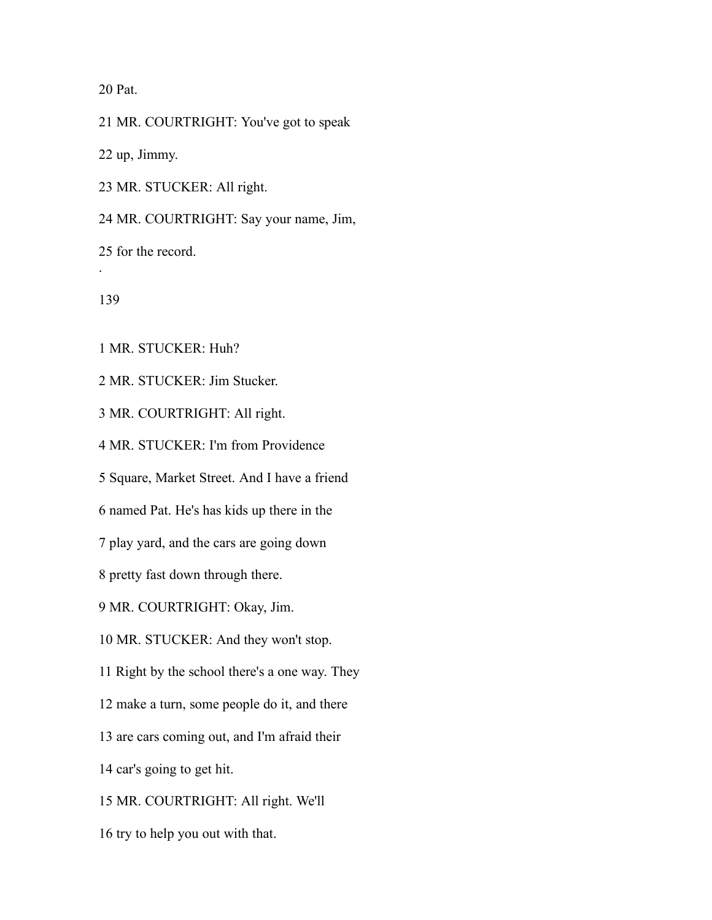Pat.

MR. COURTRIGHT: You've got to speak

up, Jimmy.

MR. STUCKER: All right.

MR. COURTRIGHT: Say your name, Jim,

for the record.

.

MR. STUCKER: Huh?

MR. STUCKER: Jim Stucker.

MR. COURTRIGHT: All right.

MR. STUCKER: I'm from Providence

Square, Market Street. And I have a friend

named Pat. He's has kids up there in the

play yard, and the cars are going down

pretty fast down through there.

MR. COURTRIGHT: Okay, Jim.

MR. STUCKER: And they won't stop.

Right by the school there's a one way. They

make a turn, some people do it, and there

are cars coming out, and I'm afraid their

car's going to get hit.

MR. COURTRIGHT: All right. We'll

try to help you out with that.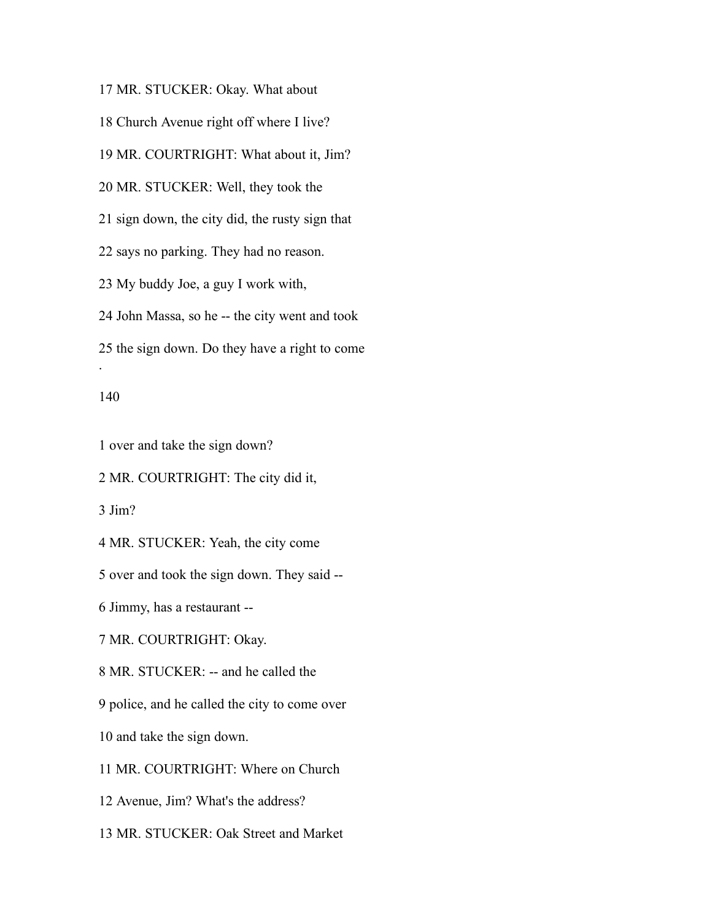MR. STUCKER: Okay. What about

Church Avenue right off where I live?

MR. COURTRIGHT: What about it, Jim?

MR. STUCKER: Well, they took the

sign down, the city did, the rusty sign that

says no parking. They had no reason.

My buddy Joe, a guy I work with,

John Massa, so he -- the city went and took

the sign down. Do they have a right to come

#### 

.

over and take the sign down?

MR. COURTRIGHT: The city did it,

Jim?

MR. STUCKER: Yeah, the city come

over and took the sign down. They said --

Jimmy, has a restaurant --

MR. COURTRIGHT: Okay.

MR. STUCKER: -- and he called the

police, and he called the city to come over

and take the sign down.

MR. COURTRIGHT: Where on Church

Avenue, Jim? What's the address?

MR. STUCKER: Oak Street and Market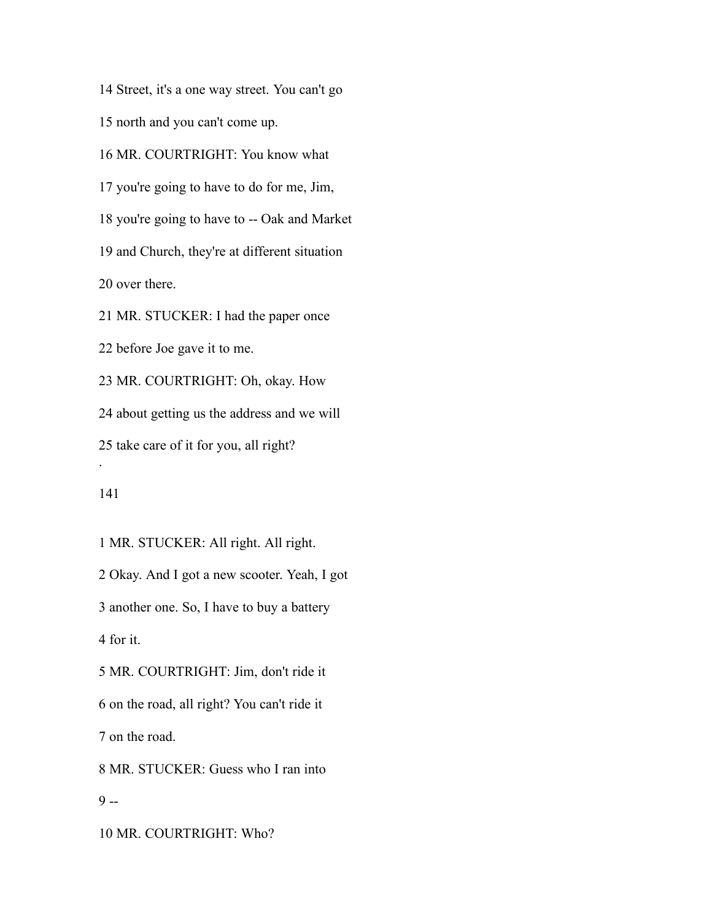Street, it's a one way street. You can't go

north and you can't come up.

MR. COURTRIGHT: You know what

you're going to have to do for me, Jim,

you're going to have to -- Oak and Market

and Church, they're at different situation

over there.

MR. STUCKER: I had the paper once

before Joe gave it to me.

 MR. COURTRIGHT: Oh, okay. How about getting us the address and we will

 take care of it for you, all right? .

 MR. STUCKER: All right. All right. Okay. And I got a new scooter. Yeah, I got another one. So, I have to buy a battery for it. MR. COURTRIGHT: Jim, don't ride it on the road, all right? You can't ride it on the road. MR. STUCKER: Guess who I ran into  $9 -$ 

MR. COURTRIGHT: Who?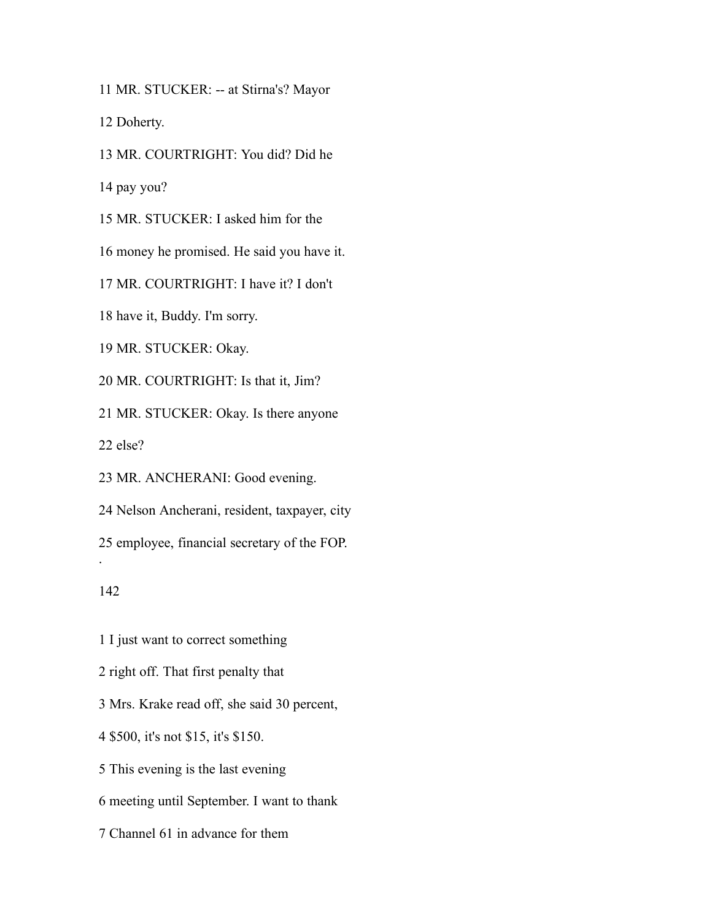MR. STUCKER: -- at Stirna's? Mayor

Doherty.

MR. COURTRIGHT: You did? Did he

pay you?

MR. STUCKER: I asked him for the

money he promised. He said you have it.

MR. COURTRIGHT: I have it? I don't

have it, Buddy. I'm sorry.

MR. STUCKER: Okay.

MR. COURTRIGHT: Is that it, Jim?

MR. STUCKER: Okay. Is there anyone

else?

MR. ANCHERANI: Good evening.

Nelson Ancherani, resident, taxpayer, city

employee, financial secretary of the FOP.

### 

.

I just want to correct something

right off. That first penalty that

Mrs. Krake read off, she said 30 percent,

\$500, it's not \$15, it's \$150.

This evening is the last evening

meeting until September. I want to thank

Channel 61 in advance for them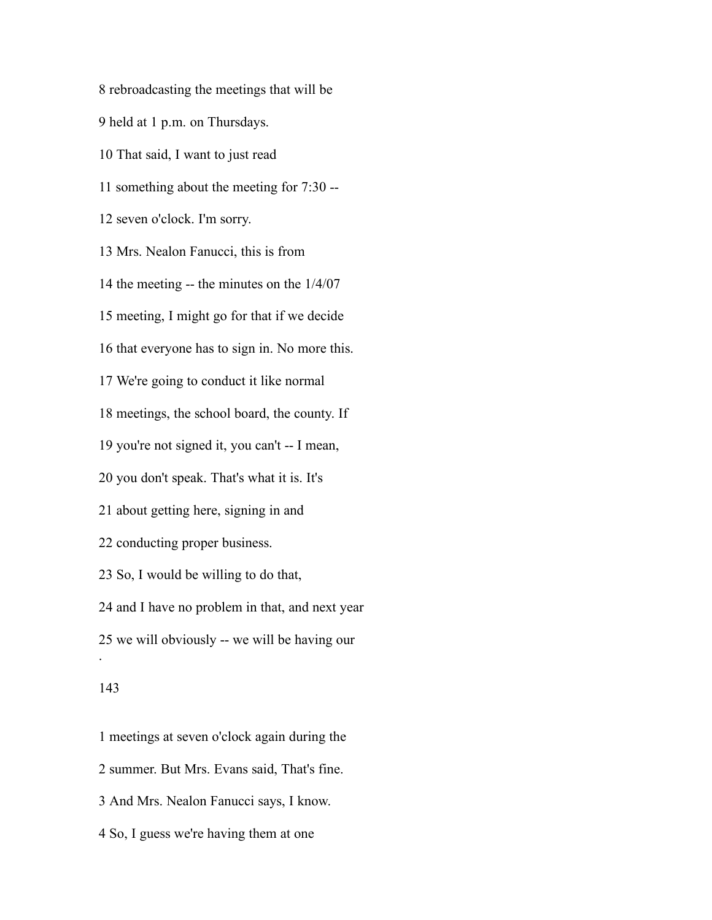rebroadcasting the meetings that will be held at 1 p.m. on Thursdays. That said, I want to just read something about the meeting for 7:30 -- seven o'clock. I'm sorry. Mrs. Nealon Fanucci, this is from the meeting -- the minutes on the 1/4/07 meeting, I might go for that if we decide that everyone has to sign in. No more this. We're going to conduct it like normal meetings, the school board, the county. If you're not signed it, you can't -- I mean, you don't speak. That's what it is. It's about getting here, signing in and conducting proper business. So, I would be willing to do that, and I have no problem in that, and next year we will obviously -- we will be having our . 

 meetings at seven o'clock again during the summer. But Mrs. Evans said, That's fine. And Mrs. Nealon Fanucci says, I know. So, I guess we're having them at one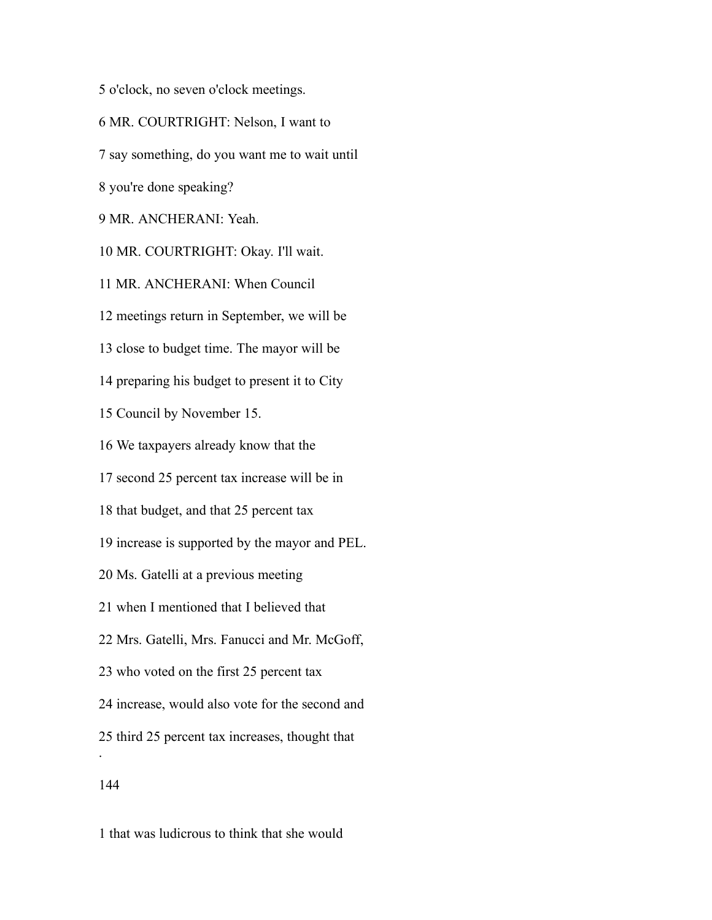o'clock, no seven o'clock meetings.

MR. COURTRIGHT: Nelson, I want to

say something, do you want me to wait until

you're done speaking?

MR. ANCHERANI: Yeah.

MR. COURTRIGHT: Okay. I'll wait.

MR. ANCHERANI: When Council

meetings return in September, we will be

close to budget time. The mayor will be

preparing his budget to present it to City

Council by November 15.

We taxpayers already know that the

second 25 percent tax increase will be in

that budget, and that 25 percent tax

increase is supported by the mayor and PEL.

Ms. Gatelli at a previous meeting

when I mentioned that I believed that

Mrs. Gatelli, Mrs. Fanucci and Mr. McGoff,

who voted on the first 25 percent tax

increase, would also vote for the second and

third 25 percent tax increases, thought that

.

that was ludicrous to think that she would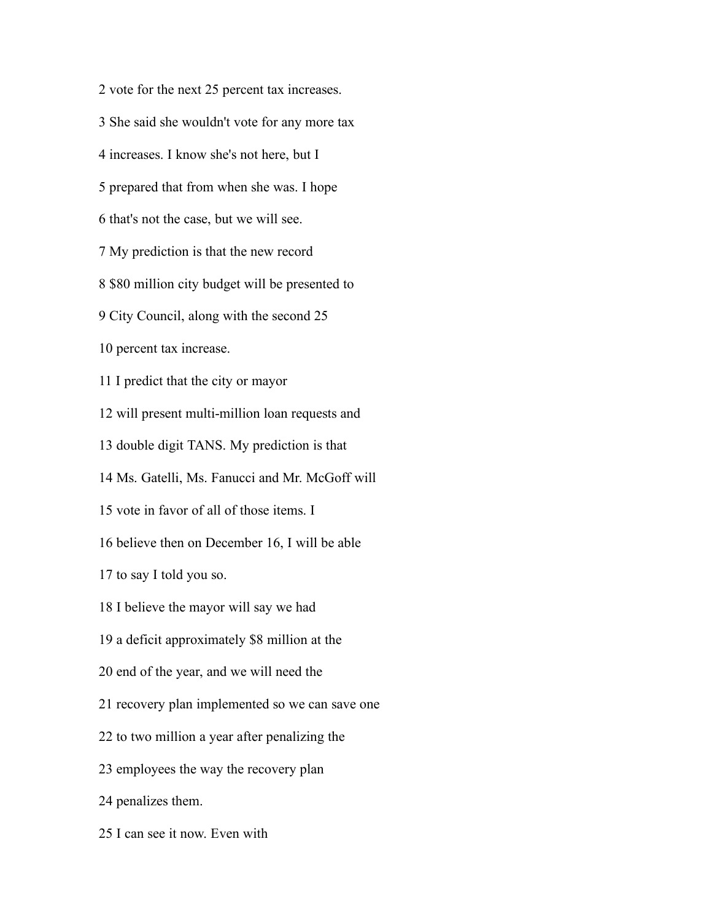vote for the next 25 percent tax increases. She said she wouldn't vote for any more tax increases. I know she's not here, but I prepared that from when she was. I hope that's not the case, but we will see. My prediction is that the new record \$80 million city budget will be presented to City Council, along with the second 25 percent tax increase. I predict that the city or mayor will present multi-million loan requests and double digit TANS. My prediction is that Ms. Gatelli, Ms. Fanucci and Mr. McGoff will vote in favor of all of those items. I believe then on December 16, I will be able to say I told you so. I believe the mayor will say we had a deficit approximately \$8 million at the end of the year, and we will need the recovery plan implemented so we can save one to two million a year after penalizing the employees the way the recovery plan penalizes them. I can see it now. Even with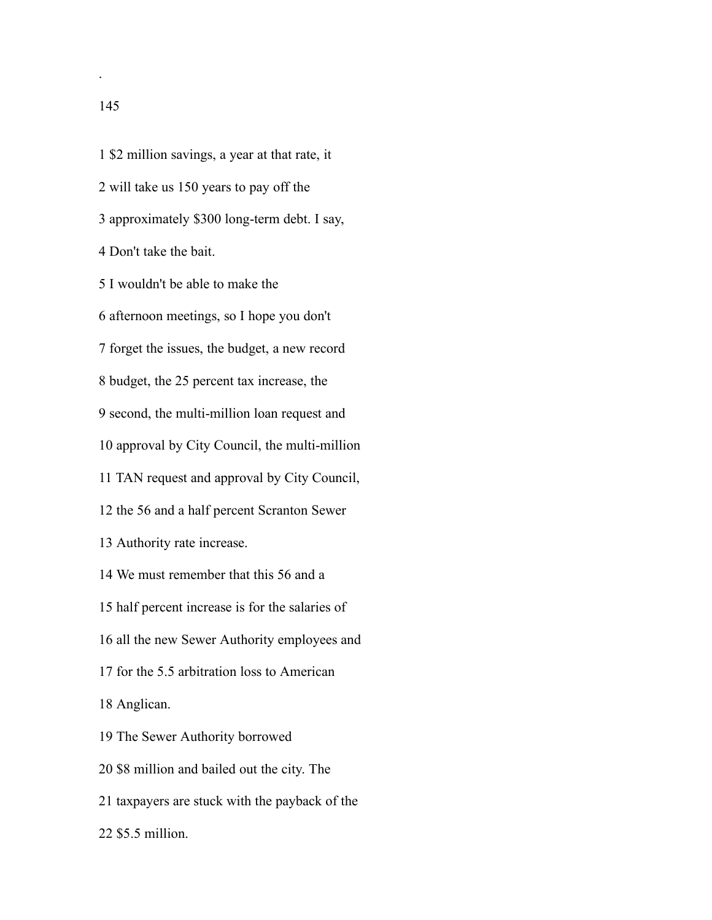\$2 million savings, a year at that rate, it will take us 150 years to pay off the approximately \$300 long-term debt. I say, Don't take the bait. I wouldn't be able to make the afternoon meetings, so I hope you don't forget the issues, the budget, a new record budget, the 25 percent tax increase, the second, the multi-million loan request and approval by City Council, the multi-million TAN request and approval by City Council,

the 56 and a half percent Scranton Sewer

Authority rate increase.

We must remember that this 56 and a

half percent increase is for the salaries of

all the new Sewer Authority employees and

for the 5.5 arbitration loss to American

Anglican.

The Sewer Authority borrowed

\$8 million and bailed out the city. The

taxpayers are stuck with the payback of the

\$5.5 million.

.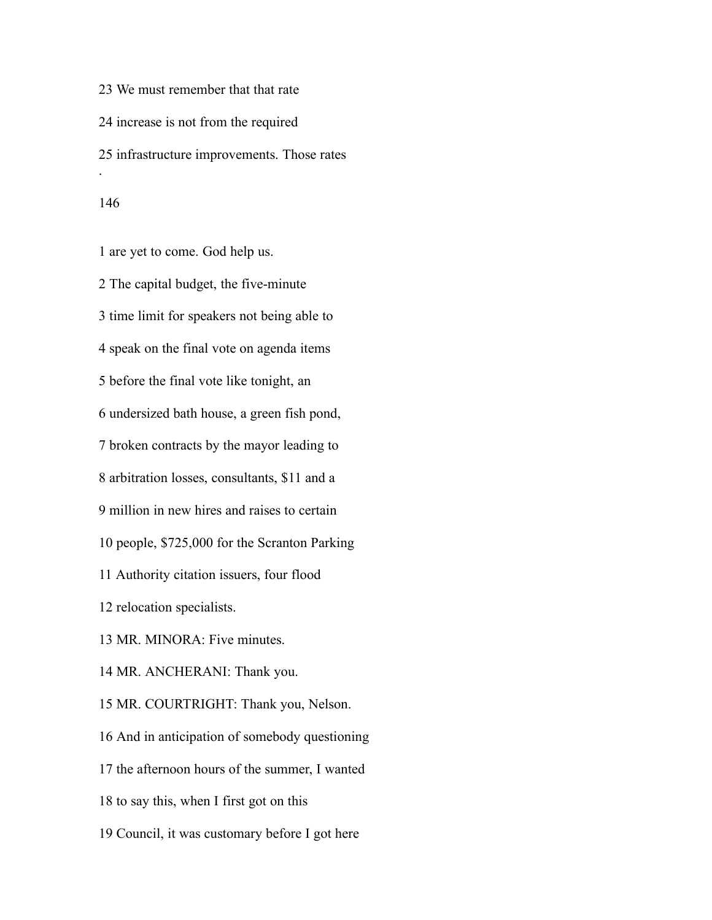We must remember that that rate increase is not from the required infrastructure improvements. Those rates .

 are yet to come. God help us. The capital budget, the five-minute time limit for speakers not being able to speak on the final vote on agenda items before the final vote like tonight, an undersized bath house, a green fish pond, broken contracts by the mayor leading to arbitration losses, consultants, \$11 and a million in new hires and raises to certain people, \$725,000 for the Scranton Parking Authority citation issuers, four flood relocation specialists. MR. MINORA: Five minutes. MR. ANCHERANI: Thank you. MR. COURTRIGHT: Thank you, Nelson. And in anticipation of somebody questioning the afternoon hours of the summer, I wanted to say this, when I first got on this Council, it was customary before I got here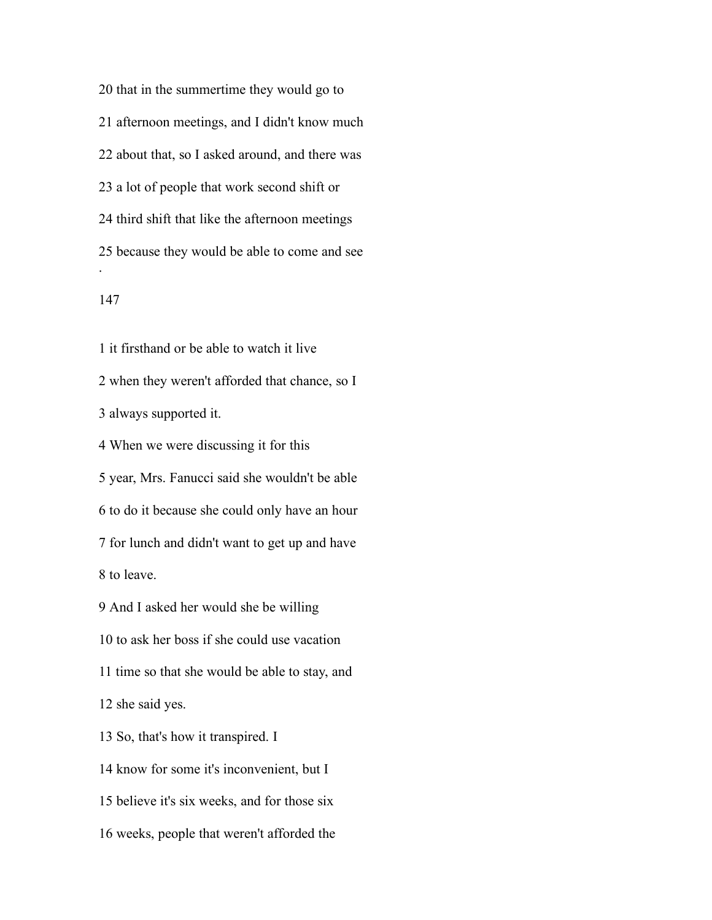that in the summertime they would go to afternoon meetings, and I didn't know much about that, so I asked around, and there was a lot of people that work second shift or third shift that like the afternoon meetings because they would be able to come and see .

 it firsthand or be able to watch it live when they weren't afforded that chance, so I always supported it. When we were discussing it for this year, Mrs. Fanucci said she wouldn't be able

 to do it because she could only have an hour for lunch and didn't want to get up and have

to leave.

And I asked her would she be willing

to ask her boss if she could use vacation

time so that she would be able to stay, and

she said yes.

So, that's how it transpired. I

know for some it's inconvenient, but I

believe it's six weeks, and for those six

weeks, people that weren't afforded the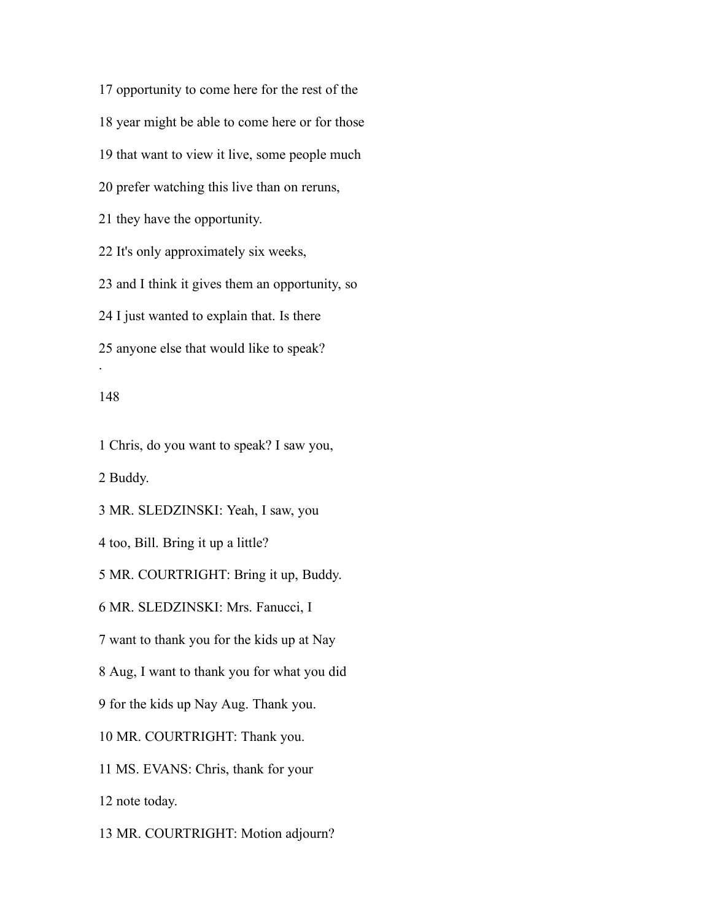opportunity to come here for the rest of the year might be able to come here or for those that want to view it live, some people much prefer watching this live than on reruns, they have the opportunity. It's only approximately six weeks, and I think it gives them an opportunity, so I just wanted to explain that. Is there anyone else that would like to speak? .

## 

Chris, do you want to speak? I saw you,

Buddy.

MR. SLEDZINSKI: Yeah, I saw, you

too, Bill. Bring it up a little?

MR. COURTRIGHT: Bring it up, Buddy.

MR. SLEDZINSKI: Mrs. Fanucci, I

want to thank you for the kids up at Nay

Aug, I want to thank you for what you did

for the kids up Nay Aug. Thank you.

MR. COURTRIGHT: Thank you.

MS. EVANS: Chris, thank for your

note today.

MR. COURTRIGHT: Motion adjourn?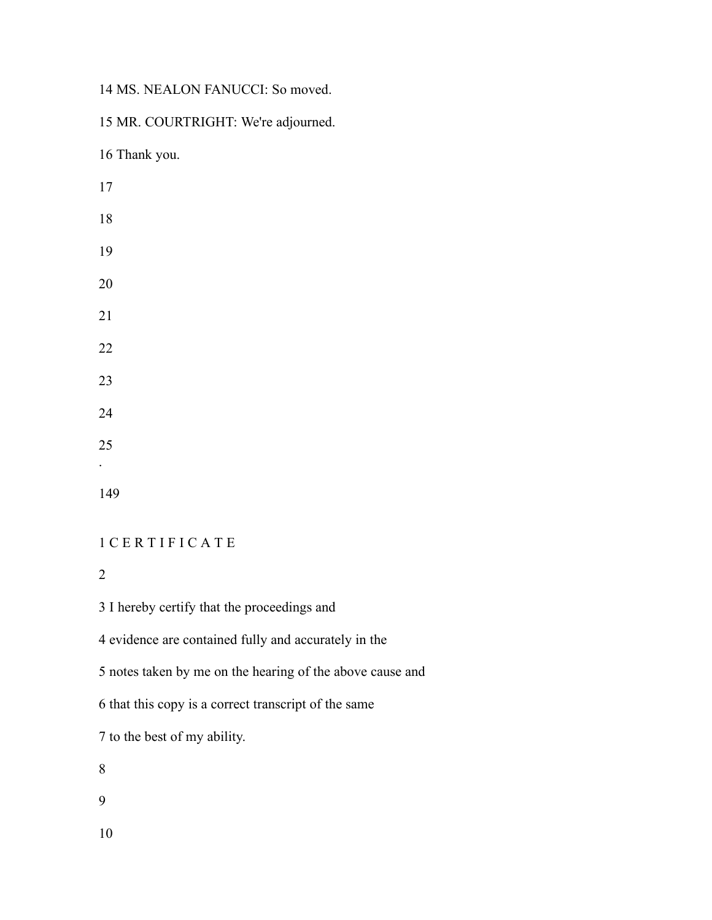MS. NEALON FANUCCI: So moved.

MR. COURTRIGHT: We're adjourned.

Thank you.

# C E R T I F I C A T E

I hereby certify that the proceedings and

evidence are contained fully and accurately in the

notes taken by me on the hearing of the above cause and

that this copy is a correct transcript of the same

to the best of my ability.